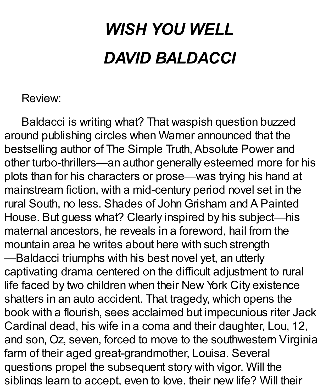# *WISH YOU WELL DAVID BALDACCI*

Review:

Baldacci is writing what? That waspish question buzzed around publishing circles when Warner announced that the bestselling author of The Simple Truth, Absolute Power and other turbo-thrillers—an author generally esteemed more for his plots than for his characters or prose—was trying his hand at mainstream fiction, with a mid-century period novel set in the rural South, no less. Shades of JohnGrisham and A Painted House. But guess what? Clearly inspired by his subject—his maternal ancestors, he reveals in a foreword, hail from the mountain area he writes about here with such strength —Baldacci triumphs with his best novel yet, an utterly captivating drama centered on the difficult adjustment to rural life faced by two children when their New York City existence shatters in an auto accident. That tragedy, which opens the book with a flourish, sees acclaimed but impecunious riter Jack Cardinal dead, his wife in a coma and their daughter, Lou, 12, and son, Oz, seven, forced to move to the southwestern Virginia farm of their aged great-grandmother, Louisa. Several questions propel the subsequent story with vigor. Will the siblings learn to accept, even to love, their new life? Will their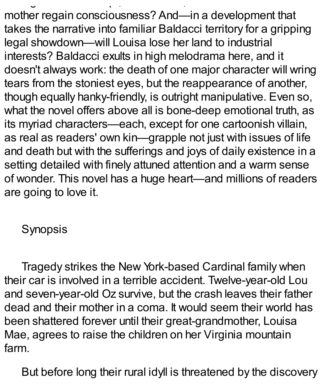mother regain consciousness? And—in a development that takes the narrative into familiar Baldacci territory for a gripping legal showdown—will Louisa lose her land to industrial interests? Baldacci exults in high melodrama here, and it doesn't always work: the death of one major character will wring tears from the stoniest eyes, but the reappearance of another, though equally hanky-friendly, is outright manipulative. Even so, what the novel offers above all is bone-deep emotional truth, as its myriad characters—each, except for one cartoonish villain, as real as readers' own kin—grapple not just with issues of life and death but with the sufferings and joys of daily existence in a setting detailed with finely attuned attention and a warm sense of wonder. This novel has a huge heart—and millions of readers are going to love it.

siblings learn to accept, even to love, their new life? Will their

# Synopsis

Tragedy strikes the New York-based Cardinal family when their car is involved in a terrible accident. Twelve-year-old Lou and seven-year-old Oz survive, but the crash leaves their father dead and their mother in a coma. It would seem their world has been shattered forever until their great-grandmother, Louisa Mae, agrees to raise the children on her Virginia mountain farm.

But before long their rural idyll is threatened by the discovery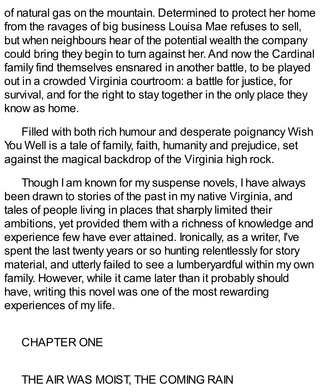of natural gas on the mountain. Determined to protect her home from the ravages of big business Louisa Mae refuses to sell, but when neighbours hear of the potential wealth the company could bring they begin to turn against her.And now the Cardinal family find themselves ensnared in another battle, to be played out in a crowded Virginia courtroom: a battle for justice, for survival, and for the right to stay together in the only place they know as home.

Filled with both rich humour and desperate poignancy Wish You Well is a tale of family, faith, humanity and prejudice, set against the magical backdrop of the Virginia high rock.

Though I am known for my suspense novels, I have always been drawn to stories of the past in my native Virginia, and tales of people living in places that sharply limited their ambitions, yet provided them with a richness of knowledge and experience few have ever attained. Ironically, as a writer, I've spent the last twenty years or so hunting relentlessly for story material, and utterly failed to see a lumberyardful within my own family. However, while it came later than it probably should have, writing this novel was one of the most rewarding experiences of my life.

### CHAPTER ONE

# THE AIR WAS MOIST, THE COMING RAIN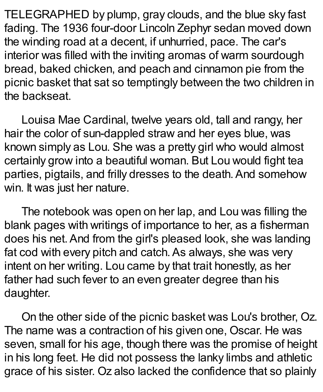TELEGRAPHED by plump, gray clouds, and the blue sky fast fading. The 1936 four-door Lincoln Zephyr sedan moved down the winding road at a decent, if unhurried, pace. The car's interior was filled with the inviting aromas of warm sourdough bread, baked chicken, and peach and cinnamon pie from the picnic basket that sat so temptingly between the two children in the backseat.

Louisa Mae Cardinal, twelve years old, tall and rangy, her hair the color of sun-dappled straw and her eyes blue, was known simply as Lou. She was a pretty girl who would almost certainly grow into a beautiful woman. But Lou would fight tea parties, pigtails, and frilly dresses to the death.And somehow win. It was just her nature.

The notebook was open on her lap, and Lou was filling the blank pages with writings of importance to her, as a fisherman does his net.And from the girl's pleased look, she was landing fat cod with every pitch and catch.As always, she was very intent on her writing. Lou came by that trait honestly, as her father had such fever to an even greater degree than his daughter.

On the other side of the picnic basket was Lou's brother, Oz. The name was a contraction of his given one, Oscar. He was seven, small for his age, though there was the promise of height in his long feet. He did not possess the lanky limbs and athletic grace of his sister. Oz also lacked the confidence that so plainly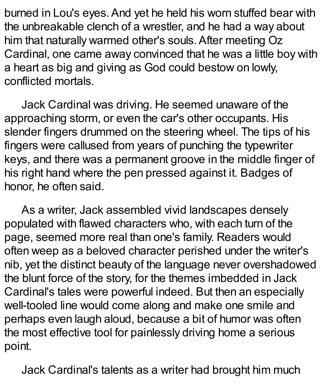burned in Lou's eyes.And yet he held his worn stuffed bear with the unbreakable clench of a wrestler, and he had a way about him that naturally warmed other's souls.After meeting Oz Cardinal, one came away convinced that he was a little boy with a heart as big and giving as God could bestow on lowly, conflicted mortals.

Jack Cardinal was driving. He seemed unaware of the approaching storm, or even the car's other occupants. His slender fingers drummed on the steering wheel. The tips of his fingers were callused from years of punching the typewriter keys, and there was a permanent groove in the middle finger of his right hand where the pen pressed against it. Badges of honor, he often said.

As a writer, Jack assembled vivid landscapes densely populated with flawed characters who, with each turn of the page, seemed more real than one's family. Readers would often weep as a beloved character perished under the writer's nib, yet the distinct beauty of the language never overshadowed the blunt force of the story, for the themes imbedded in Jack Cardinal's tales were powerful indeed. But then an especially well-tooled line would come along and make one smile and perhaps even laugh aloud, because a bit of humor was often the most effective tool for painlessly driving home a serious point.

Jack Cardinal's talents as a writer had brought him much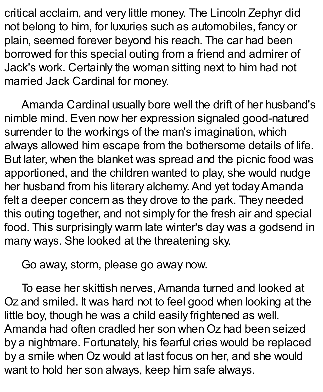critical acclaim, and very little money. The Lincoln Zephyr did not belong to him, for luxuries such as automobiles, fancy or plain, seemed forever beyond his reach. The car had been borrowed for this special outing from a friend and admirer of Jack's work. Certainly the woman sitting next to him had not married Jack Cardinal for money.

Amanda Cardinal usually bore well the drift of her husband's nimble mind. Even now her expression signaled good-natured surrender to the workings of the man's imagination, which always allowed him escape from the bothersome details of life. But later, when the blanket was spread and the picnic food was apportioned, and the children wanted to play, she would nudge her husband from his literary alchemy. And yet today Amanda felt a deeper concern as they drove to the park. They needed this outing together, and not simply for the fresh air and special food. This surprisingly warm late winter's day was a godsend in many ways. She looked at the threatening sky.

Go away, storm, please go away now.

To ease her skittish nerves, Amanda turned and looked at Oz and smiled. It was hard not to feel good when looking at the little boy, though he was a child easily frightened as well. Amanda had often cradled her son when Oz had been seized by a nightmare. Fortunately, his fearful cries would be replaced by a smile whenOz would at last focus on her, and she would want to hold her son always, keep him safe always.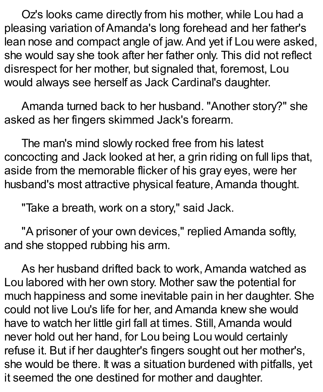Oz's looks came directly from his mother, while Lou had a pleasing variation ofAmanda's long forehead and her father's lean nose and compact angle of jaw.And yet if Lou were asked, she would say she took after her father only. This did not reflect disrespect for her mother, but signaled that, foremost, Lou would always see herself as Jack Cardinal's daughter.

Amanda turned back to her husband. "Another story?" she asked as her fingers skimmed Jack's forearm.

The man's mind slowly rocked free from his latest concocting and Jack looked at her, a grin riding on full lips that, aside from the memorable flicker of his gray eyes, were her husband's most attractive physical feature, Amanda thought.

"Take a breath, work on a story," said Jack.

"A prisoner of your own devices," replied Amanda softly, and she stopped rubbing his arm.

As her husband drifted back to work,Amanda watched as Lou labored with her own story. Mother saw the potential for much happiness and some inevitable pain in her daughter. She could not live Lou's life for her, and Amanda knew she would have to watch her little girl fall at times. Still, Amanda would never hold out her hand, for Lou being Lou would certainly refuse it. But if her daughter's fingers sought out her mother's, she would be there. It was a situation burdened with pitfalls, yet it seemed the one destined for mother and daughter.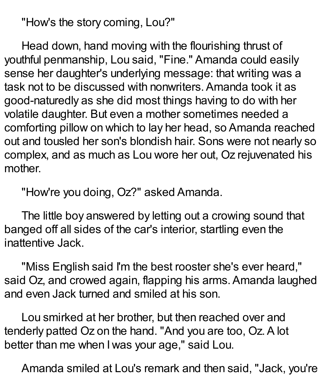"How's the story coming, Lou?"

Head down, hand moving with the flourishing thrust of youthful penmanship, Lou said, "Fine." Amanda could easily sense her daughter's underlying message: that writing was a task not to be discussed with nonwriters.Amanda took it as good-naturedly as she did most things having to do with her volatile daughter. But even a mother sometimes needed a comforting pillow on which to lay her head, so Amanda reached out and tousled her son's blondish hair. Sons were not nearly so complex, and as much as Lou wore her out, Oz rejuvenated his mother.

"How're you doing, Oz?" asked Amanda.

The little boy answered by letting out a crowing sound that banged off all sides of the car's interior, startling even the inattentive Jack.

"Miss English said I'm the best rooster she's ever heard," said Oz, and crowed again, flapping his arms.Amanda laughed and even Jack turned and smiled at his son.

Lou smirked at her brother, but then reached over and tenderly patted Oz on the hand. "And you are too, Oz.A lot better than me when Iwas your age," said Lou.

Amanda smiled at Lou's remark and then said, "Jack, you're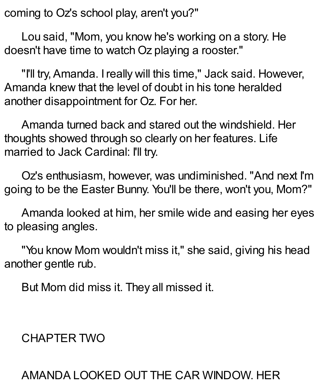coming to Oz's school play, aren't you?"

Lou said, "Mom, you know he's working on a story. He doesn't have time to watch Oz playing a rooster."

"I'll try,Amanda. Ireally will this time," Jack said. However, Amanda knew that the level of doubt in his tone heralded another disappointment for Oz. For her.

Amanda turned back and stared out the windshield. Her thoughts showed through so clearly on her features. Life married to Jack Cardinal: I'll try.

Oz's enthusiasm, however, was undiminished. "And next I'm going to be the Easter Bunny. You'll be there, won't you, Mom?"

Amanda looked at him, her smile wide and easing her eyes to pleasing angles.

"You know Mom wouldn't miss it," she said, giving his head another gentle rub.

But Mom did miss it. They all missed it.

CHAPTER TWO

AMANDA LOOKED OUT THE CAR WINDOW. HER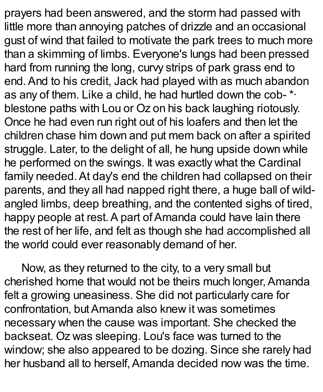prayers had been answered, and the storm had passed with little more than annoying patches of drizzle and an occasional gust of wind that failed to motivate the park trees to much more than a skimming of limbs. Everyone's lungs had been pressed hard from running the long, curvy strips of park grass end to end.And to his credit, Jack had played with as much abandon as any of them. Like a child, he had hurtled down the cob-\*blestone paths with Lou or Oz on his back laughing riotously. Once he had even run right out of his loafers and then let the children chase him down and put mem back on after a spirited struggle. Later, to the delight of all, he hung upside down while he performed on the swings. It was exactly what the Cardinal family needed.At day's end the children had collapsed on their parents, and they all had napped right there, a huge ball of wildangled limbs, deep breathing, and the contented sighs of tired, happy people at rest. A part of Amanda could have lain there the rest of her life, and felt as though she had accomplished all the world could ever reasonably demand of her.

Now, as they returned to the city, to a very small but cherished home that would not be theirs much longer,Amanda felt a growing uneasiness. She did not particularly care for confrontation, butAmanda also knew it was sometimes necessary when the cause was important. She checked the backseat. Oz was sleeping. Lou's face was turned to the window; she also appeared to be dozing. Since she rarely had her husband all to herself, Amanda decided now was the time.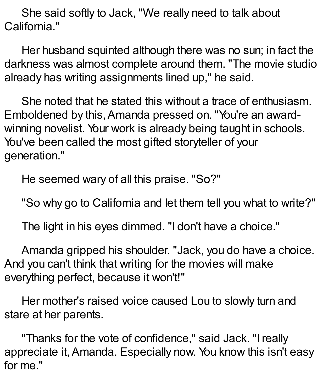She said softly to Jack, "We really need to talk about California."

Her husband squinted although there was no sun; in fact the darkness was almost complete around them. "The movie studio already has writing assignments lined up," he said.

She noted that he stated this without a trace of enthusiasm. Emboldened by this,Amanda pressed on. "You're an awardwinning novelist. Your work is already being taught in schools. You've been called the most gifted storyteller of your generation."

He seemed wary of all this praise. "So?"

"So why go to California and let them tell you what to write?"

The light in his eyes dimmed. "I don't have a choice."

Amanda gripped his shoulder. "Jack, you do have a choice. And you can't think that writing for the movies will make everything perfect, because it won't!"

Her mother's raised voice caused Lou to slowly turn and stare at her parents.

"Thanks for the vote of confidence," said Jack. "Ireally appreciate it,Amanda. Especially now. You know this isn't easy for me."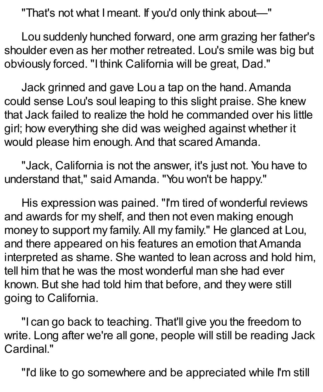"That's not what Imeant. If you'd only think about—"

Lou suddenly hunched forward, one arm grazing her father's shoulder even as her mother retreated. Lou's smile was big but obviously forced. "I think California will be great, Dad."

Jack grinned and gave Lou a tap on the hand.Amanda could sense Lou's soul leaping to this slight praise. She knew that Jack failed to realize the hold he commanded over his little girl; how everything she did was weighed against whether it would please him enough.And that scared Amanda.

"Jack, California is not the answer, it's just not. You have to understand that," said Amanda. "You won't be happy."

His expression was pained. "I'm tired of wonderful reviews and awards for my shelf, and then not even making enough money to support my family. All my family." He glanced at Lou, and there appeared on his features an emotion thatAmanda interpreted as shame. She wanted to lean across and hold him, tell him that he was the most wonderful man she had ever known. But she had told him that before, and they were still going to California.

"I can go back to teaching. That'll give you the freedom to write. Long after we're all gone, people will still be reading Jack Cardinal."

"I'd like to go somewhere and be appreciated while I'm still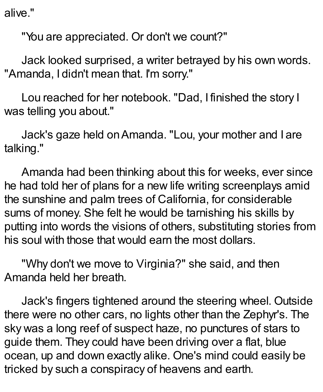alive."

"You are appreciated. Or don't we count?"

Jack looked surprised, a writer betrayed by his own words. "Amanda, I didn't mean that. I'm sorry."

Lou reached for her notebook. "Dad, I finished the story I was telling you about."

Jack's gaze held onAmanda. "Lou, your mother and I are talking."

Amanda had been thinking about this for weeks, ever since he had told her of plans for a new life writing screenplays amid the sunshine and palm trees of California, for considerable sums of money. She felt he would be tarnishing his skills by putting into words the visions of others, substituting stories from his soul with those that would earn the most dollars.

"Why don't we move to Virginia?" she said, and then Amanda held her breath.

Jack's fingers tightened around the steering wheel. Outside there were no other cars, no lights other than the Zephyr's. The sky was a long reef of suspect haze, no punctures of stars to guide them. They could have been driving over a flat, blue ocean, up and down exactly alike. One's mind could easily be tricked by such a conspiracy of heavens and earth.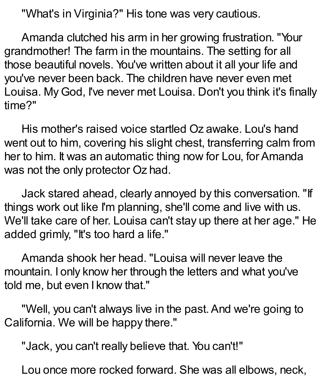"What's in Virginia?" His tone was very cautious.

Amanda clutched his arm in her growing frustration. "Your grandmother! The farm in the mountains. The setting for all those beautiful novels. You've written about it all your life and you've never been back. The children have never even met Louisa. MyGod, I've never met Louisa. Don't you think it's finally time?"

His mother's raised voice startled Oz awake. Lou's hand went out to him, covering his slight chest, transferring calm from her to him. It was an automatic thing now for Lou, for Amanda was not the only protector Oz had.

Jack stared ahead, clearly annoyed by this conversation. "If things work out like I'm planning, she'll come and live with us. We'll take care of her. Louisa can't stay up there at her age." He added grimly, "It's too hard a life."

Amanda shook her head. "Louisa will never leave the mountain. I only know her through the letters and what you've told me, but even I know that."

"Well, you can't always live in the past.And we're going to California. We will be happy there."

"Jack, you can't really believe that. You can't!"

Lou once more rocked forward. She was all elbows, neck,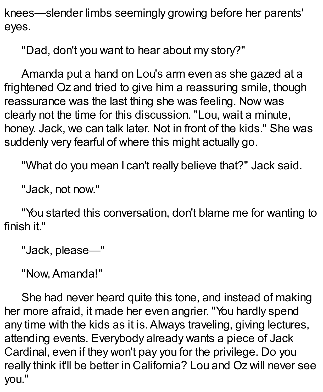knees—slender limbs seemingly growing before her parents' eyes.

"Dad, don't you want to hear about my story?"

Amanda put a hand on Lou's arm even as she gazed at a frightened Oz and tried to give him a reassuring smile, though reassurance was the last thing she was feeling. Now was clearly not the time for this discussion. "Lou, wait a minute, honey. Jack, we can talk later. Not in front of the kids." She was suddenly very fearful of where this might actually go.

"What do you mean I can't really believe that?" Jack said.

"Jack, not now."

"You started this conversation, don't blame me for wanting to finish it."

"Jack, please—"

"Now,Amanda!"

She had never heard quite this tone, and instead of making her more afraid, it made her even angrier. "You hardly spend any time with the kids as it is.Always traveling, giving lectures, attending events. Everybody already wants a piece of Jack Cardinal, even if they won't pay you for the privilege. Do you really think it'll be better in California? Lou and Oz will never see you."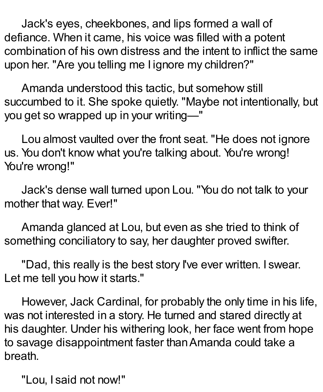Jack's eyes, cheekbones, and lips formed a wall of defiance. When it came, his voice was filled with a potent combination of his own distress and the intent to inflict the same upon her. "Are you telling me I ignore my children?"

Amanda understood this tactic, but somehow still succumbed to it. She spoke quietly. "Maybe not intentionally, but you get so wrapped up in your writing—"

Lou almost vaulted over the front seat. "He does not ignore us. You don't know what you're talking about. You're wrong! You're wrong!"

Jack's dense wall turned upon Lou. "You do not talk to your mother that way. Ever!"

Amanda glanced at Lou, but even as she tried to think of something conciliatory to say, her daughter proved swifter.

"Dad, this really is the best story I've ever written. I swear. Let me tell you how it starts."

However, Jack Cardinal, for probably the only time in his life, was not interested in a story. He turned and stared directly at his daughter. Under his withering look, her face went from hope to savage disappointment faster thanAmanda could take a breath.

"Lou, I said not now!"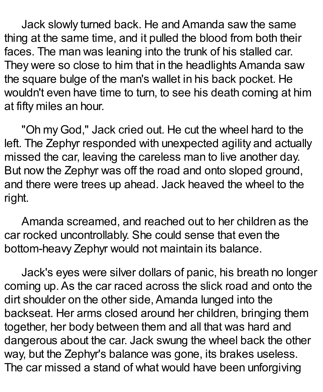Jack slowly turned back. He and Amanda saw the same thing at the same time, and it pulled the blood from both their faces. The man was leaning into the trunk of his stalled car. They were so close to him that in the headlights Amanda saw the square bulge of the man's wallet in his back pocket. He wouldn't even have time to turn, to see his death coming at him at fifty miles an hour.

"Oh myGod," Jack cried out. He cut the wheel hard to the left. The Zephyr responded with unexpected agility and actually missed the car, leaving the careless man to live another day. But now the Zephyr was off the road and onto sloped ground, and there were trees up ahead. Jack heaved the wheel to the right.

Amanda screamed, and reached out to her children as the car rocked uncontrollably. She could sense that even the bottom-heavy Zephyr would not maintain its balance.

Jack's eyes were silver dollars of panic, his breath no longer coming up.As the car raced across the slick road and onto the dirt shoulder on the other side,Amanda lunged into the backseat. Her arms closed around her children, bringing them together, her body between them and all that was hard and dangerous about the car. Jack swung the wheel back the other way, but the Zephyr's balance was gone, its brakes useless. The car missed a stand of what would have been unforgiving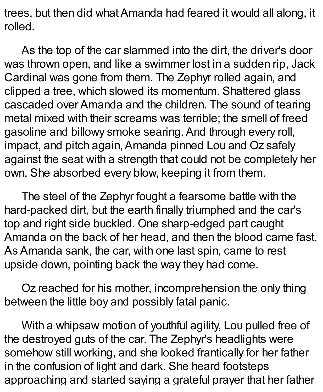trees, but then did what Amanda had feared it would all along, it rolled.

As the top of the car slammed into the dirt, the driver's door was thrown open, and like a swimmer lost in a sudden rip, Jack Cardinal was gone from them. The Zephyr rolled again, and clipped a tree, which slowed its momentum. Shattered glass cascaded over Amanda and the children. The sound of tearing metal mixed with their screams was terrible; the smell of freed gasoline and billowy smoke searing.And through every roll, impact, and pitch again, Amanda pinned Lou and Oz safely against the seat with a strength that could not be completely her own. She absorbed every blow, keeping it from them.

The steel of the Zephyr fought a fearsome battle with the hard-packed dirt, but the earth finally triumphed and the car's top and right side buckled. One sharp-edged part caught Amanda on the back of her head, and then the blood came fast. As Amanda sank, the car, with one last spin, came to rest upside down, pointing back the way they had come.

Oz reached for his mother, incomprehension the only thing between the little boy and possibly fatal panic.

With a whipsaw motion of youthful agility, Lou pulled free of the destroyed guts of the car. The Zephyr's headlights were somehow still working, and she looked frantically for her father in the confusion of light and dark. She heard footsteps approaching and started saying a grateful prayer that her father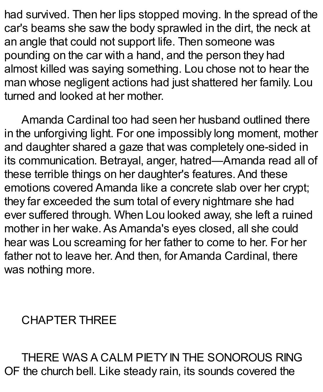had survived. Then her lips stopped moving. In the spread of the car's beams she saw the body sprawled in the dirt, the neck at an angle that could not support life. Then someone was pounding on the car with a hand, and the person they had almost killed was saying something. Lou chose not to hear the man whose negligent actions had just shattered her family. Lou turned and looked at her mother.

Amanda Cardinal too had seen her husband outlined there in the unforgiving light. For one impossibly long moment, mother and daughter shared a gaze that was completely one-sided in its communication. Betrayal, anger, hatred—Amanda read all of these terrible things on her daughter's features.And these emotions covered Amanda like a concrete slab over her crypt; they far exceeded the sum total of every nightmare she had ever suffered through. When Lou looked away, she left a ruined mother in her wake.As Amanda's eyes closed, all she could hear was Lou screaming for her father to come to her. For her father not to leave her. And then, for Amanda Cardinal, there was nothing more.

### CHAPTER THREE

THERE WAS A CALM PIETYIN THE SONOROUS RING OF the church bell. Like steady rain, its sounds covered the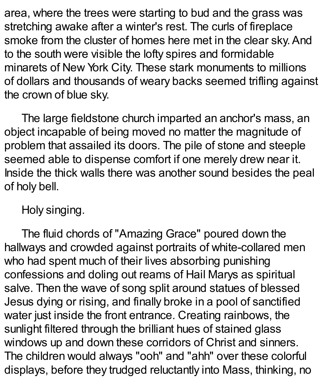area, where the trees were starting to bud and the grass was stretching awake after a winter's rest. The curls of fireplace smoke from the cluster of homes here met in the clear sky.And to the south were visible the lofty spires and formidable minarets of New York City. These stark monuments to millions of dollars and thousands of weary backs seemed trifling against the crown of blue sky.

The large fieldstone church imparted an anchor's mass, an object incapable of being moved no matter the magnitude of problem that assailed its doors. The pile of stone and steeple seemed able to dispense comfort if one merely drew near it. Inside the thick walls there was another sound besides the peal of holy bell.

Holy singing.

The fluid chords of "Amazing Grace" poured down the hallways and crowded against portraits of white-collared men who had spent much of their lives absorbing punishing confessions and doling out reams of Hail Marys as spiritual salve. Then the wave of song split around statues of blessed Jesus dying or rising, and finally broke in a pool of sanctified water just inside the front entrance. Creating rainbows, the sunlight filtered through the brilliant hues of stained glass windows up and down these corridors of Christ and sinners. The children would always "ooh" and "ahh" over these colorful displays, before they trudged reluctantly into Mass, thinking, no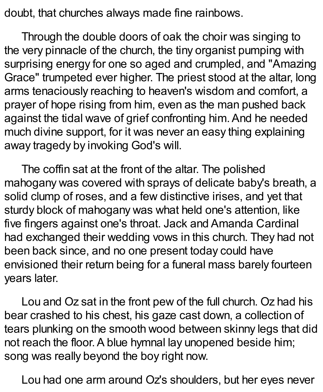doubt, that churches always made fine rainbows.

Through the double doors of oak the choir was singing to the very pinnacle of the church, the tiny organist pumping with surprising energy for one so aged and crumpled, and "Amazing Grace" trumpeted ever higher. The priest stood at the altar, long arms tenaciously reaching to heaven's wisdom and comfort, a prayer of hope rising from him, even as the man pushed back against the tidal wave of grief confronting him.And he needed much divine support, for it was never an easy thing explaining away tragedy by invoking God's will.

The coffin sat at the front of the altar. The polished mahogany was covered with sprays of delicate baby's breath, a solid clump of roses, and a few distinctive irises, and yet that sturdy block of mahogany was what held one's attention, like five fingers against one's throat. Jack and Amanda Cardinal had exchanged their wedding vows in this church. They had not been back since, and no one present today could have envisioned their return being for a funeral mass barely fourteen years later.

Lou and Oz sat in the front pew of the full church. Oz had his bear crashed to his chest, his gaze cast down, a collection of tears plunking on the smooth wood between skinny legs that did not reach the floor. A blue hymnal lay unopened beside him; song was really beyond the boy right now.

Lou had one arm around Oz's shoulders, but her eyes never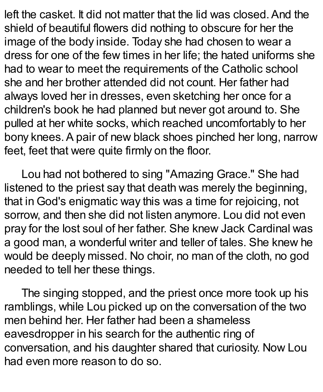left the casket. It did not matter that the lid was closed.And the shield of beautiful flowers did nothing to obscure for her the image of the body inside. Today she had chosen to wear a dress for one of the few times in her life; the hated uniforms she had to wear to meet the requirements of the Catholic school she and her brother attended did not count. Her father had always loved her in dresses, even sketching her once for a children's book he had planned but never got around to. She pulled at her white socks, which reached uncomfortably to her bony knees.A pair of new black shoes pinched her long, narrow feet, feet that were quite firmly on the floor.

Lou had not bothered to sing "Amazing Grace." She had listened to the priest say that death was merely the beginning, that inGod's enigmatic way this was a time for rejoicing, not sorrow, and then she did not listen anymore. Lou did not even pray for the lost soul of her father. She knew Jack Cardinal was a good man, a wonderful writer and teller of tales. She knew he would be deeply missed. No choir, no man of the cloth, no god needed to tell her these things.

The singing stopped, and the priest once more took up his ramblings, while Lou picked up on the conversation of the two men behind her. Her father had been a shameless eavesdropper in his search for the authentic ring of conversation, and his daughter shared that curiosity. Now Lou had even more reason to do so.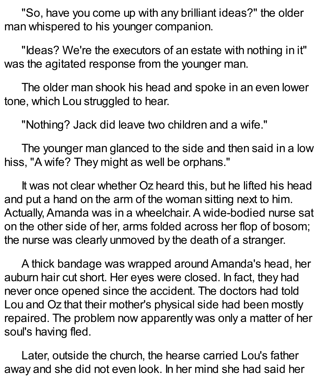"So, have you come up with any brilliant ideas?" the older man whispered to his younger companion.

"Ideas? We're the executors of an estate with nothing in it" was the agitated response from the younger man.

The older man shook his head and spoke in an even lower tone, which Lou struggled to hear.

"Nothing? Jack did leave two children and a wife."

The younger man glanced to the side and then said in a low hiss, "A wife? They might as well be orphans."

It was not clear whether Oz heard this, but he lifted his head and put a hand on the arm of the woman sitting next to him. Actually,Amanda was in a wheelchair.A wide-bodied nurse sat on the other side of her, arms folded across her flop of bosom; the nurse was clearly unmoved by the death of a stranger.

A thick bandage was wrapped around Amanda's head, her auburn hair cut short. Her eyes were closed. In fact, they had never once opened since the accident. The doctors had told Lou and Oz that their mother's physical side had been mostly repaired. The problem now apparently was only a matter of her soul's having fled.

Later, outside the church, the hearse carried Lou's father away and she did not even look. In her mind she had said her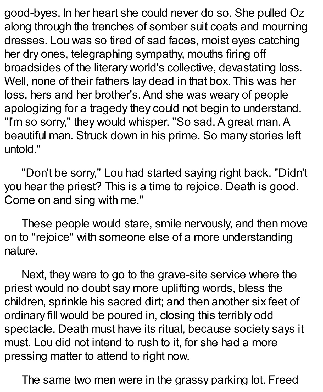good-byes. In her heart she could never do so. She pulled Oz along through the trenches of somber suit coats and mourning dresses. Lou was so tired of sad faces, moist eyes catching her dry ones, telegraphing sympathy, mouths firing off broadsides of the literary world's collective, devastating loss. Well, none of their fathers lay dead in that box. This was her loss, hers and her brother's.And she was weary of people apologizing for a tragedy they could not begin to understand. "I'm so sorry," they would whisper. "So sad. A great man. A beautiful man. Struck down in his prime. So many stories left untold."

"Don't be sorry," Lou had started saying right back. "Didn't you hear the priest? This is a time to rejoice. Death is good. Come on and sing with me."

These people would stare, smile nervously, and then move on to "rejoice" with someone else of a more understanding nature.

Next, they were to go to the grave-site service where the priest would no doubt say more uplifting words, bless the children, sprinkle his sacred dirt; and then another six feet of ordinary fill would be poured in, closing this terribly odd spectacle. Death must have its ritual, because society says it must. Lou did not intend to rush to it, for she had a more pressing matter to attend to right now.

The same two men were in the grassy parking lot. Freed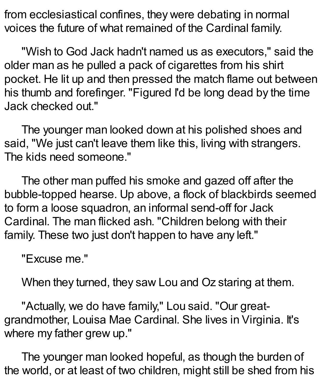from ecclesiastical confines, they were debating in normal voices the future of what remained of the Cardinal family.

"Wish to God Jack hadn't named us as executors," said the older man as he pulled a pack of cigarettes from his shirt pocket. He lit up and then pressed the match flame out between his thumb and forefinger. "Figured I'd be long dead by the time Jack checked out."

The younger man looked down at his polished shoes and said, "We just can't leave them like this, living with strangers. The kids need someone."

The other man puffed his smoke and gazed off after the bubble-topped hearse. Up above, a flock of blackbirds seemed to form a loose squadron, an informal send-off for Jack Cardinal. The man flicked ash. "Children belong with their family. These two just don't happen to have any left."

"Excuse me."

When they turned, they saw Lou and Oz staring at them.

"Actually, we do have family," Lou said. "Our greatgrandmother, Louisa Mae Cardinal. She lives in Virginia. It's where my father grew up."

The younger man looked hopeful, as though the burden of the world, or at least of two children, might still be shed from his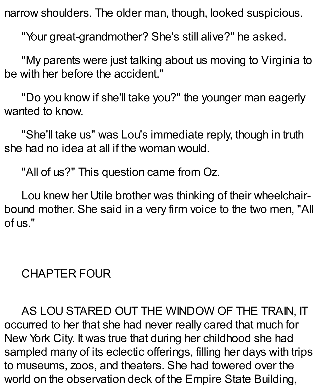narrow shoulders. The older man, though, looked suspicious.

"Your great-grandmother? She's still alive?" he asked.

"My parents were just talking about us moving to Virginia to be with her before the accident."

"Do you know if she'll take you?" the younger man eagerly wanted to know.

"She'll take us" was Lou's immediate reply, though in truth she had no idea at all if the woman would.

"All of us?" This question came from Oz.

Lou knew her Utile brother was thinking of their wheelchairbound mother. She said in a very firm voice to the two men, "All of us."

#### CHAPTER FOUR

AS LOU STARED OUT THE WINDOW OF THE TRAIN, IT occurred to her that she had never really cared that much for New York City. It was true that during her childhood she had sampled many of its eclectic offerings, filling her days with trips to museums, zoos, and theaters. She had towered over the world on the observation deck of the Empire State Building,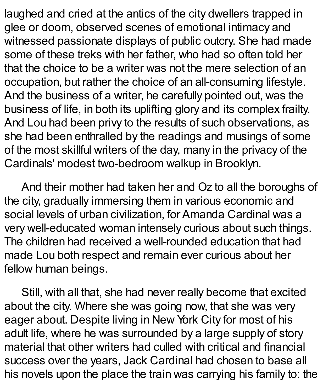laughed and cried at the antics of the city dwellers trapped in glee or doom, observed scenes of emotional intimacy and witnessed passionate displays of public outcry. She had made some of these treks with her father, who had so often told her that the choice to be a writer was not the mere selection of an occupation, but rather the choice of an all-consuming lifestyle. And the business of a writer, he carefully pointed out, was the business of life, in both its uplifting glory and its complex frailty. And Lou had been privy to the results of such observations, as she had been enthralled by the readings and musings of some of the most skillful writers of the day, many in the privacy of the Cardinals' modest two-bedroom walkup in Brooklyn.

And their mother had taken her and Oz to all the boroughs of the city, gradually immersing them in various economic and social levels of urban civilization, for Amanda Cardinal was a very well-educated woman intensely curious about such things. The children had received a well-rounded education that had made Lou both respect and remain ever curious about her fellow human beings.

Still, with all that, she had never really become that excited about the city. Where she was going now, that she was very eager about. Despite living in New York City for most of his adult life, where he was surrounded by a large supply of story material that other writers had culled with critical and financial success over the years, Jack Cardinal had chosen to base all his novels upon the place the train was carrying his family to: the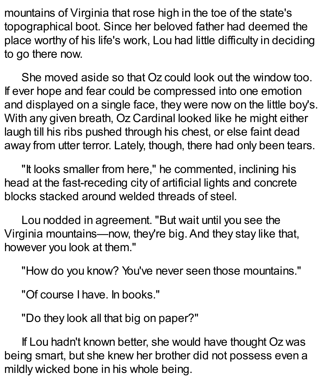mountains of Virginia that rose high in the toe of the state's topographical boot. Since her beloved father had deemed the place worthy of his life's work, Lou had little difficulty in deciding to go there now.

She moved aside so that Oz could look out the window too. If ever hope and fear could be compressed into one emotion and displayed on a single face, they were now on the little boy's. With any given breath, Oz Cardinal looked like he might either laugh till his ribs pushed through his chest, or else faint dead away from utter terror. Lately, though, there had only been tears.

"It looks smaller from here," he commented, inclining his head at the fast-receding city of artificial lights and concrete blocks stacked around welded threads of steel.

Lou nodded in agreement. "But wait until you see the Virginia mountains—now, they're big.And they stay like that, however you look at them."

"How do you know? You've never seen those mountains."

"Of course I have. In books."

"Do they look all that big on paper?"

If Lou hadn't known better, she would have thought Oz was being smart, but she knew her brother did not possess even a mildly wicked bone in his whole being.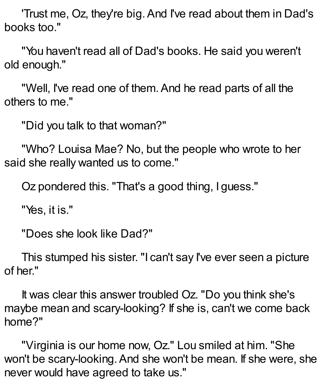'Trust me, Oz, they're big.And I've read about them in Dad's books too."

"You haven't read all of Dad's books. He said you weren't old enough."

"Well, I've read one of them.And he read parts of all the others to me."

"Did you talk to that woman?"

"Who? Louisa Mae? No, but the people who wrote to her said she really wanted us to come."

Oz pondered this. "That's a good thing, I guess."

"Yes, it is."

"Does she look like Dad?"

This stumped his sister. "I can't say I've ever seen a picture of her."

It was clear this answer troubled Oz. "Do you think she's maybe mean and scary-looking? If she is, can't we come back home?"

"Virginia is our home now, Oz." Lou smiled at him. "She won't be scary-looking.And she won't be mean. If she were, she never would have agreed to take us."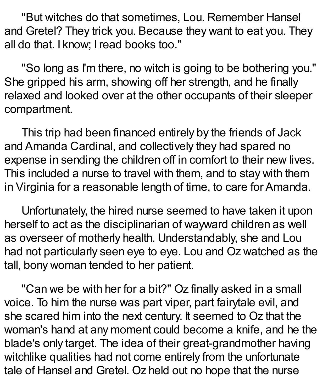"But witches do that sometimes, Lou. Remember Hansel and Gretel? They trick you. Because they want to eat you. They all do that. I know; Iread books too."

"So long as I'm there, no witch is going to be bothering you." She gripped his arm, showing off her strength, and he finally relaxed and looked over at the other occupants of their sleeper compartment.

This trip had been financed entirely by the friends of Jack and Amanda Cardinal, and collectively they had spared no expense in sending the children off in comfort to their new lives. This included a nurse to travel with them, and to stay with them in Virginia for a reasonable length of time, to care for Amanda.

Unfortunately, the hired nurse seemed to have taken it upon herself to act as the disciplinarian of wayward children as well as overseer of motherly health. Understandably, she and Lou had not particularly seen eye to eye. Lou and Oz watched as the tall, bony woman tended to her patient.

"Can we be with her for a bit?" Oz finally asked in a small voice. To him the nurse was part viper, part fairytale evil, and she scared him into the next century. It seemed to Oz that the woman's hand at any moment could become a knife, and he the blade's only target. The idea of their great-grandmother having witchlike qualities had not come entirely from the unfortunate tale of Hansel and Gretel. Oz held out no hope that the nurse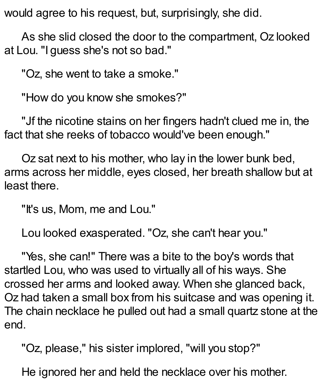would agree to his request, but, surprisingly, she did.

As she slid closed the door to the compartment, Oz looked at Lou. "I guess she's not so bad."

"Oz, she went to take a smoke."

"How do you know she smokes?"

"Jf the nicotine stains on her fingers hadn't clued me in, the fact that she reeks of tobacco would've been enough."

Oz sat next to his mother, who lay in the lower bunk bed, arms across her middle, eyes closed, her breath shallow but at least there.

"It's us, Mom, me and Lou."

Lou looked exasperated. "Oz, she can't hear you."

"Yes, she can!" There was a bite to the boy's words that startled Lou, who was used to virtually all of his ways. She crossed her arms and looked away. When she glanced back, Oz had taken a small box from his suitcase and was opening it. The chain necklace he pulled out had a small quartz stone at the end.

"Oz, please," his sister implored, "will you stop?"

He ignored her and held the necklace over his mother.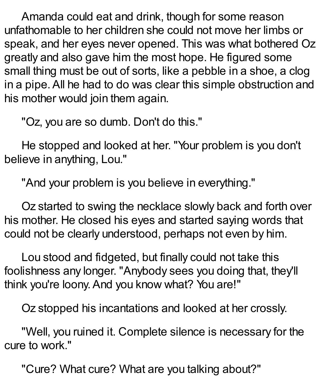Amanda could eat and drink, though for some reason unfathomable to her children she could not move her limbs or speak, and her eyes never opened. This was what bothered Oz greatly and also gave him the most hope. He figured some small thing must be out of sorts, like a pebble in a shoe, a clog in a pipe.All he had to do was clear this simple obstruction and his mother would join them again.

"Oz, you are so dumb. Don't do this."

He stopped and looked at her. "Your problem is you don't believe in anything, Lou."

"And your problem is you believe in everything."

Oz started to swing the necklace slowly back and forth over his mother. He closed his eyes and started saying words that could not be clearly understood, perhaps not even by him.

Lou stood and fidgeted, but finally could not take this foolishness any longer. "Anybody sees you doing that, they'll think you're loony.And you know what? You are!"

Oz stopped his incantations and looked at her crossly.

"Well, you ruined it. Complete silence is necessary for the cure to work."

"Cure? What cure? What are you talking about?"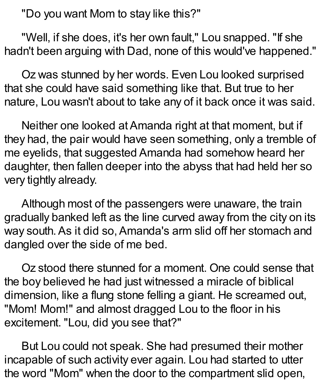"Do you want Mom to stay like this?"

"Well, if she does, it's her own fault," Lou snapped. "If she hadn't been arguing with Dad, none of this would've happened."

Oz was stunned by her words. Even Lou looked surprised that she could have said something like that. But true to her nature, Lou wasn't about to take any of it back once it was said.

Neither one looked atAmanda right at that moment, but if they had, the pair would have seen something, only a tremble of me eyelids, that suggested Amanda had somehow heard her daughter, then fallen deeper into the abyss that had held her so very tightly already.

Although most of the passengers were unaware, the train gradually banked left as the line curved away from the city on its way south. As it did so, Amanda's arm slid off her stomach and dangled over the side of me bed.

Oz stood there stunned for a moment. One could sense that the boy believed he had just witnessed a miracle of biblical dimension, like a flung stone felling a giant. He screamed out, "Mom! Mom!" and almost dragged Lou to the floor in his excitement. "Lou, did you see that?"

But Lou could not speak. She had presumed their mother incapable of such activity ever again. Lou had started to utter the word "Mom" when the door to the compartment slid open,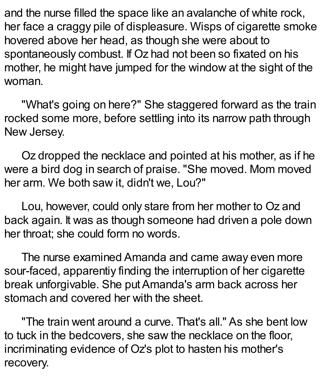and the nurse filled the space like an avalanche of white rock, her face a craggy pile of displeasure. Wisps of cigarette smoke hovered above her head, as though she were about to spontaneously combust. If Oz had not been so fixated on his mother, he might have jumped for the window at the sight of the woman.

"What's going on here?" She staggered forward as the train rocked some more, before settling into its narrow path through New Jersey.

Oz dropped the necklace and pointed at his mother, as if he were a bird dog in search of praise. "She moved. Mom moved her arm. We both saw it, didn't we, Lou?"

Lou, however, could only stare from her mother to Oz and back again. It was as though someone had driven a pole down her throat; she could form no words.

The nurse examined Amanda and came away even more sour-faced, apparentiy finding the interruption of her cigarette break unforgivable. She putAmanda's arm back across her stomach and covered her with the sheet.

"The train went around a curve. That's all." As she bent low to tuck in the bedcovers, she saw the necklace on the floor, incriminating evidence of Oz's plot to hasten his mother's recovery.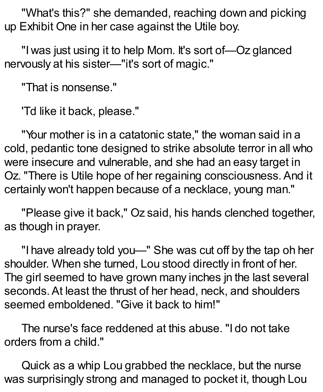"What's this?" she demanded, reaching down and picking up Exhibit One in her case against the Utile boy.

"Iwas just using it to help Mom. It's sort of—Oz glanced nervously at his sister—"it's sort of magic."

"That is nonsense."

'Td like it back, please."

"Your mother is in a catatonic state," the woman said in a cold, pedantic tone designed to strike absolute terror in all who were insecure and vulnerable, and she had an easy target in Oz. "There is Utile hope of her regaining consciousness.And it certainly won't happen because of a necklace, young man."

"Please give it back," Oz said, his hands clenched together, as though in prayer.

"I have already told you—" She was cut off by the tap oh her shoulder. When she turned, Lou stood directly in front of her. The girl seemed to have grown many inches jn the last several seconds.At least the thrust of her head, neck, and shoulders seemed emboldened. "Give it back to him!"

The nurse's face reddened at this abuse. "I do not take orders from a child."

Quick as a whip Lou grabbed the necklace, but the nurse was surprisingly strong and managed to pocket it, though Lou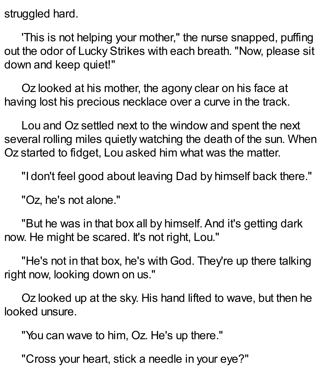struggled hard.

'This is not helping your mother," the nurse snapped, puffing out the odor of Lucky Strikes with each breath. "Now, please sit down and keep quiet!"

Oz looked at his mother, the agony clear on his face at having lost his precious necklace over a curve in the track.

Lou and Oz settled next to the window and spent the next several rolling miles quietly watching the death of the sun. When Oz started to fidget, Lou asked him what was the matter.

"I don't feel good about leaving Dad by himself back there."

"Oz, he's not alone."

"But he was in that box all by himself.And it's getting dark now. He might be scared. It's not right, Lou."

"He's not in that box, he's with God. They're up there talking right now, looking down on us."

Oz looked up at the sky. His hand lifted to wave, but then he looked unsure.

"You can wave to him, Oz. He's up there."

"Cross your heart, stick a needle in your eye?"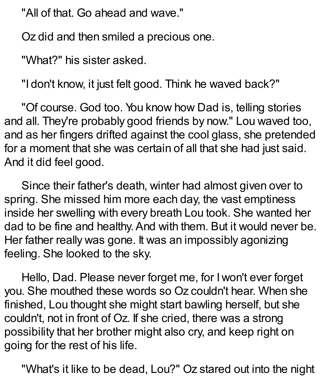"All of that. Go ahead and wave."

Oz did and then smiled a precious one.

"What?" his sister asked.

"I don't know, it just felt good. Think he waved back?"

"Of course. God too. You know how Dad is, telling stories and all. They're probably good friends by now." Lou waved too, and as her fingers drifted against the cool glass, she pretended for a moment that she was certain of all that she had just said. And it did feel good.

Since their father's death, winter had almost given over to spring. She missed him more each day, the vast emptiness inside her swelling with every breath Lou took. She wanted her dad to be fine and healthy. And with them. But it would never be. Her father really was gone. It was an impossibly agonizing feeling. She looked to the sky.

Hello, Dad. Please never forget me, for Iwon't ever forget you. She mouthed these words so Oz couldn't hear. When she finished, Lou thought she might start bawling herself, but she couldn't, not in front of Oz. If she cried, there was a strong possibility that her brother might also cry, and keep right on going for the rest of his life.

"What's it like to be dead, Lou?" Oz stared out into the night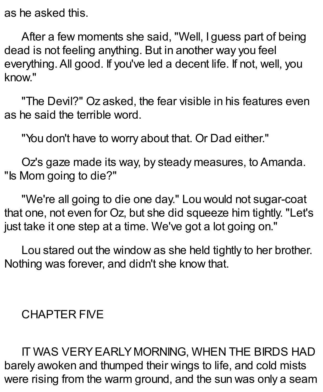as he asked this.

After a few moments she said, "Well, I guess part of being dead is not feeling anything. But in another way you feel everything.All good. If you've led a decent life. If not, well, you know."

"The Devil?" Oz asked, the fear visible in his features even as he said the terrible word.

"You don't have to worry about that. Or Dad either."

Oz's gaze made its way, by steady measures, to Amanda. "Is Mom going to die?"

"We're all going to die one day." Lou would not sugar-coat that one, not even for Oz, but she did squeeze him tightly. "Let's just take it one step at a time. We've got a lot going on."

Lou stared out the window as she held tightly to her brother. Nothing was forever, and didn't she know that.

#### CHAPTER FIVE

IT WAS VERYEARLYMORNING, WHEN THE BIRDS HAD barely awoken and thumped their wings to life, and cold mists were rising from the warm ground, and the sun was only a seam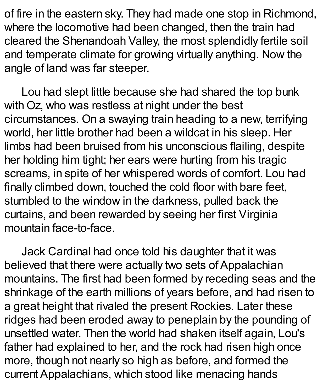of fire in the eastern sky. They had made one stop in Richmond, where the locomotive had been changed, then the train had cleared the Shenandoah Valley, the most splendidly fertile soil and temperate climate for growing virtually anything. Now the angle of land was far steeper.

Lou had slept little because she had shared the top bunk with Oz, who was restless at night under the best circumstances. On a swaying train heading to a new, terrifying world, her little brother had been a wildcat in his sleep. Her limbs had been bruised from his unconscious flailing, despite her holding him tight; her ears were hurting from his tragic screams, in spite of her whispered words of comfort. Lou had finally climbed down, touched the cold floor with bare feet, stumbled to the window in the darkness, pulled back the curtains, and been rewarded by seeing her first Virginia mountain face-to-face.

Jack Cardinal had once told his daughter that it was believed that there were actually two sets of Appalachian mountains. The first had been formed by receding seas and the shrinkage of the earth millions of years before, and had risen to a great height that rivaled the present Rockies. Later these ridges had been eroded away to peneplain by the pounding of unsettled water. Then the world had shaken itself again, Lou's father had explained to her, and the rock had risen high once more, though not nearly so high as before, and formed the currentAppalachians, which stood like menacing hands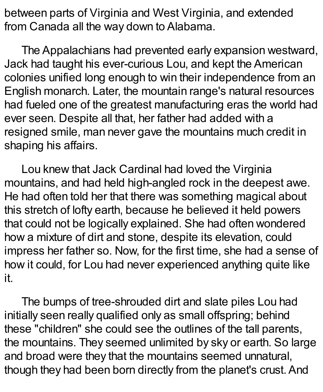between parts of Virginia and West Virginia, and extended from Canada all the way down to Alabama.

The Appalachians had prevented early expansion westward, Jack had taught his ever-curious Lou, and kept the American colonies unified long enough to win their independence from an English monarch. Later, the mountain range's natural resources had fueled one of the greatest manufacturing eras the world had ever seen. Despite all that, her father had added with a resigned smile, man never gave the mountains much credit in shaping his affairs.

Lou knew that Jack Cardinal had loved the Virginia mountains, and had held high-angled rock in the deepest awe. He had often told her that there was something magical about this stretch of lofty earth, because he believed it held powers that could not be logically explained. She had often wondered how a mixture of dirt and stone, despite its elevation, could impress her father so. Now, for the first time, she had a sense of how it could, for Lou had never experienced anything quite like it.

The bumps of tree-shrouded dirt and slate piles Lou had initially seen really qualified only as small offspring; behind these "children" she could see the outlines of the tall parents, the mountains. They seemed unlimited by sky or earth. So large and broad were they that the mountains seemed unnatural, though they had been born directly from the planet's crust.And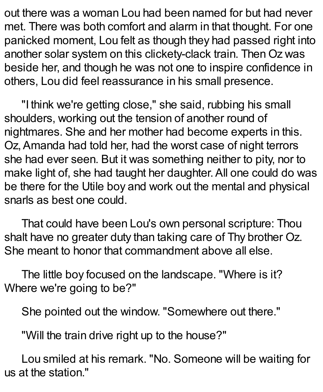out there was a woman Lou had been named for but had never met. There was both comfort and alarm in that thought. For one panicked moment, Lou felt as though they had passed right into another solar system on this clickety-clack train. ThenOz was beside her, and though he was not one to inspire confidence in others, Lou did feel reassurance in his small presence.

"I think we're getting close," she said, rubbing his small shoulders, working out the tension of another round of nightmares. She and her mother had become experts in this. Oz,Amanda had told her, had the worst case of night terrors she had ever seen. But it was something neither to pity, nor to make light of, she had taught her daughter.All one could do was be there for the Utile boy and work out the mental and physical snarls as best one could.

That could have been Lou's own personal scripture: Thou shalt have no greater duty than taking care of Thy brother Oz. She meant to honor that commandment above all else.

The little boy focused on the landscape. "Where is it? Where we're going to be?"

She pointed out the window. "Somewhere out there."

"Will the train drive right up to the house?"

Lou smiled at his remark. "No. Someone will be waiting for us at the station."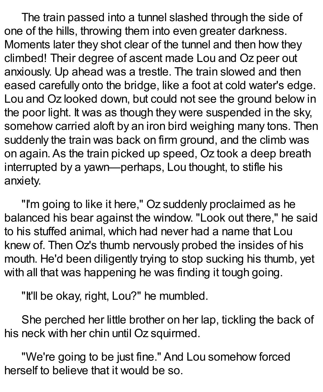The train passed into a tunnel slashed through the side of one of the hills, throwing them into even greater darkness. Moments later they shot clear of the tunnel and then how they climbed! Their degree of ascent made Lou and Oz peer out anxiously. Up ahead was a trestle. The train slowed and then eased carefully onto the bridge, like a foot at cold water's edge. Lou and Oz looked down, but could not see the ground below in the poor light. It was as though they were suspended in the sky, somehow carried aloft by an iron bird weighing many tons. Then suddenly the train was back on firm ground, and the climb was on again.As the train picked up speed, Oz took a deep breath interrupted by a yawn—perhaps, Lou thought, to stifle his anxiety.

"I'm going to like it here," Oz suddenly proclaimed as he balanced his bear against the window. "Look out there," he said to his stuffed animal, which had never had a name that Lou knew of. Then Oz's thumb nervously probed the insides of his mouth. He'd been diligently trying to stop sucking his thumb, yet with all that was happening he was finding it tough going.

"It'll be okay, right, Lou?" he mumbled.

She perched her little brother on her lap, tickling the back of his neck with her chin until Oz squirmed.

"We're going to be just fine." And Lou somehow forced herself to believe that it would be so.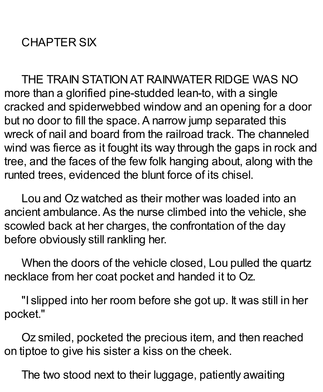# CHAPTER SIX

THE TRAIN STATIONAT RAINWATER RlDGE WAS NO more than a glorified pine-studded lean-to, with a single cracked and spiderwebbed window and an opening for a door but no door to fill the space. A narrow jump separated this wreck of nail and board from the railroad track. The channeled wind was fierce as it fought its way through the gaps in rock and tree, and the faces of the few folk hanging about, along with the runted trees, evidenced the blunt force of its chisel.

Lou and Oz watched as their mother was loaded into an ancient ambulance.As the nurse climbed into the vehicle, she scowled back at her charges, the confrontation of the day before obviously still rankling her.

When the doors of the vehicle closed, Lou pulled the quartz necklace from her coat pocket and handed it to Oz.

"I slipped into her room before she got up. It was still in her pocket."

Oz smiled, pocketed the precious item, and then reached on tiptoe to give his sister a kiss on the cheek.

The two stood next to their luggage, patiently awaiting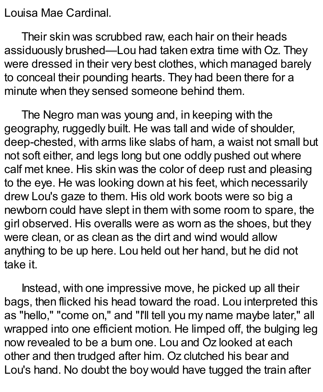Louisa Mae Cardinal.

Their skin was scrubbed raw, each hair on their heads assiduously brushed—Lou had taken extra time with Oz. They were dressed in their very best clothes, which managed barely to conceal their pounding hearts. They had been there for a minute when they sensed someone behind them.

The Negro man was young and, in keeping with the geography, ruggedly built. He was tall and wide of shoulder, deep-chested, with arms like slabs of ham, a waist not small but not soft either, and legs long but one oddly pushed out where calf met knee. His skin was the color of deep rust and pleasing to the eye. He was looking down at his feet, which necessarily drew Lou's gaze to them. His old work boots were so big a newborn could have slept in them with some room to spare, the girl observed. His overalls were as worn as the shoes, but they were clean, or as clean as the dirt and wind would allow anything to be up here. Lou held out her hand, but he did not take it.

Instead, with one impressive move, he picked up all their bags, then flicked his head toward the road. Lou interpreted this as "hello," "come on," and "I'll tell you my name maybe later," all wrapped into one efficient motion. He limped off, the bulging leg now revealed to be a bum one. Lou and Oz looked at each other and then trudged after him. Oz clutched his bear and Lou's hand. No doubt the boy would have tugged the train after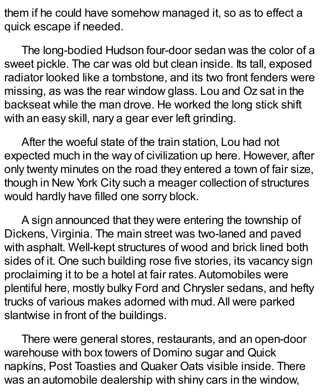them if he could have somehow managed it, so as to effect a quick escape if needed.

The long-bodied Hudson four-door sedan was the color of a sweet pickle. The car was old but clean inside. Its tall, exposed radiator looked like a tombstone, and its two front fenders were missing, as was the rear window glass. Lou and Oz sat in the backseat while the man drove. He worked the long stick shift with an easy skill, nary a gear ever left grinding.

After the woeful state of the train station, Lou had not expected much in the way of civilization up here. However, after only twenty minutes on the road they entered a town of fair size, though in New York City such a meager collection of structures would hardly have filled one sorry block.

A sign announced that they were entering the township of Dickens, Virginia. The main street was two-laned and paved with asphalt. Well-kept structures of wood and brick lined both sides of it. One such building rose five stories, its vacancy sign proclaiming it to be a hotel at fair rates.Automobiles were plentiful here, mostly bulky Ford and Chrysler sedans, and hefty trucks of various makes adorned with mud.All were parked slantwise in front of the buildings.

There were general stores, restaurants, and an open-door warehouse with box towers of Domino sugar and Quick napkins, Post Toasties and Quaker Oats visible inside. There was an automobile dealership with shiny cars in the window,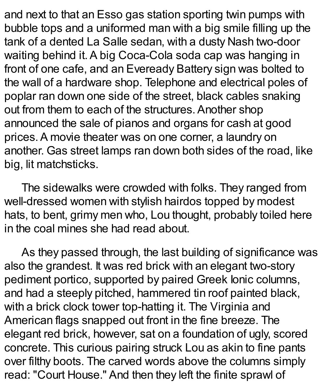and next to that an Esso gas station sporting twin pumps with bubble tops and a uniformed man with a big smile filling up the tank of a dented La Salle sedan, with a dusty Nash two-door waiting behind it.A big Coca-Cola soda cap was hanging in front of one cafe, and an Eveready Battery sign was bolted to the wall of a hardware shop. Telephone and electrical poles of poplar ran down one side of the street, black cables snaking out from them to each of the structures.Another shop announced the sale of pianos and organs for cash at good prices.A movie theater was on one corner, a laundry on another. Gas street lamps ran down both sides of the road, like big, lit matchsticks.

The sidewalks were crowded with folks. They ranged from well-dressed women with stylish hairdos topped by modest hats, to bent, grimy men who, Lou thought, probably toiled here in the coal mines she had read about.

As they passed through, the last building of significance was also the grandest. It was red brick with an elegant two-story pediment portico, supported by paired Greek Ionic columns, and had a steeply pitched, hammered tin roof painted black, with a brick clock tower top-hatting it. The Virginia and American flags snapped out front in the fine breeze. The elegant red brick, however, sat on a foundation of ugly, scored concrete. This curious pairing struck Lou as akin to fine pants over filthy boots. The carved words above the columns simply read: "Court House." And then they left the finite sprawl of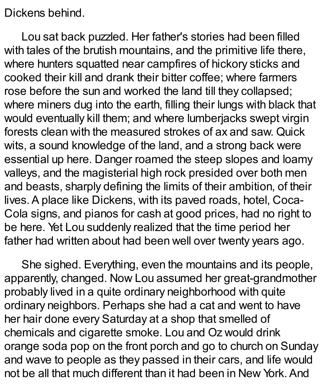Dickens behind.

Lou sat back puzzled. Her father's stories had been filled with tales of the brutish mountains, and the primitive life there, where hunters squatted near campfires of hickory sticks and cooked their kill and drank their bitter coffee; where farmers rose before the sun and worked the land till they collapsed; where miners dug into the earth, filling their lungs with black that would eventually kill them; and where lumberjacks swept virgin forests clean with the measured strokes of ax and saw. Quick wits, a sound knowledge of the land, and a strong back were essential up here. Danger roamed the steep slopes and loamy valleys, and the magisterial high rock presided over both men and beasts, sharply defining the limits of their ambition, of their lives.A place like Dickens, with its paved roads, hotel, Coca-Cola signs, and pianos for cash at good prices, had no right to be here. Yet Lou suddenly realized that the time period her father had written about had been well over twenty years ago.

She sighed. Everything, even the mountains and its people, apparently, changed. Now Lou assumed her great-grandmother probably lived in a quite ordinary neighborhood with quite ordinary neighbors. Perhaps she had a cat and went to have her hair done every Saturday at a shop that smelled of chemicals and cigarette smoke. Lou and Oz would drink orange soda pop on the front porch and go to church on Sunday and wave to people as they passed in their cars, and life would not be all that much different than it had been in New York.And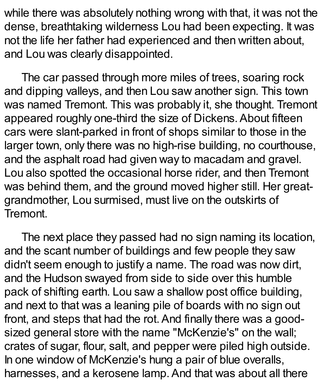while there was absolutely nothing wrong with that, it was not the dense, breathtaking wilderness Lou had been expecting. It was not the life her father had experienced and then written about, and Lou was clearly disappointed.

The car passed through more miles of trees, soaring rock and dipping valleys, and then Lou saw another sign. This town was named Tremont. This was probably it, she thought. Tremont appeared roughly one-third the size of Dickens.About fifteen cars were slant-parked in front of shops similar to those in the larger town, only there was no high-rise building, no courthouse, and the asphalt road had given way to macadam and gravel. Lou also spotted the occasional horse rider, and then Tremont was behind them, and the ground moved higher still. Her greatgrandmother, Lou surmised, must live on the outskirts of Tremont.

The next place they passed had no sign naming its location, and the scant number of buildings and few people they saw didn't seem enough to justify a name. The road was now dirt, and the Hudson swayed from side to side over this humble pack of shifting earth. Lou saw a shallow post office building, and next to that was a leaning pile of boards with no sign out front, and steps that had the rot.And finally there was a goodsized general store with the name "McKenzie's" on the wall; crates of sugar, flour, salt, and pepper were piled high outside. In one window of McKenzie's hung a pair of blue overalls, harnesses, and a kerosene lamp. And that was about all there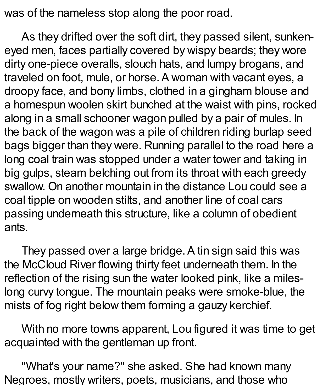was of the nameless stop along the poor road.

As they drifted over the soft dirt, they passed silent, sunkeneyed men, faces partially covered by wispy beards; they wore dirty one-piece overalls, slouch hats, and lumpy brogans, and traveled on foot, mule, or horse. A woman with vacant eyes, a droopy face, and bony limbs, clothed in a gingham blouse and a homespun woolen skirt bunched at the waist with pins, rocked along in a small schooner wagon pulled by a pair of mules. In the back of the wagon was a pile of children riding burlap seed bags bigger than they were. Running parallel to the road here a long coal train was stopped under a water tower and taking in big gulps, steam belching out from its throat with each greedy swallow. On another mountain in the distance Lou could see a coal tipple on wooden stilts, and another line of coal cars passing underneath this structure, like a column of obedient ants.

They passed over a large bridge.A tin sign said this was the McCloud River flowing thirty feet underneath them. In the reflection of the rising sun the water looked pink, like a mileslong curvy tongue. The mountain peaks were smoke-blue, the mists of fog right below them forming a gauzy kerchief.

With no more towns apparent, Lou figured it was time to get acquainted with the gentleman up front.

"What's your name?" she asked. She had known many Negroes, mostly writers, poets, musicians, and those who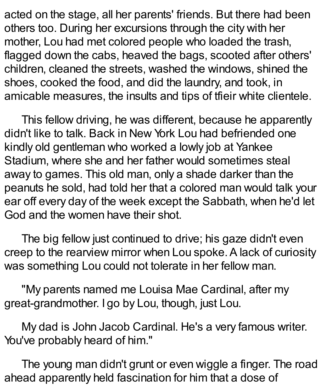acted on the stage, all her parents' friends. But there had been others too. During her excursions through the city with her mother, Lou had met colored people who loaded the trash, flagged down the cabs, heaved the bags, scooted after others' children, cleaned the streets, washed the windows, shined the shoes, cooked the food, and did the laundry, and took, in amicable measures, the insults and tips of tfieir white clientele.

This fellow driving, he was different, because he apparently didn't like to talk. Back in New York Lou had befriended one kindly old gentleman who worked a lowly job at Yankee Stadium, where she and her father would sometimes steal away to games. This old man, only a shade darker than the peanuts he sold, had told her that a colored man would talk your ear off every day of the week except the Sabbath, when he'd let God and the women have their shot.

The big fellow just continued to drive; his gaze didn't even creep to the rearview mirror when Lou spoke. A lack of curiosity was something Lou could not tolerate in her fellow man.

"My parents named me Louisa Mae Cardinal, after my great-grandmother. I go by Lou, though, just Lou.

My dad is John Jacob Cardinal. He's a very famous writer. You've probably heard of him."

The young man didn't grunt or even wiggle a finger. The road ahead apparently held fascination for him that a dose of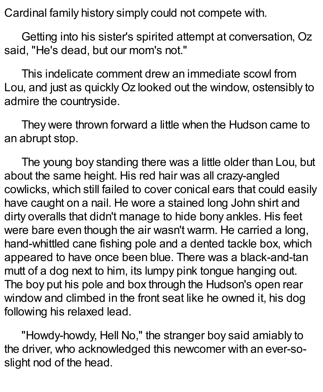Cardinal family history simply could not compete with.

Getting into his sister's spirited attempt at conversation, Oz said, "He's dead, but our mom's not."

This indelicate comment drew an immediate scowl from Lou, and just as quicklyOz looked out the window, ostensibly to admire the countryside.

They were thrown forward a little when the Hudson came to an abrupt stop.

The young boy standing there was a little older than Lou, but about the same height. His red hair was all crazy-angled cowlicks, which still failed to cover conical ears that could easily have caught on a nail. He wore a stained long John shirt and dirty overalls that didn't manage to hide bony ankles. His feet were bare even though the air wasn't warm. He carried a long, hand-whittled cane fishing pole and a dented tackle box, which appeared to have once been blue. There was a black-and-tan mutt of a dog next to him, its lumpy pink tongue hanging out. The boy put his pole and box through the Hudson's open rear window and climbed in the front seat like he owned it, his dog following his relaxed lead.

"Howdy-howdy, Hell No," the stranger boy said amiably to the driver, who acknowledged this newcomer with an ever-soslight nod of the head.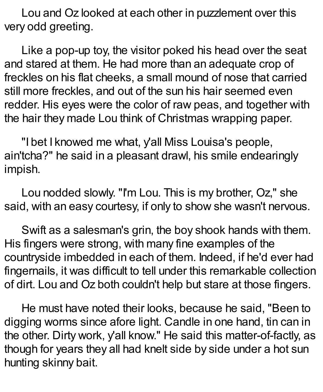Lou and Oz looked at each other in puzzlement over this very odd greeting.

Like a pop-up toy, the visitor poked his head over the seat and stared at them. He had more than an adequate crop of freckles on his flat cheeks, a small mound of nose that carried still more freckles, and out of the sun his hair seemed even redder. His eyes were the color of raw peas, and together with the hair they made Lou think of Christmas wrapping paper.

"I bet I knowed me what, y'all Miss Louisa's people, ain'tcha?" he said in a pleasant drawl, his smile endearingly impish.

Lou nodded slowly. "I'm Lou. This is my brother, Oz," she said, with an easy courtesy, if only to show she wasn't nervous.

Swift as a salesman's grin, the boy shook hands with them. His fingers were strong, with many fine examples of the countryside imbedded in each of them. Indeed, if he'd ever had fingernails, it was difficult to tell under this remarkable collection of dirt. Lou and Oz both couldn't help but stare at those fingers.

He must have noted their looks, because he said, "Been to digging worms since afore light. Candle in one hand, tin can in the other. Dirty work, y'all know." He said this matter-of-factly, as though for years they all had knelt side by side under a hot sun hunting skinny bait.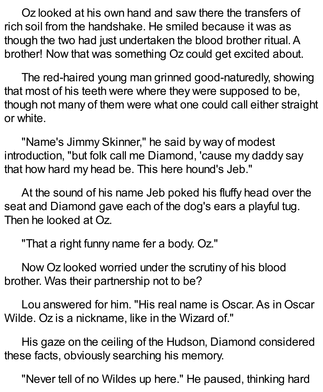Oz looked at his own hand and saw there the transfers of rich soil from the handshake. He smiled because it was as though the two had just undertaken the blood brother ritual.A brother! Now that was something Oz could get excited about.

The red-haired young man grinned good-naturedly, showing that most of his teeth were where they were supposed to be, though not many of them were what one could call either straight or white.

"Name's Jimmy Skinner," he said by way of modest introduction, "but folk call me Diamond, 'cause my daddy say that how hard my head be. This here hound's Jeb."

At the sound of his name Jeb poked his fluffy head over the seat and Diamond gave each of the dog's ears a playful tug. Then he looked at Oz.

"That a right funny name fer a body. Oz."

Now Oz looked worried under the scrutiny of his blood brother. Was their partnership not to be?

Lou answered for him. "His real name is Oscar.As inOscar Wilde. Oz is a nickname, like in the Wizard of."

His gaze on the ceiling of the Hudson, Diamond considered these facts, obviously searching his memory.

"Never tell of no Wildes up here." He paused, thinking hard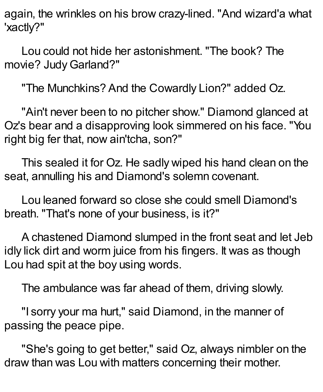again, the wrinkles on his brow crazy-lined. "And wizard'a what 'xactly?"

Lou could not hide her astonishment. "The book? The movie? Judy Garland?"

"The Munchkins? And the Cowardly Lion?" added Oz.

"Ain't never been to no pitcher show." Diamond glanced at Oz's bear and a disapproving look simmered on his face. "You right big fer that, now ain'tcha, son?"

This sealed it for Oz. He sadly wiped his hand clean on the seat, annulling his and Diamond's solemn covenant.

Lou leaned forward so close she could smell Diamond's breath. "That's none of your business, is it?"

A chastened Diamond slumped in the front seat and let Jeb idly lick dirt and worm juice from his fingers. It was as though Lou had spit at the boy using words.

The ambulance was far ahead of them, driving slowly.

"I sorry your ma hurt," said Diamond, in the manner of passing the peace pipe.

"She's going to get better," said Oz, always nimbler on the draw than was Lou with matters concerning their mother.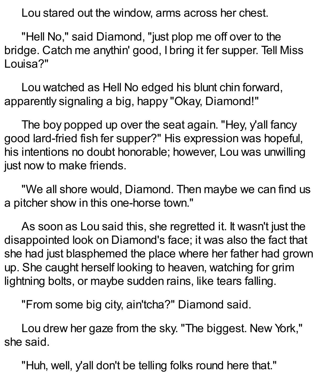Lou stared out the window, arms across her chest.

"Hell No," said Diamond, "just plop me off over to the bridge. Catch me anythin' good, I bring it fer supper. Tell Miss Louisa?"

Lou watched as Hell No edged his blunt chin forward, apparently signaling a big, happy "Okay, Diamond!"

The boy popped up over the seat again. "Hey, y'all fancy good lard-fried fish fer supper?" His expression was hopeful, his intentions no doubt honorable; however, Lou was unwilling just now to make friends.

"We all shore would, Diamond. Then maybe we can find us a pitcher show in this one-horse town."

As soon as Lou said this, she regretted it. It wasn't just the disappointed look on Diamond's face; it was also the fact that she had just blasphemed the place where her father had grown up. She caught herself looking to heaven, watching for grim lightning bolts, or maybe sudden rains, like tears falling.

"From some big city, ain'tcha?" Diamond said.

Lou drew her gaze from the sky. "The biggest. New York," she said.

"Huh, well, y'all don't be telling folks round here that."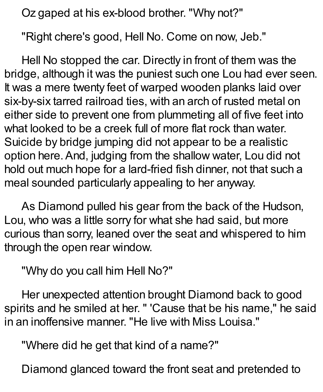Oz gaped at his ex-blood brother. "Why not?"

"Right chere's good, Hell No. Come on now, Jeb."

Hell No stopped the car. Directly in front of them was the bridge, although it was the puniest such one Lou had ever seen. It was a mere twenty feet of warped wooden planks laid over six-by-six tarred railroad ties, with an arch of rusted metal on either side to prevent one from plummeting all of five feet into what looked to be a creek full of more flat rock than water. Suicide by bridge jumping did not appear to be a realistic option here.And, judging from the shallow water, Lou did not hold out much hope for a lard-fried fish dinner, not that such a meal sounded particularly appealing to her anyway.

As Diamond pulled his gear from the back of the Hudson, Lou, who was a little sorry for what she had said, but more curious than sorry, leaned over the seat and whispered to him through the open rear window.

"Why do you call him Hell No?"

Her unexpected attention brought Diamond back to good spirits and he smiled at her. " 'Cause that be his name," he said in an inoffensive manner. "He live with Miss Louisa."

"Where did he get that kind of a name?"

Diamond glanced toward the front seat and pretended to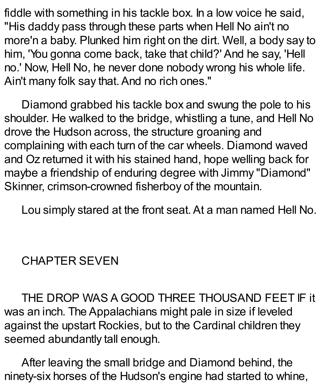fiddle with something in his tackle box. In a low voice he said, "His daddy pass through these parts when Hell No ain't no more'n a baby. Plunked him right on the dirt. Well, a body say to him, 'You gonna come back, take that child?' And he say, 'Hell no.' Now, Hell No, he never done nobody wrong his whole life. Ain't many folk say that.And no rich ones."

Diamond grabbed his tackle box and swung the pole to his shoulder. He walked to the bridge, whistling a tune, and Hell No drove the Hudson across, the structure groaning and complaining with each turn of the car wheels. Diamond waved and Oz returned it with his stained hand, hope welling back for maybe a friendship of enduring degree with Jimmy "Diamond" Skinner, crimson-crowned fisherboy of the mountain.

Lou simply stared at the front seat.At a man named Hell No.

### CHAPTER SEVEN

THE DROP WAS A GOOD THREE THOUSAND FEET IF it was an inch. The Appalachians might pale in size if leveled against the upstart Rockies, but to the Cardinal children they seemed abundantly tall enough.

After leaving the small bridge and Diamond behind, the ninety-six horses of the Hudson's engine had started to whine,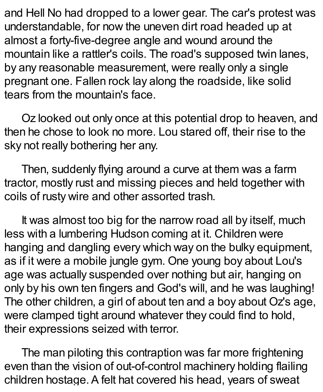and Hell No had dropped to a lower gear. The car's protest was understandable, for now the uneven dirt road headed up at almost a forty-five-degree angle and wound around the mountain like a rattler's coils. The road's supposed twin lanes, by any reasonable measurement, were really only a single pregnant one. Fallen rock lay along the roadside, like solid tears from the mountain's face.

Oz looked out only once at this potential drop to heaven, and then he chose to look no more. Lou stared off, their rise to the sky not really bothering her any.

Then, suddenly flying around a curve at them was a farm tractor, mostly rust and missing pieces and held together with coils of rusty wire and other assorted trash.

It was almost too big for the narrow road all by itself, much less with a lumbering Hudson coming at it. Children were hanging and dangling every which way on the bulky equipment, as if it were a mobile jungle gym. One young boy about Lou's age was actually suspended over nothing but air, hanging on only by his own ten fingers and God's will, and he was laughing! The other children, a girl of about ten and a boy about Oz's age, were clamped tight around whatever they could find to hold, their expressions seized with terror.

The man piloting this contraption was far more frightening even than the vision of out-of-control machinery holding flailing children hostage.A felt hat covered his head, years of sweat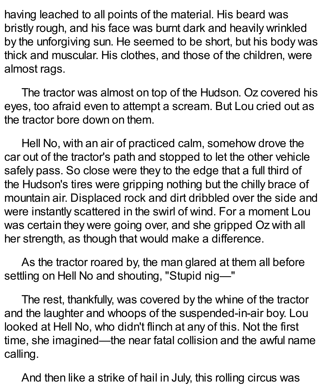having leached to all points of the material. His beard was bristly rough, and his face was burnt dark and heavily wrinkled by the unforgiving sun. He seemed to be short, but his body was thick and muscular. His clothes, and those of the children, were almost rags.

The tractor was almost on top of the Hudson. Oz covered his eyes, too afraid even to attempt a scream. But Lou cried out as the tractor bore down on them.

Hell No, with an air of practiced calm, somehow drove the car out of the tractor's path and stopped to let the other vehicle safely pass. So close were they to the edge that a full third of the Hudson's tires were gripping nothing but the chilly brace of mountain air. Displaced rock and dirt dribbled over the side and were instantly scattered in the swirl of wind. For a moment Lou was certain they were going over, and she gripped Oz with all her strength, as though that would make a difference.

As the tractor roared by, the man glared at them all before settling on Hell No and shouting, "Stupid nig—"

The rest, thankfully, was covered by the whine of the tractor and the laughter and whoops of the suspended-in-air boy. Lou looked at Hell No, who didn't flinch at any of this. Not the first time, she imagined—the near fatal collision and the awful name calling.

And then like a strike of hail in July, this rolling circus was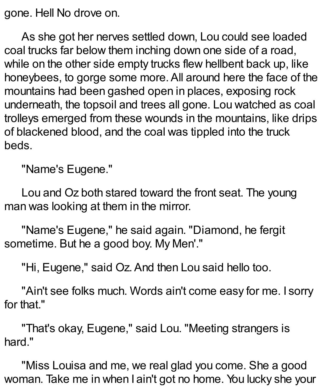gone. Hell No drove on.

As she got her nerves settled down, Lou could see loaded coal trucks far below them inching down one side of a road, while on the other side empty trucks flew hellbent back up, like honeybees, to gorge some more.All around here the face of the mountains had been gashed open in places, exposing rock underneath, the topsoil and trees all gone. Lou watched as coal trolleys emerged from these wounds in the mountains, like drips of blackened blood, and the coal was tippled into the truck beds.

"Name's Eugene."

Lou and Oz both stared toward the front seat. The young man was looking at them in the mirror.

"Name's Eugene," he said again. "Diamond, he fergit sometime. But he a good boy. My Men'."

"Hi, Eugene," said Oz.And then Lou said hello too.

"Ain't see folks much. Words ain't come easy for me. I sorry for that."

"That's okay, Eugene," said Lou. "Meeting strangers is hard<sup>"</sup>

"Miss Louisa and me, we real glad you come. She a good woman. Take me in when I ain't got no home. You lucky she your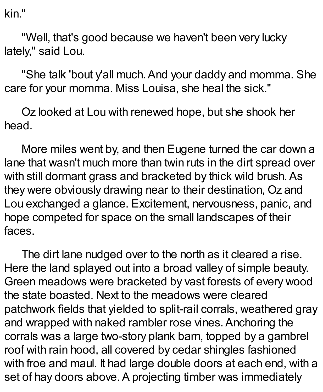kin."

"Well, that's good because we haven't been very lucky lately," said Lou.

"She talk 'bout y'all much. And your daddy and momma. She care for your momma. Miss Louisa, she heal the sick."

Oz looked at Lou with renewed hope, but she shook her head.

More miles went by, and then Eugene turned the car down a lane that wasn't much more than twin ruts in the dirt spread over with still dormant grass and bracketed by thick wild brush.As they were obviously drawing near to their destination, Oz and Lou exchanged a glance. Excitement, nervousness, panic, and hope competed for space on the small landscapes of their faces.

The dirt lane nudged over to the north as it cleared a rise. Here the land splayed out into a broad valley of simple beauty. Green meadows were bracketed by vast forests of every wood the state boasted. Next to the meadows were cleared patchwork fields that yielded to split-rail corrals, weathered gray and wrapped with naked rambler rose vines.Anchoring the corrals was a large two-story plank barn, topped by a gambrel roof with rain hood, all covered by cedar shingles fashioned with froe and maul. It had large double doors at each end, with a set of hay doors above. A projecting timber was immediately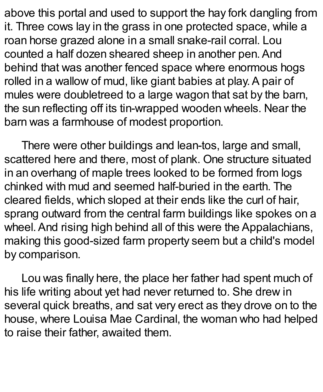above this portal and used to support the hay fork dangling from it. Three cows lay in the grass in one protected space, while a roan horse grazed alone in a small snake-rail corral. Lou counted a half dozen sheared sheep in another pen.And behind that was another fenced space where enormous hogs rolled in a wallow of mud, like giant babies at play. A pair of mules were doubletreed to a large wagon that sat by the barn, the sun reflecting off its tin-wrapped wooden wheels. Near the barn was a farmhouse of modest proportion.

There were other buildings and lean-tos, large and small, scattered here and there, most of plank. One structure situated in an overhang of maple trees looked to be formed from logs chinked with mud and seemed half-buried in the earth. The cleared fields, which sloped at their ends like the curl of hair, sprang outward from the central farm buildings like spokes on a wheel.And rising high behind all of this were the Appalachians, making this good-sized farm property seem but a child's model by comparison.

Lou was finally here, the place her father had spent much of his life writing about yet had never returned to. She drew in several quick breaths, and sat very erect as they drove on to the house, where Louisa Mae Cardinal, the woman who had helped to raise their father, awaited them.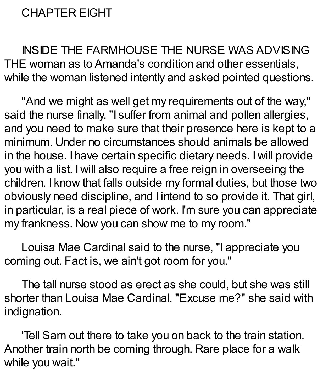# CHAPTER EIGHT

INSIDE THE FARMHOUSE THE NURSE WAS ADVISING THE woman as to Amanda's condition and other essentials, while the woman listened intently and asked pointed questions.

"And we might as well get my requirements out of the way," said the nurse finally. "I suffer from animal and pollen allergies, and you need to make sure that their presence here is kept to a minimum. Under no circumstances should animals be allowed in the house. I have certain specific dietary needs. Iwill provide you with a list. Iwill also require a free reign in overseeing the children. I know that falls outside my formal duties, but those two obviously need discipline, and I intend to so provide it. That girl, in particular, is a real piece of work. I'm sure you can appreciate my frankness. Now you can show me to my room."

Louisa Mae Cardinal said to the nurse, "I appreciate you coming out. Fact is, we ain't got room for you."

The tall nurse stood as erect as she could, but she was still shorter than Louisa Mae Cardinal. "Excuse me?" she said with indignation.

'Tell Sam out there to take you on back to the train station. Another train north be coming through. Rare place for a walk while you wait."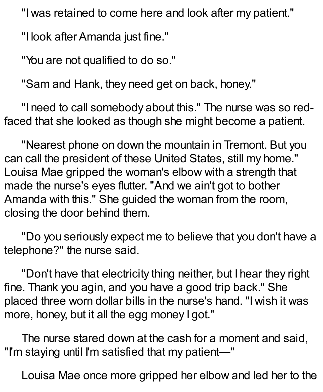"Iwas retained to come here and look after my patient."

"I look after Amanda just fine."

"You are not qualified to do so."

"Sam and Hank, they need get on back, honey."

"I need to call somebody about this." The nurse was so redfaced that she looked as though she might become a patient.

"Nearest phone on down the mountain in Tremont. But you can call the president of these United States, still my home." Louisa Mae gripped the woman's elbow with a strength that made the nurse's eyes flutter. "And we ain't got to bother Amanda with this." She guided the woman from the room, closing the door behind them.

"Do you seriously expect me to believe that you don't have a telephone?" the nurse said.

"Don't have that electricity thing neither, but I hear they right fine. Thank you agin, and you have a good trip back." She placed three worn dollar bills in the nurse's hand. "Iwish it was more, honey, but it all the egg money I got."

The nurse stared down at the cash for a moment and said, "I'm staying until I'm satisfied that my patient—"

Louisa Mae once more gripped her elbow and led her to the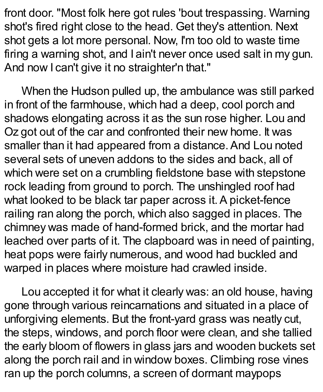front door. "Most folk here got rules 'bout trespassing. Warning shot's fired right close to the head. Get they's attention. Next shot gets a lot more personal. Now, I'm too old to waste time firing a warning shot, and I ain't never once used salt in my gun. And now I can't give it no straighter'n that."

When the Hudson pulled up, the ambulance was still parked in front of the farmhouse, which had a deep, cool porch and shadows elongating across it as the sun rose higher. Lou and Oz got out of the car and confronted their new home. It was smaller than it had appeared from a distance.And Lou noted several sets of uneven addons to the sides and back, all of which were set on a crumbling fieldstone base with stepstone rock leading from ground to porch. The unshingled roof had what looked to be black tar paper across it. A picket-fence railing ran along the porch, which also sagged in places. The chimney was made of hand-formed brick, and the mortar had leached over parts of it. The clapboard was in need of painting, heat pops were fairly numerous, and wood had buckled and warped in places where moisture had crawled inside.

Lou accepted it for what it clearly was: an old house, having gone through various reincarnations and situated in a place of unforgiving elements. But the front-yard grass was neatly cut, the steps, windows, and porch floor were clean, and she tallied the early bloom of flowers in glass jars and wooden buckets set along the porch rail and in window boxes. Climbing rose vines ran up the porch columns, a screen of dormant maypops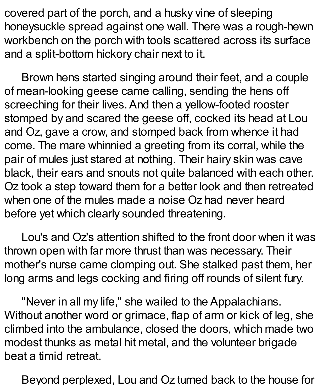covered part of the porch, and a husky vine of sleeping honeysuckle spread against one wall. There was a rough-hewn workbench on the porch with tools scattered across its surface and a split-bottom hickory chair next to it.

Brown hens started singing around their feet, and a couple of mean-looking geese came calling, sending the hens off screeching for their lives.And then a yellow-footed rooster stomped by and scared the geese off, cocked its head at Lou and Oz, gave a crow, and stomped back from whence it had come. The mare whinnied a greeting from its corral, while the pair of mules just stared at nothing. Their hairy skin was cave black, their ears and snouts not quite balanced with each other. Oz took a step toward them for a better look and then retreated when one of the mules made a noise Oz had never heard before yet which clearly sounded threatening.

Lou's and Oz's attention shifted to the front door when it was thrown open with far more thrust than was necessary. Their mother's nurse came clomping out. She stalked past them, her long arms and legs cocking and firing off rounds of silent fury.

"Never in all my life," she wailed to the Appalachians. Without another word or grimace, flap of arm or kick of leg, she climbed into the ambulance, closed the doors, which made two modest thunks as metal hit metal, and the volunteer brigade beat a timid retreat.

Beyond perplexed, Lou and Oz turned back to the house for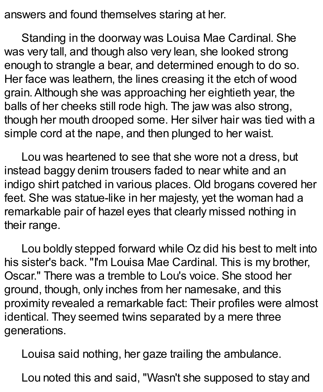answers and found themselves staring at her.

Standing in the doorway was Louisa Mae Cardinal. She was very tall, and though also very lean, she looked strong enough to strangle a bear, and determined enough to do so. Her face was leathern, the lines creasing it the etch of wood grain.Although she was approaching her eightieth year, the balls of her cheeks still rode high. The jaw was also strong, though her mouth drooped some. Her silver hair was tied with a simple cord at the nape, and then plunged to her waist.

Lou was heartened to see that she wore not a dress, but instead baggy denim trousers faded to near white and an indigo shirt patched in various places. Old brogans covered her feet. She was statue-like in her majesty, yet the woman had a remarkable pair of hazel eyes that clearly missed nothing in their range.

Lou boldly stepped forward while Oz did his best to melt into his sister's back. "I'm Louisa Mae Cardinal. This is my brother, Oscar." There was a tremble to Lou's voice. She stood her ground, though, only inches from her namesake, and this proximity revealed a remarkable fact: Their profiles were almost identical. They seemed twins separated by a mere three generations.

Louisa said nothing, her gaze trailing the ambulance.

Lou noted this and said, "Wasn't she supposed to stay and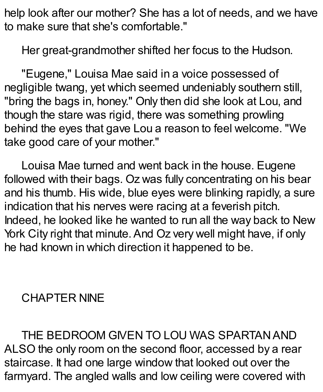help look after our mother? She has a lot of needs, and we have to make sure that she's comfortable."

Her great-grandmother shifted her focus to the Hudson.

"Eugene," Louisa Mae said in a voice possessed of negligible twang, yet which seemed undeniably southern still, "bring the bags in, honey." Only then did she look at Lou, and though the stare was rigid, there was something prowling behind the eyes that gave Lou a reason to feel welcome. "We take good care of your mother."

Louisa Mae turned and went back in the house. Eugene followed with their bags. Oz was fully concentrating on his bear and his thumb. His wide, blue eyes were blinking rapidly, a sure indication that his nerves were racing at a feverish pitch. Indeed, he looked like he wanted to run all the way back to New York City right that minute. And Oz very well might have, if only he had known in which direction it happened to be.

## CHAPTER NINE

THE BEDROOM GIVEN TO LOU WAS SPARTANAND ALSO the only room on the second floor, accessed by a rear staircase. It had one large window that looked out over the farmyard. The angled walls and low ceiling were covered with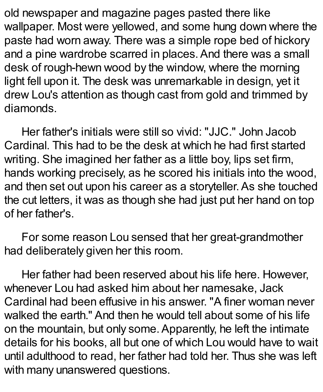old newspaper and magazine pages pasted there like wallpaper. Most were yellowed, and some hung down where the paste had worn away. There was a simple rope bed of hickory and a pine wardrobe scarred in places.And there was a small desk of rough-hewn wood by the window, where the morning light fell upon it. The desk was unremarkable in design, yet it drew Lou's attention as though cast from gold and trimmed by diamonds.

Her father's initials were still so vivid: "JJC." John Jacob Cardinal. This had to be the desk at which he had first started writing. She imagined her father as a little boy, lips set firm, hands working precisely, as he scored his initials into the wood, and then set out upon his career as a storyteller.As she touched the cut letters, it was as though she had just put her hand on top of her father's.

For some reason Lou sensed that her great-grandmother had deliberately given her this room.

Her father had been reserved about his life here. However, whenever Lou had asked him about her namesake, Jack Cardinal had been effusive in his answer. "A finer woman never walked the earth." And then he would tell about some of his life on the mountain, but only some.Apparently, he left the intimate details for his books, all but one of which Lou would have to wait until adulthood to read, her father had told her. Thus she was left with many unanswered questions.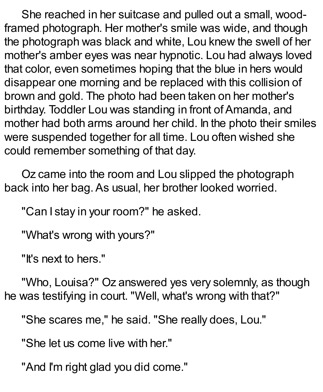She reached in her suitcase and pulled out a small, woodframed photograph. Her mother's smile was wide, and though the photograph was black and white, Lou knew the swell of her mother's amber eyes was near hypnotic. Lou had always loved that color, even sometimes hoping that the blue in hers would disappear one morning and be replaced with this collision of brown and gold. The photo had been taken on her mother's birthday. Toddler Lou was standing in front of Amanda, and mother had both arms around her child. In the photo their smiles were suspended together for all time. Lou often wished she could remember something of that day.

Oz came into the room and Lou slipped the photograph back into her bag.As usual, her brother looked worried.

"Can I stay in your room?" he asked.

"What's wrong with yours?"

"It's next to hers."

"Who, Louisa?" Oz answered yes very solemnly, as though he was testifying in court. "Well, what's wrong with that?"

"She scares me," he said. "She really does, Lou."

"She let us come live with her."

"And I'm right glad you did come."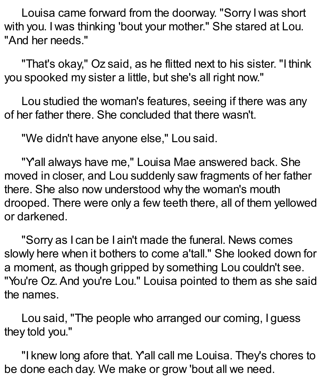Louisa came forward from the doorway. "Sorry Iwas short with you. Iwas thinking 'bout your mother." She stared at Lou. "And her needs."

"That's okay," Oz said, as he flitted next to his sister. "I think you spooked my sister a little, but she's all right now."

Lou studied the woman's features, seeing if there was any of her father there. She concluded that there wasn't.

"We didn't have anyone else," Lou said.

"Y'all always have me," Louisa Mae answered back. She moved in closer, and Lou suddenly saw fragments of her father there. She also now understood why the woman's mouth drooped. There were only a few teeth there, all of them yellowed or darkened.

"Sorry as I can be I ain't made the funeral. News comes slowly here when it bothers to come a'tall." She looked down for a moment, as though gripped by something Lou couldn't see. "You're Oz.And you're Lou." Louisa pointed to them as she said the names.

Lou said, "The people who arranged our coming, I guess they told you."

"I knew long afore that. Y'all call me Louisa. They's chores to be done each day. We make or grow 'bout all we need.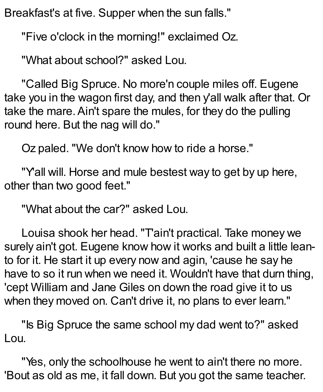Breakfast's at five. Supper when the sun falls."

"Five o'clock in the morning!" exclaimed Oz.

"What about school?" asked Lou.

"Called Big Spruce. No more'n couple miles off. Eugene take you in the wagon first day, and then y'all walk after that. Or take the mare.Ain't spare the mules, for they do the pulling round here. But the nag will do."

Oz paled. "We don't know how to ride a horse."

"Y'all will. Horse and mule bestest way to get by up here, other than two good feet."

"What about the car?" asked Lou.

Louisa shook her head. "T'ain't practical. Take money we surely ain't got. Eugene know how it works and built a little leanto for it. He start it up every now and agin, 'cause he say he have to so it run when we need it. Wouldn't have that durn thing, 'cept William and Jane Giles on down the road give it to us when they moved on. Can't drive it, no plans to ever learn."

"Is Big Spruce the same school my dad went to?" asked Lou.

"Yes, only the schoolhouse he went to ain't there no more. 'Bout as old as me, it fall down. But you got the same teacher.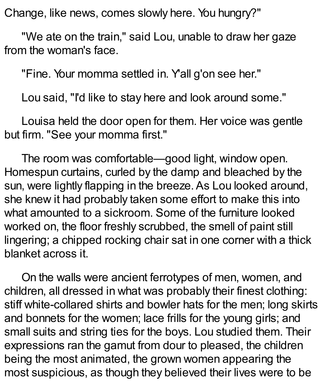Change, like news, comes slowly here. You hungry?"

"We ate on the train," said Lou, unable to draw her gaze from the woman's face.

"Fine. Your momma settled in. Y'all g'on see her."

Lou said, "I'd like to stay here and look around some."

Louisa held the door open for them. Her voice was gentle but firm. "See your momma first."

The room was comfortable—good light, window open. Homespun curtains, curled by the damp and bleached by the sun, were lightly flapping in the breeze.As Lou looked around, she knew it had probably taken some effort to make this into what amounted to a sickroom. Some of the furniture looked worked on, the floor freshly scrubbed, the smell of paint still lingering; a chipped rocking chair sat in one corner with a thick blanket across it.

On the walls were ancient ferrotypes of men, women, and children, all dressed in what was probably their finest clothing: stiff white-collared shirts and bowler hats for the men; long skirts and bonnets for the women; lace frills for the young girls; and small suits and string ties for the boys. Lou studied them. Their expressions ran the gamut from dour to pleased, the children being the most animated, the grown women appearing the most suspicious, as though they believed their lives were to be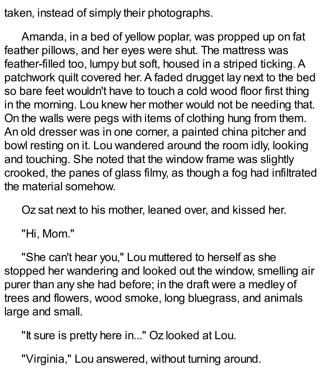taken, instead of simply their photographs.

Amanda, in a bed of yellow poplar, was propped up on fat feather pillows, and her eyes were shut. The mattress was feather-filled too, lumpy but soft, housed in a striped ticking.A patchwork quilt covered her. A faded drugget lay next to the bed so bare feet wouldn't have to touch a cold wood floor first thing in the morning. Lou knew her mother would not be needing that. On the walls were pegs with items of clothing hung from them. An old dresser was in one corner, a painted china pitcher and bowl resting on it. Lou wandered around the room idly, looking and touching. She noted that the window frame was slightly crooked, the panes of glass filmy, as though a fog had infiltrated the material somehow.

Oz sat next to his mother, leaned over, and kissed her.

"Hi, Mom."

"She can't hear you," Lou muttered to herself as she stopped her wandering and looked out the window, smelling air purer than any she had before; in the draft were a medley of trees and flowers, wood smoke, long bluegrass, and animals large and small.

"It sure is pretty here in..." Oz looked at Lou.

"Virginia," Lou answered, without turning around.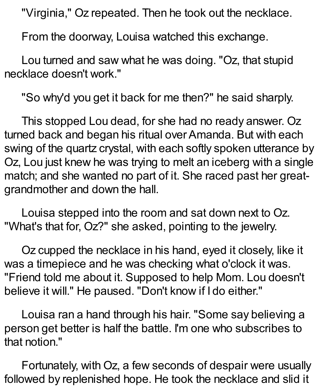"Virginia," Oz repeated. Then he took out the necklace.

From the doorway, Louisa watched this exchange.

Lou turned and saw what he was doing. "Oz, that stupid necklace doesn't work."

"So why'd you get it back for me then?" he said sharply.

This stopped Lou dead, for she had no ready answer. Oz turned back and began his ritual over Amanda. But with each swing of the quartz crystal, with each softly spoken utterance by Oz, Lou just knew he was trying to melt an iceberg with a single match; and she wanted no part of it. She raced past her greatgrandmother and down the hall.

Louisa stepped into the room and sat down next to Oz. "What's that for, Oz?" she asked, pointing to the jewelry.

Oz cupped the necklace in his hand, eyed it closely, like it was a timepiece and he was checking what o'clock it was. "Friend told me about it. Supposed to help Mom. Lou doesn't believe it will." He paused. "Don't know if I do either."

Louisa ran a hand through his hair. "Some say believing a person get better is half the battle. I'm one who subscribes to that notion."

Fortunately, with Oz, a few seconds of despair were usually followed by replenished hope. He took the necklace and slid it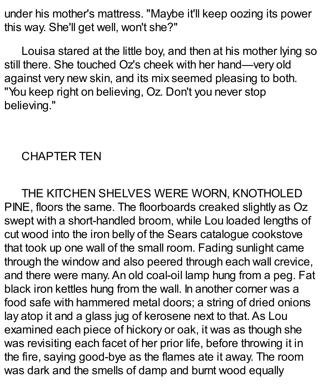under his mother's mattress. "Maybe it'll keep oozing its power this way. She'll get well, won't she?"

Louisa stared at the little boy, and then at his mother lying so still there. She touched Oz's cheek with her hand—very old against very new skin, and its mix seemed pleasing to both. "You keep right on believing, Oz. Don't you never stop believing."

## CHAPTER TEN

THE KITCHEN SHELVES WERE WORN, KNOTHOLED PINE, floors the same. The floorboards creaked slightly as Oz swept with a short-handled broom, while Lou loaded lengths of cut wood into the iron belly of the Sears catalogue cookstove that took up one wall of the small room. Fading sunlight came through the window and also peered through each wall crevice, and there were many. An old coal-oil lamp hung from a peg. Fat black iron kettles hung from the wall. In another corner was a food safe with hammered metal doors; a string of dried onions lay atop it and a glass jug of kerosene next to that. As Lou examined each piece of hickory or oak, it was as though she was revisiting each facet of her prior life, before throwing it in the fire, saying good-bye as the flames ate it away. The room was dark and the smells of damp and burnt wood equally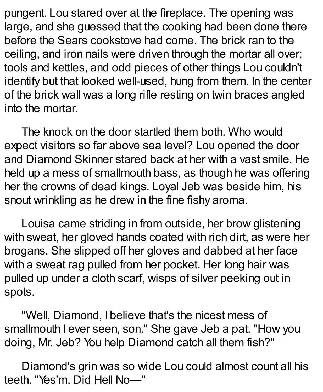pungent. Lou stared over at the fireplace. The opening was large, and she guessed that the cooking had been done there before the Sears cookstove had come. The brick ran to the ceiling, and iron nails were driven through the mortar all over; tools and kettles, and odd pieces of other things Lou couldn't identify but that looked well-used, hung from them. In the center of the brick wall was a long rifle resting on twin braces angled into the mortar.

The knock on the door startled them both. Who would expect visitors so far above sea level? Lou opened the door and Diamond Skinner stared back at her with a vast smile. He held up a mess of smallmouth bass, as though he was offering her the crowns of dead kings. Loyal Jeb was beside him, his snout wrinkling as he drew in the fine fishy aroma.

Louisa came striding in from outside, her brow glistening with sweat, her gloved hands coated with rich dirt, as were her brogans. She slipped off her gloves and dabbed at her face with a sweat rag pulled from her pocket. Her long hair was pulled up under a cloth scarf, wisps of silver peeking out in spots.

"Well, Diamond, I believe that's the nicest mess of smallmouth I ever seen, son." She gave Jeb a pat. "How you doing, Mr. Jeb? You help Diamond catch all them fish?"

Diamond's grin was so wide Lou could almost count all his teeth. "Yes'm. Did Hell No—"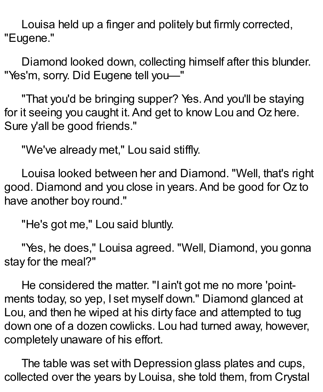Louisa held up a finger and politely but firmly corrected, "Eugene."

Diamond looked down, collecting himself after this blunder. "Yes'm, sorry. Did Eugene tell you—"

"That you'd be bringing supper? Yes.And you'll be staying for it seeing you caught it.And get to know Lou and Oz here. Sure y'all be good friends."

"We've already met," Lou said stiffly.

Louisa looked between her and Diamond. "Well, that's right good. Diamond and you close in years.And be good for Oz to have another boy round."

"He's got me," Lou said bluntly.

"Yes, he does," Louisa agreed. "Well, Diamond, you gonna stay for the meal?"

He considered the matter. "I ain't got me no more 'pointments today, so yep, I set myself down." Diamond glanced at Lou, and then he wiped at his dirty face and attempted to tug down one of a dozen cowlicks. Lou had turned away, however, completely unaware of his effort.

The table was set with Depression glass plates and cups, collected over the years by Louisa, she told them, from Crystal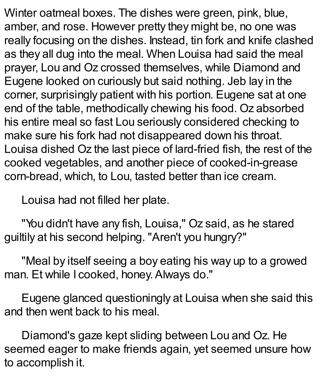Winter oatmeal boxes. The dishes were green, pink, blue, amber, and rose. However pretty they might be, no one was really focusing on the dishes. Instead, tin fork and knife clashed as they all dug into the meal. When Louisa had said the meal prayer, Lou and Oz crossed themselves, while Diamond and Eugene looked on curiously but said nothing. Jeb lay in the corner, surprisingly patient with his portion. Eugene sat at one end of the table, methodically chewing his food. Oz absorbed his entire meal so fast Lou seriously considered checking to make sure his fork had not disappeared down his throat. Louisa dished Oz the last piece of lard-fried fish, the rest of the cooked vegetables, and another piece of cooked-in-grease corn-bread, which, to Lou, tasted better than ice cream.

Louisa had not filled her plate.

"You didn't have any fish, Louisa," Oz said, as he stared guiltily at his second helping. "Aren't you hungry?"

"Meal by itself seeing a boy eating his way up to a growed man. Et while I cooked, honey.Always do."

Eugene glanced questioningly at Louisa when she said this and then went back to his meal.

Diamond's gaze kept sliding between Lou and Oz. He seemed eager to make friends again, yet seemed unsure how to accomplish it.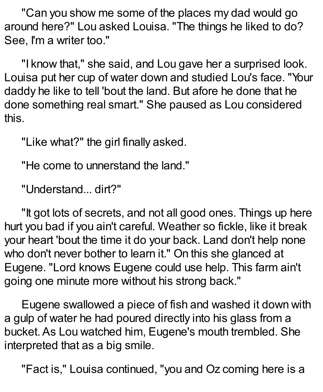"Can you show me some of the places my dad would go around here?" Lou asked Louisa. "The things he liked to do? See, I'm a writer too."

"I know that," she said, and Lou gave her a surprised look. Louisa put her cup of water down and studied Lou's face. "Your daddy he like to tell 'bout the land. But afore he done that he done something real smart." She paused as Lou considered this.

"Like what?" the girl finally asked.

"He come to unnerstand the land."

"Understand... dirt?"

"It got lots of secrets, and not all good ones. Things up here hurt you bad if you ain't careful. Weather so fickle, like it break your heart 'bout the time it do your back. Land don't help none who don't never bother to learn it." On this she glanced at Eugene. "Lord knows Eugene could use help. This farm ain't going one minute more without his strong back."

Eugene swallowed a piece of fish and washed it down with a gulp of water he had poured directly into his glass from a bucket.As Lou watched him, Eugene's mouth trembled. She interpreted that as a big smile.

"Fact is," Louisa continued, "you and Oz coming here is a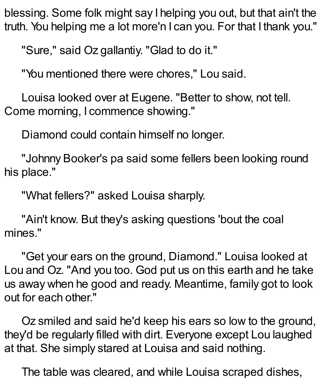blessing. Some folk might say I helping you out, but that ain't the truth. You helping me a lot more'n I can you. For that I thank you."

"Sure," said Oz gallantiy. "Glad to do it."

"You mentioned there were chores," Lou said.

Louisa looked over at Eugene. "Better to show, not tell. Come morning, I commence showing."

Diamond could contain himself no longer.

"Johnny Booker's pa said some fellers been looking round his place."

"What fellers?" asked Louisa sharply.

"Ain't know. But they's asking questions 'bout the coal mines."

"Get your ears on the ground, Diamond." Louisa looked at Lou and Oz. "And you too. God put us on this earth and he take us away when he good and ready. Meantime, family got to look out for each other."

Oz smiled and said he'd keep his ears so low to the ground, they'd be regularly filled with dirt. Everyone except Lou laughed at that. She simply stared at Louisa and said nothing.

The table was cleared, and while Louisa scraped dishes,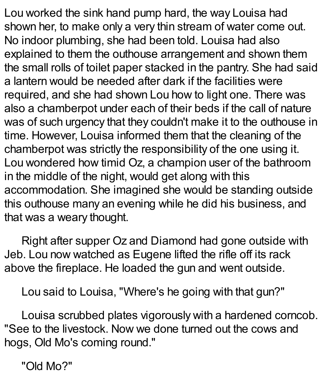Lou worked the sink hand pump hard, the way Louisa had shown her, to make only a very thin stream of water come out. No indoor plumbing, she had been told. Louisa had also explained to them the outhouse arrangement and shown them the small rolls of toilet paper stacked in the pantry. She had said a lantern would be needed after dark if the facilities were required, and she had shown Lou how to light one. There was also a chamberpot under each of their beds if the call of nature was of such urgency that they couldn't make it to the outhouse in time. However, Louisa informed them that the cleaning of the chamberpot was strictly the responsibility of the one using it. Lou wondered how timid Oz, a champion user of the bathroom in the middle of the night, would get along with this accommodation. She imagined she would be standing outside this outhouse many an evening while he did his business, and that was a weary thought.

Right after supper Oz and Diamond had gone outside with Jeb. Lou now watched as Eugene lifted the rifle off its rack above the fireplace. He loaded the gun and went outside.

Lou said to Louisa, "Where's he going with that gun?"

Louisa scrubbed plates vigorously with a hardened corncob. "See to the livestock. Now we done turned out the cows and hogs, Old Mo's coming round."

"Old Mo?"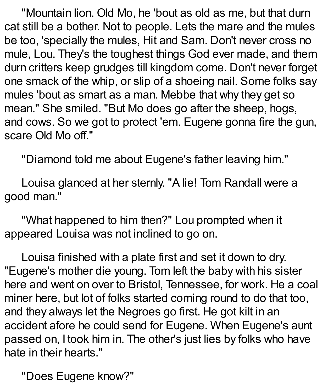"Mountain lion. Old Mo, he 'bout as old as me, but that durn cat still be a bother. Not to people. Lets the mare and the mules be too, 'specially the mules, Hit and Sam. Don't never cross no mule, Lou. They's the toughest things God ever made, and them durn critters keep grudges till kingdom come. Don't never forget one smack of the whip, or slip of a shoeing nail. Some folks say mules 'bout as smart as a man. Mebbe that why they get so mean." She smiled. "But Mo does go after the sheep, hogs, and cows. So we got to protect 'em. Eugene gonna fire the gun, scare Old Mo off."

"Diamond told me about Eugene's father leaving him."

Louisa glanced at her sternly. "A lie! Tom Randall were a good man."

"What happened to him then?" Lou prompted when it appeared Louisa was not inclined to go on.

Louisa finished with a plate first and set it down to dry. "Eugene's mother die young. Tom left the baby with his sister here and went on over to Bristol, Tennessee, for work. He a coal miner here, but lot of folks started coming round to do that too, and they always let the Negroes go first. He got kilt in an accident afore he could send for Eugene. When Eugene's aunt passed on, I took him in. The other's just lies by folks who have hate in their hearts."

"Does Eugene know?"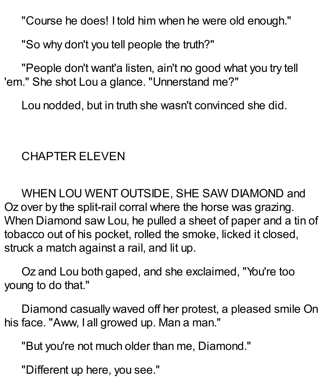"Course he does! I told him when he were old enough."

"So why don't you tell people the truth?"

"People don't want'a listen, ain't no good what you try tell 'em." She shot Lou a glance. "Unnerstand me?"

Lou nodded, but in truth she wasn't convinced she did.

## CHAPTER ELEVEN

WHEN LOU WENT OUTSIDE, SHE SAW DIAMOND and Oz over by the split-rail corral where the horse was grazing. When Diamond saw Lou, he pulled a sheet of paper and a tin of tobacco out of his pocket, rolled the smoke, licked it closed, struck a match against a rail, and lit up.

Oz and Lou both gaped, and she exclaimed, "You're too young to do that."

Diamond casually waved off her protest, a pleased smile On his face. "Aww, I all growed up. Man a man."

"But you're not much older than me, Diamond."

"Different up here, you see."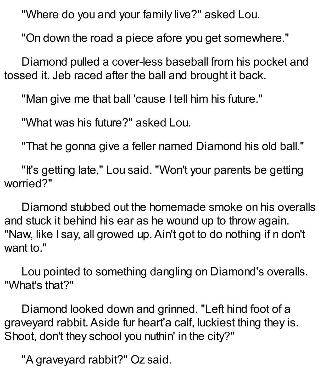"Where do you and your family live?" asked Lou.

"On down the road a piece afore you get somewhere."

Diamond pulled a cover-less baseball from his pocket and tossed it. Jeb raced after the ball and brought it back.

"Man give me that ball 'cause I tell him his future."

"What was his future?" asked Lou.

"That he gonna give a feller named Diamond his old ball."

"It's getting late," Lou said. "Won't your parents be getting worried?"

Diamond stubbed out the homemade smoke on his overalls and stuck it behind his ear as he wound up to throw again. "Naw, like I say, all growed up.Ain't got to do nothing if n don't want to."

Lou pointed to something dangling on Diamond's overalls. "What's that?"

Diamond looked down and grinned. "Left hind foot of a graveyard rabbit.Aside fur heart'a calf, luckiest thing they is. Shoot, don't they school you nuthin' in the city?"

"A graveyard rabbit?" Oz said.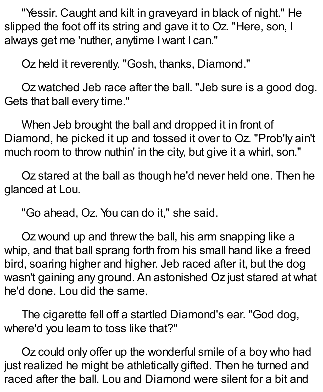"Yessir. Caught and kilt in graveyard in black of night." He slipped the foot off its string and gave it to Oz. "Here, son, I always get me 'nuther, anytime Iwant I can."

Oz held it reverently. "Gosh, thanks, Diamond."

Oz watched Jeb race after the ball. "Jeb sure is a good dog. Gets that ball every time."

When Jeb brought the ball and dropped it in front of Diamond, he picked it up and tossed it over to Oz. "Prob'ly ain't much room to throw nuthin' in the city, but give it a whirl, son."

Oz stared at the ball as though he'd never held one. Then he glanced at Lou.

"Go ahead, Oz. You can do it," she said.

Oz wound up and threw the ball, his arm snapping like a whip, and that ball sprang forth from his small hand like a freed bird, soaring higher and higher. Jeb raced after it, but the dog wasn't gaining any ground.An astonished Oz just stared at what he'd done. Lou did the same.

The cigarette fell off a startled Diamond's ear. "God dog, where'd you learn to toss like that?"

Oz could only offer up the wonderful smile of a boy who had just realized he might be athletically gifted. Then he turned and raced after the ball. Lou and Diamond were silent for a bit and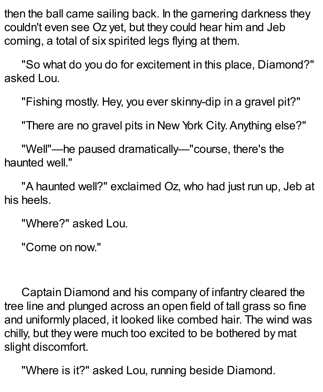then the ball came sailing back. In the garnering darkness they couldn't even see Oz yet, but they could hear him and Jeb coming, a total of six spirited legs flying at them.

"So what do you do for excitement in this place, Diamond?" asked Lou.

"Fishing mostly. Hey, you ever skinny-dip in a gravel pit?"

"There are no gravel pits in New York City.Anything else?"

"Well"—he paused dramatically—"course, there's the haunted well."

"A haunted well?" exclaimed Oz, who had just run up, Jeb at his heels.

"Where?" asked Lou.

"Come on now."

Captain Diamond and his company of infantry cleared the tree line and plunged across an open field of tall grass so fine and uniformly placed, it looked like combed hair. The wind was chilly, but they were much too excited to be bothered by mat slight discomfort.

"Where is it?" asked Lou, running beside Diamond.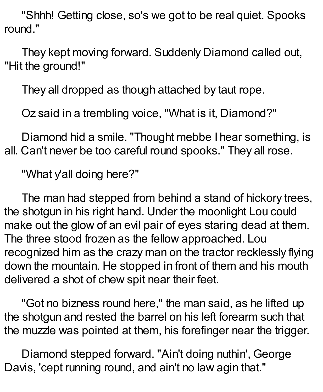"Shhh! Getting close, so's we got to be real quiet. Spooks round."

They kept moving forward. Suddenly Diamond called out, "Hit the ground!"

They all dropped as though attached by taut rope.

Oz said in a trembling voice, "What is it, Diamond?"

Diamond hid a smile. "Thought mebbe I hear something, is all. Can't never be too careful round spooks." They all rose.

"What y'all doing here?"

The man had stepped from behind a stand of hickory trees, the shotgun in his right hand. Under the moonlight Lou could make out the glow of an evil pair of eyes staring dead at them. The three stood frozen as the fellow approached. Lou recognized him as the crazy man on the tractor recklessly flying down the mountain. He stopped in front of them and his mouth delivered a shot of chew spit near their feet.

"Got no bizness round here," the man said, as he lifted up the shotgun and rested the barrel on his left forearm such that the muzzle was pointed at them, his forefinger near the trigger.

Diamond stepped forward. "Ain't doing nuthin', George Davis, 'cept running round, and ain't no law agin that."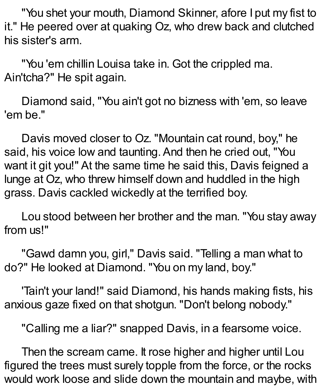"You shet your mouth, Diamond Skinner, afore I put my fist to it." He peered over at quaking Oz, who drew back and clutched his sister's arm.

"You 'em chillin Louisa take in. Got the crippled ma. Ain'tcha?" He spit again.

Diamond said, "You ain't got no bizness with 'em, so leave 'em be."

Davis moved closer to Oz. "Mountain cat round, boy," he said, his voice low and taunting.And then he cried out, "You want it git you!" At the same time he said this, Davis feigned a lunge at Oz, who threw himself down and huddled in the high grass. Davis cackled wickedly at the terrified boy.

Lou stood between her brother and the man. "You stay away from us!"

"Gawd damn you, girl," Davis said. "Telling a man what to do?" He looked at Diamond. "You on my land, boy."

'Tain't your land!" said Diamond, his hands making fists, his anxious gaze fixed on that shotgun. "Don't belong nobody."

"Calling me a liar?" snapped Davis, in a fearsome voice.

Then the scream came. It rose higher and higher until Lou figured the trees must surely topple from the force, or the rocks would work loose and slide down the mountain and maybe, with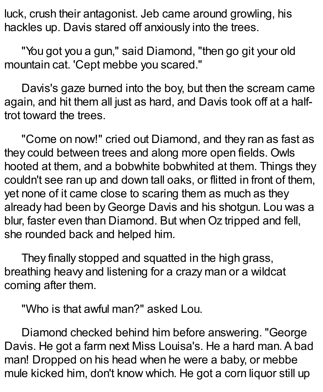luck, crush their antagonist. Jeb came around growling, his hackles up. Davis stared off anxiously into the trees.

"You got you a gun," said Diamond, "then go git your old mountain cat. 'Cept mebbe you scared."

Davis's gaze burned into the boy, but then the scream came again, and hit them all just as hard, and Davis took off at a halftrot toward the trees.

"Come on now!" cried out Diamond, and they ran as fast as they could between trees and along more open fields. Owls hooted at them, and a bobwhite bobwhited at them. Things they couldn't see ran up and down tall oaks, or flitted in front of them, yet none of it came close to scaring them as much as they already had been byGeorge Davis and his shotgun. Lou was a blur, faster even than Diamond. But when Oz tripped and fell, she rounded back and helped him.

They finally stopped and squatted in the high grass, breathing heavy and listening for a crazy man or a wildcat coming after them.

"Who is that awful man?" asked Lou.

Diamond checked behind him before answering. "George Davis. He got a farm next Miss Louisa's. He a hard man. A bad man! Dropped on his head when he were a baby, or mebbe mule kicked him, don't know which. He got a corn liquor still up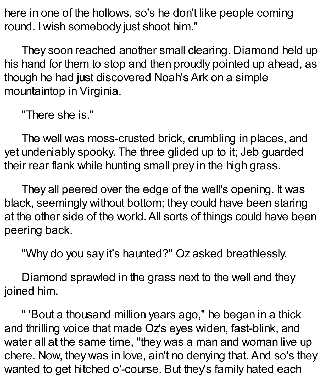here in one of the hollows, so's he don't like people coming round. Iwish somebody just shoot him."

They soon reached another small clearing. Diamond held up his hand for them to stop and then proudly pointed up ahead, as though he had just discovered Noah's Ark on a simple mountaintop in Virginia.

"There she is."

The well was moss-crusted brick, crumbling in places, and yet undeniably spooky. The three glided up to it; Jeb guarded their rear flank while hunting small prey in the high grass.

They all peered over the edge of the well's opening. It was black, seemingly without bottom; they could have been staring at the other side of the world.All sorts of things could have been peering back.

"Why do you say it's haunted?" Oz asked breathlessly.

Diamond sprawled in the grass next to the well and they joined him.

" 'Bout a thousand million years ago," he began in a thick and thrilling voice that made Oz's eyes widen, fast-blink, and water all at the same time, "they was a man and woman live up chere. Now, they was in love, ain't no denying that.And so's they wanted to get hitched o'-course. But they's family hated each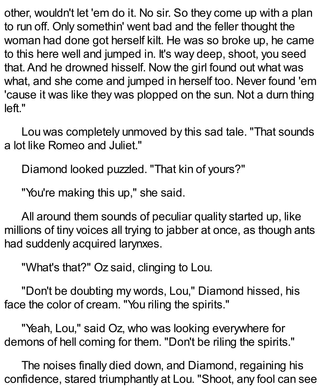other, wouldn't let 'em do it. No sir. So they come up with a plan to run off. Only somethin' went bad and the feller thought the woman had done got herself kilt. He was so broke up, he came to this here well and jumped in. It's way deep, shoot, you seed that.And he drowned hisself. Now the girl found out what was what, and she come and jumped in herself too. Never found 'em 'cause it was like they was plopped on the sun. Not a durn thing left."

Lou was completely unmoved by this sad tale. "That sounds a lot like Romeo and Juliet."

Diamond looked puzzled. "That kin of yours?"

"You're making this up," she said.

All around them sounds of peculiar quality started up, like millions of tiny voices all trying to jabber at once, as though ants had suddenly acquired larynxes.

"What's that?" Oz said, clinging to Lou.

"Don't be doubting my words, Lou," Diamond hissed, his face the color of cream. "You riling the spirits."

"Yeah, Lou," said Oz, who was looking everywhere for demons of hell coming for them. "Don't be riling the spirits."

The noises finally died down, and Diamond, regaining his confidence, stared triumphantly at Lou. "Shoot, any fool can see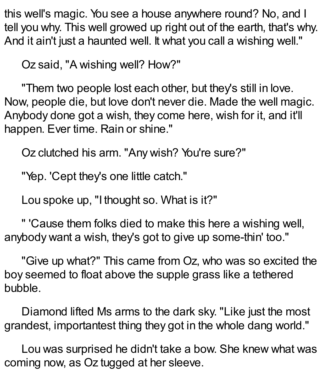this well's magic. You see a house anywhere round? No, and I tell you why. This well growed up right out of the earth, that's why. And it ain't just a haunted well. It what you call a wishing well."

Oz said, "A wishing well? How?"

"Them two people lost each other, but they's still in love. Now, people die, but love don't never die. Made the well magic. Anybody done got a wish, they come here, wish for it, and it'll happen. Ever time. Rain or shine."

Oz clutched his arm. "Any wish? You're sure?"

"Yep. 'Cept they's one little catch."

Lou spoke up, "I thought so. What is it?"

" 'Cause them folks died to make this here a wishing well, anybody want a wish, they's got to give up some-thin' too."

"Give up what?" This came from Oz, who was so excited the boy seemed to float above the supple grass like a tethered bubble.

Diamond lifted Ms arms to the dark sky. "Like just the most grandest, importantest thing they got in the whole dang world."

Lou was surprised he didn't take a bow. She knew what was coming now, as Oz tugged at her sleeve.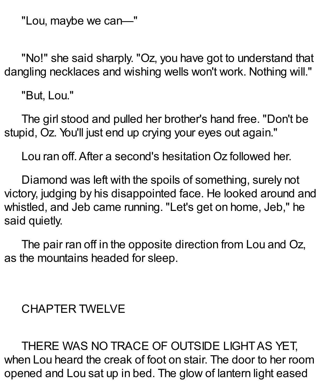"Lou, maybe we can—"

"No!" she said sharply. "Oz, you have got to understand that dangling necklaces and wishing wells won't work. Nothing will."

"But, Lou."

The girl stood and pulled her brother's hand free. "Don't be stupid, Oz. You'll just end up crying your eyes out again."

Lou ran off. After a second's hesitation Oz followed her.

Diamond was left with the spoils of something, surely not victory, judging by his disappointed face. He looked around and whistled, and Jeb came running. "Let's get on home, Jeb," he said quietly.

The pair ran off in the opposite direction from Lou and Oz, as the mountains headed for sleep.

## CHAPTER TWELVE

THERE WAS NO TRACE OF OUTSIDE LIGHTAS YET, when Lou heard the creak of foot on stair. The door to her room opened and Lou sat up in bed. The glow of lantern light eased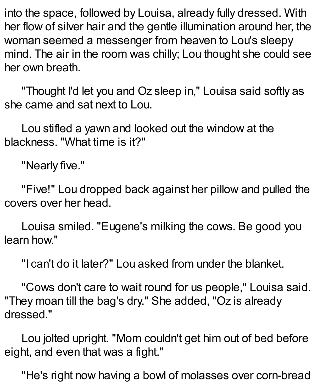into the space, followed by Louisa, already fully dressed. With her flow of silver hair and the gentle illumination around her, the woman seemed a messenger from heaven to Lou's sleepy mind. The air in the room was chilly; Lou thought she could see her own breath.

"Thought I'd let you and Oz sleep in," Louisa said softly as she came and sat next to Lou.

Lou stifled a yawn and looked out the window at the blackness. "What time is it?"

"Nearly five."

"Five!" Lou dropped back against her pillow and pulled the covers over her head.

Louisa smiled. "Eugene's milking the cows. Be good you learn how."

"I can't do it later?" Lou asked from under the blanket.

"Cows don't care to wait round for us people," Louisa said. "They moan till the bag's dry." She added, "Oz is already dressed."

Lou jolted upright. "Mom couldn't get him out of bed before eight, and even that was a fight."

"He's right now having a bowl of molasses over corn-bread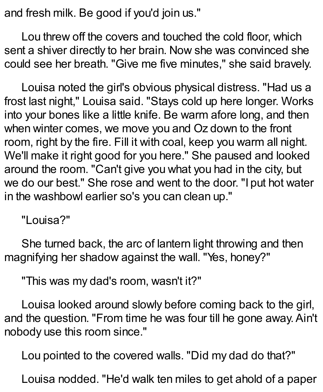and fresh milk. Be good if you'd join us."

Lou threw off the covers and touched the cold floor, which sent a shiver directly to her brain. Now she was convinced she could see her breath. "Give me five minutes," she said bravely.

Louisa noted the girl's obvious physical distress. "Had us a frost last night," Louisa said. "Stays cold up here longer. Works into your bones like a little knife. Be warm afore long, and then when winter comes, we move you and Oz down to the front room, right by the fire. Fill it with coal, keep you warm all night. We'll make it right good for you here." She paused and looked around the room. "Can't give you what you had in the city, but we do our best." She rose and went to the door. "I put hot water in the washbowl earlier so's you can clean up."

"Louisa?"

She turned back, the arc of lantern light throwing and then magnifying her shadow against the wall. "Yes, honey?"

"This was my dad's room, wasn't it?"

Louisa looked around slowly before coming back to the girl, and the question. "From time he was four till he gone away.Ain't nobody use this room since."

Lou pointed to the covered walls. "Did my dad do that?"

Louisa nodded. "He'd walk ten miles to get ahold of a paper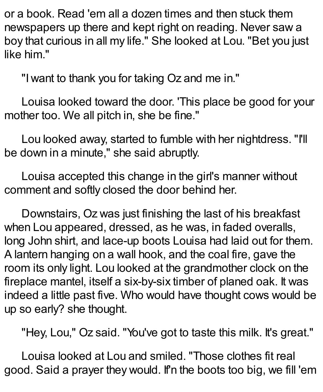or a book. Read 'em all a dozen times and then stuck them newspapers up there and kept right on reading. Never saw a boy that curious in all my life." She looked at Lou. "Bet you just like him."

"Iwant to thank you for taking Oz and me in."

Louisa looked toward the door. 'This place be good for your mother too. We all pitch in, she be fine."

Lou looked away, started to fumble with her nightdress. "I'll be down in a minute," she said abruptly.

Louisa accepted this change in the girl's manner without comment and softly closed the door behind her.

Downstairs, Oz was just finishing the last of his breakfast when Lou appeared, dressed, as he was, in faded overalls, long John shirt, and lace-up boots Louisa had laid out for them. A lantern hanging on a wall hook, and the coal fire, gave the room its only light. Lou looked at the grandmother clock on the fireplace mantel, itself a six-by-six timber of planed oak. It was indeed a little past five. Who would have thought cows would be up so early? she thought.

"Hey, Lou," Oz said. "You've got to taste this milk. It's great."

Louisa looked at Lou and smiled. "Those clothes fit real good. Said a prayer they would. If'n the boots too big, we fill 'em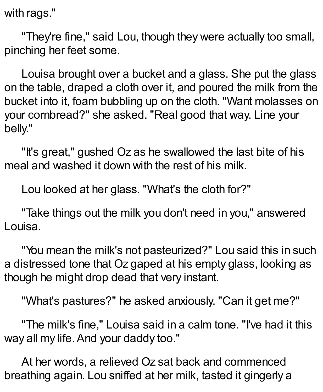with rags."

"They're fine," said Lou, though they were actually too small, pinching her feet some.

Louisa brought over a bucket and a glass. She put the glass on the table, draped a cloth over it, and poured the milk from the bucket into it, foam bubbling up on the cloth. "Want molasses on your cornbread?" she asked. "Real good that way. Line your belly."

"It's great," gushed Oz as he swallowed the last bite of his meal and washed it down with the rest of his milk.

Lou looked at her glass. "What's the cloth for?"

"Take things out the milk you don't need in you," answered Louisa.

"You mean the milk's not pasteurized?" Lou said this in such a distressed tone that Oz gaped at his empty glass, looking as though he might drop dead that very instant.

"What's pastures?" he asked anxiously. "Can it get me?"

"The milk's fine," Louisa said in a calm tone. "I've had it this way all my life.And your daddy too."

At her words, a relieved Oz sat back and commenced breathing again. Lou sniffed at her milk, tasted it gingerly a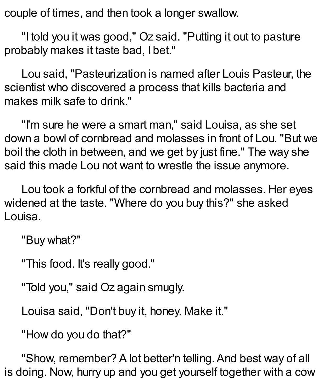couple of times, and then took a longer swallow.

"I told you it was good," Oz said. "Putting it out to pasture probably makes it taste bad, I bet."

Lou said, "Pasteurization is named after Louis Pasteur, the scientist who discovered a process that kills bacteria and makes milk safe to drink."

"I'm sure he were a smart man," said Louisa, as she set down a bowl of cornbread and molasses in front of Lou. "But we boil the cloth in between, and we get by just fine." The way she said this made Lou not want to wrestle the issue anymore.

Lou took a forkful of the cornbread and molasses. Her eyes widened at the taste. "Where do you buy this?" she asked Louisa.

"Buy what?"

"This food. It's really good."

"Told you," said Oz again smugly.

Louisa said, "Don't buy it, honey. Make it."

"How do you do that?"

"Show, remember? A lot better'n telling.And best way of all is doing. Now, hurry up and you get yourself together with a cow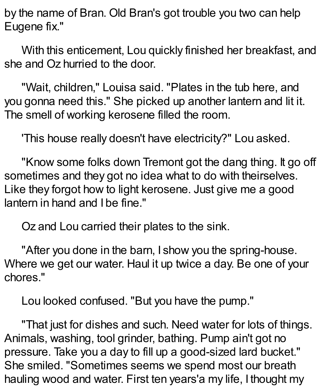by the name of Bran. Old Bran's got trouble you two can help Eugene fix."

With this enticement, Lou quickly finished her breakfast, and she and Oz hurried to the door.

"Wait, children," Louisa said. "Plates in the tub here, and you gonna need this." She picked up another lantern and lit it. The smell of working kerosene filled the room.

'This house really doesn't have electricity?" Lou asked.

"Know some folks down Tremont got the dang thing. It go off sometimes and they got no idea what to do with theirselves. Like they forgot how to light kerosene. Just give me a good lantern in hand and I be fine."

Oz and Lou carried their plates to the sink.

"After you done in the barn, I show you the spring-house. Where we get our water. Haul it up twice a day. Be one of your chores."

Lou looked confused. "But you have the pump."

"That just for dishes and such. Need water for lots of things. Animals, washing, tool grinder, bathing. Pump ain't got no pressure. Take you a day to fill up a good-sized lard bucket." She smiled. "Sometimes seems we spend most our breath hauling wood and water. First ten years'a my life, I thought my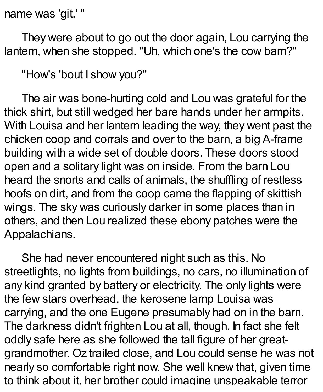name was 'git.' "

They were about to go out the door again, Lou carrying the lantern, when she stopped. "Uh, which one's the cow barn?"

"How's 'bout I show you?"

The air was bone-hurting cold and Lou was grateful for the thick shirt, but still wedged her bare hands under her armpits. With Louisa and her lantern leading the way, they went past the chicken coop and corrals and over to the barn, a big A-frame building with a wide set of double doors. These doors stood open and a solitary light was on inside. From the barn Lou heard the snorts and calls of animals, the shuffling of restless hoofs on dirt, and from the coop came the flapping of skittish wings. The sky was curiously darker in some places than in others, and then Lou realized these ebony patches were the Appalachians.

She had never encountered night such as this. No streetlights, no lights from buildings, no cars, no illumination of any kind granted by battery or electricity. The only lights were the few stars overhead, the kerosene lamp Louisa was carrying, and the one Eugene presumably had on in the barn. The darkness didn't frighten Lou at all, though. In fact she felt oddly safe here as she followed the tall figure of her greatgrandmother. Oz trailed close, and Lou could sense he was not nearly so comfortable right now. She well knew that, given time to think about it, her brother could imagine unspeakable terror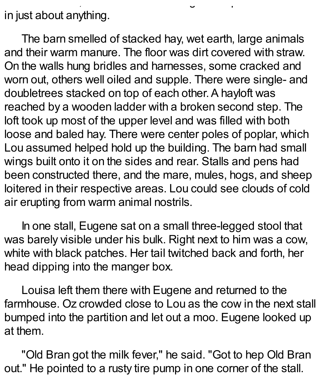in just about anything.

The barn smelled of stacked hay, wet earth, large animals and their warm manure. The floor was dirt covered with straw. On the walls hung bridles and harnesses, some cracked and worn out, others well oiled and supple. There were single- and doubletrees stacked on top of each other. A hayloft was reached by a wooden ladder with a broken second step. The loft took up most of the upper level and was filled with both loose and baled hay. There were center poles of poplar, which Lou assumed helped hold up the building. The barn had small wings built onto it on the sides and rear. Stalls and pens had been constructed there, and the mare, mules, hogs, and sheep loitered in their respective areas. Lou could see clouds of cold air erupting from warm animal nostrils.

to think about it, her brother could imagine unspeakable terror

In one stall, Eugene sat on a small three-legged stool that was barely visible under his bulk. Right next to him was a cow, white with black patches. Her tail twitched back and forth, her head dipping into the manger box.

Louisa left them there with Eugene and returned to the farmhouse. Oz crowded close to Lou as the cow in the next stall bumped into the partition and let out a moo. Eugene looked up at them.

"Old Bran got the milk fever," he said. "Got to hep Old Bran out." He pointed to a rusty tire pump in one corner of the stall.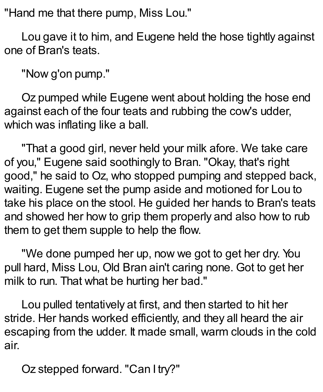"Hand me that there pump, Miss Lou."

Lou gave it to him, and Eugene held the hose tightly against one of Bran's teats.

"Now g'on pump."

Oz pumped while Eugene went about holding the hose end against each of the four teats and rubbing the cow's udder, which was inflating like a ball.

"That a good girl, never held your milk afore. We take care of you," Eugene said soothingly to Bran. "Okay, that's right good," he said to Oz, who stopped pumping and stepped back, waiting. Eugene set the pump aside and motioned for Lou to take his place on the stool. He guided her hands to Bran's teats and showed her how to grip them properly and also how to rub them to get them supple to help the flow.

"We done pumped her up, now we got to get her dry. You pull hard, Miss Lou, Old Bran ain't caring none. Got to get her milk to run. That what be hurting her bad."

Lou pulled tentatively at first, and then started to hit her stride. Her hands worked efficiently, and they all heard the air escaping from the udder. It made small, warm clouds in the cold air.

Oz stepped forward. "Can I try?"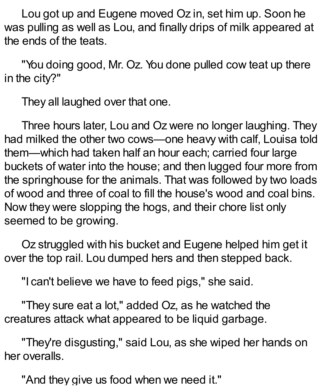Lou got up and Eugene moved Oz in, set him up. Soon he was pulling as well as Lou, and finally drips of milk appeared at the ends of the teats.

"You doing good, Mr. Oz. You done pulled cow teat up there in the city?"

They all laughed over that one.

Three hours later, Lou and Oz were no longer laughing. They had milked the other two cows—one heavy with calf, Louisa told them—which had taken half an hour each; carried four large buckets of water into the house; and then lugged four more from the springhouse for the animals. That was followed by two loads of wood and three of coal to fill the house's wood and coal bins. Now they were slopping the hogs, and their chore list only seemed to be growing.

Oz struggled with his bucket and Eugene helped him get it over the top rail. Lou dumped hers and then stepped back.

"I can't believe we have to feed pigs," she said.

"They sure eat a lot," added Oz, as he watched the creatures attack what appeared to be liquid garbage.

"They're disgusting," said Lou, as she wiped her hands on her overalls.

"And they give us food when we need it."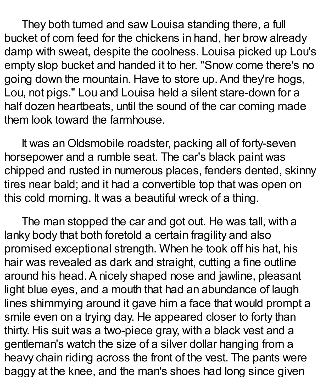They both turned and saw Louisa standing there, a full bucket of com feed for the chickens in hand, her brow already damp with sweat, despite the coolness. Louisa picked up Lou's empty slop bucket and handed it to her. "Snow come there's no going down the mountain. Have to store up.And they're hogs, Lou, not pigs." Lou and Louisa held a silent stare-down for a half dozen heartbeats, until the sound of the car coming made them look toward the farmhouse.

It was anOldsmobile roadster, packing all of forty-seven horsepower and a rumble seat. The car's black paint was chipped and rusted in numerous places, fenders dented, skinny tires near bald; and it had a convertible top that was open on this cold morning. It was a beautiful wreck of a thing.

The man stopped the car and got out. He was tall, with a lanky body that both foretold a certain fragility and also promised exceptional strength. When he took off his hat, his hair was revealed as dark and straight, cutting a fine outline around his head.A nicely shaped nose and jawline, pleasant light blue eyes, and a mouth that had an abundance of laugh lines shimmying around it gave him a face that would prompt a smile even on a trying day. He appeared closer to forty than thirty. His suit was a two-piece gray, with a black vest and a gentleman's watch the size of a silver dollar hanging from a heavy chain riding across the front of the vest. The pants were baggy at the knee, and the man's shoes had long since given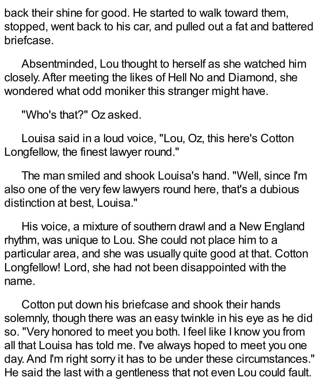back their shine for good. He started to walk toward them, stopped, went back to his car, and pulled out a fat and battered briefcase.

Absentminded, Lou thought to herself as she watched him closely.After meeting the likes of Hell No and Diamond, she wondered what odd moniker this stranger might have.

"Who's that?" Oz asked.

Louisa said in a loud voice, "Lou, Oz, this here's Cotton Longfellow, the finest lawyer round."

The man smiled and shook Louisa's hand. "Well, since I'm also one of the very few lawyers round here, that's a dubious distinction at best, Louisa."

His voice, a mixture of southern drawl and a New England rhythm, was unique to Lou. She could not place him to a particular area, and she was usually quite good at that. Cotton Longfellow! Lord, she had not been disappointed with the name.

Cotton put down his briefcase and shook their hands solemnly, though there was an easy twinkle in his eye as he did so. "Very honored to meet you both. I feel like I know you from all that Louisa has told me. I've always hoped to meet you one day.And I'm right sorry it has to be under these circumstances." He said the last with a gentleness that not even Lou could fault.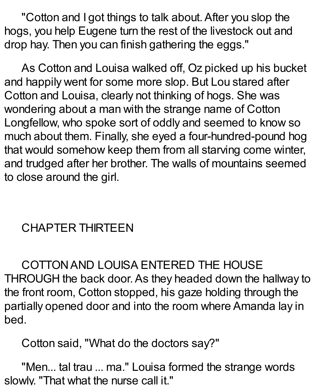"Cotton and I got things to talk about. After you slop the hogs, you help Eugene turn the rest of the livestock out and drop hay. Then you can finish gathering the eggs."

As Cotton and Louisa walked off, Oz picked up his bucket and happily went for some more slop. But Lou stared after Cotton and Louisa, clearly not thinking of hogs. She was wondering about a man with the strange name of Cotton Longfellow, who spoke sort of oddly and seemed to know so much about them. Finally, she eyed a four-hundred-pound hog that would somehow keep them from all starving come winter, and trudged after her brother. The walls of mountains seemed to close around the girl.

## CHAPTER THIRTEEN

COTTONAND LOUISA ENTERED THE HOUSE THROUGH the back door.As they headed down the hallway to the front room, Cotton stopped, his gaze holding through the partially opened door and into the room where Amanda lay in bed.

Cotton said, "What do the doctors say?"

"Men... tal trau ... ma." Louisa formed the strange words slowly. "That what the nurse call it."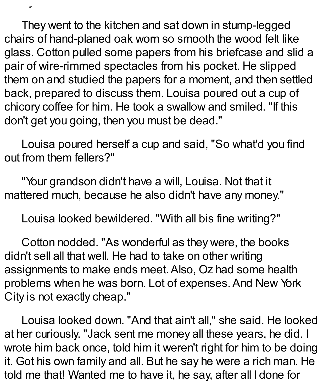They went to the kitchen and sat down in stump-legged chairs of hand-planed oak worn so smooth the wood felt like glass. Cotton pulled some papers from his briefcase and slid a pair of wire-rimmed spectacles from his pocket. He slipped them on and studied the papers for a moment, and then settled back, prepared to discuss them. Louisa poured out a cup of chicory coffee for him. He took a swallow and smiled. "If this don't get you going, then you must be dead."

slowly. "That what the nurse call it is the nurse call it."

Louisa poured herself a cup and said, "So what'd you find out from them fellers?"

"Your grandson didn't have a will, Louisa. Not that it mattered much, because he also didn't have any money."

Louisa looked bewildered. "With all bis fine writing?"

Cotton nodded. "As wonderful as they were, the books didn't sell all that well. He had to take on other writing assignments to make ends meet.Also, Oz had some health problems when he was born. Lot of expenses.And New York City is not exactly cheap."

Louisa looked down. "And that ain't all," she said. He looked at her curiously. "Jack sent me money all these years, he did. I wrote him back once, told him it weren't right for him to be doing it. Got his own family and all. But he say he were a rich man. He told me that! Wanted me to have it, he say, after all I done for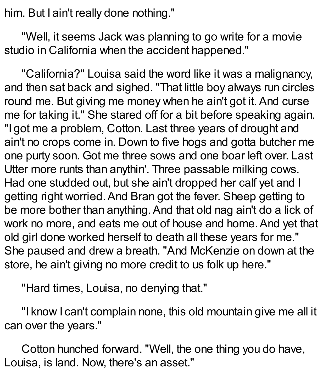him. But I ain't really done nothing."

"Well, it seems Jack was planning to go write for a movie studio in California when the accident happened."

"California?" Louisa said the word like it was a malignancy, and then sat back and sighed. "That little boy always run circles round me. But giving me money when he ain't got it.And curse me for taking it." She stared off for a bit before speaking again. "I got me a problem, Cotton. Last three years of drought and ain't no crops come in. Down to five hogs and gotta butcher me one purty soon. Got me three sows and one boar left over. Last Utter more runts than anythin'. Three passable milking cows. Had one studded out, but she ain't dropped her calf yet and I getting right worried.And Bran got the fever. Sheep getting to be more bother than anything.And that old nag ain't do a lick of work no more, and eats me out of house and home.And yet that old girl done worked herself to death all these years for me." She paused and drew a breath. "And McKenzie on down at the store, he ain't giving no more credit to us folk up here."

"Hard times, Louisa, no denying that."

"I know I can't complain none, this old mountain give me all it can over the years."

Cotton hunched forward. "Well, the one thing you do have, Louisa, is land. Now, there's an asset."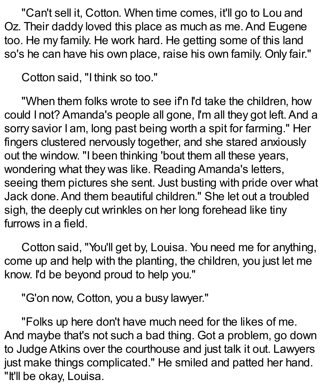"Can't sell it, Cotton. When time comes, it'll go to Lou and Oz. Their daddy loved this place as much as me.And Eugene too. He my family. He work hard. He getting some of this land so's he can have his own place, raise his own family. Only fair."

Cotton said, "I think so too."

"When them folks wrote to see if'n I'd take the children, how could I not? Amanda's people all gone, I'm all they got left.And a sorry savior I am, long past being worth a spit for farming." Her fingers clustered nervously together, and she stared anxiously out the window. "I been thinking 'bout them all these years, wondering what they was like. Reading Amanda's letters, seeing them pictures she sent. Just busting with pride over what Jack done.And them beautiful children." She let out a troubled sigh, the deeply cut wrinkles on her long forehead like tiny furrows in a field.

Cotton said, "You'll get by, Louisa. You need me for anything, come up and help with the planting, the children, you just let me know. I'd be beyond proud to help you."

"G'on now, Cotton, you a busy lawyer."

"Folks up here don't have much need for the likes of me. And maybe that's not such a bad thing. Got a problem, go down to Judge Atkins over the courthouse and just talk it out. Lawyers just make things complicated." He smiled and patted her hand. "It'll be okay, Louisa.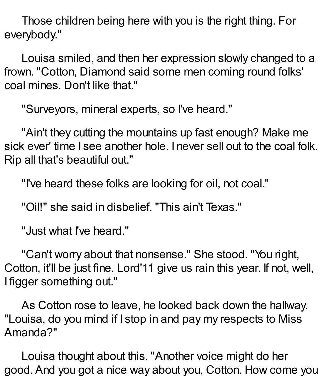Those children being here with you is the right thing. For everybody."

Louisa smiled, and then her expression slowly changed to a frown. "Cotton, Diamond said some men coming round folks' coal mines. Don't like that."

"Surveyors, mineral experts, so I've heard."

"Ain't they cutting the mountains up fast enough? Make me sick ever' time I see another hole. I never sell out to the coal folk. Rip all that's beautiful out."

"I've heard these folks are looking for oil, not coal."

"Oil!" she said in disbelief. "This ain't Texas."

"Just what I've heard."

"Can't worry about that nonsense." She stood. "You right, Cotton, it'll be just fine. Lord'11 give us rain this year. If not, well, I figger something out."

As Cotton rose to leave, he looked back down the hallway. "Louisa, do you mind if I stop in and pay my respects to Miss Amanda?"

Louisa thought about this. "Another voice might do her good.And you got a nice way about you, Cotton. How come you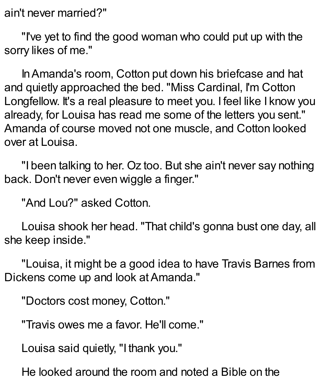ain't never married?"

"I've yet to find the good woman who could put up with the sorry likes of me."

InAmanda's room, Cotton put down his briefcase and hat and quietly approached the bed. "Miss Cardinal, I'm Cotton Longfellow. It's a real pleasure to meet you. I feel like I know you already, for Louisa has read me some of the letters you sent." Amanda of course moved not one muscle, and Cotton looked over at Louisa.

"I been talking to her. Oz too. But she ain't never say nothing back. Don't never even wiggle a finger."

"And Lou?" asked Cotton.

Louisa shook her head. "That child's gonna bust one day, all she keep inside."

"Louisa, it might be a good idea to have Travis Barnes from Dickens come up and look atAmanda."

"Doctors cost money, Cotton."

"Travis owes me a favor. He'll come."

Louisa said quietly, "I thank you."

He looked around the room and noted a Bible on the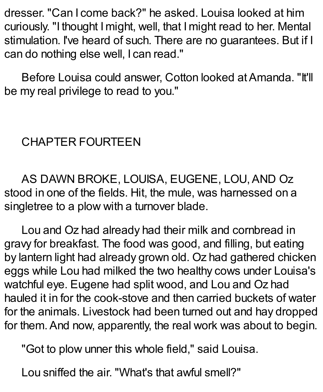dresser. "Can I come back?" he asked. Louisa looked at him curiously. "I thought Imight, well, that Imight read to her. Mental stimulation. I've heard of such. There are no guarantees. But if I can do nothing else well, I can read."

Before Louisa could answer, Cotton looked at Amanda. "It'll be my real privilege to read to you."

## CHAPTER FOURTEEN

AS DAWN BROKE, LOUISA, EUGENE, LOU,AND Oz stood in one of the fields. Hit, the mule, was harnessed on a singletree to a plow with a turnover blade.

Lou and Oz had already had their milk and cornbread in gravy for breakfast. The food was good, and filling, but eating by lantern light had already grown old. Oz had gathered chicken eggs while Lou had milked the two healthy cows under Louisa's watchful eye. Eugene had split wood, and Lou and Oz had hauled it in for the cook-stove and then carried buckets of water for the animals. Livestock had been turned out and hay dropped for them.And now, apparently, the real work was about to begin.

"Got to plow unner this whole field," said Louisa.

Lou sniffed the air. "What's that awful smell?"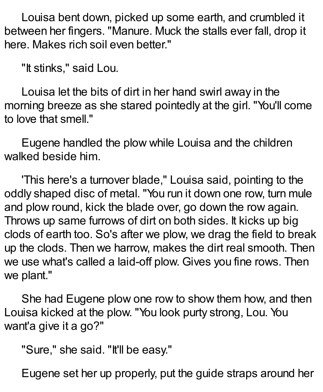Louisa bent down, picked up some earth, and crumbled it between her fingers. "Manure. Muck the stalls ever fall, drop it here. Makes rich soil even better."

"It stinks." said Lou.

Louisa let the bits of dirt in her hand swirl away in the morning breeze as she stared pointedly at the girl. "You'll come to love that smell."

Eugene handled the plow while Louisa and the children walked beside him.

'This here's a turnover blade," Louisa said, pointing to the oddly shaped disc of metal. "You run it down one row, turn mule and plow round, kick the blade over, go down the row again. Throws up same furrows of dirt on both sides. It kicks up big clods of earth too. So's after we plow, we drag the field to break up the clods. Then we harrow, makes the dirt real smooth. Then we use what's called a laid-off plow. Gives you fine rows. Then we plant."

She had Eugene plow one row to show them how, and then Louisa kicked at the plow. "You look purty strong, Lou. You want'a give it a go?"

"Sure," she said. "It'll be easy."

Eugene set her up properly, put the guide straps around her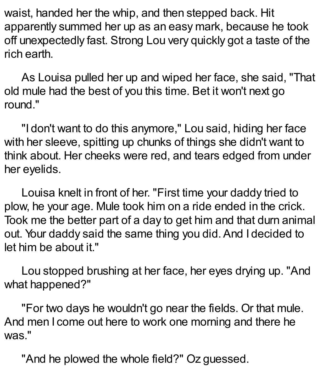waist, handed her the whip, and then stepped back. Hit apparently summed her up as an easy mark, because he took off unexpectedly fast. Strong Lou very quickly got a taste of the rich earth.

As Louisa pulled her up and wiped her face, she said, "That old mule had the best of you this time. Bet it won't next go round."

"I don't want to do this anymore," Lou said, hiding her face with her sleeve, spitting up chunks of things she didn't want to think about. Her cheeks were red, and tears edged from under her eyelids.

Louisa knelt in front of her. "First time your daddy tried to plow, he your age. Mule took him on a ride ended in the crick. Took me the better part of a day to get him and that durn animal out. Your daddy said the same thing you did.And I decided to let him be about it."

Lou stopped brushing at her face, her eyes drying up. "And what happened?"

"For two days he wouldn't go near the fields. Or that mule. And men I come out here to work one morning and there he was."

"And he plowed the whole field?" Oz guessed.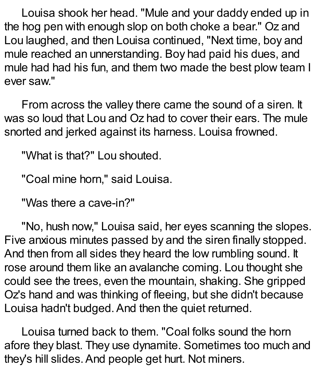Louisa shook her head. "Mule and your daddy ended up in the hog pen with enough slop on both choke a bear." Oz and Lou laughed, and then Louisa continued, "Next time, boy and mule reached an unnerstanding. Boy had paid his dues, and mule had had his fun, and them two made the best plow team I ever saw."

From across the valley there came the sound of a siren. It was so loud that Lou and Oz had to cover their ears. The mule snorted and jerked against its harness. Louisa frowned.

"What is that?" Lou shouted.

"Coal mine horn," said Louisa.

"Was there a cave-in?"

"No, hush now," Louisa said, her eyes scanning the slopes. Five anxious minutes passed by and the siren finally stopped. And then from all sides they heard the low rumbling sound. It rose around them like an avalanche coming. Lou thought she could see the trees, even the mountain, shaking. She gripped Oz's hand and was thinking of fleeing, but she didn't because Louisa hadn't budged.And then the quiet returned.

Louisa turned back to them. "Coal folks sound the horn afore they blast. They use dynamite. Sometimes too much and they's hill slides.And people get hurt. Not miners.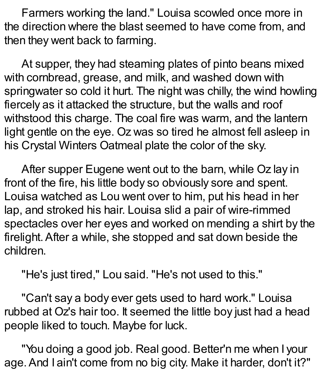Farmers working the land." Louisa scowled once more in the direction where the blast seemed to have come from, and then they went back to farming.

At supper, they had steaming plates of pinto beans mixed with cornbread, grease, and milk, and washed down with springwater so cold it hurt. The night was chilly, the wind howling fiercely as it attacked the structure, but the walls and roof withstood this charge. The coal fire was warm, and the lantern light gentle on the eye. Oz was so tired he almost fell asleep in his Crystal Winters Oatmeal plate the color of the sky.

After supper Eugene went out to the barn, while Oz lay in front of the fire, his little body so obviously sore and spent. Louisa watched as Lou went over to him, put his head in her lap, and stroked his hair. Louisa slid a pair of wire-rimmed spectacles over her eyes and worked on mending a shirt by the firelight.After a while, she stopped and sat down beside the children.

"He's just tired," Lou said. "He's not used to this."

"Can't say a body ever gets used to hard work." Louisa rubbed at Oz's hair too. It seemed the little boy just had a head people liked to touch. Maybe for luck.

"You doing a good job. Real good. Better'n me when I your age.And I ain't come from no big city. Make it harder, don't it?"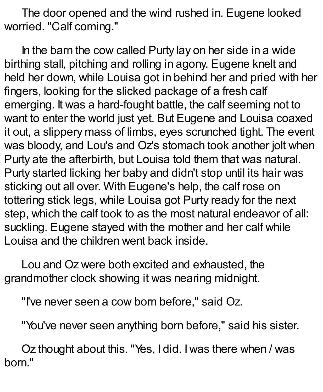The door opened and the wind rushed in. Eugene looked worried. "Calf coming."

In the barn the cow called Purty lay on her side in a wide birthing stall, pitching and rolling in agony. Eugene knelt and held her down, while Louisa got in behind her and pried with her fingers, looking for the slicked package of a fresh calf emerging. It was a hard-fought battle, the calf seeming not to want to enter the world just yet. But Eugene and Louisa coaxed it out, a slippery mass of limbs, eyes scrunched tight. The event was bloody, and Lou's and Oz's stomach took another jolt when Purty ate the afterbirth, but Louisa told them that was natural. Purty started licking her baby and didn't stop until its hair was sticking out all over. With Eugene's help, the calf rose on tottering stick legs, while Louisa got Purty ready for the next step, which the calf took to as the most natural endeavor of all: suckling. Eugene stayed with the mother and her calf while Louisa and the children went back inside.

Lou and Oz were both excited and exhausted, the grandmother clock showing it was nearing midnight.

"I've never seen a cow born before," said Oz.

"You've never seen anything born before," said his sister.

Oz thought about this. "Yes, I did. Iwas there when / was born."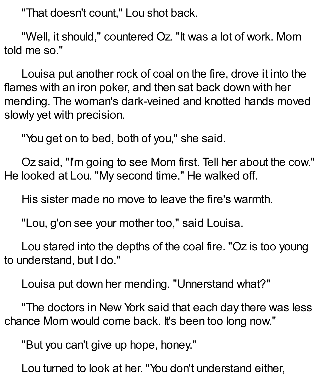"That doesn't count," Lou shot back.

"Well, it should," countered Oz. "It was a lot of work. Mom told me so."

Louisa put another rock of coal on the fire, drove it into the flames with an iron poker, and then sat back down with her mending. The woman's dark-veined and knotted hands moved slowly yet with precision.

"You get on to bed, both of you," she said.

Oz said, "I'm going to see Mom first. Tell her about the cow." He looked at Lou. "My second time." He walked off.

His sister made no move to leave the fire's warmth.

"Lou, g'on see your mother too," said Louisa.

Lou stared into the depths of the coal fire. "Oz is too young to understand, but I do."

Louisa put down her mending. "Unnerstand what?"

"The doctors in New York said that each day there was less chance Mom would come back. It's been too long now."

"But you can't give up hope, honey."

Lou turned to look at her. "You don't understand either,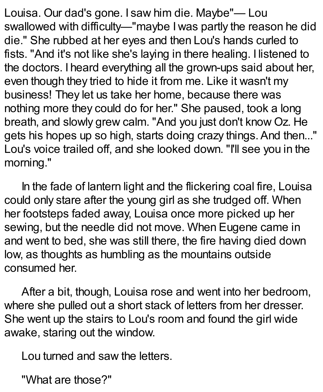Louisa. Our dad's gone. I saw him die. Maybe"— Lou swallowed with difficulty—"maybe Iwas partly the reason he did die." She rubbed at her eyes and then Lou's hands curled to fists. "And it's not like she's laying in there healing. I listened to the doctors. I heard everything all the grown-ups said about her, even though they tried to hide it from me. Like it wasn't my business! They let us take her home, because there was nothing more they could do for her." She paused, took a long breath, and slowly grew calm. "And you just don't know Oz. He gets his hopes up so high, starts doing crazy things.And then..." Lou's voice trailed off, and she looked down. "I'll see you in the morning."

In the fade of lantern light and the flickering coal fire, Louisa could only stare after the young girl as she trudged off. When her footsteps faded away, Louisa once more picked up her sewing, but the needle did not move. When Eugene came in and went to bed, she was still there, the fire having died down low, as thoughts as humbling as the mountains outside consumed her.

After a bit, though, Louisa rose and went into her bedroom, where she pulled out a short stack of letters from her dresser. She went up the stairs to Lou's room and found the girl wide awake, staring out the window.

Lou turned and saw the letters.

"What are those?"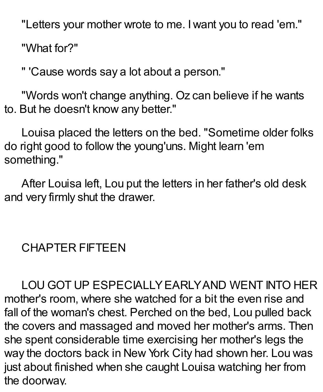"Letters your mother wrote to me. Iwant you to read 'em."

"What for?"

" 'Cause words say a lot about a person."

"Words won't change anything. Oz can believe if he wants to. But he doesn't know any better."

Louisa placed the letters on the bed. "Sometime older folks do right good to follow the young'uns. Might learn 'em something."

After Louisa left, Lou put the letters in her father's old desk and very firmly shut the drawer.

## CHAPTER FIFTEEN

LOU GOT UP ESPECIALLYEARLYAND WENT INTO HER mother's room, where she watched for a bit the even rise and fall of the woman's chest. Perched on the bed, Lou pulled back the covers and massaged and moved her mother's arms. Then she spent considerable time exercising her mother's legs the way the doctors back in New York City had shown her. Lou was just about finished when she caught Louisa watching her from the doorway.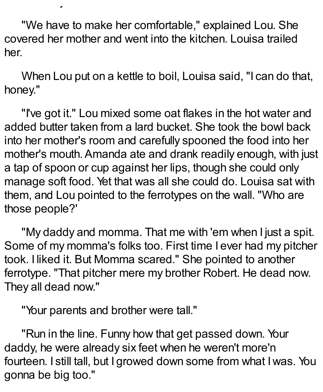"We have to make her comfortable," explained Lou. She covered her mother and went into the kitchen. Louisa trailed her.

the doorway.

When Lou put on a kettle to boil, Louisa said, "I can do that, honey."

"I've got it." Lou mixed some oat flakes in the hot water and added butter taken from a lard bucket. She took the bowl back into her mother's room and carefully spooned the food into her mother's mouth.Amanda ate and drank readily enough, with just a tap of spoon or cup against her lips, though she could only manage soft food. Yet that was all she could do. Louisa sat with them, and Lou pointed to the ferrotypes on the wall. "Who are those people?'

"My daddy and momma. That me with 'em when I just a spit. Some of my momma's folks too. First time I ever had my pitcher took. I liked it. But Momma scared." She pointed to another ferrotype. "That pitcher mere my brother Robert. He dead now. They all dead now."

"Your parents and brother were tall."

"Run in the line. Funny how that get passed down. Your daddy, he were already six feet when he weren't more'n fourteen. I still tall, but I growed down some from what Iwas. You gonna be big too."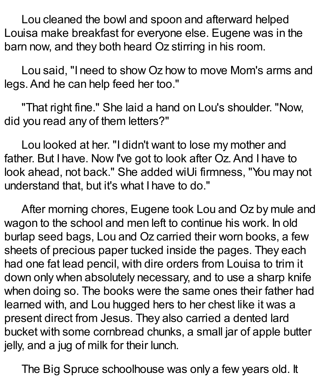Lou cleaned the bowl and spoon and afterward helped Louisa make breakfast for everyone else. Eugene was in the barn now, and they both heard Oz stirring in his room.

Lou said, "I need to show Oz how to move Mom's arms and legs.And he can help feed her too."

"That right fine." She laid a hand on Lou's shoulder. "Now, did you read any of them letters?"

Lou looked at her. "I didn't want to lose my mother and father. But I have. Now I've got to look after Oz.And I have to look ahead, not back." She added wiUi firmness, "You may not understand that, but it's what I have to do."

After morning chores, Eugene took Lou and Oz by mule and wagon to the school and men left to continue his work. In old burlap seed bags, Lou and Oz carried their worn books, a few sheets of precious paper tucked inside the pages. They each had one fat lead pencil, with dire orders from Louisa to trim it down only when absolutely necessary, and to use a sharp knife when doing so. The books were the same ones their father had learned with, and Lou hugged hers to her chest like it was a present direct from Jesus. They also carried a dented lard bucket with some cornbread chunks, a small jar of apple butter jelly, and a jug of milk for their lunch.

The Big Spruce schoolhouse was only a few years old. It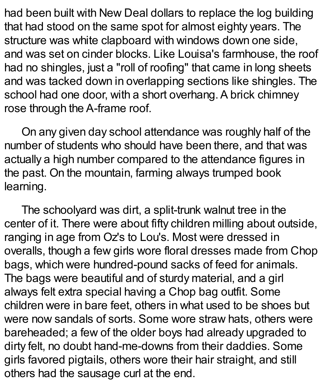had been built with New Deal dollars to replace the log building that had stood on the same spot for almost eighty years. The structure was white clapboard with windows down one side, and was set on cinder blocks. Like Louisa's farmhouse, the roof had no shingles, just a "roll of roofing" that came in long sheets and was tacked down in overlapping sections like shingles. The school had one door, with a short overhang. A brick chimney rose through the A-frame roof.

On any given day school attendance was roughly half of the number of students who should have been there, and that was actually a high number compared to the attendance figures in the past. On the mountain, farming always trumped book learning.

The schoolyard was dirt, a split-trunk walnut tree in the center of it. There were about fifty children milling about outside, ranging in age from Oz's to Lou's. Most were dressed in overalls, though a few girls wore floral dresses made from Chop bags, which were hundred-pound sacks of feed for animals. The bags were beautiful and of sturdy material, and a girl always felt extra special having a Chop bag outfit. Some children were in bare feet, others in what used to be shoes but were now sandals of sorts. Some wore straw hats, others were bareheaded; a few of the older boys had already upgraded to dirty felt, no doubt hand-me-downs from their daddies. Some girls favored pigtails, others wore their hair straight, and still others had the sausage curl at the end.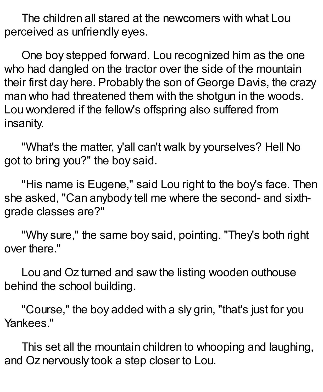The children all stared at the newcomers with what Lou perceived as unfriendly eyes.

One boy stepped forward. Lou recognized him as the one who had dangled on the tractor over the side of the mountain their first day here. Probably the son of George Davis, the crazy man who had threatened them with the shotgun in the woods. Lou wondered if the fellow's offspring also suffered from insanity.

"What's the matter, y'all can't walk by yourselves? Hell No got to bring you?" the boy said.

"His name is Eugene," said Lou right to the boy's face. Then she asked, "Can anybody tell me where the second- and sixthgrade classes are?"

"Why sure," the same boy said, pointing. "They's both right over there."

Lou and Oz turned and saw the listing wooden outhouse behind the school building.

"Course," the boy added with a sly grin, "that's just for you Yankees."

This set all the mountain children to whooping and laughing, and Oz nervously took a step closer to Lou.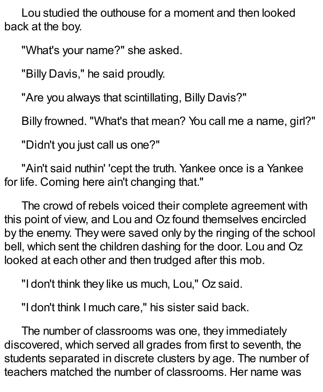Lou studied the outhouse for a moment and then looked back at the boy.

"What's your name?" she asked.

"Billy Davis," he said proudly.

"Are you always that scintillating, Billy Davis?"

Billy frowned. "What's that mean? You call me a name, girl?"

"Didn't you just call us one?"

"Ain't said nuthin' 'cept the truth. Yankee once is a Yankee for life. Coming here ain't changing that."

The crowd of rebels voiced their complete agreement with this point of view, and Lou and Oz found themselves encircled by the enemy. They were saved only by the ringing of the school bell, which sent the children dashing for the door. Lou and Oz looked at each other and then trudged after this mob.

"I don't think they like us much, Lou," Oz said.

"I don't think Imuch care," his sister said back.

The number of classrooms was one, they immediately discovered, which served all grades from first to seventh, the students separated in discrete clusters by age. The number of teachers matched the number of classrooms. Her name was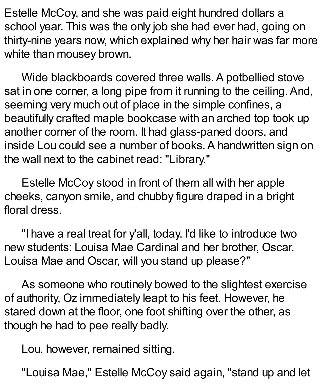Estelle McCoy, and she was paid eight hundred dollars a school year. This was the only job she had ever had, going on thirty-nine years now, which explained why her hair was far more white than mousey brown.

Wide blackboards covered three walls. A potbellied stove sat in one corner, a long pipe from it running to the ceiling.And, seeming very much out of place in the simple confines, a beautifully crafted maple bookcase with an arched top took up another corner of the room. It had glass-paned doors, and inside Lou could see a number of books. A handwritten sign on the wall next to the cabinet read: "Library."

Estelle McCoy stood in front of them all with her apple cheeks, canyon smile, and chubby figure draped in a bright floral dress.

"I have a real treat for y'all, today. I'd like to introduce two new students: Louisa Mae Cardinal and her brother, Oscar. Louisa Mae and Oscar, will you stand up please?"

As someone who routinely bowed to the slightest exercise of authority, Oz immediately leapt to his feet. However, he stared down at the floor, one foot shifting over the other, as though he had to pee really badly.

Lou, however, remained sitting.

"Louisa Mae," Estelle McCoy said again, "stand up and let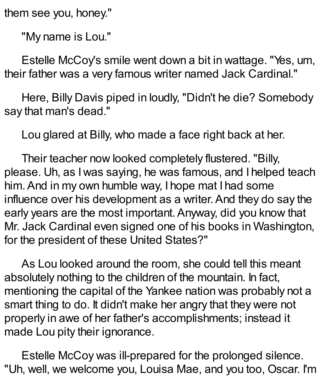them see you, honey."

"My name is Lou."

Estelle McCoy's smile went down a bit in wattage. "Yes, um, their father was a very famous writer named Jack Cardinal."

Here, Billy Davis piped in loudly, "Didn't he die? Somebody say that man's dead."

Lou glared at Billy, who made a face right back at her.

Their teacher now looked completely flustered. "Billy, please. Uh, as Iwas saying, he was famous, and I helped teach him.And in my own humble way, I hope mat I had some influence over his development as a writer.And they do say the early years are the most important.Anyway, did you know that Mr. Jack Cardinal even signed one of his books in Washington, for the president of these United States?"

As Lou looked around the room, she could tell this meant absolutely nothing to the children of the mountain. In fact, mentioning the capital of the Yankee nation was probably not a smart thing to do. It didn't make her angry that they were not properly in awe of her father's accomplishments; instead it made Lou pity their ignorance.

Estelle McCoy was ill-prepared for the prolonged silence. "Uh, well, we welcome you, Louisa Mae, and you too, Oscar. I'm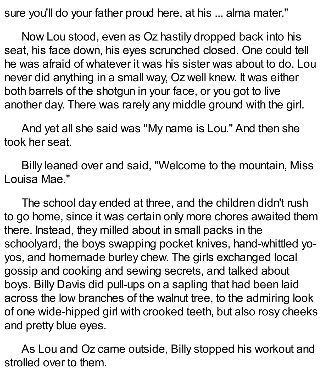sure you'll do your father proud here, at his ... alma mater."

Now Lou stood, even as Oz hastily dropped back into his seat, his face down, his eyes scrunched closed. One could tell he was afraid of whatever it was his sister was about to do. Lou never did anything in a small way, Oz well knew. It was either both barrels of the shotgun in your face, or you got to live another day. There was rarely any middle ground with the girl.

And yet all she said was "My name is Lou." And then she took her seat.

Billy leaned over and said, "Welcome to the mountain, Miss Louisa Mae."

The school day ended at three, and the children didn't rush to go home, since it was certain only more chores awaited them there. Instead, they milled about in small packs in the schoolyard, the boys swapping pocket knives, hand-whittled yoyos, and homemade burley chew. The girls exchanged local gossip and cooking and sewing secrets, and talked about boys. Billy Davis did pull-ups on a sapling that had been laid across the low branches of the walnut tree, to the admiring look of one wide-hipped girl with crooked teeth, but also rosy cheeks and pretty blue eyes.

As Lou and Oz came outside, Billy stopped his workout and strolled over to them.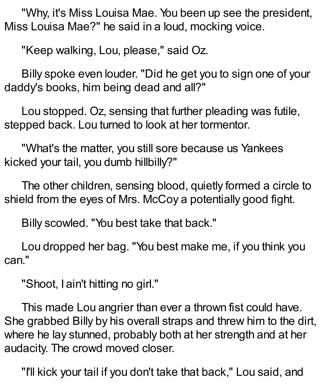"Why, it's Miss Louisa Mae. You been up see the president, Miss Louisa Mae?" he said in a loud, mocking voice.

"Keep walking, Lou, please," said Oz.

Billy spoke even louder. "Did he get you to sign one of your daddy's books, him being dead and all?"

Lou stopped. Oz, sensing that further pleading was futile, stepped back. Lou turned to look at her tormentor.

"What's the matter, you still sore because us Yankees kicked your tail, you dumb hillbilly?"

The other children, sensing blood, quietly formed a circle to shield from the eyes of Mrs. McCoy a potentially good fight.

Billy scowled. "You best take that back."

Lou dropped her bag. "You best make me, if you think you can."

"Shoot, I ain't hitting no girl."

This made Lou angrier than ever a thrown fist could have. She grabbed Billy by his overall straps and threw him to the dirt, where he lay stunned, probably both at her strength and at her audacity. The crowd moved closer.

"I'll kick your tail if you don't take that back," Lou said, and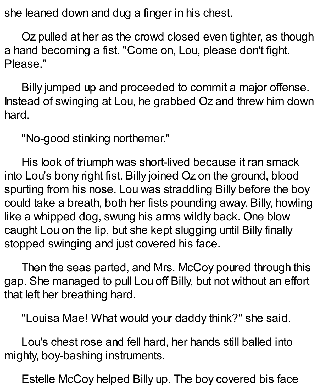she leaned down and dug a finger in his chest.

Oz pulled at her as the crowd closed even tighter, as though a hand becoming a fist. "Come on, Lou, please don't fight. Please."

Billy jumped up and proceeded to commit a major offense. Instead of swinging at Lou, he grabbed Oz and threw him down hard.

"No-good stinking northerner."

His look of triumph was short-lived because it ran smack into Lou's bony right fist. Billy joined Oz on the ground, blood spurting from his nose. Lou was straddling Billy before the boy could take a breath, both her fists pounding away. Billy, howling like a whipped dog, swung his arms wildly back. One blow caught Lou on the lip, but she kept slugging until Billy finally stopped swinging and just covered his face.

Then the seas parted, and Mrs. McCoy poured through this gap. She managed to pull Lou off Billy, but not without an effort that left her breathing hard.

"Louisa Mae! What would your daddy think?" she said.

Lou's chest rose and fell hard, her hands still balled into mighty, boy-bashing instruments.

Estelle McCoy helped Billy up. The boy covered bis face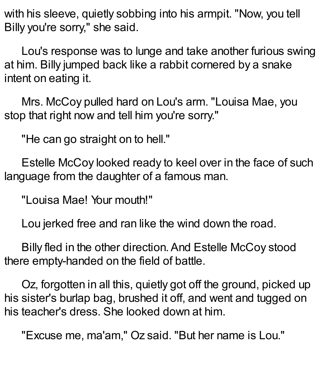with his sleeve, quietly sobbing into his armpit. "Now, you tell Billy you're sorry," she said.

Lou's response was to lunge and take another furious swing at him. Billy jumped back like a rabbit cornered by a snake intent on eating it.

Mrs. McCoy pulled hard on Lou's arm. "Louisa Mae, you stop that right now and tell him you're sorry."

"He can go straight on to hell."

Estelle McCoy looked ready to keel over in the face of such language from the daughter of a famous man.

"Louisa Mae! Your mouth!"

Lou jerked free and ran like the wind down the road.

Billy fled in the other direction.And Estelle McCoy stood there empty-handed on the field of battle.

Oz, forgotten in all this, quietly got off the ground, picked up his sister's burlap bag, brushed it off, and went and tugged on his teacher's dress. She looked down at him.

"Excuse me, ma'am," Oz said. "But her name is Lou."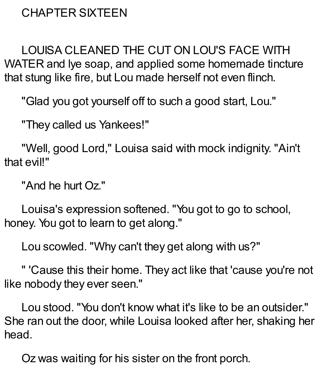## CHAPTER SIXTEEN

LOUISA CLEANED THE CUT ON LOU'S FACE WITH WATER and lye soap, and applied some homemade tincture that stung like fire, but Lou made herself not even flinch.

"Glad you got yourself off to such a good start, Lou."

"They called us Yankees!"

"Well, good Lord," Louisa said with mock indignity. "Ain't that evil!"

"And he hurt Oz."

Louisa's expression softened. "You got to go to school, honey. You got to learn to get along."

Lou scowled. "Why can't they get along with us?"

" 'Cause this their home. They act like that 'cause you're not like nobody they ever seen."

Lou stood. "You don't know what it's like to be an outsider." She ran out the door, while Louisa looked after her, shaking her head.

Oz was waiting for his sister on the front porch.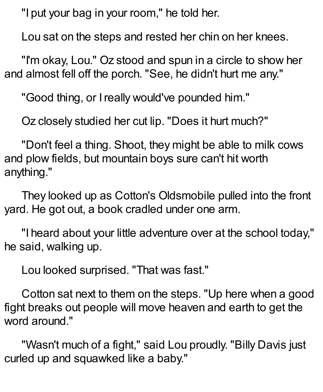"I put your bag in your room," he told her.

Lou sat on the steps and rested her chin on her knees.

"I'm okay, Lou." Oz stood and spun in a circle to show her and almost fell off the porch. "See, he didn't hurt me any."

"Good thing, or Ireally would've pounded him."

Oz closely studied her cut lip. "Does it hurt much?"

"Don't feel a thing. Shoot, they might be able to milk cows and plow fields, but mountain boys sure can't hit worth anything."

They looked up as Cotton's Oldsmobile pulled into the front yard. He got out, a book cradled under one arm.

"I heard about your little adventure over at the school today," he said, walking up.

Lou looked surprised. "That was fast."

Cotton sat next to them on the steps. "Up here when a good fight breaks out people will move heaven and earth to get the word around."

"Wasn't much of a fight," said Lou proudly. "Billy Davis just curled up and squawked like a baby."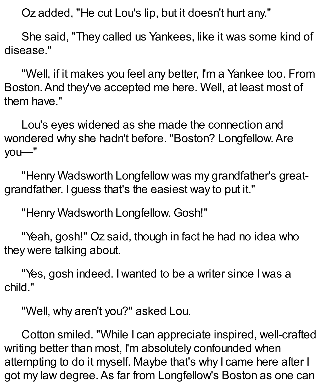Oz added, "He cut Lou's lip, but it doesn't hurt any."

She said, "They called us Yankees, like it was some kind of disease."

"Well, if it makes you feel any better, I'm a Yankee too. From Boston.And they've accepted me here. Well, at least most of them have."

Lou's eyes widened as she made the connection and wondered why she hadn't before. "Boston? Longfellow.Are you—"

"Henry Wadsworth Longfellow was my grandfather's greatgrandfather. I guess that's the easiest way to put it."

"Henry Wadsworth Longfellow. Gosh!"

"Yeah, gosh!" Oz said, though in fact he had no idea who they were talking about.

"Yes, gosh indeed. Iwanted to be a writer since Iwas a child."

"Well, why aren't you?" asked Lou.

Cotton smiled. "While I can appreciate inspired, well-crafted writing better than most, I'm absolutely confounded when attempting to do it myself. Maybe that's why I came here after I got my law degree.As far from Longfellow's Boston as one can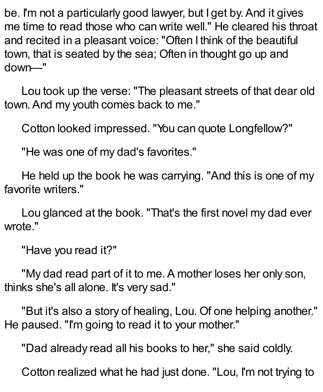be. I'm not a particularly good lawyer, but I get by.And it gives me time to read those who can write well." He cleared his throat and recited in a pleasant voice: "Often I think of the beautiful town, that is seated by the sea; Often in thought go up and down—"

Lou took up the verse: "The pleasant streets of that dear old town.And my youth comes back to me."

Cotton looked impressed. "You can quote Longfellow?"

"He was one of my dad's favorites."

He held up the book he was carrying. "And this is one of my favorite writers."

Lou glanced at the book. "That's the first novel my dad ever wrote."

"Have you read it?"

"My dad read part of it to me.A mother loses her only son, thinks she's all alone. It's very sad."

"But it's also a story of healing, Lou. Of one helping another." He paused. "I'm going to read it to your mother."

"Dad already read all his books to her," she said coldly.

Cotton realized what he had just done. "Lou, I'm not trying to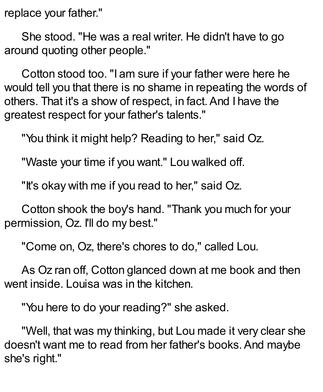replace your father."

She stood. "He was a real writer. He didn't have to go around quoting other people."

Cotton stood too. "I am sure if your father were here he would tell you that there is no shame in repeating the words of others. That it's a show of respect, in fact.And I have the greatest respect for your father's talents."

"You think it might help? Reading to her," said Oz.

"Waste your time if you want." Lou walked off.

"It's okay with me if you read to her," said Oz.

Cotton shook the boy's hand. "Thank you much for your permission, Oz. I'll do my best."

"Come on, Oz, there's chores to do," called Lou.

As Oz ran off, Cotton glanced down at me book and then went inside. Louisa was in the kitchen.

"You here to do your reading?" she asked.

"Well, that was my thinking, but Lou made it very clear she doesn't want me to read from her father's books.And maybe she's right."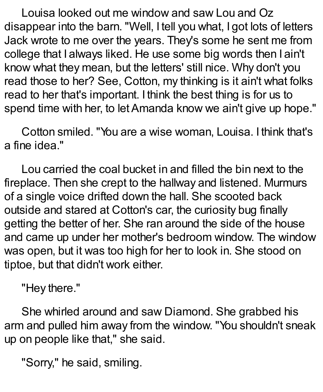Louisa looked out me window and saw Lou and Oz disappear into the barn. "Well, I tell you what, I got lots of letters Jack wrote to me over the years. They's some he sent me from college that I always liked. He use some big words then I ain't know what they mean, but the letters' still nice. Why don't you read those to her? See, Cotton, my thinking is it ain't what folks read to her that's important. I think the best thing is for us to spend time with her, to letAmanda know we ain't give up hope."

Cotton smiled. "You are a wise woman, Louisa. I think that's a fine idea."

Lou carried the coal bucket in and filled the bin next to the fireplace. Then she crept to the hallway and listened. Murmurs of a single voice drifted down the hall. She scooted back outside and stared at Cotton's car, the curiosity bug finally getting the better of her. She ran around the side of the house and came up under her mother's bedroom window. The window was open, but it was too high for her to look in. She stood on tiptoe, but that didn't work either.

"Hey there."

She whirled around and saw Diamond. She grabbed his arm and pulled him away from the window. "You shouldn't sneak up on people like that," she said.

"Sorry," he said, smiling.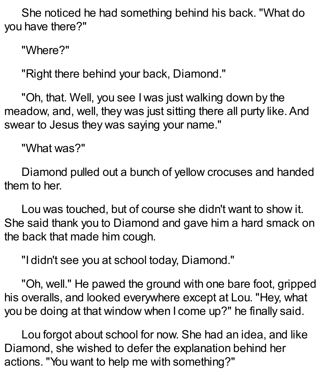She noticed he had something behind his back. "What do you have there?"

"Where?"

"Right there behind your back, Diamond."

"Oh, that. Well, you see Iwas just walking down by the meadow, and, well, they was just sitting there all purty like.And swear to Jesus they was saying your name."

"What was?"

Diamond pulled out a bunch of yellow crocuses and handed them to her.

Lou was touched, but of course she didn't want to show it. She said thank you to Diamond and gave him a hard smack on the back that made him cough.

"I didn't see you at school today, Diamond."

"Oh, well." He pawed the ground with one bare foot, gripped his overalls, and looked everywhere except at Lou. "Hey, what you be doing at that window when I come up?" he finally said.

Lou forgot about school for now. She had an idea, and like Diamond, she wished to defer the explanation behind her actions. "You want to help me with something?"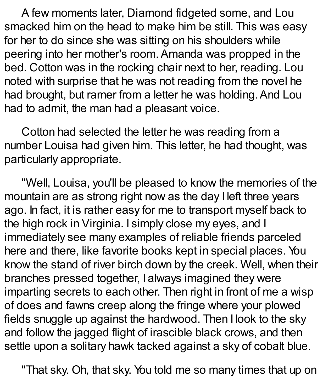A few moments later, Diamond fidgeted some, and Lou smacked him on the head to make him be still. This was easy for her to do since she was sitting on his shoulders while peering into her mother's room.Amanda was propped in the bed. Cotton was in the rocking chair next to her, reading. Lou noted with surprise that he was not reading from the novel he had brought, but ramer from a letter he was holding. And Lou had to admit, the man had a pleasant voice.

Cotton had selected the letter he was reading from a number Louisa had given him. This letter, he had thought, was particularly appropriate.

"Well, Louisa, you'll be pleased to know the memories of the mountain are as strong right now as the day I left three years ago. In fact, it is rather easy for me to transport myself back to the high rock in Virginia. I simply close my eyes, and I immediately see many examples of reliable friends parceled here and there, like favorite books kept in special places. You know the stand of river birch down by the creek. Well, when their branches pressed together, I always imagined they were imparting secrets to each other. Then right in front of me a wisp of does and fawns creep along the fringe where your plowed fields snuggle up against the hardwood. Then I look to the sky and follow the jagged flight of irascible black crows, and then settle upon a solitary hawk tacked against a sky of cobalt blue.

"That sky. Oh, that sky. You told me so many times that up on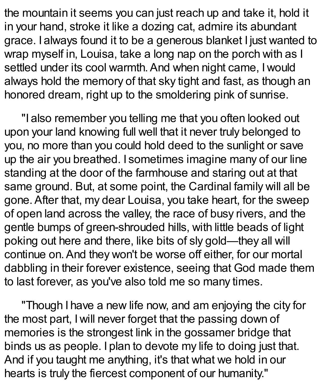the mountain it seems you can just reach up and take it, hold it in your hand, stroke it like a dozing cat, admire its abundant grace. I always found it to be a generous blanket I just wanted to wrap myself in, Louisa, take a long nap on the porch with as I settled under its cool warmth. And when night came, I would always hold the memory of that sky tight and fast, as though an honored dream, right up to the smoldering pink of sunrise.

"I also remember you telling me that you often looked out upon your land knowing full well that it never truly belonged to you, no more than you could hold deed to the sunlight or save up the air you breathed. I sometimes imagine many of our line standing at the door of the farmhouse and staring out at that same ground. But, at some point, the Cardinal family will all be gone.After that, my dear Louisa, you take heart, for the sweep of open land across the valley, the race of busy rivers, and the gentle bumps of green-shrouded hills, with little beads of light poking out here and there, like bits of sly gold—they all will continue on.And they won't be worse off either, for our mortal dabbling in their forever existence, seeing that God made them to last forever, as you've also told me so many times.

"Though I have a new life now, and am enjoying the city for the most part, Iwill never forget that the passing down of memories is the strongest link in the gossamer bridge that binds us as people. I plan to devote my life to doing just that. And if you taught me anything, it's that what we hold in our hearts is truly the fiercest component of our humanity."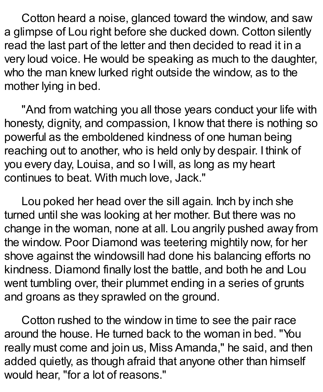Cotton heard a noise, glanced toward the window, and saw a glimpse of Lou right before she ducked down. Cotton silently read the last part of the letter and then decided to read it in a very loud voice. He would be speaking as much to the daughter, who the man knew lurked right outside the window, as to the mother lying in bed.

"And from watching you all those years conduct your life with honesty, dignity, and compassion, I know that there is nothing so powerful as the emboldened kindness of one human being reaching out to another, who is held only by despair. I think of you every day, Louisa, and so Iwill, as long as my heart continues to beat. With much love, Jack."

Lou poked her head over the sill again. Inch by inch she turned until she was looking at her mother. But there was no change in the woman, none at all. Lou angrily pushed away from the window. Poor Diamond was teetering mightily now, for her shove against the windowsill had done his balancing efforts no kindness. Diamond finally lost the battle, and both he and Lou went tumbling over, their plummet ending in a series of grunts and groans as they sprawled on the ground.

Cotton rushed to the window in time to see the pair race around the house. He turned back to the woman in bed. "You really must come and join us, Miss Amanda," he said, and then added quietly, as though afraid that anyone other than himself would hear, "for a lot of reasons."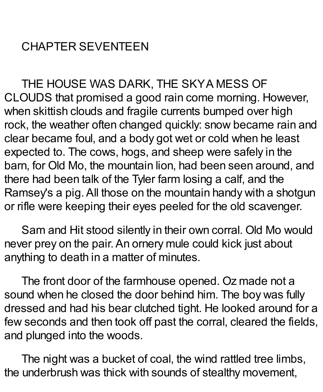## CHAPTER SEVENTEEN

THE HOUSE WAS DARK, THE SKYA MESS OF CLOUDS that promised a good rain come morning. However, when skittish clouds and fragile currents bumped over high rock, the weather often changed quickly: snow became rain and clear became foul, and a body got wet or cold when he least expected to. The cows, hogs, and sheep were safely in the barn, for Old Mo, the mountain lion, had been seen around, and there had been talk of the Tyler farm losing a calf, and the Ramsey's a pig.All those on the mountain handy with a shotgun or rifle were keeping their eyes peeled for the old scavenger.

Sam and Hit stood silently in their own corral. Old Mo would never prey on the pair. An ornery mule could kick just about anything to death in a matter of minutes.

The front door of the farmhouse opened. Oz made not a sound when he closed the door behind him. The boy was fully dressed and had his bear clutched tight. He looked around for a few seconds and then took off past the corral, cleared the fields, and plunged into the woods.

The night was a bucket of coal, the wind rattled tree limbs, the underbrush was thick with sounds of stealthy movement,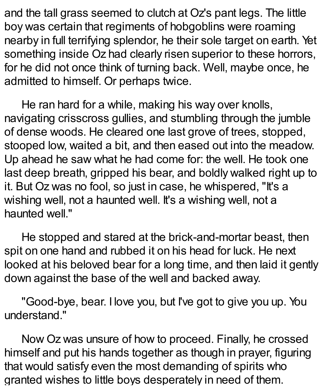and the tall grass seemed to clutch at Oz's pant legs. The little boy was certain that regiments of hobgoblins were roaming nearby in full terrifying splendor, he their sole target on earth. Yet something inside Oz had clearly risen superior to these horrors, for he did not once think of turning back. Well, maybe once, he admitted to himself. Or perhaps twice.

He ran hard for a while, making his way over knolls, navigating crisscross gullies, and stumbling through the jumble of dense woods. He cleared one last grove of trees, stopped, stooped low, waited a bit, and then eased out into the meadow. Up ahead he saw what he had come for: the well. He took one last deep breath, gripped his bear, and boldly walked right up to it. But Oz was no fool, so just in case, he whispered, "It's a wishing well, not a haunted well. It's a wishing well, not a haunted well."

He stopped and stared at the brick-and-mortar beast, then spit on one hand and rubbed it on his head for luck. He next looked at his beloved bear for a long time, and then laid it gently down against the base of the well and backed away.

"Good-bye, bear. I love you, but I've got to give you up. You understand."

Now Oz was unsure of how to proceed. Finally, he crossed himself and put his hands together as though in prayer, figuring that would satisfy even the most demanding of spirits who granted wishes to little boys desperately in need of them.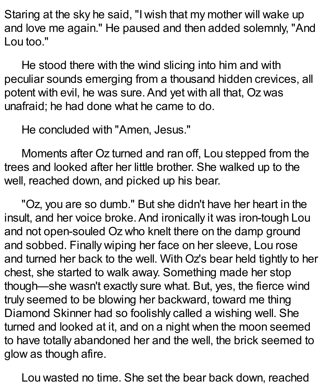Staring at the sky he said, "I wish that my mother will wake up and love me again." He paused and then added solemnly, "And Lou too."

He stood there with the wind slicing into him and with peculiar sounds emerging from a thousand hidden crevices, all potent with evil, he was sure.And yet with all that, Oz was unafraid; he had done what he came to do.

He concluded with "Amen, Jesus."

Moments after Oz turned and ran off, Lou stepped from the trees and looked after her little brother. She walked up to the well, reached down, and picked up his bear.

"Oz, you are so dumb." But she didn't have her heart in the insult, and her voice broke.And ironically it was iron-tough Lou and not open-souled Oz who knelt there on the damp ground and sobbed. Finally wiping her face on her sleeve, Lou rose and turned her back to the well. With Oz's bear held tightly to her chest, she started to walk away. Something made her stop though—she wasn't exactly sure what. But, yes, the fierce wind truly seemed to be blowing her backward, toward me thing Diamond Skinner had so foolishly called a wishing well. She turned and looked at it, and on a night when the moon seemed to have totally abandoned her and the well, the brick seemed to glow as though afire.

Lou wasted no time. She set the bear back down, reached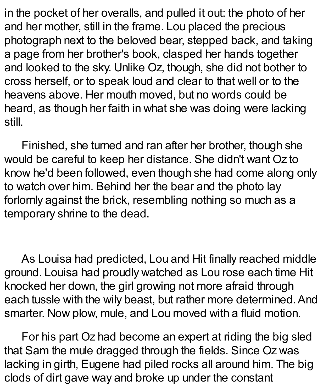in the pocket of her overalls, and pulled it out: the photo of her and her mother, still in the frame. Lou placed the precious photograph next to the beloved bear, stepped back, and taking a page from her brother's book, clasped her hands together and looked to the sky. Unlike Oz, though, she did not bother to cross herself, or to speak loud and clear to that well or to the heavens above. Her mouth moved, but no words could be heard, as though her faith in what she was doing were lacking still.

Finished, she turned and ran after her brother, though she would be careful to keep her distance. She didn't want Oz to know he'd been followed, even though she had come along only to watch over him. Behind her the bear and the photo lay forlornly against the brick, resembling nothing so much as a temporary shrine to the dead.

As Louisa had predicted, Lou and Hit finally reached middle ground. Louisa had proudly watched as Lou rose each time Hit knocked her down, the girl growing not more afraid through each tussle with the wily beast, but rather more determined.And smarter. Now plow, mule, and Lou moved with a fluid motion.

For his part Oz had become an expert at riding the big sled that Sam the mule dragged through the fields. Since Oz was lacking in girth, Eugene had piled rocks all around him. The big clods of dirt gave way and broke up under the constant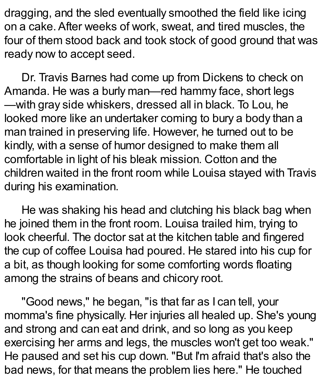dragging, and the sled eventually smoothed the field like icing on a cake.After weeks of work, sweat, and tired muscles, the four of them stood back and took stock of good ground that was ready now to accept seed.

Dr. Travis Barnes had come up from Dickens to check on Amanda. He was a burly man—red hammy face, short legs —with gray side whiskers, dressed all in black. To Lou, he looked more like an undertaker coming to bury a body than a man trained in preserving life. However, he turned out to be kindly, with a sense of humor designed to make them all comfortable in light of his bleak mission. Cotton and the children waited in the front room while Louisa stayed with Travis during his examination.

He was shaking his head and clutching his black bag when he joined them in the front room. Louisa trailed him, trying to look cheerful. The doctor sat at the kitchen table and fingered the cup of coffee Louisa had poured. He stared into his cup for a bit, as though looking for some comforting words floating among the strains of beans and chicory root.

"Good news," he began, "is that far as I can tell, your momma's fine physically. Her injuries all healed up. She's young and strong and can eat and drink, and so long as you keep exercising her arms and legs, the muscles won't get too weak." He paused and set his cup down. "But I'm afraid that's also the bad news, for that means the problem lies here." He touched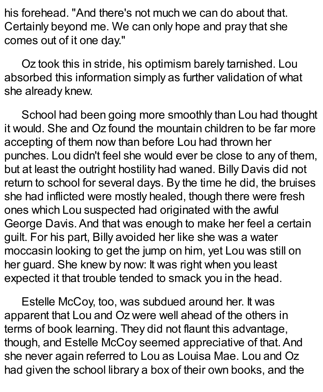his forehead. "And there's not much we can do about that. Certainly beyond me. We can only hope and pray that she comes out of it one day."

Oz took this in stride, his optimism barely tarnished. Lou absorbed this information simply as further validation of what she already knew.

School had been going more smoothly than Lou had thought it would. She and Oz found the mountain children to be far more accepting of them now than before Lou had thrown her punches. Lou didn't feel she would ever be close to any of them, but at least the outright hostility had waned. Billy Davis did not return to school for several days. By the time he did, the bruises she had inflicted were mostly healed, though there were fresh ones which Lou suspected had originated with the awful George Davis.And that was enough to make her feel a certain guilt. For his part, Billy avoided her like she was a water moccasin looking to get the jump on him, yet Lou was still on her guard. She knew by now: It was right when you least expected it that trouble tended to smack you in the head.

Estelle McCoy, too, was subdued around her. It was apparent that Lou and Oz were well ahead of the others in terms of book learning. They did not flaunt this advantage, though, and Estelle McCoy seemed appreciative of that.And she never again referred to Lou as Louisa Mae. Lou and Oz had given the school library a box of their own books, and the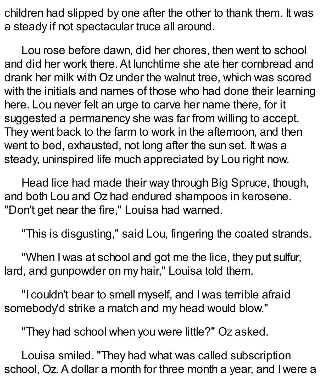children had slipped by one after the other to thank them. It was a steady if not spectacular truce all around.

Lou rose before dawn, did her chores, then went to school and did her work there.At lunchtime she ate her cornbread and drank her milk withOz under the walnut tree, which was scored with the initials and names of those who had done their learning here. Lou never felt an urge to carve her name there, for it suggested a permanency she was far from willing to accept. They went back to the farm to work in the afternoon, and then went to bed, exhausted, not long after the sun set. It was a steady, uninspired life much appreciated by Lou right now.

Head lice had made their way through Big Spruce, though, and both Lou and Oz had endured shampoos in kerosene. "Don't get near the fire," Louisa had warned.

"This is disgusting," said Lou, fingering the coated strands.

"When Iwas at school and got me the lice, they put sulfur, lard, and gunpowder on my hair," Louisa told them.

"I couldn't bear to smell myself, and Iwas terrible afraid somebody'd strike a match and my head would blow."

"They had school when you were little?" Oz asked.

Louisa smiled. "They had what was called subscription school, Oz. A dollar a month for three month a year, and I were a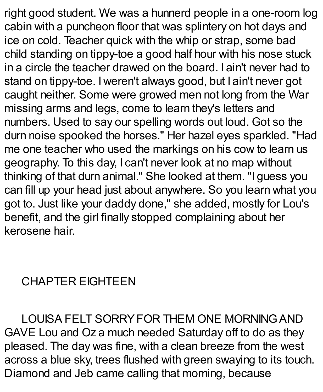right good student. We was a hunnerd people in a one-room log cabin with a puncheon floor that was splintery on hot days and ice on cold. Teacher quick with the whip or strap, some bad child standing on tippy-toe a good half hour with his nose stuck in a circle the teacher drawed on the board. I ain't never had to stand on tippy-toe. Iweren't always good, but I ain't never got caught neither. Some were growed men not long from the War missing arms and legs, come to learn they's letters and numbers. Used to say our spelling words out loud. Got so the durn noise spooked the horses." Her hazel eyes sparkled. "Had me one teacher who used the markings on his cow to learn us geography. To this day, I can't never look at no map without thinking of that durn animal." She looked at them. "I guess you can fill up your head just about anywhere. So you learn what you got to. Just like your daddy done," she added, mostly for Lou's benefit, and the girl finally stopped complaining about her kerosene hair.

## CHAPTER EIGHTEEN

LOUISA FELT SORRYFOR THEM ONE MORNINGAND GAVE Lou and Oz a much needed Saturday off to do as they pleased. The day was fine, with a clean breeze from the west across a blue sky, trees flushed with green swaying to its touch. Diamond and Jeb came calling that morning, because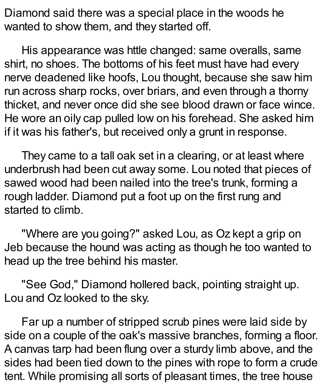Diamond said there was a special place in the woods he wanted to show them, and they started off.

His appearance was httle changed: same overalls, same shirt, no shoes. The bottoms of his feet must have had every nerve deadened like hoofs, Lou thought, because she saw him run across sharp rocks, over briars, and even through a thorny thicket, and never once did she see blood drawn or face wince. He wore an oily cap pulled low on his forehead. She asked him if it was his father's, but received only a grunt in response.

They came to a tall oak set in a clearing, or at least where underbrush had been cut away some. Lou noted that pieces of sawed wood had been nailed into the tree's trunk, forming a rough ladder. Diamond put a foot up on the first rung and started to climb.

"Where are you going?" asked Lou, as Oz kept a grip on Jeb because the hound was acting as though he too wanted to head up the tree behind his master.

"See God," Diamond hollered back, pointing straight up. Lou and Oz looked to the sky.

Far up a number of stripped scrub pines were laid side by side on a couple of the oak's massive branches, forming a floor. A canvas tarp had been flung over a sturdy limb above, and the sides had been tied down to the pines with rope to form a crude tent. While promising all sorts of pleasant times, the tree house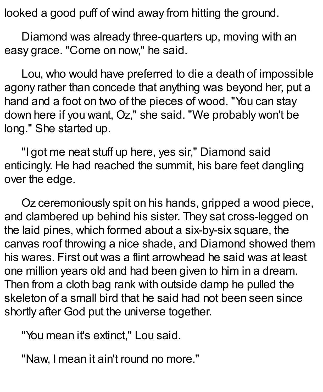looked a good puff of wind away from hitting the ground.

Diamond was already three-quarters up, moving with an easy grace. "Come on now," he said.

Lou, who would have preferred to die a death of impossible agony rather than concede that anything was beyond her, put a hand and a foot on two of the pieces of wood. "You can stay down here if you want, Oz," she said. "We probably won't be long." She started up.

"I got me neat stuff up here, yes sir," Diamond said enticingly. He had reached the summit, his bare feet dangling over the edge.

Oz ceremoniously spit on his hands, gripped a wood piece, and clambered up behind his sister. They sat cross-legged on the laid pines, which formed about a six-by-six square, the canvas roof throwing a nice shade, and Diamond showed them his wares. First out was a flint arrowhead he said was at least one million years old and had been given to him in a dream. Then from a cloth bag rank with outside damp he pulled the skeleton of a small bird that he said had not been seen since shortly after God put the universe together.

"You mean it's extinct," Lou said.

"Naw, Imean it ain't round no more."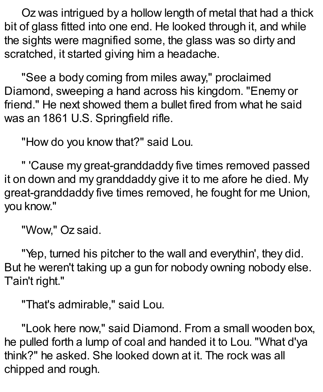Oz was intrigued by a hollow length of metal that had a thick bit of glass fitted into one end. He looked through it, and while the sights were magnified some, the glass was so dirty and scratched, it started giving him a headache.

"See a body coming from miles away," proclaimed Diamond, sweeping a hand across his kingdom. "Enemy or friend." He next showed them a bullet fired from what he said was an 1861 U.S. Springfield rifle.

"How do you know that?" said Lou.

" 'Cause my great-granddaddy five times removed passed it on down and my granddaddy give it to me afore he died. My great-granddaddy five times removed, he fought for me Union, you know."

"Wow," Oz said.

"Yep, turned his pitcher to the wall and everythin', they did. But he weren't taking up a gun for nobody owning nobody else. Tain't right."

"That's admirable," said Lou.

"Look here now," said Diamond. From a small wooden box, he pulled forth a lump of coal and handed it to Lou. "What d'ya think?" he asked. She looked down at it. The rock was all chipped and rough.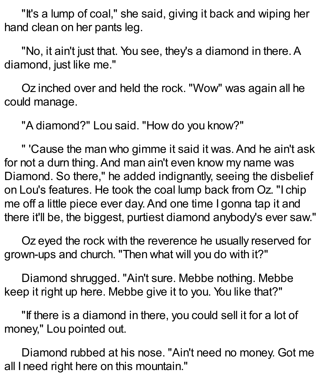"It's a lump of coal," she said, giving it back and wiping her hand clean on her pants leg.

"No, it ain't just that. You see, they's a diamond in there.A diamond, just like me."

Oz inched over and held the rock. "Wow" was again all he could manage.

"A diamond?" Lou said. "How do you know?"

" 'Cause the man who gimme it said it was.And he ain't ask for not a durn thing. And man ain't even know my name was Diamond. So there," he added indignantly, seeing the disbelief on Lou's features. He took the coal lump back from Oz. "I chip me off a little piece ever day.And one time I gonna tap it and there it'll be, the biggest, purtiest diamond anybody's ever saw."

Oz eyed the rock with the reverence he usually reserved for grown-ups and church. "Then what will you do with it?"

Diamond shrugged. "Ain't sure. Mebbe nothing. Mebbe keep it right up here. Mebbe give it to you. You like that?"

"If there is a diamond in there, you could sell it for a lot of money," Lou pointed out.

Diamond rubbed at his nose. "Ain't need no money. Got me all I need right here on this mountain."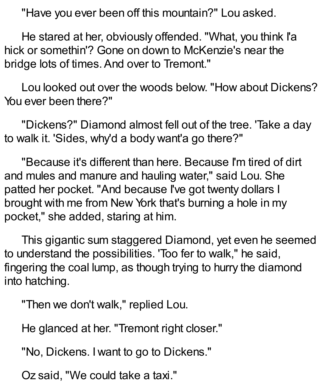"Have you ever been off this mountain?" Lou asked.

He stared at her, obviously offended. "What, you think I'a hick or somethin'? Gone on down to McKenzie's near the bridge lots of times.And over to Tremont."

Lou looked out over the woods below. "How about Dickens? You ever been there?"

"Dickens?" Diamond almost fell out of the tree. 'Take a day to walk it. 'Sides, why'd a body want'a go there?"

"Because it's different than here. Because I'm tired of dirt and mules and manure and hauling water," said Lou. She patted her pocket. "And because I've got twenty dollars I brought with me from New York that's burning a hole in my pocket," she added, staring at him.

This gigantic sum staggered Diamond, yet even he seemed to understand the possibilities. 'Too fer to walk," he said, fingering the coal lump, as though trying to hurry the diamond into hatching.

"Then we don't walk," replied Lou.

He glanced at her. "Tremont right closer."

"No, Dickens. Iwant to go to Dickens."

Oz said, "We could take a taxi."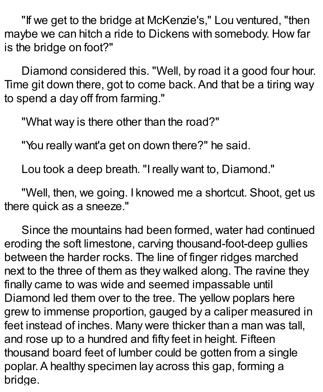"If we get to the bridge at McKenzie's," Lou ventured, "then maybe we can hitch a ride to Dickens with somebody. How far is the bridge on foot?"

Diamond considered this. "Well, by road it a good four hour. Time git down there, got to come back.And that be a tiring way to spend a day off from farming."

"What way is there other than the road?"

"You really want'a get on down there?" he said.

Lou took a deep breath. "Ireally want to, Diamond."

"Well, then, we going. I knowed me a shortcut. Shoot, get us there quick as a sneeze."

Since the mountains had been formed, water had continued eroding the soft limestone, carving thousand-foot-deep gullies between the harder rocks. The line of finger ridges marched next to the three of them as they walked along. The ravine they finally came to was wide and seemed impassable until Diamond led them over to the tree. The yellow poplars here grew to immense proportion, gauged by a caliper measured in feet instead of inches. Many were thicker than a man was tall, and rose up to a hundred and fifty feet in height. Fifteen thousand board feet of lumber could be gotten from a single poplar.A healthy specimen lay across this gap, forming a bridge.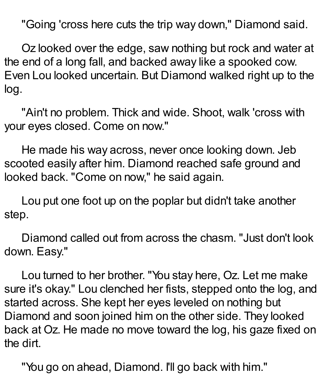"Going 'cross here cuts the trip way down," Diamond said.

Oz looked over the edge, saw nothing but rock and water at the end of a long fall, and backed away like a spooked cow. Even Lou looked uncertain. But Diamond walked right up to the log.

"Ain't no problem. Thick and wide. Shoot, walk 'cross with your eyes closed. Come on now."

He made his way across, never once looking down. Jeb scooted easily after him. Diamond reached safe ground and looked back. "Come on now," he said again.

Lou put one foot up on the poplar but didn't take another step.

Diamond called out from across the chasm. "Just don't look down. Easy."

Lou turned to her brother. "You stay here, Oz. Let me make sure it's okay." Lou clenched her fists, stepped onto the log, and started across. She kept her eyes leveled on nothing but Diamond and soon joined him on the other side. They looked back at Oz. He made no move toward the log, his gaze fixed on the dirt.

"You go on ahead, Diamond. I'll go back with him."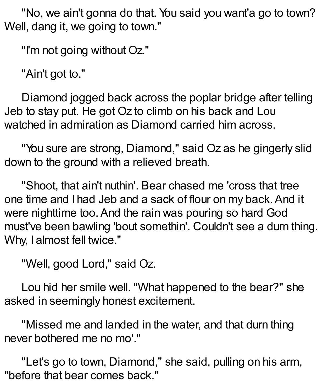"No, we ain't gonna do that. You said you want'a go to town? Well, dang it, we going to town."

"I'm not going without Oz."

"Ain't got to."

Diamond jogged back across the poplar bridge after telling Jeb to stay put. He got Oz to climb on his back and Lou watched in admiration as Diamond carried him across.

"You sure are strong, Diamond," said Oz as he gingerly slid down to the ground with a relieved breath.

"Shoot, that ain't nuthin'. Bear chased me 'cross that tree one time and I had Jeb and a sack of flour on my back.And it were nighttime too.And the rain was pouring so hard God must've been bawling 'bout somethin'. Couldn't see a durn thing. Why, I almost fell twice."

"Well, good Lord," said Oz.

Lou hid her smile well. "What happened to the bear?" she asked in seemingly honest excitement.

"Missed me and landed in the water, and that durn thing never bothered me no mo'."

"Let's go to town, Diamond," she said, pulling on his arm, "before that bear comes back."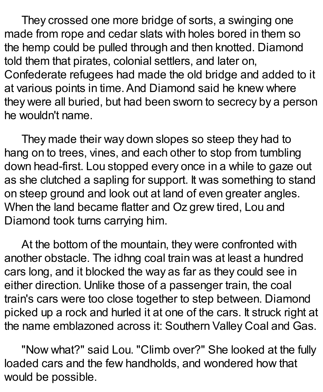They crossed one more bridge of sorts, a swinging one made from rope and cedar slats with holes bored in them so the hemp could be pulled through and then knotted. Diamond told them that pirates, colonial settlers, and later on, Confederate refugees had made the old bridge and added to it at various points in time.And Diamond said he knew where they were all buried, but had been sworn to secrecy by a person he wouldn't name.

They made their way down slopes so steep they had to hang on to trees, vines, and each other to stop from tumbling down head-first. Lou stopped every once in a while to gaze out as she clutched a sapling for support. It was something to stand on steep ground and look out at land of even greater angles. When the land became flatter and Oz grew tired, Lou and Diamond took turns carrying him.

At the bottom of the mountain, they were confronted with another obstacle. The idhng coal train was at least a hundred cars long, and it blocked the way as far as they could see in either direction. Unlike those of a passenger train, the coal train's cars were too close together to step between. Diamond picked up a rock and hurled it at one of the cars. It struck right at the name emblazoned across it: Southern Valley Coal and Gas.

"Now what?" said Lou. "Climb over?" She looked at the fully loaded cars and the few handholds, and wondered how that would be possible.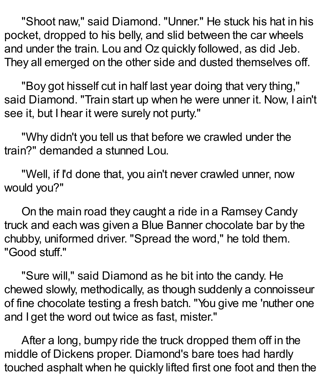"Shoot naw," said Diamond. "Unner." He stuck his hat in his pocket, dropped to his belly, and slid between the car wheels and under the train. Lou and Oz quickly followed, as did Jeb. They all emerged on the other side and dusted themselves off.

"Boy got hisself cut in half last year doing that very thing," said Diamond. "Train start up when he were unner it. Now, I ain't see it, but I hear it were surely not purty."

"Why didn't you tell us that before we crawled under the train?" demanded a stunned Lou.

"Well, if I'd done that, you ain't never crawled unner, now would you?"

On the main road they caught a ride in a Ramsey Candy truck and each was given a Blue Banner chocolate bar by the chubby, uniformed driver. "Spread the word," he told them. "Good stuff."

"Sure will," said Diamond as he bit into the candy. He chewed slowly, methodically, as though suddenly a connoisseur of fine chocolate testing a fresh batch. "You give me 'nuther one and I get the word out twice as fast, mister."

After a long, bumpy ride the truck dropped them off in the middle of Dickens proper. Diamond's bare toes had hardly touched asphalt when he quickly lifted first one foot and then the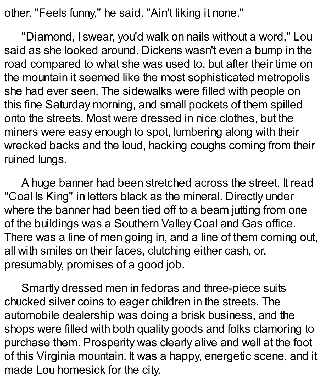other. "Feels funny," he said. "Ain't liking it none."

"Diamond, I swear, you'd walk on nails without a word," Lou said as she looked around. Dickens wasn't even a bump in the road compared to what she was used to, but after their time on the mountain it seemed like the most sophisticated metropolis she had ever seen. The sidewalks were filled with people on this fine Saturday morning, and small pockets of them spilled onto the streets. Most were dressed in nice clothes, but the miners were easy enough to spot, lumbering along with their wrecked backs and the loud, hacking coughs coming from their ruined lungs.

A huge banner had been stretched across the street. It read "Coal Is King" in letters black as the mineral. Directly under where the banner had been tied off to a beam jutting from one of the buildings was a Southern Valley Coal and Gas office. There was a line of men going in, and a line of them coming out, all with smiles on their faces, clutching either cash, or, presumably, promises of a good job.

Smartly dressed men in fedoras and three-piece suits chucked silver coins to eager children in the streets. The automobile dealership was doing a brisk business, and the shops were filled with both quality goods and folks clamoring to purchase them. Prosperity was clearly alive and well at the foot of this Virginia mountain. It was a happy, energetic scene, and it made Lou homesick for the city.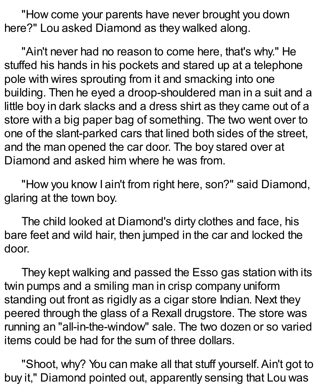"How come your parents have never brought you down here?" Lou asked Diamond as they walked along.

"Ain't never had no reason to come here, that's why." He stuffed his hands in his pockets and stared up at a telephone pole with wires sprouting from it and smacking into one building. Then he eyed a droop-shouldered man in a suit and a little boy in dark slacks and a dress shirt as they came out of a store with a big paper bag of something. The two went over to one of the slant-parked cars that lined both sides of the street, and the man opened the car door. The boy stared over at Diamond and asked him where he was from.

"How you know I ain't from right here, son?" said Diamond, glaring at the town boy.

The child looked at Diamond's dirty clothes and face, his bare feet and wild hair, then jumped in the car and locked the door.

They kept walking and passed the Esso gas station with its twin pumps and a smiling man in crisp company uniform standing out front as rigidly as a cigar store Indian. Next they peered through the glass of a Rexall drugstore. The store was running an "all-in-the-window" sale. The two dozen or so varied items could be had for the sum of three dollars.

"Shoot, why? You can make all that stuff yourself.Ain't got to buy it," Diamond pointed out, apparently sensing that Lou was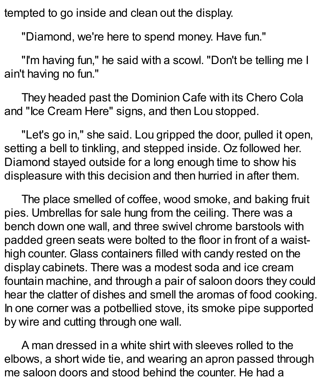tempted to go inside and clean out the display.

"Diamond, we're here to spend money. Have fun."

"I'm having fun," he said with a scowl. "Don't be telling me I ain't having no fun."

They headed past the Dominion Cafe with its Chero Cola and "Ice Cream Here" signs, and then Lou stopped.

"Let's go in," she said. Lou gripped the door, pulled it open, setting a bell to tinkling, and stepped inside. Oz followed her. Diamond stayed outside for a long enough time to show his displeasure with this decision and then hurried in after them.

The place smelled of coffee, wood smoke, and baking fruit pies. Umbrellas for sale hung from the ceiling. There was a bench down one wall, and three swivel chrome barstools with padded green seats were bolted to the floor in front of a waisthigh counter. Glass containers filled with candy rested on the display cabinets. There was a modest soda and ice cream fountain machine, and through a pair of saloon doors they could hear the clatter of dishes and smell the aromas of food cooking. In one corner was a potbellied stove, its smoke pipe supported by wire and cutting through one wall.

A man dressed in a white shirt with sleeves rolled to the elbows, a short wide tie, and wearing an apron passed through me saloon doors and stood behind the counter. He had a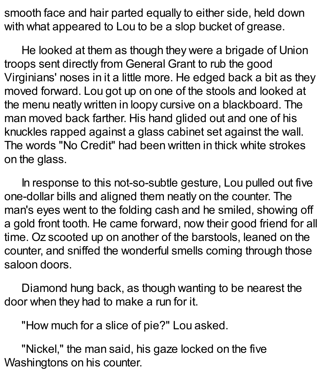smooth face and hair parted equally to either side, held down with what appeared to Lou to be a slop bucket of grease.

He looked at them as though they were a brigade of Union troops sent directly from General Grant to rub the good Virginians' noses in it a little more. He edged back a bit as they moved forward. Lou got up on one of the stools and looked at the menu neatly written in loopy cursive on a blackboard. The man moved back farther. His hand glided out and one of his knuckles rapped against a glass cabinet set against the wall. The words "No Credit" had been written in thick white strokes on the glass.

In response to this not-so-subtle gesture, Lou pulled out five one-dollar bills and aligned them neatly on the counter. The man's eyes went to the folding cash and he smiled, showing off a gold front tooth. He came forward, now their good friend for all time. Oz scooted up on another of the barstools, leaned on the counter, and sniffed the wonderful smells coming through those saloon doors.

Diamond hung back, as though wanting to be nearest the door when they had to make a run for it.

"How much for a slice of pie?" Lou asked.

"Nickel," the man said, his gaze locked on the five Washingtons on his counter.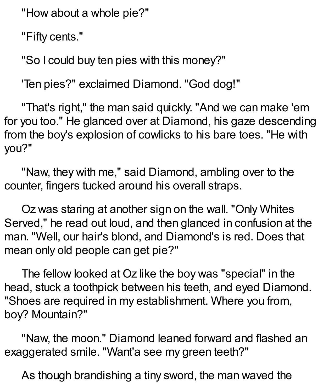"How about a whole pie?"

"Fifty cents."

"So I could buy ten pies with this money?"

'Ten pies?" exclaimed Diamond. "God dog!"

"That's right," the man said quickly. "And we can make 'em for you too." He glanced over at Diamond, his gaze descending from the boy's explosion of cowlicks to his bare toes. "He with you?"

"Naw, they with me," said Diamond, ambling over to the counter, fingers tucked around his overall straps.

Oz was staring at another sign on the wall. "Only Whites Served," he read out loud, and then glanced in confusion at the man. "Well, our hair's blond, and Diamond's is red. Does that mean only old people can get pie?"

The fellow looked at Oz like the boy was "special" in the head, stuck a toothpick between his teeth, and eyed Diamond. "Shoes are required in my establishment. Where you from, boy? Mountain?"

"Naw, the moon." Diamond leaned forward and flashed an exaggerated smile. "Want'a see my green teeth?"

As though brandishing a tiny sword, the man waved the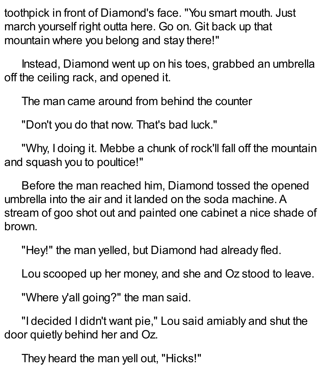toothpick in front of Diamond's face. "You smart mouth. Just march yourself right outta here. Go on. Git back up that mountain where you belong and stay there!"

Instead, Diamond went up on his toes, grabbed an umbrella off the ceiling rack, and opened it.

The man came around from behind the counter

"Don't you do that now. That's bad luck."

"Why, I doing it. Mebbe a chunk of rock'll fall off the mountain and squash you to poultice!"

Before the man reached him, Diamond tossed the opened umbrella into the air and it landed on the soda machine.A stream of goo shot out and painted one cabinet a nice shade of brown.

"Hey!" the man yelled, but Diamond had already fled.

Lou scooped up her money, and she and Oz stood to leave.

"Where y'all going?" the man said.

"I decided I didn't want pie," Lou said amiably and shut the door quietly behind her and Oz.

They heard the man yell out, "Hicks!"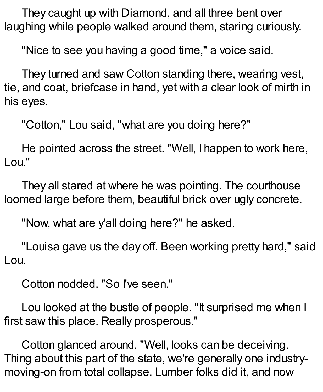They caught up with Diamond, and all three bent over laughing while people walked around them, staring curiously.

"Nice to see you having a good time," a voice said.

They turned and saw Cotton standing there, wearing vest, tie, and coat, briefcase in hand, yet with a clear look of mirth in his eyes.

"Cotton," Lou said, "what are you doing here?"

He pointed across the street. "Well, I happen to work here, Lou."

They all stared at where he was pointing. The courthouse loomed large before them, beautiful brick over ugly concrete.

"Now, what are y'all doing here?" he asked.

"Louisa gave us the day off. Been working pretty hard," said Lou.

Cotton nodded. "So I've seen."

Lou looked at the bustle of people. "It surprised me when I first saw this place. Really prosperous."

Cotton glanced around. "Well, looks can be deceiving. Thing about this part of the state, we're generally one industrymoving-on from total collapse. Lumber folks did it, and now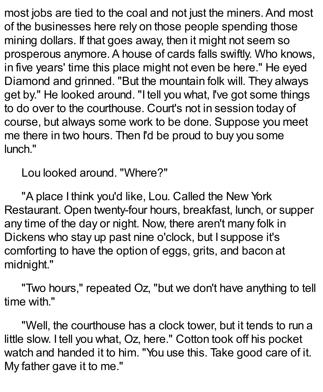most jobs are tied to the coal and not just the miners.And most of the businesses here rely on those people spending those mining dollars. If that goes away, then it might not seem so prosperous anymore. A house of cards falls swiftly. Who knows, in five years' time this place might not even be here." He eyed Diamond and grinned. "But the mountain folk will. They always get by." He looked around. "I tell you what, I've got some things to do over to the courthouse. Court's not in session today of course, but always some work to be done. Suppose you meet me there in two hours. Then I'd be proud to buy you some lunch."

Lou looked around. "Where?"

"A place I think you'd like, Lou. Called the New York Restaurant. Open twenty-four hours, breakfast, lunch, or supper any time of the day or night. Now, there aren't many folk in Dickens who stay up past nine o'clock, but I suppose it's comforting to have the option of eggs, grits, and bacon at midnight."

"Two hours," repeated Oz, "but we don't have anything to tell time with."

"Well, the courthouse has a clock tower, but it tends to run a little slow. I tell you what, Oz, here." Cotton took off his pocket watch and handed it to him. "You use this. Take good care of it. My father gave it to me."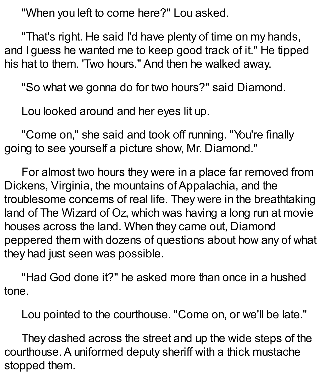"When you left to come here?" Lou asked.

"That's right. He said I'd have plenty of time on my hands, and I guess he wanted me to keep good track of it." He tipped his hat to them. 'Two hours." And then he walked away.

"So what we gonna do for two hours?" said Diamond.

Lou looked around and her eyes lit up.

"Come on," she said and took off running. "You're finally going to see yourself a picture show, Mr. Diamond."

For almost two hours they were in a place far removed from Dickens, Virginia, the mountains of Appalachia, and the troublesome concerns of real life. They were in the breathtaking land of The Wizard of Oz, which was having a long run at movie houses across the land. When they came out, Diamond peppered them with dozens of questions about how any of what they had just seen was possible.

"Had God done it?" he asked more than once in a hushed tone.

Lou pointed to the courthouse. "Come on, or we'll be late."

They dashed across the street and up the wide steps of the courthouse.A uniformed deputy sheriff with a thick mustache stopped them.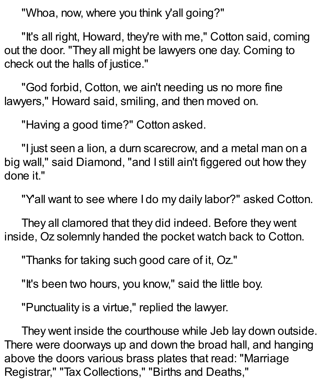"Whoa, now, where you think y'all going?"

"It's all right, Howard, they're with me," Cotton said, coming out the door. "They all might be lawyers one day. Coming to check out the halls of justice."

"God forbid, Cotton, we ain't needing us no more fine lawyers," Howard said, smiling, and then moved on.

"Having a good time?" Cotton asked.

"I just seen a lion, a durn scarecrow, and a metal man on a big wall," said Diamond, "and I still ain't figgered out how they done it."

"Y'all want to see where I do my daily labor?" asked Cotton.

They all clamored that they did indeed. Before they went inside, Oz solemnly handed the pocket watch back to Cotton.

"Thanks for taking such good care of it, Oz."

"It's been two hours, you know," said the little boy.

"Punctuality is a virtue," replied the lawyer.

They went inside the courthouse while Jeb lay down outside. There were doorways up and down the broad hall, and hanging above the doors various brass plates that read: "Marriage Registrar," "Tax Collections," "Births and Deaths,"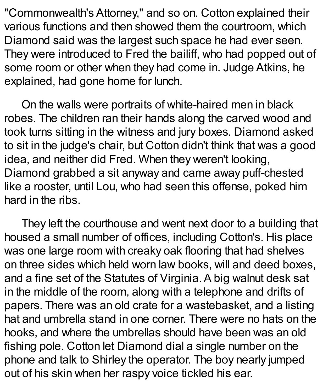"Commonwealth's Attorney," and so on. Cotton explained their various functions and then showed them the courtroom, which Diamond said was the largest such space he had ever seen. They were introduced to Fred the bailiff, who had popped out of some room or other when they had come in. Judge Atkins, he explained, had gone home for lunch.

On the walls were portraits of white-haired men in black robes. The children ran their hands along the carved wood and took turns sitting in the witness and jury boxes. Diamond asked to sit in the judge's chair, but Cotton didn't think that was a good idea, and neither did Fred. When they weren't looking, Diamond grabbed a sit anyway and came away puff-chested like a rooster, until Lou, who had seen this offense, poked him hard in the ribs.

They left the courthouse and went next door to a building that housed a small number of offices, including Cotton's. His place was one large room with creaky oak flooring that had shelves on three sides which held worn law books, will and deed boxes, and a fine set of the Statutes of Virginia.A big walnut desk sat in the middle of the room, along with a telephone and drifts of papers. There was an old crate for a wastebasket, and a listing hat and umbrella stand in one corner. There were no hats on the hooks, and where the umbrellas should have been was an old fishing pole. Cotton let Diamond dial a single number on the phone and talk to Shirley the operator. The boy nearly jumped out of his skin when her raspy voice tickled his ear.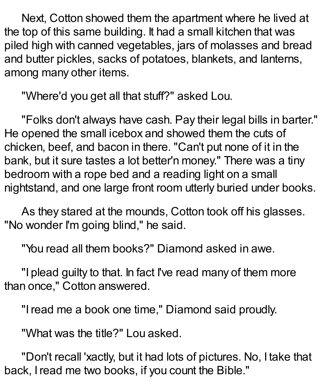Next, Cotton showed them the apartment where he lived at the top of this same building. It had a small kitchen that was piled high with canned vegetables, jars of molasses and bread and butter pickles, sacks of potatoes, blankets, and lanterns, among many other items.

"Where'd you get all that stuff?" asked Lou.

"Folks don't always have cash. Pay their legal bills in barter." He opened the small icebox and showed them the cuts of chicken, beef, and bacon in there. "Can't put none of it in the bank, but it sure tastes a lot better'n money." There was a tiny bedroom with a rope bed and a reading light on a small nightstand, and one large front room utterly buried under books.

As they stared at the mounds, Cotton took off his glasses. "No wonder I'm going blind," he said.

"You read all them books?" Diamond asked in awe.

"I plead guilty to that. In fact I've read many of them more than once," Cotton answered.

"Iread me a book one time," Diamond said proudly.

"What was the title?" Lou asked.

"Don't recall 'xactly, but it had lots of pictures. No, I take that back, Iread me two books, if you count the Bible."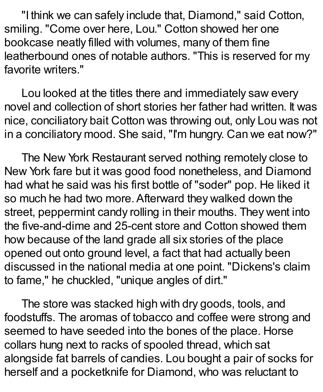"I think we can safely include that, Diamond," said Cotton, smiling. "Come over here, Lou." Cotton showed her one bookcase neatly filled with volumes, many of them fine leatherbound ones of notable authors. "This is reserved for my favorite writers."

Lou looked at the titles there and immediately saw every novel and collection of short stories her father had written. It was nice, conciliatory bait Cotton was throwing out, only Lou was not in a conciliatory mood. She said, "I'm hungry. Can we eat now?"

The New York Restaurant served nothing remotely close to New York fare but it was good food nonetheless, and Diamond had what he said was his first bottle of "soder" pop. He liked it so much he had two more. Afterward they walked down the street, peppermint candy rolling in their mouths. They went into the five-and-dime and 25-cent store and Cotton showed them how because of the land grade all six stories of the place opened out onto ground level, a fact that had actually been discussed in the national media at one point. "Dickens's claim to fame," he chuckled, "unique angles of dirt."

The store was stacked high with dry goods, tools, and foodstuffs. The aromas of tobacco and coffee were strong and seemed to have seeded into the bones of the place. Horse collars hung next to racks of spooled thread, which sat alongside fat barrels of candies. Lou bought a pair of socks for herself and a pocketknife for Diamond, who was reluctant to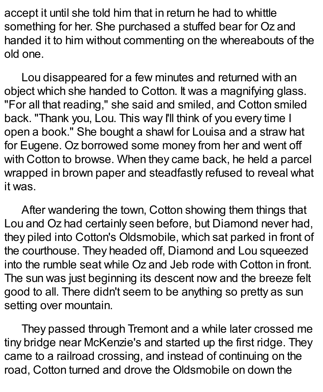accept it until she told him that in return he had to whittle something for her. She purchased a stuffed bear for Oz and handed it to him without commenting on the whereabouts of the old one.

Lou disappeared for a few minutes and returned with an object which she handed to Cotton. It was a magnifying glass. "For all that reading," she said and smiled, and Cotton smiled back. "Thank you, Lou. This way I'll think of you every time I open a book." She bought a shawl for Louisa and a straw hat for Eugene. Oz borrowed some money from her and went off with Cotton to browse. When they came back, he held a parcel wrapped in brown paper and steadfastly refused to reveal what it was.

After wandering the town, Cotton showing them things that Lou and Oz had certainly seen before, but Diamond never had, they piled into Cotton's Oldsmobile, which sat parked in front of the courthouse. They headed off, Diamond and Lou squeezed into the rumble seat while Oz and Jeb rode with Cotton in front. The sun was just beginning its descent now and the breeze felt good to all. There didn't seem to be anything so pretty as sun setting over mountain.

They passed through Tremont and a while later crossed me tiny bridge near McKenzie's and started up the first ridge. They came to a railroad crossing, and instead of continuing on the road, Cotton turned and drove the Oldsmobile on down the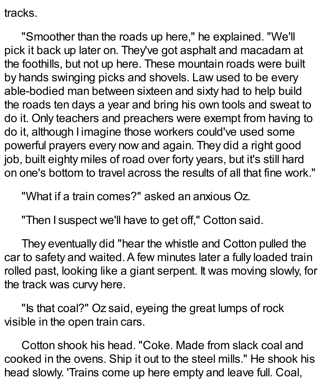tracks.

"Smoother than the roads up here," he explained. "We'll pick it back up later on. They've got asphalt and macadam at the foothills, but not up here. These mountain roads were built by hands swinging picks and shovels. Law used to be every able-bodied man between sixteen and sixty had to help build the roads ten days a year and bring his own tools and sweat to do it. Only teachers and preachers were exempt from having to do it, although I imagine those workers could've used some powerful prayers every now and again. They did a right good job, built eighty miles of road over forty years, but it's still hard on one's bottom to travel across the results of all that fine work."

"What if a train comes?" asked an anxious Oz.

"Then I suspect we'll have to get off," Cotton said.

They eventually did "hear the whistle and Cotton pulled the car to safety and waited.A few minutes later a fully loaded train rolled past, looking like a giant serpent. It was moving slowly, for the track was curvy here.

"Is that coal?" Oz said, eyeing the great lumps of rock visible in the open train cars.

Cotton shook his head. "Coke. Made from slack coal and cooked in the ovens. Ship it out to the steel mills." He shook his head slowly. 'Trains come up here empty and leave full. Coal,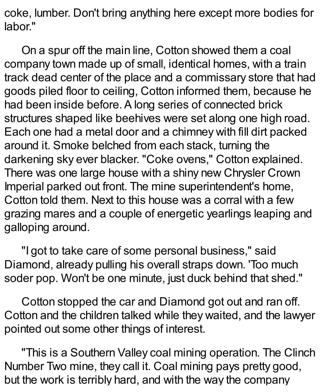coke, lumber. Don't bring anything here except more bodies for labor."

On a spur off the main line, Cotton showed them a coal company town made up of small, identical homes, with a train track dead center of the place and a commissary store that had goods piled floor to ceiling, Cotton informed them, because he had been inside before. A long series of connected brick structures shaped like beehives were set along one high road. Each one had a metal door and a chimney with fill dirt packed around it. Smoke belched from each stack, turning the darkening sky ever blacker. "Coke ovens," Cotton explained. There was one large house with a shiny new Chrysler Crown Imperial parked out front. The mine superintendent's home, Cotton told them. Next to this house was a corral with a few grazing mares and a couple of energetic yearlings leaping and galloping around.

"I got to take care of some personal business," said Diamond, already pulling his overall straps down. 'Too much soder pop. Won't be one minute, just duck behind that shed."

Cotton stopped the car and Diamond got out and ran off. Cotton and the children talked while they waited, and the lawyer pointed out some other things of interest.

"This is a Southern Valley coal mining operation. The Clinch Number Two mine, they call it. Coal mining pays pretty good, but the work is terribly hard, and with the way the company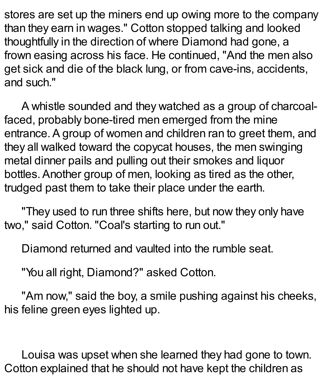stores are set up the miners end up owing more to the company than they earn in wages." Cotton stopped talking and looked thoughtfully in the direction of where Diamond had gone, a frown easing across his face. He continued, "And the men also get sick and die of the black lung, or from cave-ins, accidents, and such."

A whistle sounded and they watched as a group of charcoalfaced, probably bone-tired men emerged from the mine entrance.A group of women and children ran to greet them, and they all walked toward the copycat houses, the men swinging metal dinner pails and pulling out their smokes and liquor bottles.Another group of men, looking as tired as the other, trudged past them to take their place under the earth.

"They used to run three shifts here, but now they only have two," said Cotton. "Coal's starting to run out."

Diamond returned and vaulted into the rumble seat.

"You all right, Diamond?" asked Cotton.

"Am now," said the boy, a smile pushing against his cheeks, his feline green eyes lighted up.

Louisa was upset when she learned they had gone to town. Cotton explained that he should not have kept the children as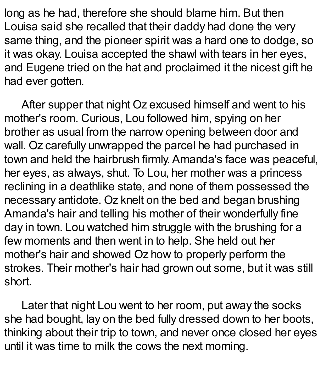long as he had, therefore she should blame him. But then Louisa said she recalled that their daddy had done the very same thing, and the pioneer spirit was a hard one to dodge, so it was okay. Louisa accepted the shawl with tears in her eyes, and Eugene tried on the hat and proclaimed it the nicest gift he had ever gotten.

After supper that night Oz excused himself and went to his mother's room. Curious, Lou followed him, spying on her brother as usual from the narrow opening between door and wall. Oz carefully unwrapped the parcel he had purchased in town and held the hairbrush firmly.Amanda's face was peaceful, her eyes, as always, shut. To Lou, her mother was a princess reclining in a deathlike state, and none of them possessed the necessary antidote. Oz knelt on the bed and began brushing Amanda's hair and telling his mother of their wonderfully fine day in town. Lou watched him struggle with the brushing for a few moments and then went in to help. She held out her mother's hair and showed Oz how to properly perform the strokes. Their mother's hair had grown out some, but it was still short.

Later that night Lou went to her room, put away the socks she had bought, lay on the bed fully dressed down to her boots, thinking about their trip to town, and never once closed her eyes until it was time to milk the cows the next morning.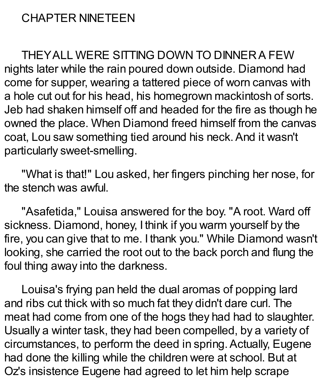THEYALL WERE SITTING DOWN TO DINNERA FEW nights later while the rain poured down outside. Diamond had come for supper, wearing a tattered piece of worn canvas with a hole cut out for his head, his homegrown mackintosh of sorts. Jeb had shaken himself off and headed for the fire as though he owned the place. When Diamond freed himself from the canvas coat, Lou saw something tied around his neck.And it wasn't particularly sweet-smelling.

"What is that!" Lou asked, her fingers pinching her nose, for the stench was awful.

"Asafetida," Louisa answered for the boy. "A root. Ward off sickness. Diamond, honey, I think if you warm yourself by the fire, you can give that to me. I thank you." While Diamond wasn't looking, she carried the root out to the back porch and flung the foul thing away into the darkness.

Louisa's frying pan held the dual aromas of popping lard and ribs cut thick with so much fat they didn't dare curl. The meat had come from one of the hogs they had had to slaughter. Usually a winter task, they had been compelled, by a variety of circumstances, to perform the deed in spring.Actually, Eugene had done the killing while the children were at school. But at Oz's insistence Eugene had agreed to let him help scrape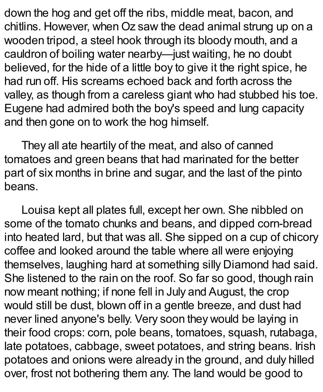down the hog and get off the ribs, middle meat, bacon, and chitlins. However, when Oz saw the dead animal strung up on a wooden tripod, a steel hook through its bloody mouth, and a cauldron of boiling water nearby—just waiting, he no doubt believed, for the hide of a little boy to give it the right spice, he had run off. His screams echoed back and forth across the valley, as though from a careless giant who had stubbed his toe. Eugene had admired both the boy's speed and lung capacity and then gone on to work the hog himself.

They all ate heartily of the meat, and also of canned tomatoes and green beans that had marinated for the better part of six months in brine and sugar, and the last of the pinto beans.

Louisa kept all plates full, except her own. She nibbled on some of the tomato chunks and beans, and dipped corn-bread into heated lard, but that was all. She sipped on a cup of chicory coffee and looked around the table where all were enjoying themselves, laughing hard at something silly Diamond had said. She listened to the rain on the roof. So far so good, though rain now meant nothing; if none fell in July and August, the crop would still be dust, blown off in a gentle breeze, and dust had never lined anyone's belly. Very soon they would be laying in their food crops: corn, pole beans, tomatoes, squash, rutabaga, late potatoes, cabbage, sweet potatoes, and string beans. Irish potatoes and onions were already in the ground, and duly hilled over, frost not bothering them any. The land would be good to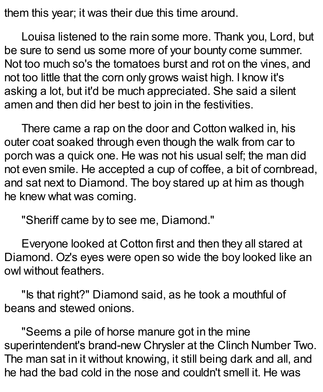them this year; it was their due this time around.

Louisa listened to the rain some more. Thank you, Lord, but be sure to send us some more of your bounty come summer. Not too much so's the tomatoes burst and rot on the vines, and not too little that the corn only grows waist high. I know it's asking a lot, but it'd be much appreciated. She said a silent amen and then did her best to join in the festivities.

There came a rap on the door and Cotton walked in, his outer coat soaked through even though the walk from car to porch was a quick one. He was not his usual self; the man did not even smile. He accepted a cup of coffee, a bit of cornbread, and sat next to Diamond. The boy stared up at him as though he knew what was coming.

"Sheriff came by to see me, Diamond."

Everyone looked at Cotton first and then they all stared at Diamond. Oz's eyes were open so wide the boy looked like an owl without feathers.

"Is that right?" Diamond said, as he took a mouthful of beans and stewed onions.

"Seems a pile of horse manure got in the mine superintendent's brand-new Chrysler at the Clinch Number Two. The man sat in it without knowing, it still being dark and all, and he had the bad cold in the nose and couldn't smell it. He was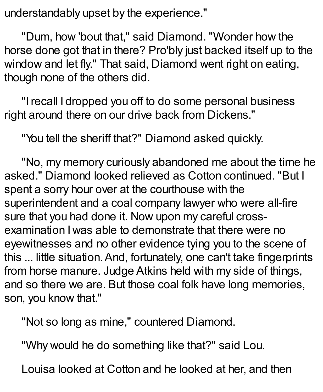understandably upset by the experience."

"Dum, how 'bout that," said Diamond. "Wonder how the horse done got that in there? Pro'bly just backed itself up to the window and let fly." That said, Diamond went right on eating, though none of the others did.

"Irecall I dropped you off to do some personal business right around there on our drive back from Dickens."

"You tell the sheriff that?" Diamond asked quickly.

"No, my memory curiously abandoned me about the time he asked." Diamond looked relieved as Cotton continued. "But I spent a sorry hour over at the courthouse with the superintendent and a coal company lawyer who were all-fire sure that you had done it. Now upon my careful crossexamination Iwas able to demonstrate that there were no eyewitnesses and no other evidence tying you to the scene of this ... little situation.And, fortunately, one can't take fingerprints from horse manure. Judge Atkins held with my side of things, and so there we are. But those coal folk have long memories, son, you know that."

"Not so long as mine," countered Diamond.

"Why would he do something like that?" said Lou.

Louisa looked at Cotton and he looked at her, and then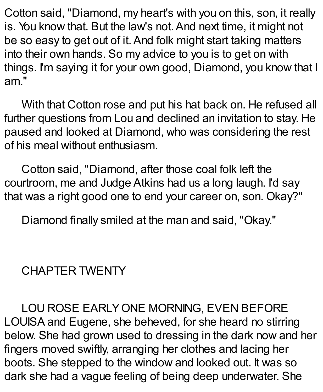Cotton said, "Diamond, my heart's with you on this, son, it really is. You know that. But the law's not.And next time, it might not be so easy to get out of it. And folk might start taking matters into their own hands. So my advice to you is to get on with things. I'm saying it for your own good, Diamond, you know that I am."

With that Cotton rose and put his hat back on. He refused all further questions from Lou and declined an invitation to stay. He paused and looked at Diamond, who was considering the rest of his meal without enthusiasm.

Cotton said, "Diamond, after those coal folk left the courtroom, me and Judge Atkins had us a long laugh. I'd say that was a right good one to end your career on, son. Okay?"

Diamond finally smiled at the man and said, "Okay."

## CHAPTER TWENTY

LOU ROSE EARLY ONE MORNING. EVEN BEFORE LOUISA and Eugene, she beheved, for she heard no stirring below. She had grown used to dressing in the dark now and her fingers moved swiftly, arranging her clothes and lacing her boots. She stepped to the window and looked out. It was so dark she had a vague feeling of being deep underwater. She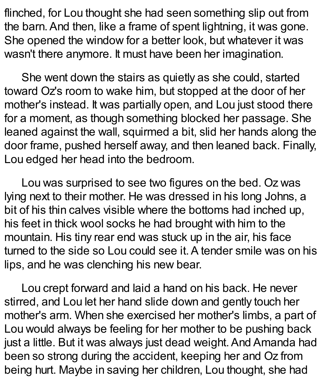flinched, for Lou thought she had seen something slip out from the barn.And then, like a frame of spent lightning, it was gone. She opened the window for a better look, but whatever it was wasn't there anymore. It must have been her imagination.

She went down the stairs as quietly as she could, started toward Oz's room to wake him, but stopped at the door of her mother's instead. It was partially open, and Lou just stood there for a moment, as though something blocked her passage. She leaned against the wall, squirmed a bit, slid her hands along the door frame, pushed herself away, and then leaned back. Finally, Lou edged her head into the bedroom.

Lou was surprised to see two figures on the bed. Oz was lying next to their mother. He was dressed in his long Johns, a bit of his thin calves visible where the bottoms had inched up, his feet in thick wool socks he had brought with him to the mountain. His tiny rear end was stuck up in the air, his face turned to the side so Lou could see it. A tender smile was on his lips, and he was clenching his new bear.

Lou crept forward and laid a hand on his back. He never stirred, and Lou let her hand slide down and gently touch her mother's arm. When she exercised her mother's limbs, a part of Lou would always be feeling for her mother to be pushing back just a little. But it was always just dead weight. And Amanda had been so strong during the accident, keeping her and Oz from being hurt. Maybe in saving her children, Lou thought, she had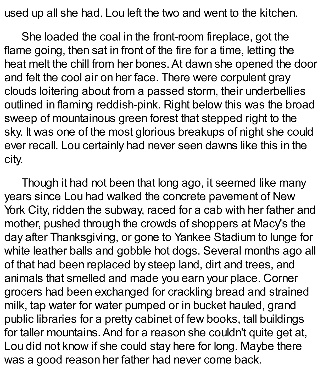used up all she had. Lou left the two and went to the kitchen.

She loaded the coal in the front-room fireplace, got the flame going, then sat in front of the fire for a time, letting the heat melt the chill from her bones. At dawn she opened the door and felt the cool air on her face. There were corpulent gray clouds loitering about from a passed storm, their underbellies outlined in flaming reddish-pink. Right below this was the broad sweep of mountainous green forest that stepped right to the sky. It was one of the most glorious breakups of night she could ever recall. Lou certainly had never seen dawns like this in the city.

Though it had not been that long ago, it seemed like many years since Lou had walked the concrete pavement of New York City, ridden the subway, raced for a cab with her father and mother, pushed through the crowds of shoppers at Macy's the day after Thanksgiving, or gone to Yankee Stadium to lunge for white leather balls and gobble hot dogs. Several months ago all of that had been replaced by steep land, dirt and trees, and animals that smelled and made you earn your place. Corner grocers had been exchanged for crackling bread and strained milk, tap water for water pumped or in bucket hauled, grand public libraries for a pretty cabinet of few books, tall buildings for taller mountains.And for a reason she couldn't quite get at, Lou did not know if she could stay here for long. Maybe there was a good reason her father had never come back.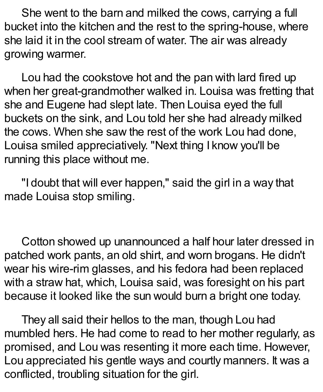She went to the barn and milked the cows, carrying a full bucket into the kitchen and the rest to the spring-house, where she laid it in the cool stream of water. The air was already growing warmer.

Lou had the cookstove hot and the pan with lard fired up when her great-grandmother walked in. Louisa was fretting that she and Eugene had slept late. Then Louisa eyed the full buckets on the sink, and Lou told her she had already milked the cows. When she saw the rest of the work Lou had done, Louisa smiled appreciatively. "Next thing I know you'll be running this place without me.

"I doubt that will ever happen," said the girl in a way that made Louisa stop smiling.

Cotton showed up unannounced a half hour later dressed in patched work pants, an old shirt, and worn brogans. He didn't wear his wire-rim glasses, and his fedora had been replaced with a straw hat, which, Louisa said, was foresight on his part because it looked like the sun would burn a bright one today.

They all said their hellos to the man, though Lou had mumbled hers. He had come to read to her mother regularly, as promised, and Lou was resenting it more each time. However, Lou appreciated his gentle ways and courtly manners. It was a conflicted, troubling situation for the girl.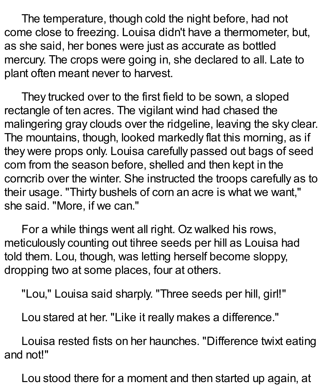The temperature, though cold the night before, had not come close to freezing. Louisa didn't have a thermometer, but, as she said, her bones were just as accurate as bottled mercury. The crops were going in, she declared to all. Late to plant often meant never to harvest.

They trucked over to the first field to be sown, a sloped rectangle of ten acres. The vigilant wind had chased the malingering gray clouds over the ridgeline, leaving the sky clear. The mountains, though, looked markedly flat this morning, as if they were props only. Louisa carefully passed out bags of seed com from the season before, shelled and then kept in the corncrib over the winter. She instructed the troops carefully as to their usage. "Thirty bushels of corn an acre is what we want," she said. "More, if we can."

For a while things went all right. Oz walked his rows, meticulously counting out tihree seeds per hill as Louisa had told them. Lou, though, was letting herself become sloppy, dropping two at some places, four at others.

"Lou," Louisa said sharply. "Three seeds per hill, girl!"

Lou stared at her. "Like it really makes a difference."

Louisa rested fists on her haunches. "Difference twixt eating and not!"

Lou stood there for a moment and then started up again, at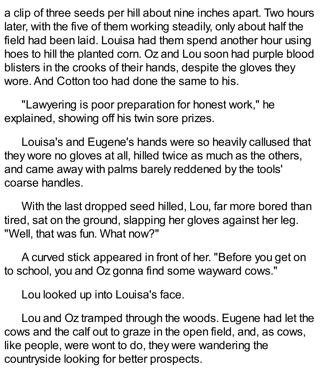a clip of three seeds per hill about nine inches apart. Two hours later, with the five of them working steadily, only about half the field had been laid. Louisa had them spend another hour using hoes to hill the planted corn. Oz and Lou soon had purple blood blisters in the crooks of their hands, despite the gloves they wore.And Cotton too had done the same to his.

"Lawyering is poor preparation for honest work," he explained, showing off his twin sore prizes.

Louisa's and Eugene's hands were so heavily callused that they wore no gloves at all, hilled twice as much as the others, and came away with palms barely reddened by the tools' coarse handles.

With the last dropped seed hilled, Lou, far more bored than tired, sat on the ground, slapping her gloves against her leg. "Well, that was fun. What now?"

A curved stick appeared in front of her. "Before you get on to school, you and Oz gonna find some wayward cows."

Lou looked up into Louisa's face.

Lou and Oz tramped through the woods. Eugene had let the cows and the calf out to graze in the open field, and, as cows, like people, were wont to do, they were wandering the countryside looking for better prospects.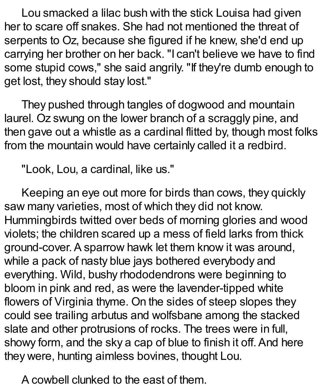Lou smacked a lilac bush with the stick Louisa had given her to scare off snakes. She had not mentioned the threat of serpents to Oz, because she figured if he knew, she'd end up carrying her brother on her back. "I can't believe we have to find some stupid cows," she said angrily. "If they're dumb enough to get lost, they should stay lost."

They pushed through tangles of dogwood and mountain laurel. Oz swung on the lower branch of a scraggly pine, and then gave out a whistle as a cardinal flitted by, though most folks from the mountain would have certainly called it a redbird.

"Look, Lou, a cardinal, like us."

Keeping an eye out more for birds than cows, they quickly saw many varieties, most of which they did not know. Hummingbirds twitted over beds of morning glories and wood violets; the children scared up a mess of field larks from thick ground-cover.A sparrow hawk let them know it was around, while a pack of nasty blue jays bothered everybody and everything. Wild, bushy rhododendrons were beginning to bloom in pink and red, as were the lavender-tipped white flowers of Virginia thyme. On the sides of steep slopes they could see trailing arbutus and wolfsbane among the stacked slate and other protrusions of rocks. The trees were in full, showy form, and the sky a cap of blue to finish it off.And here they were, hunting aimless bovines, thought Lou.

A cowbell clunked to the east of them.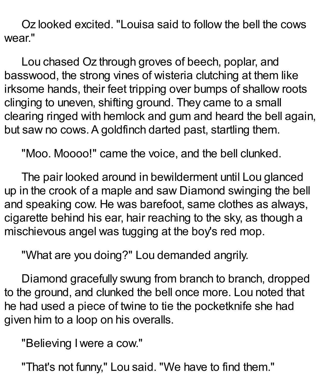Oz looked excited. "Louisa said to follow the bell the cows wear."

Lou chased Oz through groves of beech, poplar, and basswood, the strong vines of wisteria clutching at them like irksome hands, their feet tripping over bumps of shallow roots clinging to uneven, shifting ground. They came to a small clearing ringed with hemlock and gum and heard the bell again, but saw no cows. A goldfinch darted past, startling them.

"Moo. Moooo!" came the voice, and the bell clunked.

The pair looked around in bewilderment until Lou glanced up in the crook of a maple and saw Diamond swinging the bell and speaking cow. He was barefoot, same clothes as always, cigarette behind his ear, hair reaching to the sky, as though a mischievous angel was tugging at the boy's red mop.

"What are you doing?" Lou demanded angrily.

Diamond gracefully swung from branch to branch, dropped to the ground, and clunked the bell once more. Lou noted that he had used a piece of twine to tie the pocketknife she had given him to a loop on his overalls.

"Believing Iwere a cow."

"That's not funny," Lou said. "We have to find them."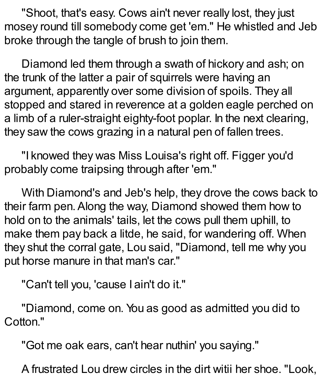"Shoot, that's easy. Cows ain't never really lost, they just mosey round till somebody come get 'em." He whistled and Jeb broke through the tangle of brush to join them.

Diamond led them through a swath of hickory and ash; on the trunk of the latter a pair of squirrels were having an argument, apparently over some division of spoils. They all stopped and stared in reverence at a golden eagle perched on a limb of a ruler-straight eighty-foot poplar. In the next clearing, they saw the cows grazing in a natural pen of fallen trees.

"I knowed they was Miss Louisa's right off. Figger you'd probably come traipsing through after 'em."

With Diamond's and Jeb's help, they drove the cows back to their farm pen.Along the way, Diamond showed them how to hold on to the animals' tails, let the cows pull them uphill, to make them pay back a litde, he said, for wandering off. When they shut the corral gate, Lou said, "Diamond, tell me why you put horse manure in that man's car."

"Can't tell you, 'cause I ain't do it."

"Diamond, come on. You as good as admitted you did to Cotton."

"Got me oak ears, can't hear nuthin' you saying."

A frustrated Lou drew circles in the dirt witii her shoe. "Look,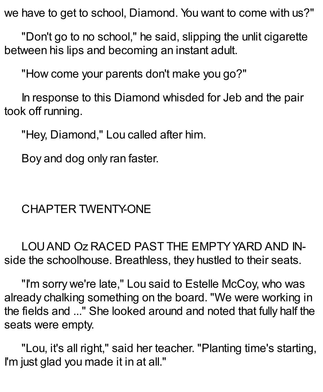we have to get to school, Diamond. You want to come with us?"

"Don't go to no school," he said, slipping the unlit cigarette between his lips and becoming an instant adult.

"How come your parents don't make you go?"

In response to this Diamond whisded for Jeb and the pair took off running.

"Hey, Diamond," Lou called after him.

Boy and dog only ran faster.

## CHAPTER TWENTY-ONE

LOUAND Oz RACED PAST THE EMPTYYARD AND INside the schoolhouse. Breathless, they hustled to their seats.

"I'm sorry we're late," Lou said to Estelle McCoy, who was already chalking something on the board. "We were working in the fields and ..." She looked around and noted that fully half the seats were empty.

"Lou, it's all right," said her teacher. "Planting time's starting, I'm just glad you made it in at all."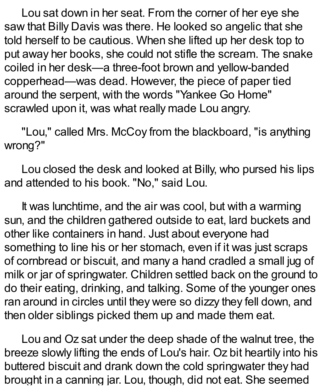Lou sat down in her seat. From the corner of her eye she saw that Billy Davis was there. He looked so angelic that she told herself to be cautious. When she lifted up her desk top to put away her books, she could not stifle the scream. The snake coiled in her desk—a three-foot brown and yellow-banded copperhead—was dead. However, the piece of paper tied around the serpent, with the words "Yankee Go Home" scrawled upon it, was what really made Lou angry.

"Lou," called Mrs. McCoy from the blackboard, "is anything wrong?"

Lou closed the desk and looked at Billy, who pursed his lips and attended to his book. "No," said Lou.

It was lunchtime, and the air was cool, but with a warming sun, and the children gathered outside to eat, lard buckets and other like containers in hand. Just about everyone had something to line his or her stomach, even if it was just scraps of cornbread or biscuit, and many a hand cradled a small jug of milk or jar of springwater. Children settled back on the ground to do their eating, drinking, and talking. Some of the younger ones ran around in circles until they were so dizzy they fell down, and then older siblings picked them up and made them eat.

Lou and Oz sat under the deep shade of the walnut tree, the breeze slowly lifting the ends of Lou's hair. Oz bit heartily into his buttered biscuit and drank down the cold springwater they had brought in a canning jar. Lou, though, did not eat. She seemed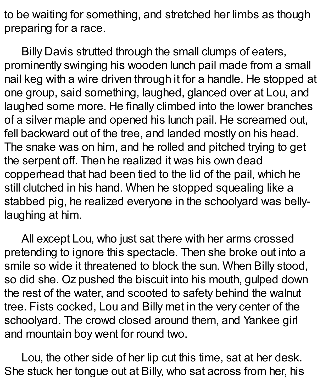to be waiting for something, and stretched her limbs as though preparing for a race.

Billy Davis strutted through the small clumps of eaters, prominently swinging his wooden lunch pail made from a small nail keg with a wire driven through it for a handle. He stopped at one group, said something, laughed, glanced over at Lou, and laughed some more. He finally climbed into the lower branches of a silver maple and opened his lunch pail. He screamed out, fell backward out of the tree, and landed mostly on his head. The snake was on him, and he rolled and pitched trying to get the serpent off. Then he realized it was his own dead copperhead that had been tied to the lid of the pail, which he still clutched in his hand. When he stopped squealing like a stabbed pig, he realized everyone in the schoolyard was bellylaughing at him.

All except Lou, who just sat there with her arms crossed pretending to ignore this spectacle. Then she broke out into a smile so wide it threatened to block the sun. When Billy stood, so did she. Oz pushed the biscuit into his mouth, gulped down the rest of the water, and scooted to safety behind the walnut tree. Fists cocked, Lou and Billy met in the very center of the schoolyard. The crowd closed around them, and Yankee girl and mountain boy went for round two.

Lou, the other side of her lip cut this time, sat at her desk. She stuck her tongue out at Billy, who sat across from her, his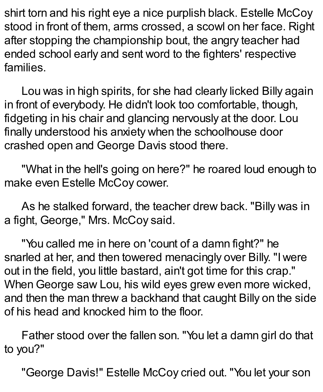shirt torn and his right eye a nice purplish black. Estelle McCoy stood in front of them, arms crossed, a scowl on her face. Right after stopping the championship bout, the angry teacher had ended school early and sent word to the fighters' respective families.

Lou was in high spirits, for she had clearly licked Billy again in front of everybody. He didn't look too comfortable, though, fidgeting in his chair and glancing nervously at the door. Lou finally understood his anxiety when the schoolhouse door crashed open and George Davis stood there.

"What in the hell's going on here?" he roared loud enough to make even Estelle McCoy cower.

As he stalked forward, the teacher drew back. "Billy was in a fight, George," Mrs. McCoy said.

"You called me in here on 'count of a damn fight?" he snarled at her, and then towered menacingly over Billy. "Iwere out in the field, you little bastard, ain't got time for this crap." When George saw Lou, his wild eyes grew even more wicked, and then the man threw a backhand that caught Billy on the side of his head and knocked him to the floor.

Father stood over the fallen son. "You let a damn girl do that to you?"

"George Davis!" Estelle McCoy cried out. "You let your son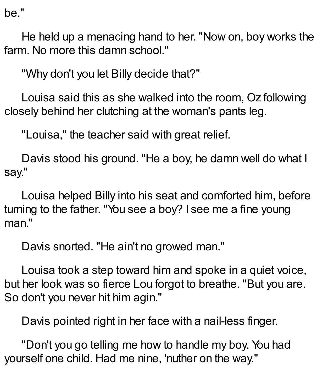be."

He held up a menacing hand to her. "Now on, boy works the farm. No more this damn school."

"Why don't you let Billy decide that?"

Louisa said this as she walked into the room, Oz following closely behind her clutching at the woman's pants leg.

"Louisa," the teacher said with great relief.

Davis stood his ground. "He a boy, he damn well do what I say."

Louisa helped Billy into his seat and comforted him, before turning to the father. "You see a boy? I see me a fine young man"

Davis snorted. "He ain't no growed man."

Louisa took a step toward him and spoke in a quiet voice, but her look was so fierce Lou forgot to breathe. "But you are. So don't you never hit him agin."

Davis pointed right in her face with a nail-less finger.

"Don't you go telling me how to handle my boy. You had yourself one child. Had me nine, 'nuther on the way."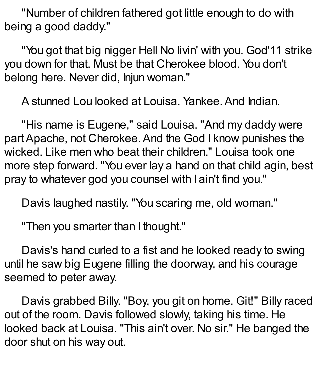"Number of children fathered got little enough to do with being a good daddy."

"You got that big nigger Hell No livin' with you. God'11 strike you down for that. Must be that Cherokee blood. You don't belong here. Never did, Injun woman."

A stunned Lou looked at Louisa. Yankee.And Indian.

"His name is Eugene," said Louisa. "And my daddy were partApache, not Cherokee.And the God I know punishes the wicked. Like men who beat their children." Louisa took one more step forward. "You ever lay a hand on that child agin, best pray to whatever god you counsel with I ain't find you."

Davis laughed nastily. "You scaring me, old woman."

"Then you smarter than I thought."

Davis's hand curled to a fist and he looked ready to swing until he saw big Eugene filling the doorway, and his courage seemed to peter away.

Davis grabbed Billy. "Boy, you git on home. Git!" Billy raced out of the room. Davis followed slowly, taking his time. He looked back at Louisa. "This ain't over. No sir." He banged the door shut on his way out.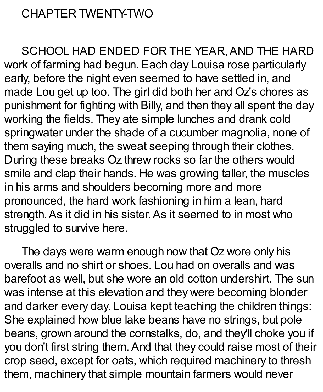## CHAPTER TWENTY-TWO

SCHOOL HAD ENDED FOR THE YEAR,AND THE HARD work of farming had begun. Each day Louisa rose particularly early, before the night even seemed to have settled in, and made Lou get up too. The girl did both her and Oz's chores as punishment for fighting with Billy, and then they all spent the day working the fields. They ate simple lunches and drank cold springwater under the shade of a cucumber magnolia, none of them saying much, the sweat seeping through their clothes. During these breaks Oz threw rocks so far the others would smile and clap their hands. He was growing taller, the muscles in his arms and shoulders becoming more and more pronounced, the hard work fashioning in him a lean, hard strength.As it did in his sister.As it seemed to in most who struggled to survive here.

The days were warm enough now that Oz wore only his overalls and no shirt or shoes. Lou had on overalls and was barefoot as well, but she wore an old cotton undershirt. The sun was intense at this elevation and they were becoming blonder and darker every day. Louisa kept teaching the children things: She explained how blue lake beans have no strings, but pole beans, grown around the cornstalks, do, and they'll choke you if you don't first string them.And that they could raise most of their crop seed, except for oats, which required machinery to thresh them, machinery that simple mountain farmers would never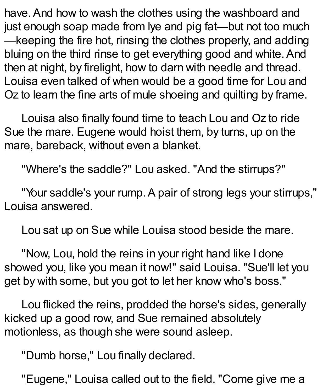have.And how to wash the clothes using the washboard and just enough soap made from lye and pig fat—but not too much —keeping the fire hot, rinsing the clothes properly, and adding bluing on the third rinse to get everything good and white.And then at night, by firelight, how to darn with needle and thread. Louisa even talked of when would be a good time for Lou and Oz to learn the fine arts of mule shoeing and quilting by frame.

Louisa also finally found time to teach Lou and Oz to ride Sue the mare. Eugene would hoist them, by turns, up on the mare, bareback, without even a blanket.

"Where's the saddle?" Lou asked. "And the stirrups?"

"Your saddle's your rump.A pair of strong legs your stirrups," Louisa answered.

Lou sat up on Sue while Louisa stood beside the mare.

"Now, Lou, hold the reins in your right hand like I done showed you, like you mean it now!" said Louisa. "Sue'll let you get by with some, but you got to let her know who's boss."

Lou flicked the reins, prodded the horse's sides, generally kicked up a good row, and Sue remained absolutely motionless, as though she were sound asleep.

"Dumb horse," Lou finally declared.

"Eugene," Louisa called out to the field. "Come give me a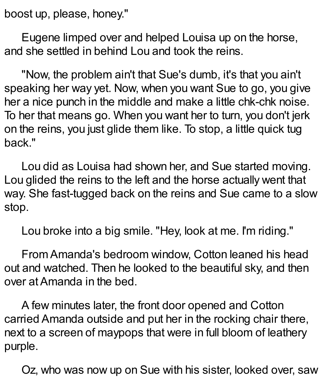boost up, please, honey."

Eugene limped over and helped Louisa up on the horse, and she settled in behind Lou and took the reins.

"Now, the problem ain't that Sue's dumb, it's that you ain't speaking her way yet. Now, when you want Sue to go, you give her a nice punch in the middle and make a little chk-chk noise. To her that means go. When you want her to turn, you don't jerk on the reins, you just glide them like. To stop, a little quick tug back."

Lou did as Louisa had shown her, and Sue started moving. Lou glided the reins to the left and the horse actually went that way. She fast-tugged back on the reins and Sue came to a slow stop.

Lou broke into a big smile. "Hey, look at me. I'm riding."

From Amanda's bedroom window, Cotton leaned his head out and watched. Then he looked to the beautiful sky, and then over atAmanda in the bed.

A few minutes later, the front door opened and Cotton carried Amanda outside and put her in the rocking chair there, next to a screen of maypops that were in full bloom of leathery purple.

Oz, who was now up on Sue with his sister, looked over, saw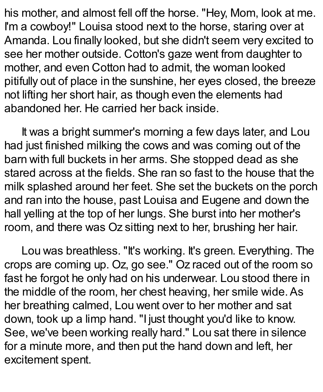his mother, and almost fell off the horse. "Hey, Mom, look at me. I'm a cowboy!" Louisa stood next to the horse, staring over at Amanda. Lou finally looked, but she didn't seem very excited to see her mother outside. Cotton's gaze went from daughter to mother, and even Cotton had to admit, the woman looked pitifully out of place in the sunshine, her eyes closed, the breeze not lifting her short hair, as though even the elements had abandoned her. He carried her back inside.

It was a bright summer's morning a few days later, and Lou had just finished milking the cows and was coming out of the barn with full buckets in her arms. She stopped dead as she stared across at the fields. She ran so fast to the house that the milk splashed around her feet. She set the buckets on the porch and ran into the house, past Louisa and Eugene and down the hall yelling at the top of her lungs. She burst into her mother's room, and there was Oz sitting next to her, brushing her hair.

Lou was breathless. "It's working. It's green. Everything. The crops are coming up. Oz, go see." Oz raced out of the room so fast he forgot he only had on his underwear. Lou stood there in the middle of the room, her chest heaving, her smile wide.As her breathing calmed, Lou went over to her mother and sat down, took up a limp hand. "I just thought you'd like to know. See, we've been working really hard." Lou sat there in silence for a minute more, and then put the hand down and left, her excitement spent.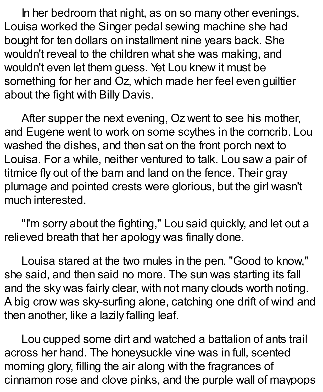In her bedroom that night, as on so many other evenings, Louisa worked the Singer pedal sewing machine she had bought for ten dollars on installment nine years back. She wouldn't reveal to the children what she was making, and wouldn't even let them guess. Yet Lou knew it must be something for her and Oz, which made her feel even guiltier about the fight with Billy Davis.

After supper the next evening, Oz went to see his mother, and Eugene went to work on some scythes in the corncrib. Lou washed the dishes, and then sat on the front porch next to Louisa. For a while, neither ventured to talk. Lou saw a pair of titmice fly out of the barn and land on the fence. Their gray plumage and pointed crests were glorious, but the girl wasn't much interested.

"I'm sorry about the fighting," Lou said quickly, and let out a relieved breath that her apology was finally done.

Louisa stared at the two mules in the pen. "Good to know," she said, and then said no more. The sun was starting its fall and the sky was fairly clear, with not many clouds worth noting. A big crow was sky-surfing alone, catching one drift of wind and then another, like a lazily falling leaf.

Lou cupped some dirt and watched a battalion of ants trail across her hand. The honeysuckle vine was in full, scented morning glory, filling the air along with the fragrances of cinnamon rose and clove pinks, and the purple wall of maypops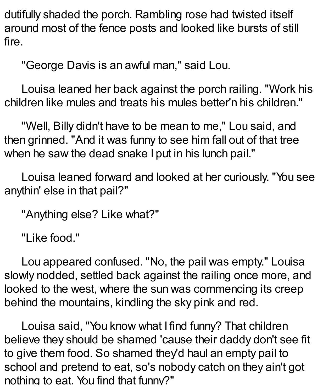dutifully shaded the porch. Rambling rose had twisted itself around most of the fence posts and looked like bursts of still fire.

"George Davis is an awful man," said Lou.

Louisa leaned her back against the porch railing. "Work his children like mules and treats his mules better'n his children."

"Well, Billy didn't have to be mean to me," Lou said, and then grinned. "And it was funny to see him fall out of that tree when he saw the dead snake I put in his lunch pail."

Louisa leaned forward and looked at her curiously. "You see anythin' else in that pail?"

"Anything else? Like what?"

"Like food."

Lou appeared confused. "No, the pail was empty." Louisa slowly nodded, settled back against the railing once more, and looked to the west, where the sun was commencing its creep behind the mountains, kindling the sky pink and red.

Louisa said, "You know what I find funny? That children believe they should be shamed 'cause their daddy don't see fit to give them food. So shamed they'd haul an empty pail to school and pretend to eat, so's nobody catch on they ain't got nothing to eat. You find that funny?"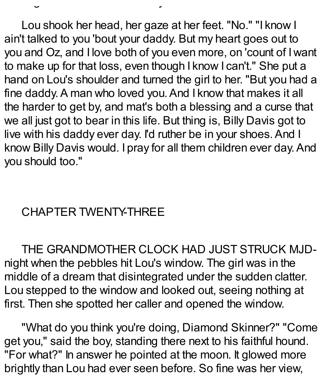Lou shook her head, her gaze at her feet. "No." "I know I ain't talked to you 'bout your daddy. But my heart goes out to you and Oz, and I love both of you even more, on 'count of Iwant to make up for that loss, even though I know I can't." She put a hand on Lou's shoulder and turned the girl to her. "But you had a fine daddy.A man who loved you.And I know that makes it all the harder to get by, and mat's both a blessing and a curse that we all just got to bear in this life. But thing is, Billy Davis got to live with his daddy ever day. I'd ruther be in your shoes.And I know Billy Davis would. I pray for all them children ever day.And you should too."

## CHAPTER TWENTY-THREE

nothing to eat. You find that funny?"

THE GRANDMOTHER CLOCK HAD JUST STRUCK MJDnight when the pebbles hit Lou's window. The girl was in the middle of a dream that disintegrated under the sudden clatter. Lou stepped to the window and looked out, seeing nothing at first. Then she spotted her caller and opened the window.

"What do you think you're doing, Diamond Skinner?" "Come get you," said the boy, standing there next to his faithful hound. "For what?" In answer he pointed at the moon. It glowed more brightly than Lou had ever seen before. So fine was her view,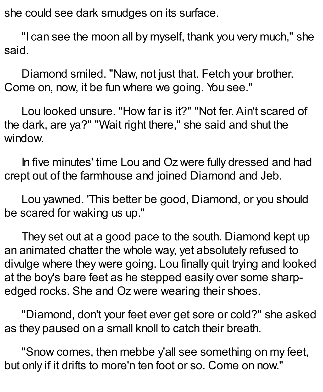she could see dark smudges on its surface.

"I can see the moon all by myself, thank you very much," she said.

Diamond smiled. "Naw, not just that. Fetch your brother. Come on, now, it be fun where we going. You see."

Lou looked unsure. "How far is it?" "Not fer.Ain't scared of the dark, are ya?" "Wait right there," she said and shut the window.

In five minutes' time Lou and Oz were fully dressed and had crept out of the farmhouse and joined Diamond and Jeb.

Lou yawned. 'This better be good, Diamond, or you should be scared for waking us up."

They set out at a good pace to the south. Diamond kept up an animated chatter the whole way, yet absolutely refused to divulge where they were going. Lou finally quit trying and looked at the boy's bare feet as he stepped easily over some sharpedged rocks. She and Oz were wearing their shoes.

"Diamond, don't your feet ever get sore or cold?" she asked as they paused on a small knoll to catch their breath.

"Snow comes, then mebbe y'all see something on my feet, but only if it drifts to more'n ten foot or so. Come on now."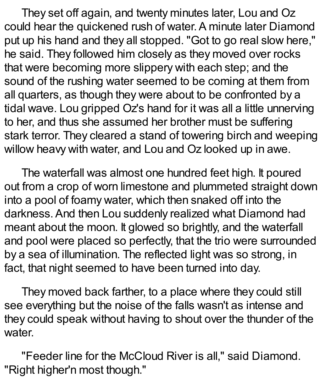They set off again, and twenty minutes later, Lou and Oz could hear the quickened rush of water.A minute later Diamond put up his hand and they all stopped. "Got to go real slow here," he said. They followed him closely as they moved over rocks that were becoming more slippery with each step; and the sound of the rushing water seemed to be coming at them from all quarters, as though they were about to be confronted by a tidal wave. Lou gripped Oz's hand for it was all a little unnerving to her, and thus she assumed her brother must be suffering stark terror. They cleared a stand of towering birch and weeping willow heavy with water, and Lou and Oz looked up in awe.

The waterfall was almost one hundred feet high. It poured out from a crop of worn limestone and plummeted straight down into a pool of foamy water, which then snaked off into the darkness.And then Lou suddenly realized what Diamond had meant about the moon. It glowed so brightly, and the waterfall and pool were placed so perfectly, that the trio were surrounded by a sea of illumination. The reflected light was so strong, in fact, that night seemed to have been turned into day.

They moved back farther, to a place where they could still see everything but the noise of the falls wasn't as intense and they could speak without having to shout over the thunder of the water

"Feeder line for the McCloud River is all," said Diamond. "Right higher'n most though."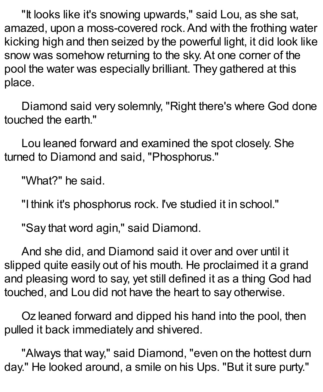"It looks like it's snowing upwards," said Lou, as she sat, amazed, upon a moss-covered rock.And with the frothing water kicking high and then seized by the powerful light, it did look like snow was somehow returning to the sky.At one corner of the pool the water was especially brilliant. They gathered at this place.

Diamond said very solemnly, "Right there's where God done touched the earth."

Lou leaned forward and examined the spot closely. She turned to Diamond and said, "Phosphorus."

"What?" he said.

"I think it's phosphorus rock. I've studied it in school."

"Say that word agin," said Diamond.

And she did, and Diamond said it over and over until it slipped quite easily out of his mouth. He proclaimed it a grand and pleasing word to say, yet still defined it as a thing God had touched, and Lou did not have the heart to say otherwise.

Oz leaned forward and dipped his hand into the pool, then pulled it back immediately and shivered.

"Always that way," said Diamond, "even on the hottest durn day." He looked around, a smile on his Ups. "But it sure purty."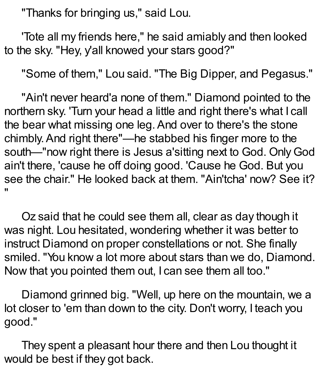"Thanks for bringing us," said Lou.

'Tote all my friends here," he said amiably and then looked to the sky. "Hey, y'all knowed your stars good?"

"Some of them," Lou said. "The Big Dipper, and Pegasus."

"Ain't never heard'a none of them." Diamond pointed to the northern sky. 'Turn your head a little and right there's what I call the bear what missing one leg.And over to there's the stone chimbly.And right there"—he stabbed his finger more to the south—"now right there is Jesus a'sitting next to God. Only God ain't there, 'cause he off doing good. 'Cause he God. But you see the chair." He looked back at them. "Ain'tcha' now? See it? "

Oz said that he could see them all, clear as day though it was night. Lou hesitated, wondering whether it was better to instruct Diamond on proper constellations or not. She finally smiled. "You know a lot more about stars than we do, Diamond. Now that you pointed them out, I can see them all too."

Diamond grinned big. "Well, up here on the mountain, we a lot closer to 'em than down to the city. Don't worry, I teach you good."

They spent a pleasant hour there and then Lou thought it would be best if they got back.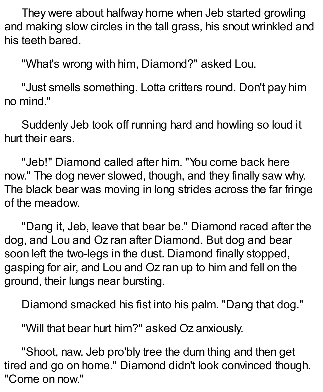They were about halfway home when Jeb started growling and making slow circles in the tall grass, his snout wrinkled and his teeth bared.

"What's wrong with him, Diamond?" asked Lou.

"Just smells something. Lotta critters round. Don't pay him no mind."

Suddenly Jeb took off running hard and howling so loud it hurt their ears.

"Jeb!" Diamond called after him. "You come back here now." The dog never slowed, though, and they finally saw why. The black bear was moving in long strides across the far fringe of the meadow.

"Dang it, Jeb, leave that bear be." Diamond raced after the dog, and Lou and Oz ran after Diamond. But dog and bear soon left the two-legs in the dust. Diamond finally stopped, gasping for air, and Lou and Oz ran up to him and fell on the ground, their lungs near bursting.

Diamond smacked his fist into his palm. "Dang that dog."

"Will that bear hurt him?" asked Oz anxiously.

"Shoot, naw. Jeb pro'bly tree the durn thing and then get tired and go on home." Diamond didn't look convinced though. "Come on now."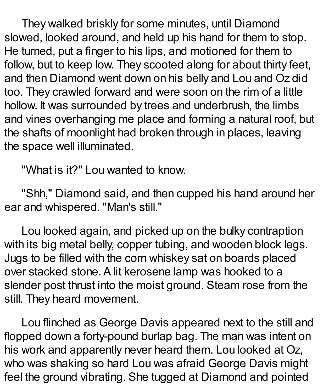They walked briskly for some minutes, until Diamond slowed, looked around, and held up his hand for them to stop. He turned, put a finger to his lips, and motioned for them to follow, but to keep low. They scooted along for about thirty feet, and then Diamond went down on his belly and Lou and Oz did too. They crawled forward and were soon on the rim of a little hollow. It was surrounded by trees and underbrush, the limbs and vines overhanging me place and forming a natural roof, but the shafts of moonlight had broken through in places, leaving the space well illuminated.

"What is it?" Lou wanted to know.

"Shh," Diamond said, and then cupped his hand around her ear and whispered. "Man's still."

Lou looked again, and picked up on the bulky contraption with its big metal belly, copper tubing, and wooden block legs. Jugs to be filled with the corn whiskey sat on boards placed over stacked stone.A lit kerosene lamp was hooked to a slender post thrust into the moist ground. Steam rose from the still. They heard movement.

Lou flinched as George Davis appeared next to the still and flopped down a forty-pound burlap bag. The man was intent on his work and apparently never heard them. Lou looked at Oz, who was shaking so hard Lou was afraid George Davis might feel the ground vibrating. She tugged at Diamond and pointed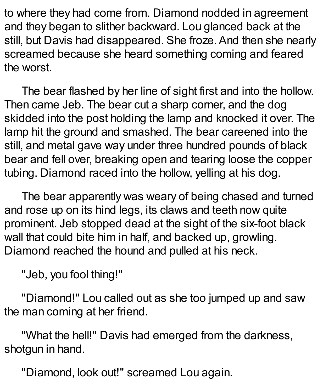to where they had come from. Diamond nodded in agreement and they began to slither backward. Lou glanced back at the still, but Davis had disappeared. She froze. And then she nearly screamed because she heard something coming and feared the worst.

The bear flashed by her line of sight first and into the hollow. Then came Jeb. The bear cut a sharp corner, and the dog skidded into the post holding the lamp and knocked it over. The lamp hit the ground and smashed. The bear careened into the still, and metal gave way under three hundred pounds of black bear and fell over, breaking open and tearing loose the copper tubing. Diamond raced into the hollow, yelling at his dog.

The bear apparently was weary of being chased and turned and rose up on its hind legs, its claws and teeth now quite prominent. Jeb stopped dead at the sight of the six-foot black wall that could bite him in half, and backed up, growling. Diamond reached the hound and pulled at his neck.

"Jeb, you fool thing!"

"Diamond!" Lou called out as she too jumped up and saw the man coming at her friend.

"What the hell!" Davis had emerged from the darkness, shotgun in hand.

"Diamond, look out!" screamed Lou again.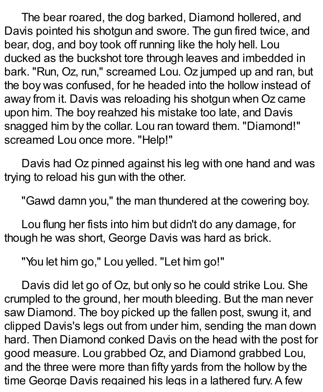The bear roared, the dog barked, Diamond hollered, and Davis pointed his shotgun and swore. The gun fired twice, and bear, dog, and boy took off running like the holy hell. Lou ducked as the buckshot tore through leaves and imbedded in bark. "Run, Oz, run," screamed Lou. Oz jumped up and ran, but the boy was confused, for he headed into the hollow instead of away from it. Davis was reloading his shotgun when Oz came upon him. The boy reahzed his mistake too late, and Davis snagged him by the collar. Lou ran toward them. "Diamond!" screamed Lou once more. "Help!"

Davis had Oz pinned against his leg with one hand and was trying to reload his gun with the other.

"Gawd damn you," the man thundered at the cowering boy.

Lou flung her fists into him but didn't do any damage, for though he was short, George Davis was hard as brick.

"You let him go," Lou yelled. "Let him go!"

Davis did let go of Oz, but only so he could strike Lou. She crumpled to the ground, her mouth bleeding. But the man never saw Diamond. The boy picked up the fallen post, swung it, and clipped Davis's legs out from under him, sending the man down hard. Then Diamond conked Davis on the head with the post for good measure. Lou grabbed Oz, and Diamond grabbed Lou, and the three were more than fifty yards from the hollow by the time George Davis regained his legs in a lathered fury. A few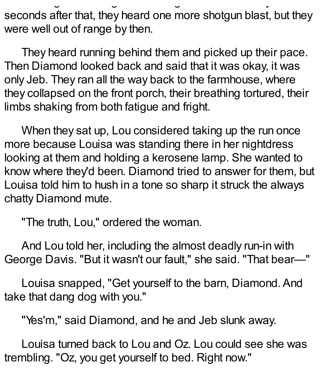time George Davis regained his legs in a lathered fury.A few seconds after that, they heard one more shotgun blast, but they were well out of range by then.

They heard running behind them and picked up their pace. Then Diamond looked back and said that it was okay, it was only Jeb. They ran all the way back to the farmhouse, where they collapsed on the front porch, their breathing tortured, their limbs shaking from both fatigue and fright.

When they sat up, Lou considered taking up the run once more because Louisa was standing there in her nightdress looking at them and holding a kerosene lamp. She wanted to know where they'd been. Diamond tried to answer for them, but Louisa told him to hush in a tone so sharp it struck the always chatty Diamond mute.

"The truth, Lou," ordered the woman.

And Lou told her, including the almost deadly run-in with George Davis. "But it wasn't our fault," she said. "That bear—"

Louisa snapped, "Get yourself to the barn, Diamond.And take that dang dog with you."

"Yes'm," said Diamond, and he and Jeb slunk away.

Louisa turned back to Lou and Oz. Lou could see she was trembling. "Oz, you get yourself to bed. Right now."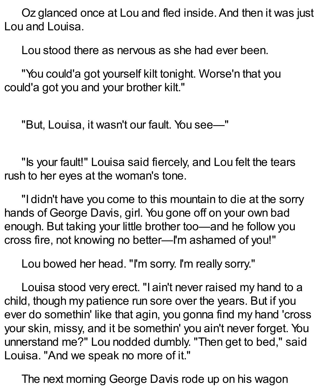Oz glanced once at Lou and fled inside.And then it was just Lou and Louisa.

Lou stood there as nervous as she had ever been.

"You could'a got yourself kilt tonight. Worse'n that you could'a got you and your brother kilt."

"But, Louisa, it wasn't our fault. You see—"

"Is your fault!" Louisa said fiercely, and Lou felt the tears rush to her eyes at the woman's tone.

"I didn't have you come to this mountain to die at the sorry hands of George Davis, girl. You gone off on your own bad enough. But taking your little brother too—and he follow you cross fire, not knowing no better—I'm ashamed of you!"

Lou bowed her head. "I'm sorry. I'm really sorry."

Louisa stood very erect. "I ain't never raised my hand to a child, though my patience run sore over the years. But if you ever do somethin' like that agin, you gonna find my hand 'cross your skin, missy, and it be somethin' you ain't never forget. You unnerstand me?" Lou nodded dumbly. "Then get to bed," said Louisa. "And we speak no more of it."

The next morning George Davis rode up on his wagon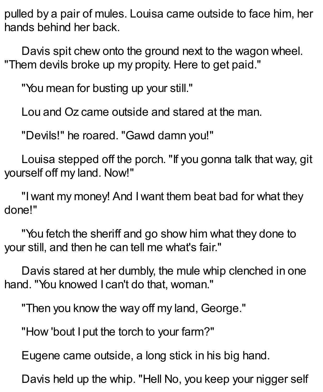pulled by a pair of mules. Louisa came outside to face him, her hands behind her back.

Davis spit chew onto the ground next to the wagon wheel. "Them devils broke up my propity. Here to get paid."

"You mean for busting up your still."

Lou and Oz came outside and stared at the man.

"Devils!" he roared. "Gawd damn you!"

Louisa stepped off the porch. "If you gonna talk that way, git yourself off my land. Now!"

"Iwant my money! And Iwant them beat bad for what they done!"

"You fetch the sheriff and go show him what they done to your still, and then he can tell me what's fair."

Davis stared at her dumbly, the mule whip clenched in one hand. "You knowed I can't do that, woman."

"Then you know the way off my land, George."

"How 'bout I put the torch to your farm?"

Eugene came outside, a long stick in his big hand.

Davis held up the whip. "Hell No, you keep your nigger self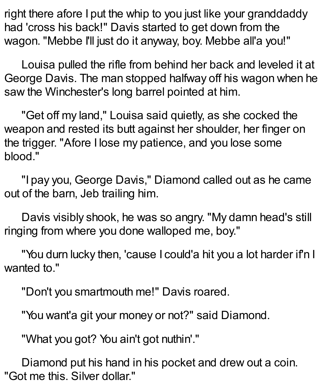right there afore I put the whip to you just like your granddaddy had 'cross his back!" Davis started to get down from the wagon. "Mebbe I'll just do it anyway, boy. Mebbe all'a you!"

Louisa pulled the rifle from behind her back and leveled it at George Davis. The man stopped halfway off his wagon when he saw the Winchester's long barrel pointed at him.

"Get off my land," Louisa said quietly, as she cocked the weapon and rested its butt against her shoulder, her finger on the trigger. "Afore I lose my patience, and you lose some blood."

"I pay you, George Davis," Diamond called out as he came out of the barn, Jeb trailing him.

Davis visibly shook, he was so angry. "My damn head's still ringing from where you done walloped me, boy."

"You durn lucky then, 'cause I could'a hit you a lot harder if'n I wanted to "

"Don't you smartmouth me!" Davis roared.

"You want'a git your money or not?" said Diamond.

"What you got? You ain't got nuthin'."

Diamond put his hand in his pocket and drew out a coin. "Got me this. Silver dollar."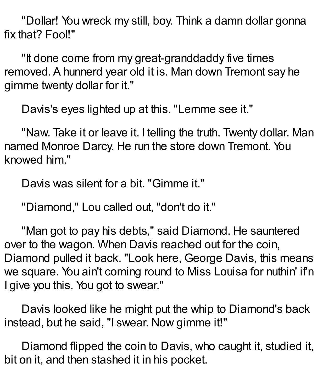"Dollar! You wreck my still, boy. Think a damn dollar gonna fix that? Fool!"

"It done come from my great-granddaddy five times removed.A hunnerd year old it is. Man down Tremont say he gimme twenty dollar for it."

Davis's eyes lighted up at this. "Lemme see it."

"Naw. Take it or leave it. I telling the truth. Twenty dollar. Man named Monroe Darcy. He run the store down Tremont. You knowed him."

Davis was silent for a bit. "Gimme it."

"Diamond," Lou called out, "don't do it."

"Man got to pay his debts," said Diamond. He sauntered over to the wagon. When Davis reached out for the coin, Diamond pulled it back. "Look here, George Davis, this means we square. You ain't coming round to Miss Louisa for nuthin' if'n I give you this. You got to swear."

Davis looked like he might put the whip to Diamond's back instead, but he said, "I swear. Now gimme it!"

Diamond flipped the coin to Davis, who caught it, studied it, bit on it, and then stashed it in his pocket.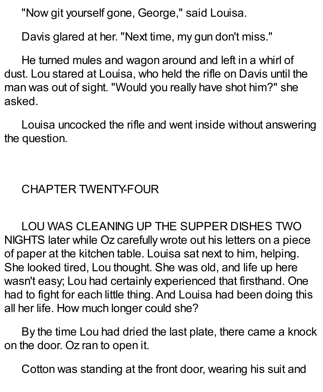"Now git yourself gone, George," said Louisa.

Davis glared at her. "Next time, my gun don't miss."

He turned mules and wagon around and left in a whirl of dust. Lou stared at Louisa, who held the rifle on Davis until the man was out of sight. "Would you really have shot him?" she asked.

Louisa uncocked the rifle and went inside without answering the question.

## CHAPTER TWENTY-FOUR

LOU WAS CLEANING UP THE SUPPER DISHES TWO NIGHTS later while Oz carefully wrote out his letters on a piece of paper at the kitchen table. Louisa sat next to him, helping. She looked tired, Lou thought. She was old, and life up here wasn't easy; Lou had certainly experienced that firsthand. One had to fight for each little thing. And Louisa had been doing this all her life. How much longer could she?

By the time Lou had dried the last plate, there came a knock on the door. Oz ran to open it.

Cotton was standing at the front door, wearing his suit and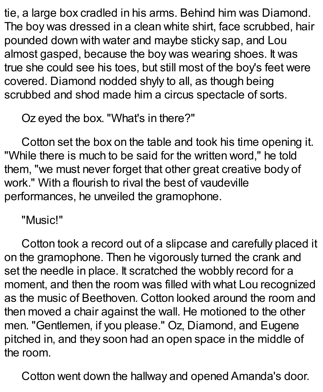tie, a large box cradled in his arms. Behind him was Diamond. The boy was dressed in a clean white shirt, face scrubbed, hair pounded down with water and maybe sticky sap, and Lou almost gasped, because the boy was wearing shoes. It was true she could see his toes, but still most of the boy's feet were covered. Diamond nodded shyly to all, as though being scrubbed and shod made him a circus spectacle of sorts.

Oz eyed the box. "What's in there?"

Cotton set the box on the table and took his time opening it. "While there is much to be said for the written word," he told them, "we must never forget that other great creative body of work." With a flourish to rival the best of vaudeville performances, he unveiled the gramophone.

"Music!"

Cotton took a record out of a slipcase and carefully placed it on the gramophone. Then he vigorously turned the crank and set the needle in place. It scratched the wobbly record for a moment, and then the room was filled with what Lou recognized as the music of Beethoven. Cotton looked around the room and then moved a chair against the wall. He motioned to the other men. "Gentlemen, if you please." Oz, Diamond, and Eugene pitched in, and they soon had an open space in the middle of the room.

Cotton went down the hallway and opened Amanda's door.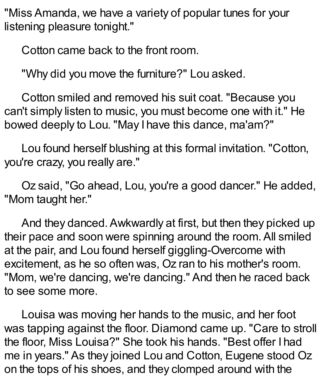"Miss Amanda, we have a variety of popular tunes for your listening pleasure tonight."

Cotton came back to the front room.

"Why did you move the furniture?" Lou asked.

Cotton smiled and removed his suit coat. "Because you can't simply listen to music, you must become one with it." He bowed deeply to Lou. "May I have this dance, ma'am?"

Lou found herself blushing at this formal invitation. "Cotton, you're crazy, you really are."

Oz said, "Go ahead, Lou, you're a good dancer." He added, "Mom taught her."

And they danced.Awkwardly at first, but then they picked up their pace and soon were spinning around the room.All smiled at the pair, and Lou found herself giggling-Overcome with excitement, as he so often was, Oz ran to his mother's room. "Mom, we're dancing, we're dancing." And then he raced back to see some more.

Louisa was moving her hands to the music, and her foot was tapping against the floor. Diamond came up. "Care to stroll the floor, Miss Louisa?" She took his hands. "Best offer I had me in years." As they joined Lou and Cotton, Eugene stood Oz on the tops of his shoes, and they clomped around with the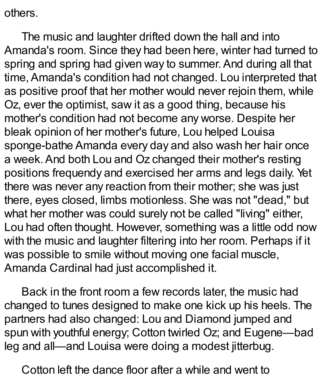others.

The music and laughter drifted down the hall and into Amanda's room. Since they had been here, winter had turned to spring and spring had given way to summer.And during all that time, Amanda's condition had not changed. Lou interpreted that as positive proof that her mother would never rejoin them, while Oz, ever the optimist, saw it as a good thing, because his mother's condition had not become any worse. Despite her bleak opinion of her mother's future, Lou helped Louisa sponge-bathe Amanda every day and also wash her hair once a week.And both Lou and Oz changed their mother's resting positions frequendy and exercised her arms and legs daily. Yet there was never any reaction from their mother; she was just there, eyes closed, limbs motionless. She was not "dead," but what her mother was could surely not be called "living" either, Lou had often thought. However, something was a little odd now with the music and laughter filtering into her room. Perhaps if it was possible to smile without moving one facial muscle, Amanda Cardinal had just accomplished it.

Back in the front room a few records later, the music had changed to tunes designed to make one kick up his heels. The partners had also changed: Lou and Diamond jumped and spun with youthful energy; Cotton twirled Oz; and Eugene—bad leg and all—and Louisa were doing a modest jitterbug.

Cotton left the dance floor after a while and went to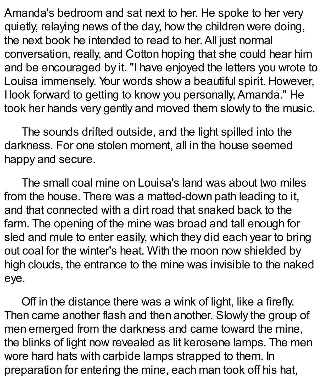Amanda's bedroom and sat next to her. He spoke to her very quietly, relaying news of the day, how the children were doing, the next book he intended to read to her. All just normal conversation, really, and Cotton hoping that she could hear him and be encouraged by it. "I have enjoyed the letters you wrote to Louisa immensely. Your words show a beautiful spirit. However, I look forward to getting to know you personally, Amanda." He took her hands very gently and moved them slowly to the music.

The sounds drifted outside, and the light spilled into the darkness. For one stolen moment, all in the house seemed happy and secure.

The small coal mine on Louisa's land was about two miles from the house. There was a matted-down path leading to it, and that connected with a dirt road that snaked back to the farm. The opening of the mine was broad and tall enough for sled and mule to enter easily, which they did each year to bring out coal for the winter's heat. With the moon now shielded by high clouds, the entrance to the mine was invisible to the naked eye.

Off in the distance there was a wink of light, like a firefly. Then came another flash and then another. Slowly the group of men emerged from the darkness and came toward the mine, the blinks of light now revealed as lit kerosene lamps. The men wore hard hats with carbide lamps strapped to them. In preparation for entering the mine, each man took off his hat,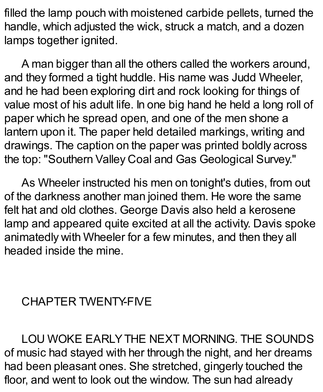filled the lamp pouch with moistened carbide pellets, turned the handle, which adjusted the wick, struck a match, and a dozen lamps together ignited.

A man bigger than all the others called the workers around, and they formed a tight huddle. His name was Judd Wheeler, and he had been exploring dirt and rock looking for things of value most of his adult life. In one big hand he held a long roll of paper which he spread open, and one of the men shone a lantern upon it. The paper held detailed markings, writing and drawings. The caption on the paper was printed boldly across the top: "Southern Valley Coal and Gas Geological Survey."

As Wheeler instructed his men on tonight's duties, from out of the darkness another man joined them. He wore the same felt hat and old clothes. George Davis also held a kerosene lamp and appeared quite excited at all the activity. Davis spoke animatedly with Wheeler for a few minutes, and then they all headed inside the mine.

## CHAPTER TWENTY-FIVE

LOU WOKE EARLYTHE NEXT MORNING. THE SOUNDS of music had stayed with her through the night, and her dreams had been pleasant ones. She stretched, gingerly touched the floor, and went to look out the window. The sun had already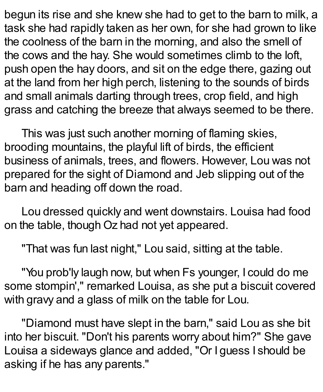begun its rise and she knew she had to get to the barn to milk, a task she had rapidly taken as her own, for she had grown to like the coolness of the barn in the morning, and also the smell of the cows and the hay. She would sometimes climb to the loft, push open the hay doors, and sit on the edge there, gazing out at the land from her high perch, listening to the sounds of birds and small animals darting through trees, crop field, and high grass and catching the breeze that always seemed to be there.

This was just such another morning of flaming skies, brooding mountains, the playful lift of birds, the efficient business of animals, trees, and flowers. However, Lou was not prepared for the sight of Diamond and Jeb slipping out of the barn and heading off down the road.

Lou dressed quickly and went downstairs. Louisa had food on the table, though Oz had not yet appeared.

"That was fun last night," Lou said, sitting at the table.

"You prob'ly laugh now, but when Fs younger, I could do me some stompin'," remarked Louisa, as she put a biscuit covered with gravy and a glass of milk on the table for Lou.

"Diamond must have slept in the barn," said Lou as she bit into her biscuit. "Don't his parents worry about him?" She gave Louisa a sideways glance and added, "Or I guess I should be asking if he has any parents."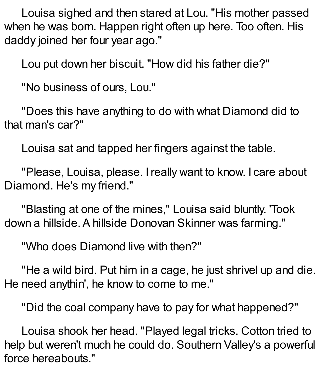Louisa sighed and then stared at Lou. "His mother passed when he was born. Happen right often up here. Too often. His daddy joined her four year ago."

Lou put down her biscuit. "How did his father die?"

"No business of ours, Lou."

"Does this have anything to do with what Diamond did to that man's car?"

Louisa sat and tapped her fingers against the table.

"Please, Louisa, please. Ireally want to know. I care about Diamond. He's my friend."

"Blasting at one of the mines," Louisa said bluntly. 'Took down a hillside.A hillside Donovan Skinner was farming."

"Who does Diamond live with then?"

"He a wild bird. Put him in a cage, he just shrivel up and die. He need anythin', he know to come to me."

"Did the coal company have to pay for what happened?"

Louisa shook her head. "Played legal tricks. Cotton tried to help but weren't much he could do. Southern Valley's a powerful force hereabouts."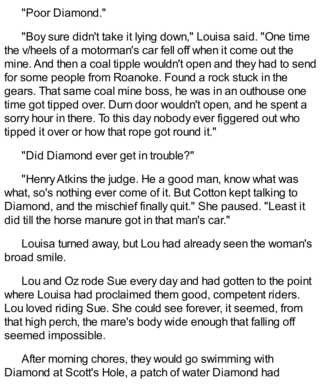"Poor Diamond."

"Boy sure didn't take it lying down," Louisa said. "One time the v/heels of a motorman's car fell off when it come out the mine.And then a coal tipple wouldn't open and they had to send for some people from Roanoke. Found a rock stuck in the gears. That same coal mine boss, he was in an outhouse one time got tipped over. Durn door wouldn't open, and he spent a sorry hour in there. To this day nobody ever figgered out who tipped it over or how that rope got round it."

"Did Diamond ever get in trouble?"

"HenryAtkins the judge. He a good man, know what was what, so's nothing ever come of it. But Cotton kept talking to Diamond, and the mischief finally quit." She paused. "Least it did till the horse manure got in that man's car."

Louisa turned away, but Lou had already seen the woman's broad smile.

Lou and Oz rode Sue every day and had gotten to the point where Louisa had proclaimed them good, competent riders. Lou loved riding Sue. She could see forever, it seemed, from that high perch, the mare's body wide enough that falling off seemed impossible.

After morning chores, they would go swimming with Diamond at Scott's Hole, a patch of water Diamond had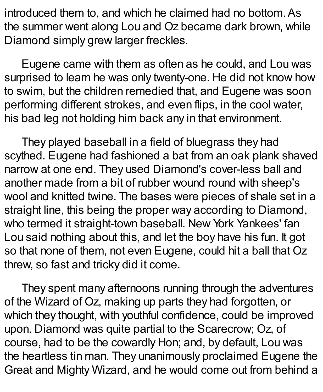introduced them to, and which he claimed had no bottom.As the summer went along Lou and Oz became dark brown, while Diamond simply grew larger freckles.

Eugene came with them as often as he could, and Lou was surprised to learn he was only twenty-one. He did not know how to swim, but the children remedied that, and Eugene was soon performing different strokes, and even flips, in the cool water, his bad leg not holding him back any in that environment.

They played baseball in a field of bluegrass they had scythed. Eugene had fashioned a bat from an oak plank shaved narrow at one end. They used Diamond's cover-less ball and another made from a bit of rubber wound round with sheep's wool and knitted twine. The bases were pieces of shale set in a straight line, this being the proper way according to Diamond, who termed it straight-town baseball. New York Yankees' fan Lou said nothing about this, and let the boy have his fun. It got so that none of them, not even Eugene, could hit a ball that Oz threw, so fast and tricky did it come.

They spent many afternoons running through the adventures of the Wizard of Oz, making up parts they had forgotten, or which they thought, with youthful confidence, could be improved upon. Diamond was quite partial to the Scarecrow; Oz, of course, had to be the cowardly Hon; and, by default, Lou was the heartless tin man. They unanimously proclaimed Eugene the Great and Mighty Wizard, and he would come out from behind a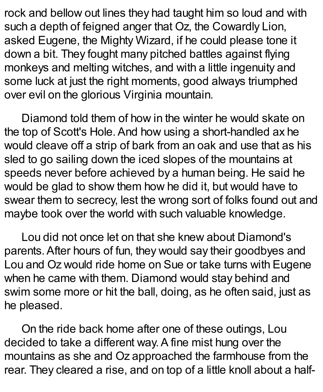rock and bellow out lines they had taught him so loud and with such a depth of feigned anger that Oz, the Cowardly Lion, asked Eugene, the Mighty Wizard, if he could please tone it down a bit. They fought many pitched battles against flying monkeys and melting witches, and with a little ingenuity and some luck at just the right moments, good always triumphed over evil on the glorious Virginia mountain.

Diamond told them of how in the winter he would skate on the top of Scott's Hole.And how using a short-handled ax he would cleave off a strip of bark from an oak and use that as his sled to go sailing down the iced slopes of the mountains at speeds never before achieved by a human being. He said he would be glad to show them how he did it, but would have to swear them to secrecy, lest the wrong sort of folks found out and maybe took over the world with such valuable knowledge.

Lou did not once let on that she knew about Diamond's parents.After hours of fun, they would say their goodbyes and Lou and Oz would ride home on Sue or take turns with Eugene when he came with them. Diamond would stay behind and swim some more or hit the ball, doing, as he often said, just as he pleased.

On the ride back home after one of these outings, Lou decided to take a different way. A fine mist hung over the mountains as she and Oz approached the farmhouse from the rear. They cleared a rise, and on top of a little knoll about a half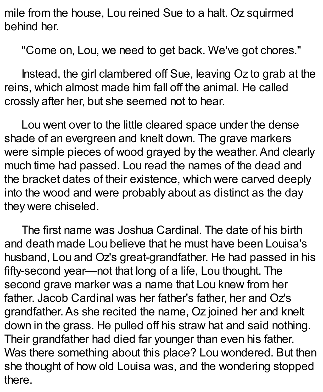mile from the house, Lou reined Sue to a halt. Oz squirmed behind her.

"Come on, Lou, we need to get back. We've got chores."

Instead, the girl clambered off Sue, leaving Oz to grab at the reins, which almost made him fall off the animal. He called crossly after her, but she seemed not to hear.

Lou went over to the little cleared space under the dense shade of an evergreen and knelt down. The grave markers were simple pieces of wood grayed by the weather.And clearly much time had passed. Lou read the names of the dead and the bracket dates of their existence, which were carved deeply into the wood and were probably about as distinct as the day they were chiseled.

The first name was Joshua Cardinal. The date of his birth and death made Lou believe that he must have been Louisa's husband, Lou and Oz's great-grandfather. He had passed in his fifty-second year—not that long of a life, Lou thought. The second grave marker was a name that Lou knew from her father. Jacob Cardinal was her father's father, her and Oz's grandfather.As she recited the name, Oz joined her and knelt down in the grass. He pulled off his straw hat and said nothing. Their grandfather had died far younger than even his father. Was there something about this place? Lou wondered. But then she thought of how old Louisa was, and the wondering stopped there.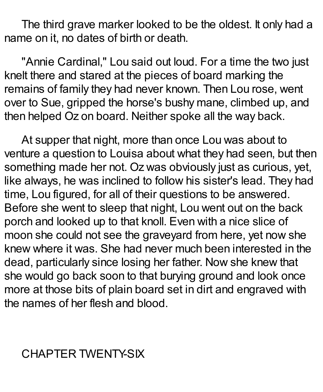The third grave marker looked to be the oldest. It only had a name on it, no dates of birth or death.

"Annie Cardinal," Lou said out loud. For a time the two just knelt there and stared at the pieces of board marking the remains of family they had never known. Then Lou rose, went over to Sue, gripped the horse's bushy mane, climbed up, and then helped Oz on board. Neither spoke all the way back.

At supper that night, more than once Lou was about to venture a question to Louisa about what they had seen, but then something made her not. Oz was obviously just as curious, yet, like always, he was inclined to follow his sister's lead. They had time, Lou figured, for all of their questions to be answered. Before she went to sleep that night, Lou went out on the back porch and looked up to that knoll. Even with a nice slice of moon she could not see the graveyard from here, yet now she knew where it was. She had never much been interested in the dead, particularly since losing her father. Now she knew that she would go back soon to that burying ground and look once more at those bits of plain board set in dirt and engraved with the names of her flesh and blood.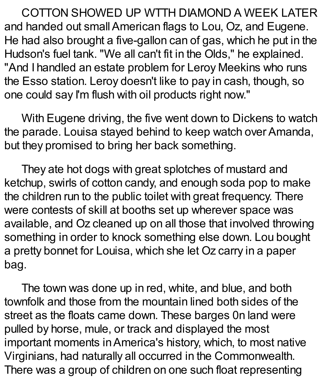COTTON SHOWED UP WTTH DIAMOND A WEEK LATER and handed out smallAmerican flags to Lou, Oz, and Eugene. He had also brought a five-gallon can of gas, which he put in the Hudson's fuel tank. "We all can't fit in the Olds," he explained. "And I handled an estate problem for Leroy Meekins who runs the Esso station. Leroy doesn't like to pay in cash, though, so one could say I'm flush with oil products right now."

With Eugene driving, the five went down to Dickens to watch the parade. Louisa stayed behind to keep watch over Amanda, but they promised to bring her back something.

They ate hot dogs with great splotches of mustard and ketchup, swirls of cotton candy, and enough soda pop to make the children run to the public toilet with great frequency. There were contests of skill at booths set up wherever space was available, and Oz cleaned up on all those that involved throwing something in order to knock something else down. Lou bought a pretty bonnet for Louisa, which she let Oz carry in a paper bag.

The town was done up in red, white, and blue, and both townfolk and those from the mountain lined both sides of the street as the floats came down. These barges 0n land were pulled by horse, mule, or track and displayed the most important moments inAmerica's history, which, to most native Virginians, had naturally all occurred in the Commonwealth. There was a group of children on one such float representing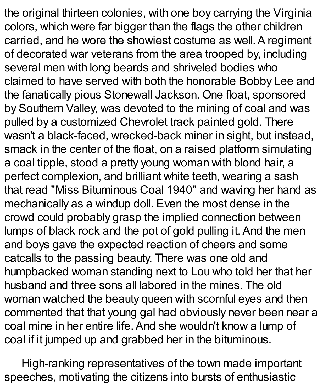the original thirteen colonies, with one boy carrying the Virginia colors, which were far bigger than the flags the other children carried, and he wore the showiest costume as well. A regiment of decorated war veterans from the area trooped by, including several men with long beards and shriveled bodies who claimed to have served with both the honorable Bobby Lee and the fanatically pious Stonewall Jackson. One float, sponsored by Southern Valley, was devoted to the mining of coal and was pulled by a customized Chevrolet track painted gold. There wasn't a black-faced, wrecked-back miner in sight, but instead, smack in the center of the float, on a raised platform simulating a coal tipple, stood a pretty young woman with blond hair, a perfect complexion, and brilliant white teeth, wearing a sash that read "Miss Bituminous Coal 1940" and waving her hand as mechanically as a windup doll. Even the most dense in the crowd could probably grasp the implied connection between lumps of black rock and the pot of gold pulling it.And the men and boys gave the expected reaction of cheers and some catcalls to the passing beauty. There was one old and humpbacked woman standing next to Lou who told her that her husband and three sons all labored in the mines. The old woman watched the beauty queen with scornful eyes and then commented that that young gal had obviously never been near a coal mine in her entire life.And she wouldn't know a lump of coal if it jumped up and grabbed her in the bituminous.

High-ranking representatives of the town made important speeches, motivating the citizens into bursts of enthusiastic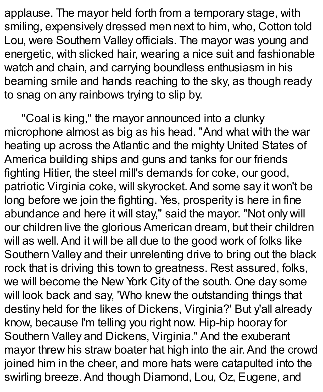applause. The mayor held forth from a temporary stage, with smiling, expensively dressed men next to him, who, Cotton told Lou, were Southern Valley officials. The mayor was young and energetic, with slicked hair, wearing a nice suit and fashionable watch and chain, and carrying boundless enthusiasm in his beaming smile and hands reaching to the sky, as though ready to snag on any rainbows trying to slip by.

"Coal is king," the mayor announced into a clunky microphone almost as big as his head. "And what with the war heating up across the Atlantic and the mighty United States of America building ships and guns and tanks for our friends fighting Hitier, the steel mill's demands for coke, our good, patriotic Virginia coke, will skyrocket.And some say it won't be long before we join the fighting. Yes, prosperity is here in fine abundance and here it will stay," said the mayor. "Not only will our children live the glorious American dream, but their children will as well.And it will be all due to the good work of folks like Southern Valley and their unrelenting drive to bring out the black rock that is driving this town to greatness. Rest assured, folks, we will become the New York City of the south. One day some will look back and say, 'Who knew the outstanding things that destiny held for the likes of Dickens, Virginia?' But y'all already know, because I'm telling you right now. Hip-hip hooray for Southern Valley and Dickens, Virginia." And the exuberant mayor threw his straw boater hat high into the air.And the crowd joined him in the cheer, and more hats were catapulted into the swirling breeze.And though Diamond, Lou, Oz, Eugene, and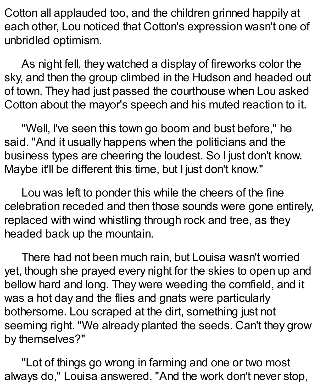Cotton all applauded too, and the children grinned happily at each other, Lou noticed that Cotton's expression wasn't one of unbridled optimism.

As night fell, they watched a display of fireworks color the sky, and then the group climbed in the Hudson and headed out of town. They had just passed the courthouse when Lou asked Cotton about the mayor's speech and his muted reaction to it.

"Well, I've seen this town go boom and bust before," he said. "And it usually happens when the politicians and the business types are cheering the loudest. So I just don't know. Maybe it'll be different this time, but I just don't know."

Lou was left to ponder this while the cheers of the fine celebration receded and then those sounds were gone entirely, replaced with wind whistling through rock and tree, as they headed back up the mountain.

There had not been much rain, but Louisa wasn't worried yet, though she prayed every night for the skies to open up and bellow hard and long. They were weeding the cornfield, and it was a hot day and the flies and gnats were particularly bothersome. Lou scraped at the dirt, something just not seeming right. "We already planted the seeds. Can't they grow by themselves?"

"Lot of things go wrong in farming and one or two most always do," Louisa answered. "And the work don't never stop,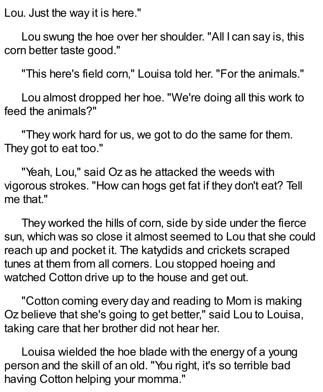Lou. Just the way it is here."

Lou swung the hoe over her shoulder. "All I can say is, this corn better taste good."

"This here's field corn," Louisa told her. "For the animals."

Lou almost dropped her hoe. "We're doing all this work to feed the animals?"

"They work hard for us, we got to do the same for them. They got to eat too."

"Yeah, Lou," said Oz as he attacked the weeds with vigorous strokes. "How can hogs get fat if they don't eat? Tell me that."

They worked the hills of corn, side by side under the fierce sun, which was so close it almost seemed to Lou that she could reach up and pocket it. The katydids and crickets scraped tunes at them from all corners. Lou stopped hoeing and watched Cotton drive up to the house and get out.

"Cotton coming every day and reading to Mom is making Oz believe that she's going to get better," said Lou to Louisa, taking care that her brother did not hear her.

Louisa wielded the hoe blade with the energy of a young person and the skill of an old. "You right, it's so terrible bad having Cotton helping your momma."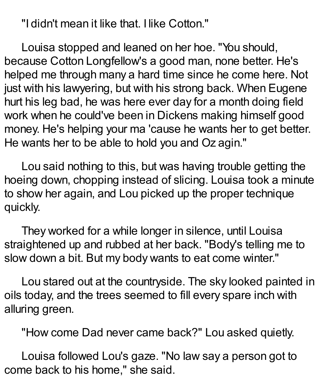"I didn't mean it like that. I like Cotton."

Louisa stopped and leaned on her hoe. "You should, because Cotton Longfellow's a good man, none better. He's helped me through many a hard time since he come here. Not just with his lawyering, but with his strong back. When Eugene hurt his leg bad, he was here ever day for a month doing field work when he could've been in Dickens making himself good money. He's helping your ma 'cause he wants her to get better. He wants her to be able to hold you and Oz agin."

Lou said nothing to this, but was having trouble getting the hoeing down, chopping instead of slicing. Louisa took a minute to show her again, and Lou picked up the proper technique quickly.

They worked for a while longer in silence, until Louisa straightened up and rubbed at her back. "Body's telling me to slow down a bit. But my body wants to eat come winter."

Lou stared out at the countryside. The sky looked painted in oils today, and the trees seemed to fill every spare inch with alluring green.

"How come Dad never came back?" Lou asked quietly.

Louisa followed Lou's gaze. "No law say a person got to come back to his home," she said.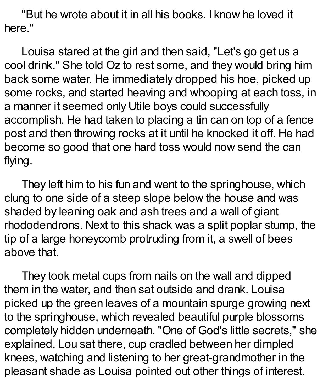"But he wrote about it in all his books. I know he loved it here."

Louisa stared at the girl and then said, "Let's go get us a cool drink." She told Oz to rest some, and they would bring him back some water. He immediately dropped his hoe, picked up some rocks, and started heaving and whooping at each toss, in a manner it seemed only Utile boys could successfully accomplish. He had taken to placing a tin can on top of a fence post and then throwing rocks at it until he knocked it off. He had become so good that one hard toss would now send the can flying.

They left him to his fun and went to the springhouse, which clung to one side of a steep slope below the house and was shaded by leaning oak and ash trees and a wall of giant rhododendrons. Next to this shack was a split poplar stump, the tip of a large honeycomb protruding from it, a swell of bees above that.

They took metal cups from nails on the wall and dipped them in the water, and then sat outside and drank. Louisa picked up the green leaves of a mountain spurge growing next to the springhouse, which revealed beautiful purple blossoms completely hidden underneath. "One of God's little secrets," she explained. Lou sat there, cup cradled between her dimpled knees, watching and listening to her great-grandmother in the pleasant shade as Louisa pointed out other things of interest.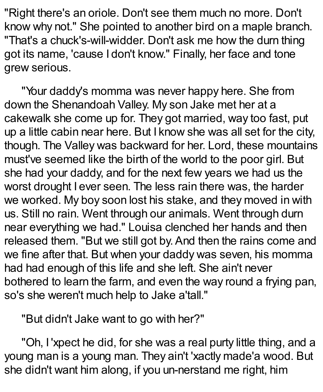"Right there's an oriole. Don't see them much no more. Don't know why not." She pointed to another bird on a maple branch. "That's a chuck's-will-widder. Don't ask me how the durn thing got its name, 'cause I don't know." Finally, her face and tone grew serious.

"Your daddy's momma was never happy here. She from down the Shenandoah Valley. My son Jake met her at a cakewalk she come up for. They got married, way too fast, put up a little cabin near here. But I know she was all set for the city, though. The Valley was backward for her. Lord, these mountains must've seemed like the birth of the world to the poor girl. But she had your daddy, and for the next few years we had us the worst drought I ever seen. The less rain there was, the harder we worked. My boy soon lost his stake, and they moved in with us. Still no rain. Went through our animals. Went through durn near everything we had." Louisa clenched her hands and then released them. "But we still got by.And then the rains come and we fine after that. But when your daddy was seven, his momma had had enough of this life and she left. She ain't never bothered to learn the farm, and even the way round a frying pan, so's she weren't much help to Jake a'tall."

"But didn't Jake want to go with her?"

"Oh, I 'xpect he did, for she was a real purty little thing, and a young man is a young man. They ain't 'xactly made'a wood. But she didn't want him along, if you un-nerstand me right, him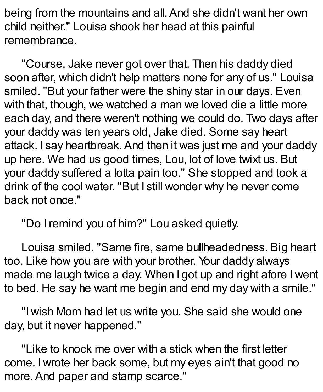being from the mountains and all.And she didn't want her own child neither." Louisa shook her head at this painful remembrance.

"Course, Jake never got over that. Then his daddy died soon after, which didn't help matters none for any of us." Louisa smiled. "But your father were the shiny star in our days. Even with that, though, we watched a man we loved die a little more each day, and there weren't nothing we could do. Two days after your daddy was ten years old, Jake died. Some say heart attack. I say heartbreak.And then it was just me and your daddy up here. We had us good times, Lou, lot of love twixt us. But your daddy suffered a lotta pain too." She stopped and took a drink of the cool water. "But I still wonder why he never come back not once."

"Do Iremind you of him?" Lou asked quietly.

Louisa smiled. "Same fire, same bullheadedness. Big heart too. Like how you are with your brother. Your daddy always made me laugh twice a day. When I got up and right afore Iwent to bed. He say he want me begin and end my day with a smile."

"Iwish Mom had let us write you. She said she would one day, but it never happened."

"Like to knock me over with a stick when the first letter come. Iwrote her back some, but my eyes ain't that good no more.And paper and stamp scarce."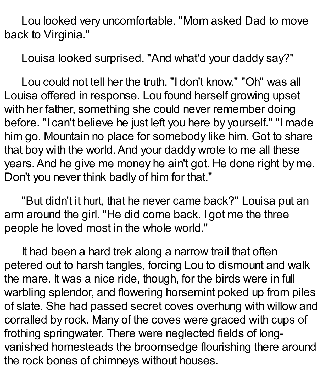Lou looked very uncomfortable. "Mom asked Dad to move back to Virginia."

Louisa looked surprised. "And what'd your daddy say?"

Lou could not tell her the truth. "I don't know." "Oh" was all Louisa offered in response. Lou found herself growing upset with her father, something she could never remember doing before. "I can't believe he just left you here by yourself." "Imade him go. Mountain no place for somebody like him. Got to share that boy with the world.And your daddy wrote to me all these years.And he give me money he ain't got. He done right by me. Don't you never think badly of him for that."

"But didn't it hurt, that he never came back?" Louisa put an arm around the girl. "He did come back. I got me the three people he loved most in the whole world."

It had been a hard trek along a narrow trail that often petered out to harsh tangles, forcing Lou to dismount and walk the mare. It was a nice ride, though, for the birds were in full warbling splendor, and flowering horsemint poked up from piles of slate. She had passed secret coves overhung with willow and corralled by rock. Many of the coves were graced with cups of frothing springwater. There were neglected fields of longvanished homesteads the broomsedge flourishing there around the rock bones of chimneys without houses.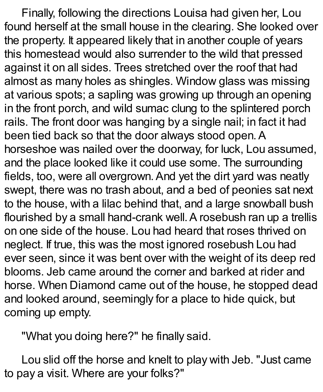Finally, following the directions Louisa had given her, Lou found herself at the small house in the clearing. She looked over the property. It appeared likely that in another couple of years this homestead would also surrender to the wild that pressed against it on all sides. Trees stretched over the roof that had almost as many holes as shingles. Window glass was missing at various spots; a sapling was growing up through an opening in the front porch, and wild sumac clung to the splintered porch rails. The front door was hanging by a single nail; in fact it had been tied back so that the door always stood open.A horseshoe was nailed over the doorway, for luck, Lou assumed, and the place looked like it could use some. The surrounding fields, too, were all overgrown.And yet the dirt yard was neatly swept, there was no trash about, and a bed of peonies sat next to the house, with a lilac behind that, and a large snowball bush flourished by a small hand-crank well. A rosebush ran up a trellis on one side of the house. Lou had heard that roses thrived on neglect. If true, this was the most ignored rosebush Lou had ever seen, since it was bent over with the weight of its deep red blooms. Jeb came around the corner and barked at rider and horse. When Diamond came out of the house, he stopped dead and looked around, seemingly for a place to hide quick, but coming up empty.

"What you doing here?" he finally said.

Lou slid off the horse and knelt to play with Jeb. "Just came to pay a visit. Where are your folks?"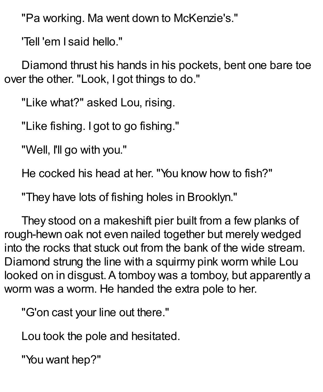"Pa working. Ma went down to McKenzie's."

'Tell 'em I said hello."

Diamond thrust his hands in his pockets, bent one bare toe over the other. "Look, I got things to do."

"Like what?" asked Lou, rising.

"Like fishing. I got to go fishing."

"Well, I'll go with you."

He cocked his head at her. "You know how to fish?"

"They have lots of fishing holes in Brooklyn."

They stood on a makeshift pier built from a few planks of rough-hewn oak not even nailed together but merely wedged into the rocks that stuck out from the bank of the wide stream. Diamond strung the line with a squirmy pink worm while Lou looked on in disgust. A tomboy was a tomboy, but apparently a worm was a worm. He handed the extra pole to her.

"G'on cast your line out there."

Lou took the pole and hesitated.

"You want hep?"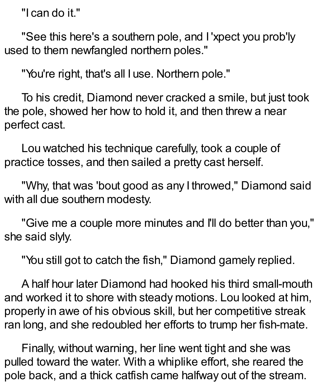"I can do it."

"See this here's a southern pole, and I 'xpect you prob'ly used to them newfangled northern poles."

"You're right, that's all I use. Northern pole."

To his credit, Diamond never cracked a smile, but just took the pole, showed her how to hold it, and then threw a near perfect cast.

Lou watched his technique carefully, took a couple of practice tosses, and then sailed a pretty cast herself.

"Why, that was 'bout good as any I throwed," Diamond said with all due southern modesty.

"Give me a couple more minutes and I'll do better than you," she said slyly.

"You still got to catch the fish," Diamond gamely replied.

A half hour later Diamond had hooked his third small-mouth and worked it to shore with steady motions. Lou looked at him, properly in awe of his obvious skill, but her competitive streak ran long, and she redoubled her efforts to trump her fish-mate.

Finally, without warning, her line went tight and she was pulled toward the water. With a whiplike effort, she reared the pole back, and a thick catfish came halfway out of the stream.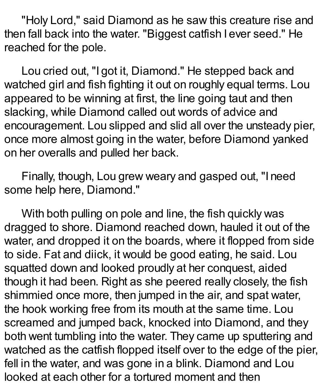"Holy Lord," said Diamond as he saw this creature rise and then fall back into the water. "Biggest catfish I ever seed." He reached for the pole.

Lou cried out, "I got it, Diamond." He stepped back and watched girl and fish fighting it out on roughly equal terms. Lou appeared to be winning at first, the line going taut and then slacking, while Diamond called out words of advice and encouragement. Lou slipped and slid all over the unsteady pier, once more almost going in the water, before Diamond yanked on her overalls and pulled her back.

Finally, though, Lou grew weary and gasped out, "I need some help here, Diamond."

With both pulling on pole and line, the fish quickly was dragged to shore. Diamond reached down, hauled it out of the water, and dropped it on the boards, where it flopped from side to side. Fat and diick, it would be good eating, he said. Lou squatted down and looked proudly at her conquest, aided though it had been. Right as she peered really closely, the fish shimmied once more, then jumped in the air, and spat water, the hook working free from its mouth at the same time. Lou screamed and jumped back, knocked into Diamond, and they both went tumbling into the water. They came up sputtering and watched as the catfish flopped itself over to the edge of the pier, fell in the water, and was gone in a blink. Diamond and Lou looked at each other for a tortured moment and then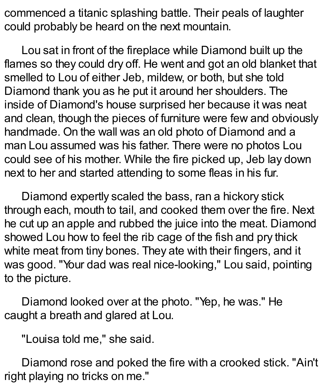commenced a titanic splashing battle. Their peals of laughter could probably be heard on the next mountain.

Lou sat in front of the fireplace while Diamond built up the flames so they could dry off. He went and got an old blanket that smelled to Lou of either Jeb, mildew, or both, but she told Diamond thank you as he put it around her shoulders. The inside of Diamond's house surprised her because it was neat and clean, though the pieces of furniture were few and obviously handmade. On the wall was an old photo of Diamond and a man Lou assumed was his father. There were no photos Lou could see of his mother. While the fire picked up, Jeb lay down next to her and started attending to some fleas in his fur.

Diamond expertly scaled the bass, ran a hickory stick through each, mouth to tail, and cooked them over the fire. Next he cut up an apple and rubbed the juice into the meat. Diamond showed Lou how to feel the rib cage of the fish and pry thick white meat from tiny bones. They ate with their fingers, and it was good. "Your dad was real nice-looking," Lou said, pointing to the picture.

Diamond looked over at the photo. "Yep, he was." He caught a breath and glared at Lou.

"Louisa told me," she said.

Diamond rose and poked the fire with a crooked stick. "Ain't right playing no tricks on me."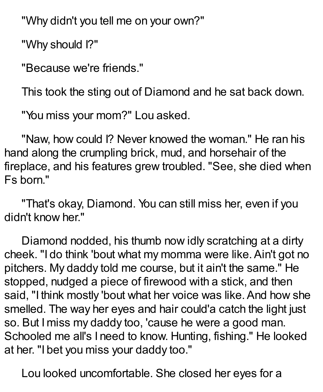"Why didn't you tell me on your own?"

"Why should I?"

"Because we're friends."

This took the sting out of Diamond and he sat back down.

"You miss your mom?" Lou asked.

"Naw, how could I? Never knowed the woman." He ran his hand along the crumpling brick, mud, and horsehair of the fireplace, and his features grew troubled. "See, she died when Fs born."

"That's okay, Diamond. You can still miss her, even if you didn't know her."

Diamond nodded, his thumb now idly scratching at a dirty cheek. "I do think 'bout what my momma were like.Ain't got no pitchers. My daddy told me course, but it ain't the same." He stopped, nudged a piece of firewood with a stick, and then said, "I think mostly 'bout what her voice was like.And how she smelled. The way her eyes and hair could'a catch the light just so. But Imiss my daddy too, 'cause he were a good man. Schooled me all's I need to know. Hunting, fishing." He looked at her. "I bet you miss your daddy too."

Lou looked uncomfortable. She closed her eyes for a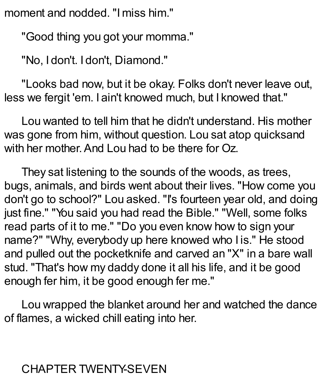moment and nodded. "Imiss him."

"Good thing you got your momma."

"No, I don't. I don't, Diamond."

"Looks bad now, but it be okay. Folks don't never leave out, less we fergit 'em. I ain't knowed much, but I knowed that."

Lou wanted to tell him that he didn't understand. His mother was gone from him, without question. Lou sat atop quicksand with her mother. And Lou had to be there for Oz.

They sat listening to the sounds of the woods, as trees, bugs, animals, and birds went about their lives. "How come you don't go to school?" Lou asked. "I's fourteen year old, and doing just fine." "You said you had read the Bible." "Well, some folks read parts of it to me." "Do you even know how to sign your name?" "Why, everybody up here knowed who I is." He stood and pulled out the pocketknife and carved an "X" in a bare wall stud. "That's how my daddy done it all his life, and it be good enough fer him, it be good enough fer me."

Lou wrapped the blanket around her and watched the dance of flames, a wicked chill eating into her.

## CHAPTER TWENTY-SEVEN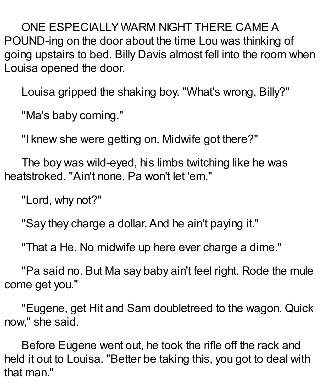ONE ESPECIALLYWARM NIGHT THERE CAME A POUND-ing on the door about the time Lou was thinking of going upstairs to bed. Billy Davis almost fell into the room when Louisa opened the door.

Louisa gripped the shaking boy. "What's wrong, Billy?"

"Ma's baby coming."

"I knew she were getting on. Midwife got there?"

The boy was wild-eyed, his limbs twitching like he was heatstroked. "Ain't none. Pa won't let 'em."

"Lord, why not?"

"Say they charge a dollar.And he ain't paying it."

"That a He. No midwife up here ever charge a dime."

"Pa said no. But Ma say baby ain't feel right. Rode the mule come get you."

"Eugene, get Hit and Sam doubletreed to the wagon. Quick now," she said.

Before Eugene went out, he took the rifle off the rack and held it out to Louisa. "Better be taking this, you got to deal with that man."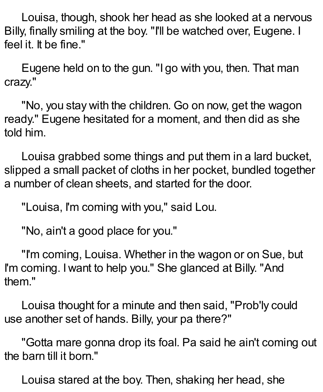Louisa, though, shook her head as she looked at a nervous Billy, finally smiling at the boy. "I'll be watched over, Eugene. I feel it. It be fine."

Eugene held on to the gun. "I go with you, then. That man crazy."

"No, you stay with the children. Go on now, get the wagon ready." Eugene hesitated for a moment, and then did as she told him.

Louisa grabbed some things and put them in a lard bucket, slipped a small packet of cloths in her pocket, bundled together a number of clean sheets, and started for the door.

"Louisa, I'm coming with you," said Lou.

"No, ain't a good place for you."

"I'm coming, Louisa. Whether in the wagon or on Sue, but I'm coming. Iwant to help you." She glanced at Billy. "And them."

Louisa thought for a minute and then said, "Prob'ly could use another set of hands. Billy, your pa there?"

"Gotta mare gonna drop its foal. Pa said he ain't coming out the barn till it born."

Louisa stared at the boy. Then, shaking her head, she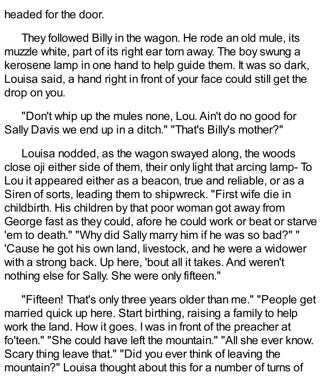headed for the door.

They followed Billy in the wagon. He rode an old mule, its muzzle white, part of its right ear torn away. The boy swung a kerosene lamp in one hand to help guide them. It was so dark, Louisa said, a hand right in front of your face could still get the drop on you.

"Don't whip up the mules none, Lou.Ain't do no good for Sally Davis we end up in a ditch." "That's Billy's mother?"

Louisa nodded, as the wagon swayed along, the woods close oji either side of them, their only light that arcing lamp- To Lou it appeared either as a beacon, true and reliable, or as a Siren of sorts, leading them to shipwreck. "First wife die in childbirth. His children by that poor woman got away from George fast as they could, afore he could work or beat or starve 'em to death." "Why did Sally marry him if he was so bad?" " 'Cause he got his own land, livestock, and he were a widower with a strong back. Up here, 'bout all it takes.And weren't nothing else for Sally. She were only fifteen."

"Fifteen! That's only three years older than me." "People get married quick up here. Start birthing, raising a family to help work the land. How it goes. Iwas in front of the preacher at fo'teen." "She could have left the mountain." "All she ever know. Scary thing leave that." "Did you ever think of leaving the mountain?" Louisa thought about this for a number of turns of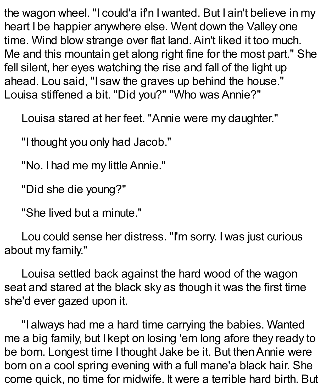the wagon wheel. "I could'a if'n Iwanted. But I ain't believe in my heart I be happier anywhere else. Went down the Valley one time. Wind blow strange over flat land. Ain't liked it too much. Me and this mountain get along right fine for the most part." She fell silent, her eyes watching the rise and fall of the light up ahead. Lou said, "I saw the graves up behind the house." Louisa stiffened a bit. "Did you?" "Who was Annie?"

Louisa stared at her feet. "Annie were my daughter."

"I thought you only had Jacob."

"No. I had me my little Annie."

"Did she die young?"

"She lived but a minute."

Lou could sense her distress. "I'm sorry. Iwas just curious about my family."

Louisa settled back against the hard wood of the wagon seat and stared at the black sky as though it was the first time she'd ever gazed upon it.

"I always had me a hard time carrying the babies. Wanted me a big family, but I kept on losing 'em long afore they ready to be born. Longest time I thought Jake be it. But thenAnnie were born on a cool spring evening with a full mane'a black hair. She come quick, no time for midwife. It were a terrible hard birth. But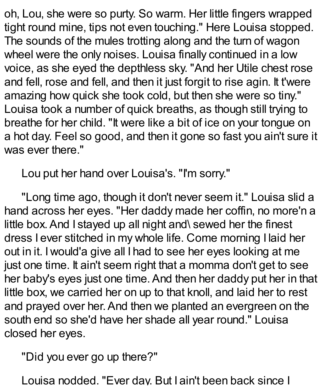oh, Lou, she were so purty. So warm. Her little fingers wrapped tight round mine, tips not even touching." Here Louisa stopped. The sounds of the mules trotting along and the turn of wagon wheel were the only noises. Louisa finally continued in a low voice, as she eyed the depthless sky. "And her Utile chest rose and fell, rose and fell, and then it just forgit to rise agin. It t'were amazing how quick she took cold, but then she were so tiny." Louisa took a number of quick breaths, as though still trying to breathe for her child. "It were like a bit of ice on your tongue on a hot day. Feel so good, and then it gone so fast you ain't sure it was ever there."

Lou put her hand over Louisa's. "I'm sorry."

"Long time ago, though it don't never seem it." Louisa slid a hand across her eyes. "Her daddy made her coffin, no more'n a little box.And I stayed up all night and\ sewed her the finest dress I ever stitched in my whole life. Come morning I laid her out in it. Iwould'a give all I had to see her eyes looking at me just one time. It ain't seem right that a momma don't get to see her baby's eyes just one time. And then her daddy put her in that little box, we carried her on up to that knoll, and laid her to rest and prayed over her. And then we planted an evergreen on the south end so she'd have her shade all year round." Louisa closed her eyes.

"Did you ever go up there?"

Louisa nodded. "Ever day. But I ain't been back since I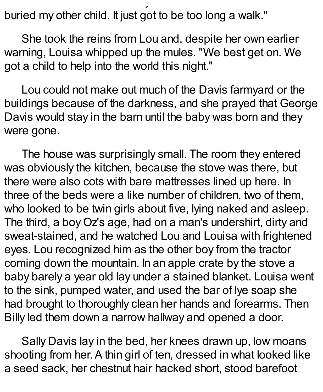buried my other child. It just got to be too long a walk."

She took the reins from Lou and, despite her own earlier warning, Louisa whipped up the mules. "We best get on. We got a child to help into the world this night."

Louisa nodded. "Ever day. But I ain't been back since I

Lou could not make out much of the Davis farmyard or the buildings because of the darkness, and she prayed that George Davis would stay in the barn until the baby was born and they were gone.

The house was surprisingly small. The room they entered was obviously the kitchen, because the stove was there, but there were also cots with bare mattresses lined up here. In three of the beds were a like number of children, two of them, who looked to be twin girls about five, lying naked and asleep. The third, a boyOz's age, had on a man's undershirt, dirty and sweat-stained, and he watched Lou and Louisa with frightened eyes. Lou recognized him as the other boy from the tractor coming down the mountain. In an apple crate by the stove a baby barely a year old lay under a stained blanket. Louisa went to the sink, pumped water, and used the bar of lye soap she had brought to thoroughly clean her hands and forearms. Then Billy led them down a narrow hallway and opened a door.

Sally Davis lay in the bed, her knees drawn up, low moans shooting from her. A thin girl of ten, dressed in what looked like a seed sack, her chestnut hair hacked short, stood barefoot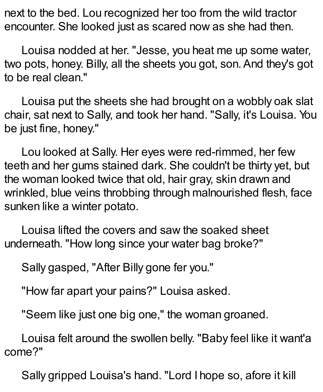next to the bed. Lou recognized her too from the wild tractor encounter. She looked just as scared now as she had then.

Louisa nodded at her. "Jesse, you heat me up some water, two pots, honey. Billy, all the sheets you got, son.And they's got to be real clean."

Louisa put the sheets she had brought on a wobbly oak slat chair, sat next to Sally, and took her hand. "Sally, it's Louisa. You be just fine, honey."

Lou looked at Sally. Her eyes were red-rimmed, her few teeth and her gums stained dark. She couldn't be thirty yet, but the woman looked twice that old, hair gray, skin drawn and wrinkled, blue veins throbbing through malnourished flesh, face sunken like a winter potato.

Louisa lifted the covers and saw the soaked sheet underneath. "How long since your water bag broke?"

Sally gasped, "After Billy gone fer you."

"How far apart your pains?" Louisa asked.

"Seem like just one big one," the woman groaned.

Louisa felt around the swollen belly. "Baby feel like it want'a come?"

Sally gripped Louisa's hand. "Lord I hope so, afore it kill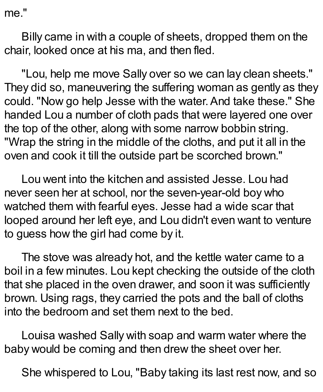me."

Billy came in with a couple of sheets, dropped them on the chair, looked once at his ma, and then fled.

"Lou, help me move Sally over so we can lay clean sheets." They did so, maneuvering the suffering woman as gently as they could. "Now go help Jesse with the water.And take these." She handed Lou a number of cloth pads that were layered one over the top of the other, along with some narrow bobbin string. "Wrap the string in the middle of the cloths, and put it all in the oven and cook it till the outside part be scorched brown."

Lou went into the kitchen and assisted Jesse. Lou had never seen her at school, nor the seven-year-old boy who watched them with fearful eyes. Jesse had a wide scar that looped around her left eye, and Lou didn't even want to venture to guess how the girl had come by it.

The stove was already hot, and the kettle water came to a boil in a few minutes. Lou kept checking the outside of the cloth that she placed in the oven drawer, and soon it was sufficiently brown. Using rags, they carried the pots and the ball of cloths into the bedroom and set them next to the bed.

Louisa washed Sally with soap and warm water where the baby would be coming and then drew the sheet over her.

She whispered to Lou, "Baby taking its last rest now, and so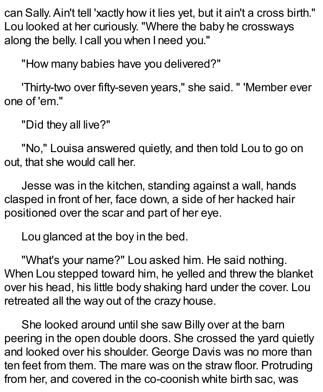can Sally.Ain't tell 'xactly how it lies yet, but it ain't a cross birth." Lou looked at her curiously. "Where the baby he crossways along the belly. I call you when I need you."

"How many babies have you delivered?"

'Thirty-two over fifty-seven years," she said. " 'Member ever one of 'em."

"Did they all live?"

"No," Louisa answered quietly, and then told Lou to go on out, that she would call her.

Jesse was in the kitchen, standing against a wall, hands clasped in front of her, face down, a side of her hacked hair positioned over the scar and part of her eye.

Lou glanced at the boy in the bed.

"What's your name?" Lou asked him. He said nothing. When Lou stepped toward him, he yelled and threw the blanket over his head, his little body shaking hard under the cover. Lou retreated all the way out of the crazy house.

She looked around until she saw Billy over at the barn peering in the open double doors. She crossed the yard quietly and looked over his shoulder. George Davis was no more than ten feet from them. The mare was on the straw floor. Protruding from her, and covered in the co-coonish white birth sac, was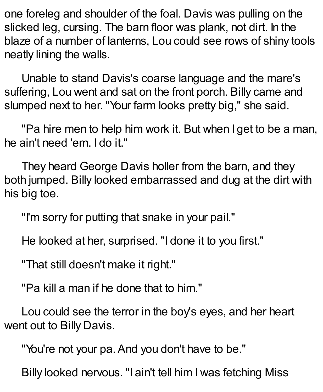one foreleg and shoulder of the foal. Davis was pulling on the slicked leg, cursing. The barn floor was plank, not dirt. In the blaze of a number of lanterns, Lou could see rows of shiny tools neatly lining the walls.

Unable to stand Davis's coarse language and the mare's suffering, Lou went and sat on the front porch. Billy came and slumped next to her. "Your farm looks pretty big," she said.

"Pa hire men to help him work it. But when I get to be a man, he ain't need 'em. I do it"

They heard George Davis holler from the barn, and they both jumped. Billy looked embarrassed and dug at the dirt with his big toe.

"I'm sorry for putting that snake in your pail."

He looked at her, surprised. "I done it to you first."

"That still doesn't make it right."

"Pa kill a man if he done that to him."

Lou could see the terror in the boy's eyes, and her heart went out to Billy Davis.

"You're not your pa.And you don't have to be."

Billy looked nervous. "I ain't tell him Iwas fetching Miss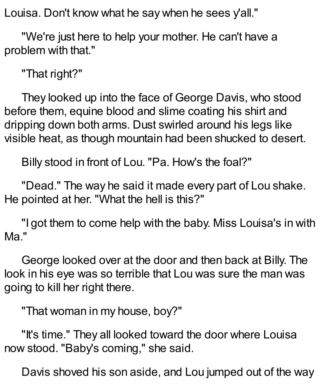Louisa. Don't know what he say when he sees y'all."

"We're just here to help your mother. He can't have a problem with that."

"That right?"

They looked up into the face of George Davis, who stood before them, equine blood and slime coating his shirt and dripping down both arms. Dust swirled around his legs like visible heat, as though mountain had been shucked to desert.

Billy stood in front of Lou. "Pa. How's the foal?"

"Dead." The way he said it made every part of Lou shake. He pointed at her. "What the hell is this?"

"I got them to come help with the baby. Miss Louisa's in with Ma."

George looked over at the door and then back at Billy. The look in his eye was so terrible that Lou was sure the man was going to kill her right there.

"That woman in my house, boy?"

"It's time." They all looked toward the door where Louisa now stood. "Baby's coming," she said.

Davis shoved his son aside, and Lou jumped out of the way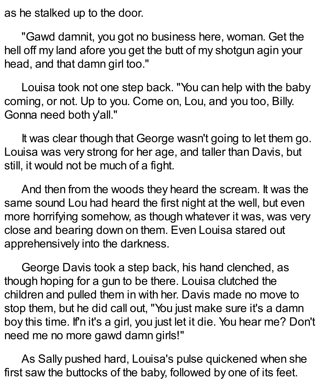as he stalked up to the door.

"Gawd damnit, you got no business here, woman. Get the hell off my land afore you get the butt of my shotgun agin your head, and that damn girl too."

Louisa took not one step back. "You can help with the baby coming, or not. Up to you. Come on, Lou, and you too, Billy. Gonna need both y'all."

It was clear though that George wasn't going to let them go. Louisa was very strong for her age, and taller than Davis, but still, it would not be much of a fight.

And then from the woods they heard the scream. It was the same sound Lou had heard the first night at the well, but even more horrifying somehow, as though whatever it was, was very close and bearing down on them. Even Louisa stared out apprehensively into the darkness.

George Davis took a step back, his hand clenched, as though hoping for a gun to be there. Louisa clutched the children and pulled them in with her. Davis made no move to stop them, but he did call out, "You just make sure it's a damn boy this time. If'n it's a girl, you just let it die. You hear me? Don't need me no more gawd damn girls!"

As Sally pushed hard, Louisa's pulse quickened when she first saw the buttocks of the baby, followed by one of its feet.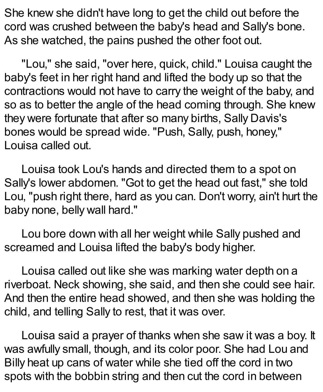She knew she didn't have long to get the child out before the cord was crushed between the baby's head and Sally's bone. As she watched, the pains pushed the other foot out.

"Lou," she said, "over here, quick, child." Louisa caught the baby's feet in her right hand and lifted the body up so that the contractions would not have to carry the weight of the baby, and so as to better the angle of the head coming through. She knew they were fortunate that after so many births, Sally Davis's bones would be spread wide. "Push, Sally, push, honey," Louisa called out.

Louisa took Lou's hands and directed them to a spot on Sally's lower abdomen. "Got to get the head out fast," she told Lou, "push right there, hard as you can. Don't worry, ain't hurt the baby none, belly wall hard."

Lou bore down with all her weight while Sally pushed and screamed and Louisa lifted the baby's body higher.

Louisa called out like she was marking water depth on a riverboat. Neck showing, she said, and then she could see hair. And then the entire head showed, and then she was holding the child, and telling Sally to rest, that it was over.

Louisa said a prayer of thanks when she saw it was a boy. It was awfully small, though, and its color poor. She had Lou and Billy heat up cans of water while she tied off the cord in two spots with the bobbin string and then cut the cord in between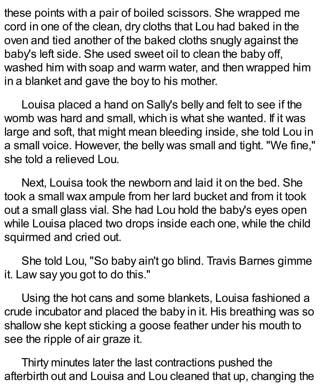these points with a pair of boiled scissors. She wrapped me cord in one of the clean, dry cloths that Lou had baked in the oven and tied another of the baked cloths snugly against the baby's left side. She used sweet oil to clean the baby off, washed him with soap and warm water, and then wrapped him in a blanket and gave the boy to his mother.

Louisa placed a hand on Sally's belly and felt to see if the womb was hard and small, which is what she wanted. If it was large and soft, that might mean bleeding inside, she told Lou in a small voice. However, the belly was small and tight. "We fine," she told a relieved Lou.

Next, Louisa took the newborn and laid it on the bed. She took a small wax ampule from her lard bucket and from it took out a small glass vial. She had Lou hold the baby's eyes open while Louisa placed two drops inside each one, while the child squirmed and cried out.

She told Lou, "So baby ain't go blind. Travis Barnes gimme it. Law say you got to do this."

Using the hot cans and some blankets, Louisa fashioned a crude incubator and placed the baby in it. His breathing was so shallow she kept sticking a goose feather under his mouth to see the ripple of air graze it.

Thirty minutes later the last contractions pushed the afterbirth out and Louisa and Lou cleaned that up, changing the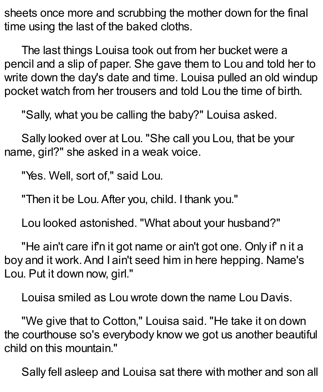sheets once more and scrubbing the mother down for the final time using the last of the baked cloths.

The last things Louisa took out from her bucket were a pencil and a slip of paper. She gave them to Lou and told her to write down the day's date and time. Louisa pulled an old windup pocket watch from her trousers and told Lou the time of birth.

"Sally, what you be calling the baby?" Louisa asked.

Sally looked over at Lou. "She call you Lou, that be your name, girl?" she asked in a weak voice.

"Yes. Well, sort of," said Lou.

"Then it be Lou. After you, child. I thank you."

Lou looked astonished. "What about your husband?"

"He ain't care if'n it got name or ain't got one. Only if' n it a boy and it work.And I ain't seed him in here hepping. Name's Lou. Put it down now, girl."

Louisa smiled as Lou wrote down the name Lou Davis.

"We give that to Cotton," Louisa said. "He take it on down the courthouse so's everybody know we got us another beautiful child on this mountain."

Sally fell asleep and Louisa sat there with mother and son all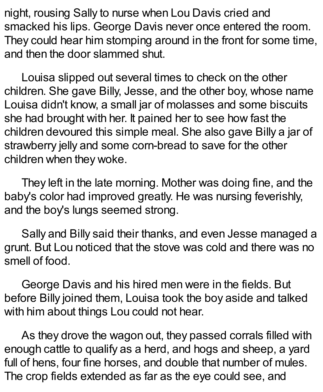night, rousing Sally to nurse when Lou Davis cried and smacked his lips. George Davis never once entered the room. They could hear him stomping around in the front for some time, and then the door slammed shut.

Louisa slipped out several times to check on the other children. She gave Billy, Jesse, and the other boy, whose name Louisa didn't know, a small jar of molasses and some biscuits she had brought with her. It pained her to see how fast the children devoured this simple meal. She also gave Billy a jar of strawberry jelly and some corn-bread to save for the other children when they woke.

They left in the late morning. Mother was doing fine, and the baby's color had improved greatly. He was nursing feverishly, and the boy's lungs seemed strong.

Sally and Billy said their thanks, and even Jesse managed a grunt. But Lou noticed that the stove was cold and there was no smell of food.

George Davis and his hired men were in the fields. But before Billy joined them, Louisa took the boy aside and talked with him about things Lou could not hear.

As they drove the wagon out, they passed corrals filled with enough cattle to qualify as a herd, and hogs and sheep, a yard full of hens, four fine horses, and double that number of mules. The crop fields extended as far as the eye could see, and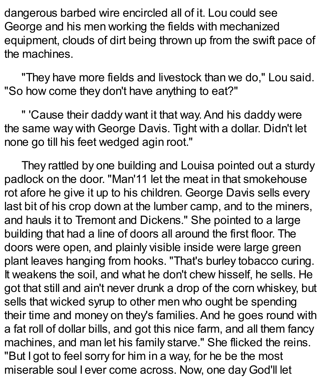dangerous barbed wire encircled all of it. Lou could see George and his men working the fields with mechanized equipment, clouds of dirt being thrown up from the swift pace of the machines.

"They have more fields and livestock than we do," Lou said. "So how come they don't have anything to eat?"

" 'Cause their daddy want it that way.And his daddy were the same way with George Davis. Tight with a dollar. Didn't let none go till his feet wedged agin root."

They rattled by one building and Louisa pointed out a sturdy padlock on the door. "Man'11 let the meat in that smokehouse rot afore he give it up to his children. George Davis sells every last bit of his crop down at the lumber camp, and to the miners, and hauls it to Tremont and Dickens." She pointed to a large building that had a line of doors all around the first floor. The doors were open, and plainly visible inside were large green plant leaves hanging from hooks. "That's burley tobacco curing. It weakens the soil, and what he don't chew hisself, he sells. He got that still and ain't never drunk a drop of the corn whiskey, but sells that wicked syrup to other men who ought be spending their time and money on they's families.And he goes round with a fat roll of dollar bills, and got this nice farm, and all them fancy machines, and man let his family starve." She flicked the reins. "But I got to feel sorry for him in a way, for he be the most miserable soul I ever come across. Now, one dayGod'll let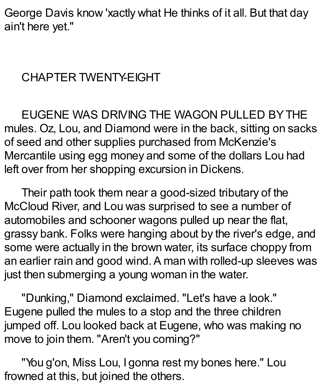George Davis know 'xactly what He thinks of it all. But that day ain't here yet."

## CHAPTER TWENTY-EIGHT

EUGENE WAS DRIVING THE WAGON PULLED BYTHE mules. Oz, Lou, and Diamond were in the back, sitting on sacks of seed and other supplies purchased from McKenzie's Mercantile using egg money and some of the dollars Lou had left over from her shopping excursion in Dickens.

Their path took them near a good-sized tributary of the McCloud River, and Lou was surprised to see a number of automobiles and schooner wagons pulled up near the flat, grassy bank. Folks were hanging about by the river's edge, and some were actually in the brown water, its surface choppy from an earlier rain and good wind.A man with rolled-up sleeves was just then submerging a young woman in the water.

"Dunking," Diamond exclaimed. "Let's have a look." Eugene pulled the mules to a stop and the three children jumped off. Lou looked back at Eugene, who was making no move to join them. "Aren't you coming?"

"You g'on, Miss Lou, I gonna rest my bones here." Lou frowned at this, but joined the others.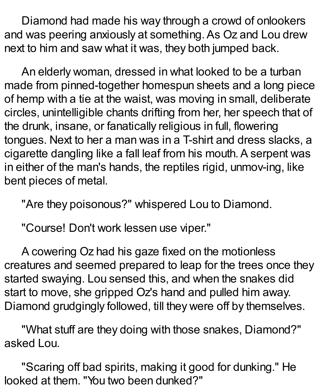Diamond had made his way through a crowd of onlookers and was peering anxiously at something.As Oz and Lou drew next to him and saw what it was, they both jumped back.

An elderly woman, dressed in what looked to be a turban made from pinned-together homespun sheets and a long piece of hemp with a tie at the waist, was moving in small, deliberate circles, unintelligible chants drifting from her, her speech that of the drunk, insane, or fanatically religious in full, flowering tongues. Next to her a man was in a T-shirt and dress slacks, a cigarette dangling like a fall leaf from his mouth.A serpent was in either of the man's hands, the reptiles rigid, unmov-ing, like bent pieces of metal.

"Are they poisonous?" whispered Lou to Diamond.

"Course! Don't work lessen use viper."

A cowering Oz had his gaze fixed on the motionless creatures and seemed prepared to leap for the trees once they started swaying. Lou sensed this, and when the snakes did start to move, she gripped Oz's hand and pulled him away. Diamond grudgingly followed, till they were off by themselves.

"What stuff are they doing with those snakes, Diamond?" asked Lou.

"Scaring off bad spirits, making it good for dunking." He looked at them. "You two been dunked?"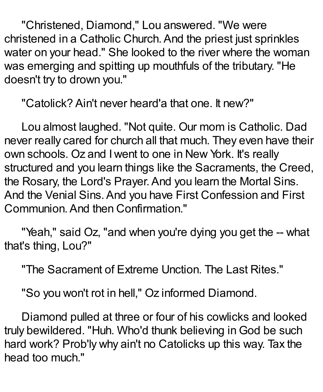"Christened, Diamond," Lou answered. "We were christened in a Catholic Church.And the priest just sprinkles water on your head." She looked to the river where the woman was emerging and spitting up mouthfuls of the tributary. "He doesn't try to drown you."

"Catolick? Ain't never heard'a that one. It new?"

Lou almost laughed. "Not quite. Our mom is Catholic. Dad never really cared for church all that much. They even have their own schools. Oz and Iwent to one in New York. It's really structured and you learn things like the Sacraments, the Creed, the Rosary, the Lord's Prayer. And you learn the Mortal Sins. And the Venial Sins.And you have First Confession and First Communion.And then Confirmation."

"Yeah," said Oz, "and when you're dying you get the -- what that's thing, Lou?"

"The Sacrament of Extreme Unction. The Last Rites."

"So you won't rot in hell," Oz informed Diamond.

Diamond pulled at three or four of his cowlicks and looked truly bewildered. "Huh. Who'd thunk believing inGod be such hard work? Prob'ly why ain't no Catolicks up this way. Tax the head too much."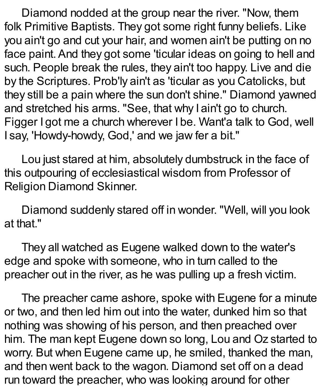Diamond nodded at the group near the river. "Now, them folk Primitive Baptists. They got some right funny beliefs. Like you ain't go and cut your hair, and women ain't be putting on no face paint. And they got some 'ticular ideas on going to hell and such. People break the rules, they ain't too happy. Live and die by the Scriptures. Prob'ly ain't as 'ticular as you Catolicks, but they still be a pain where the sun don't shine." Diamond yawned and stretched his arms. "See, that why I ain't go to church. Figger I got me a church wherever I be. Want'a talk to God, well I say, 'Howdy-howdy, God,' and we jaw fer a bit."

Lou just stared at him, absolutely dumbstruck in the face of this outpouring of ecclesiastical wisdom from Professor of Religion Diamond Skinner.

Diamond suddenly stared off in wonder. "Well, will you look at that."

They all watched as Eugene walked down to the water's edge and spoke with someone, who in turn called to the preacher out in the river, as he was pulling up a fresh victim.

The preacher came ashore, spoke with Eugene for a minute or two, and then led him out into the water, dunked him so that nothing was showing of his person, and then preached over him. The man kept Eugene down so long, Lou and Oz started to worry. But when Eugene came up, he smiled, thanked the man, and then went back to the wagon. Diamond set off on a dead run toward the preacher, who was looking around for other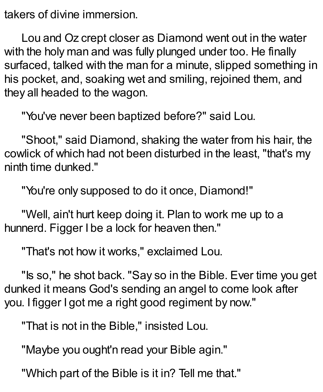takers of divine immersion.

Lou and Oz crept closer as Diamond went out in the water with the holy man and was fully plunged under too. He finally surfaced, talked with the man for a minute, slipped something in his pocket, and, soaking wet and smiling, rejoined them, and they all headed to the wagon.

"You've never been baptized before?" said Lou.

"Shoot," said Diamond, shaking the water from his hair, the cowlick of which had not been disturbed in the least, "that's my ninth time dunked."

"You're only supposed to do it once, Diamond!"

"Well, ain't hurt keep doing it. Plan to work me up to a hunnerd. Figger I be a lock for heaven then."

"That's not how it works," exclaimed Lou.

"Is so," he shot back. "Say so in the Bible. Ever time you get dunked it means God's sending an angel to come look after you. I figger I got me a right good regiment by now."

"That is not in the Bible," insisted Lou.

"Maybe you ought'n read your Bible agin."

"Which part of the Bible is it in? Tell me that."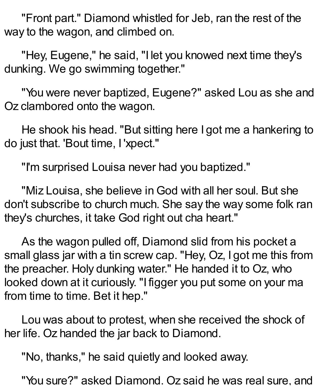"Front part." Diamond whistled for Jeb, ran the rest of the way to the wagon, and climbed on.

"Hey, Eugene," he said, "I let you knowed next time they's dunking. We go swimming together."

"You were never baptized, Eugene?" asked Lou as she and Oz clambored onto the wagon.

He shook his head. "But sitting here I got me a hankering to do just that. 'Bout time, I 'xpect."

"I'm surprised Louisa never had you baptized."

"Miz Louisa, she believe inGod with all her soul. But she don't subscribe to church much. She say the way some folk ran they's churches, it take God right out cha heart."

As the wagon pulled off, Diamond slid from his pocket a small glass jar with a tin screw cap. "Hey, Oz, I got me this from the preacher. Holy dunking water." He handed it to Oz, who looked down at it curiously. "I figger you put some on your ma from time to time. Bet it hep."

Lou was about to protest, when she received the shock of her life. Oz handed the jar back to Diamond.

"No, thanks," he said quietly and looked away.

"You sure?" asked Diamond. Oz said he was real sure, and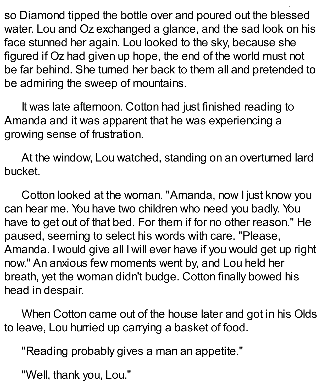so Diamond tipped the bottle over and poured out the blessed water. Lou and Oz exchanged a glance, and the sad look on his face stunned her again. Lou looked to the sky, because she figured if Oz had given up hope, the end of the world must not be far behind. She turned her back to them all and pretended to be admiring the sweep of mountains.

 $Y$ on sure, asked Diamond. Oz said he was real sure, and sure, and sure, and sure, and sure, and sure, and sure, and

It was late afternoon. Cotton had just finished reading to Amanda and it was apparent that he was experiencing a growing sense of frustration.

At the window, Lou watched, standing on an overturned lard bucket.

Cotton looked at the woman. "Amanda, now I just know you can hear me. You have two children who need you badly. You have to get out of that bed. For them if for no other reason." He paused, seeming to select his words with care. "Please, Amanda. Iwould give all Iwill ever have if you would get up right now." An anxious few moments went by, and Lou held her breath, yet the woman didn't budge. Cotton finally bowed his head in despair.

When Cotton came out of the house later and got in his Olds to leave, Lou hurried up carrying a basket of food.

"Reading probably gives a man an appetite."

"Well, thank you, Lou."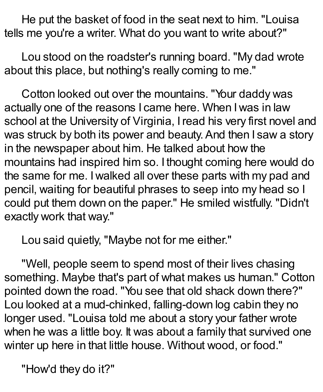He put the basket of food in the seat next to him. "Louisa tells me you're a writer. What do you want to write about?"

Lou stood on the roadster's running board. "My dad wrote about this place, but nothing's really coming to me."

Cotton looked out over the mountains. "Your daddy was actually one of the reasons I came here. When Iwas in law school at the University of Virginia, Iread his very first novel and was struck by both its power and beauty. And then I saw a story in the newspaper about him. He talked about how the mountains had inspired him so. I thought coming here would do the same for me. Iwalked all over these parts with my pad and pencil, waiting for beautiful phrases to seep into my head so I could put them down on the paper." He smiled wistfully. "Didn't exactly work that way."

Lou said quietly, "Maybe not for me either."

"Well, people seem to spend most of their lives chasing something. Maybe that's part of what makes us human." Cotton pointed down the road. "You see that old shack down there?" Lou looked at a mud-chinked, falling-down log cabin they no longer used. "Louisa told me about a story your father wrote when he was a little boy. It was about a family that survived one winter up here in that little house. Without wood, or food."

"How'd they do it?"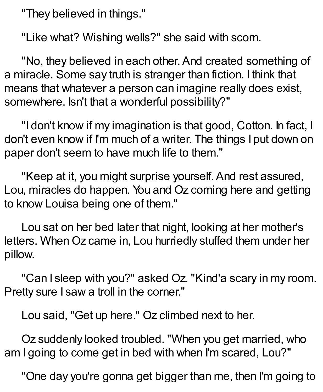"They believed in things."

"Like what? Wishing wells?" she said with scorn.

"No, they believed in each other.And created something of a miracle. Some say truth is stranger than fiction. I think that means that whatever a person can imagine really does exist, somewhere. Isn't that a wonderful possibility?"

"I don't know if my imagination is that good, Cotton. In fact, I don't even know if I'm much of a writer. The things I put down on paper don't seem to have much life to them."

"Keep at it, you might surprise yourself.And rest assured, Lou, miracles do happen. You and Oz coming here and getting to know Louisa being one of them."

Lou sat on her bed later that night, looking at her mother's letters. When Oz came in, Lou hurriedly stuffed them under her pillow.

"Can I sleep with you?" asked Oz. "Kind'a scary in my room. Pretty sure I saw a troll in the corner."

Lou said, "Get up here." Oz climbed next to her.

Oz suddenly looked troubled. "When you get married, who am I going to come get in bed with when I'm scared, Lou?"

"One day you're gonna get bigger than me, then I'm going to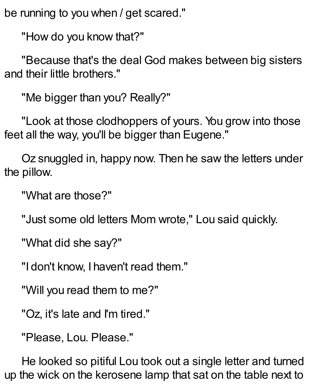be running to you when / get scared."

"How do you know that?"

"Because that's the deal God makes between big sisters and their little brothers."

"Me bigger than you? Really?"

"Look at those clodhoppers of yours. You grow into those feet all the way, you'll be bigger than Eugene."

Oz snuggled in, happy now. Then he saw the letters under the pillow.

"What are those?"

"Just some old letters Mom wrote," Lou said quickly.

"What did she say?"

"I don't know, I haven't read them."

"Will you read them to me?"

"Oz, it's late and I'm tired."

"Please, Lou. Please."

He looked so pitiful Lou took out a single letter and turned up the wick on the kerosene lamp that sat on the table next to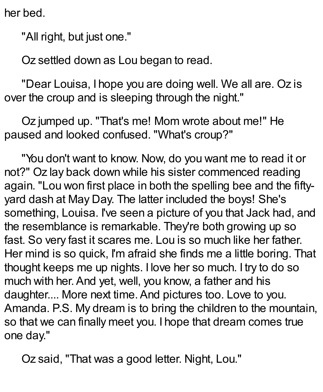her bed.

"All right, but just one."

Oz settled down as Lou began to read.

"Dear Louisa, I hope you are doing well. We all are. Oz is over the croup and is sleeping through the night."

Oz jumped up. "That's me! Mom wrote about me!" He paused and looked confused. "What's croup?"

"You don't want to know. Now, do you want me to read it or not?" Oz lay back down while his sister commenced reading again. "Lou won first place in both the spelling bee and the fiftyyard dash at May Day. The latter included the boys! She's something, Louisa. I've seen a picture of you that Jack had, and the resemblance is remarkable. They're both growing up so fast. So very fast it scares me. Lou is so much like her father. Her mind is so quick, I'm afraid she finds me a little boring. That thought keeps me up nights. I love her so much. I try to do so much with her.And yet, well, you know, a father and his daughter.... More next time.And pictures too. Love to you. Amanda. P.S. My dream is to bring the children to the mountain, so that we can finally meet you. I hope that dream comes true one day."

Oz said, "That was a good letter. Night, Lou."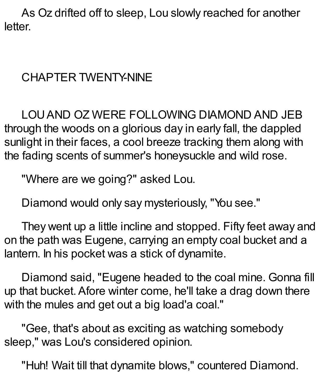As Oz drifted off to sleep, Lou slowly reached for another letter.

## CHAPTER TWENTY-NINE

LOUAND OZ WERE FOLLOWING DIAMOND AND JEB through the woods on a glorious day in early fall, the dappled sunlight in their faces, a cool breeze tracking them along with the fading scents of summer's honeysuckle and wild rose.

"Where are we going?" asked Lou.

Diamond would only say mysteriously, "You see."

They went up a little incline and stopped. Fifty feet away and on the path was Eugene, carrying an empty coal bucket and a lantern. In his pocket was a stick of dynamite.

Diamond said, "Eugene headed to the coal mine. Gonna fill up that bucket.Afore winter come, he'll take a drag down there with the mules and get out a big load'a coal."

"Gee, that's about as exciting as watching somebody sleep," was Lou's considered opinion.

"Huh! Wait till that dynamite blows," countered Diamond.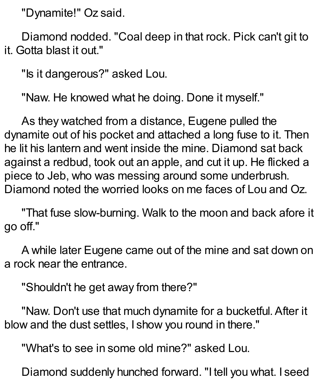"Dynamite!" Oz said.

Diamond nodded. "Coal deep in that rock. Pick can't git to it. Gotta blast it out."

"Is it dangerous?" asked Lou.

"Naw. He knowed what he doing. Done it myself."

As they watched from a distance, Eugene pulled the dynamite out of his pocket and attached a long fuse to it. Then he lit his lantern and went inside the mine. Diamond sat back against a redbud, took out an apple, and cut it up. He flicked a piece to Jeb, who was messing around some underbrush. Diamond noted the worried looks on me faces of Lou and Oz.

"That fuse slow-burning. Walk to the moon and back afore it go off."

A while later Eugene came out of the mine and sat down on a rock near the entrance.

"Shouldn't he get away from there?"

"Naw. Don't use that much dynamite for a bucketful.After it blow and the dust settles, I show you round in there."

"What's to see in some old mine?" asked Lou.

Diamond suddenly hunched forward. "I tell you what. I seed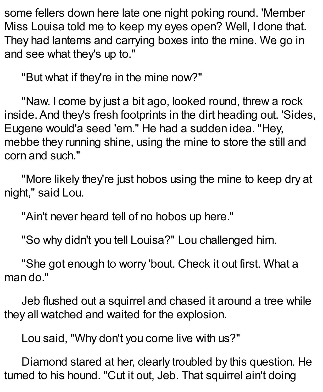some fellers down here late one night poking round. 'Member Miss Louisa told me to keep my eyes open? Well, I done that. They had lanterns and carrying boxes into the mine. We go in and see what they's up to."

"But what if they're in the mine now?"

"Naw. I come by just a bit ago, looked round, threw a rock inside.And they's fresh footprints in the dirt heading out. 'Sides, Eugene would'a seed 'em." He had a sudden idea. "Hey, mebbe they running shine, using the mine to store the still and corn and such."

"More likely they're just hobos using the mine to keep dry at night," said Lou.

"Ain't never heard tell of no hobos up here."

"So why didn't you tell Louisa?" Lou challenged him.

"She got enough to worry 'bout. Check it out first. What a man do."

Jeb flushed out a squirrel and chased it around a tree while they all watched and waited for the explosion.

Lou said, "Why don't you come live with us?"

Diamond stared at her, clearly troubled by this question. He turned to his hound. "Cut it out, Jeb. That squirrel ain't doing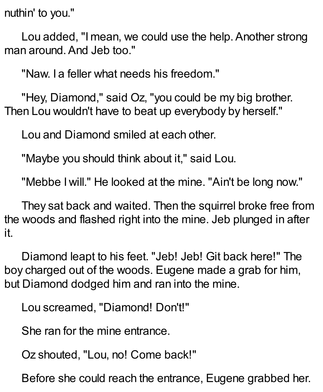nuthin' to you."

Lou added, "Imean, we could use the help.Another strong man around.And Jeb too."

"Naw. I a feller what needs his freedom."

"Hey, Diamond," said Oz, "you could be my big brother. Then Lou wouldn't have to beat up everybody by herself."

Lou and Diamond smiled at each other.

"Maybe you should think about it," said Lou.

"Mebbe Iwill." He looked at the mine. "Ain't be long now."

They sat back and waited. Then the squirrel broke free from the woods and flashed right into the mine. Jeb plunged in after it.

Diamond leapt to his feet. "Jeb! Jeb! Git back here!" The boy charged out of the woods. Eugene made a grab for him, but Diamond dodged him and ran into the mine.

Lou screamed, "Diamond! Don't!"

She ran for the mine entrance.

Oz shouted, "Lou, no! Come back!"

Before she could reach the entrance, Eugene grabbed her.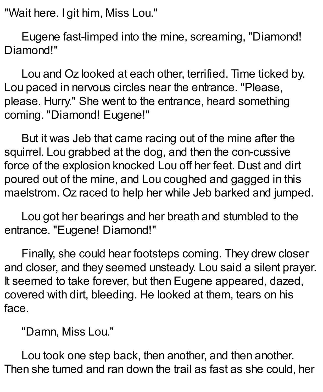"Wait here. I git him, Miss Lou."

Eugene fast-limped into the mine, screaming, "Diamond! Diamond!"

Lou and Oz looked at each other, terrified. Time ticked by. Lou paced in nervous circles near the entrance. "Please, please. Hurry." She went to the entrance, heard something coming. "Diamond! Eugene!"

But it was Jeb that came racing out of the mine after the squirrel. Lou grabbed at the dog, and then the con-cussive force of the explosion knocked Lou off her feet. Dust and dirt poured out of the mine, and Lou coughed and gagged in this maelstrom. Oz raced to help her while Jeb barked and jumped.

Lou got her bearings and her breath and stumbled to the entrance. "Eugene! Diamond!"

Finally, she could hear footsteps coming. They drew closer and closer, and they seemed unsteady. Lou said a silent prayer. It seemed to take forever, but then Eugene appeared, dazed, covered with dirt, bleeding. He looked at them, tears on his face.

"Damn, Miss Lou."

Lou took one step back, then another, and then another. Then she turned and ran down the trail as fast as she could, her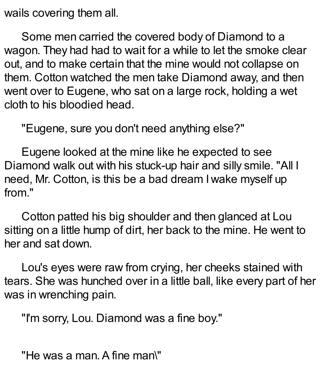wails covering them all.

Some men carried the covered body of Diamond to a wagon. They had had to wait for a while to let the smoke clear out, and to make certain that the mine would not collapse on them. Cotton watched the men take Diamond away, and then went over to Eugene, who sat on a large rock, holding a wet cloth to his bloodied head.

"Eugene, sure you don't need anything else?"

Eugene looked at the mine like he expected to see Diamond walk out with his stuck-up hair and silly smile. "All I need, Mr. Cotton, is this be a bad dream Iwake myself up from."

Cotton patted his big shoulder and then glanced at Lou sitting on a little hump of dirt, her back to the mine. He went to her and sat down.

Lou's eyes were raw from crying, her cheeks stained with tears. She was hunched over in a little ball, like every part of her was in wrenching pain.

"I'm sorry, Lou. Diamond was a fine boy."

"He was a man. A fine man\"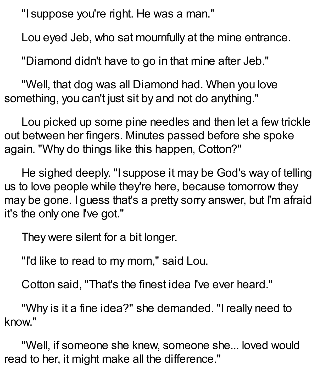"I suppose you're right. He was a man."

Lou eyed Jeb, who sat mournfully at the mine entrance.

"Diamond didn't have to go in that mine after Jeb."

"Well, that dog was all Diamond had. When you love something, you can't just sit by and not do anything."

Lou picked up some pine needles and then let a few trickle out between her fingers. Minutes passed before she spoke again. "Why do things like this happen, Cotton?"

He sighed deeply. "I suppose it may be God's way of telling us to love people while they're here, because tomorrow they may be gone. I guess that's a pretty sorry answer, but I'm afraid it's the only one I've got."

They were silent for a bit longer.

"I'd like to read to my mom," said Lou.

Cotton said, "That's the finest idea I've ever heard."

"Why is it a fine idea?" she demanded. "Ireally need to know"

"Well, if someone she knew, someone she... loved would read to her, it might make all the difference."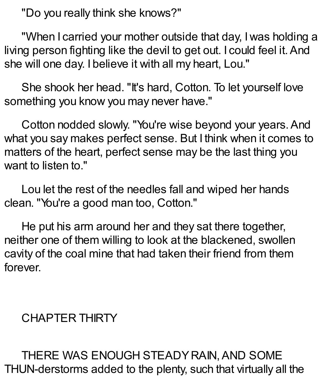"Do you really think she knows?"

"When I carried your mother outside that day, Iwas holding a living person fighting like the devil to get out. I could feel it.And she will one day. I believe it with all my heart, Lou."

She shook her head. "It's hard, Cotton. To let yourself love something you know you may never have."

Cotton nodded slowly. "You're wise beyond your years.And what you say makes perfect sense. But I think when it comes to matters of the heart, perfect sense may be the last thing you want to listen to."

Lou let the rest of the needles fall and wiped her hands clean. "You're a good man too, Cotton."

He put his arm around her and they sat there together, neither one of them willing to look at the blackened, swollen cavity of the coal mine that had taken their friend from them forever.

## CHAPTER THIRTY

THERE WAS ENOUGH STEADYRAIN,AND SOME THUN-derstorms added to the plenty, such that virtually all the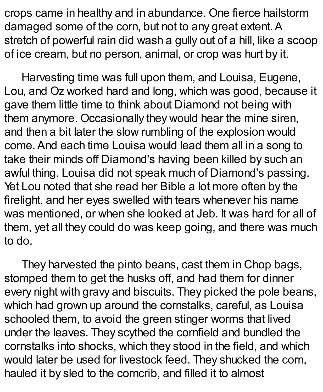crops came in healthy and in abundance. One fierce hailstorm damaged some of the corn, but not to any great extent.A stretch of powerful rain did wash a gully out of a hill, like a scoop of ice cream, but no person, animal, or crop was hurt by it.

Harvesting time was full upon them, and Louisa, Eugene, Lou, and Oz worked hard and long, which was good, because it gave them little time to think about Diamond not being with them anymore. Occasionally they would hear the mine siren, and then a bit later the slow rumbling of the explosion would come.And each time Louisa would lead them all in a song to take their minds off Diamond's having been killed by such an awful thing. Louisa did not speak much of Diamond's passing. Yet Lou noted that she read her Bible a lot more often by the firelight, and her eyes swelled with tears whenever his name was mentioned, or when she looked at Jeb. It was hard for all of them, yet all they could do was keep going, and there was much to do.

They harvested the pinto beans, cast them in Chop bags, stomped them to get the husks off, and had them for dinner every night with gravy and biscuits. They picked the pole beans, which had grown up around the cornstalks, careful, as Louisa schooled them, to avoid the green stinger worms that lived under the leaves. They scythed the cornfield and bundled the cornstalks into shocks, which they stood in the field, and which would later be used for livestock feed. They shucked the corn, hauled it by sled to the corncrib, and filled it to almost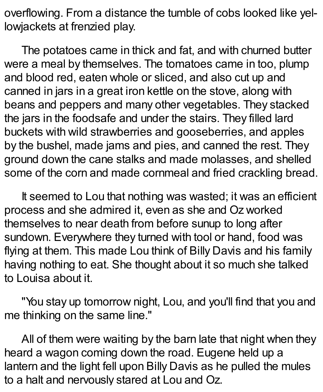overflowing. From a distance the tumble of cobs looked like yellowjackets at frenzied play.

The potatoes came in thick and fat, and with churned butter were a meal by themselves. The tomatoes came in too, plump and blood red, eaten whole or sliced, and also cut up and canned in jars in a great iron kettle on the stove, along with beans and peppers and many other vegetables. They stacked the jars in the foodsafe and under the stairs. They filled lard buckets with wild strawberries and gooseberries, and apples by the bushel, made jams and pies, and canned the rest. They ground down the cane stalks and made molasses, and shelled some of the corn and made cornmeal and fried crackling bread.

It seemed to Lou that nothing was wasted; it was an efficient process and she admired it, even as she and Oz worked themselves to near death from before sunup to long after sundown. Everywhere they turned with tool or hand, food was flying at them. This made Lou think of Billy Davis and his family having nothing to eat. She thought about it so much she talked to Louisa about it.

"You stay up tomorrow night, Lou, and you'll find that you and me thinking on the same line."

All of them were waiting by the barn late that night when they heard a wagon coming down the road. Eugene held up a lantern and the light fell upon Billy Davis as he pulled the mules to a halt and nervously stared at Lou and Oz.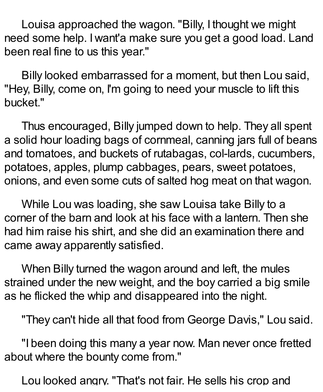Louisa approached the wagon. "Billy, I thought we might need some help. Iwant'a make sure you get a good load. Land been real fine to us this year."

Billy looked embarrassed for a moment, but then Lou said, "Hey, Billy, come on, I'm going to need your muscle to lift this bucket."

Thus encouraged, Billy jumped down to help. They all spent a solid hour loading bags of cornmeal, canning jars full of beans and tomatoes, and buckets of rutabagas, col-lards, cucumbers, potatoes, apples, plump cabbages, pears, sweet potatoes, onions, and even some cuts of salted hog meat on that wagon.

While Lou was loading, she saw Louisa take Billy to a corner of the barn and look at his face with a lantern. Then she had him raise his shirt, and she did an examination there and came away apparently satisfied.

When Billy turned the wagon around and left, the mules strained under the new weight, and the boy carried a big smile as he flicked the whip and disappeared into the night.

"They can't hide all that food from George Davis," Lou said.

"I been doing this many a year now. Man never once fretted about where the bounty come from."

Lou looked angry. "That's not fair. He sells his crop and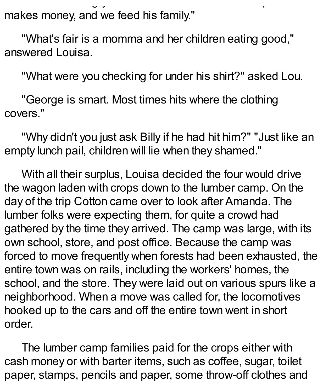Lou looked angry. "That's not fair. He sells his crop and makes money, and we feed his family."

"What's fair is a momma and her children eating good," answered Louisa.

"What were you checking for under his shirt?" asked Lou.

"George is smart. Most times hits where the clothing covers."

"Why didn't you just ask Billy if he had hit him?" "Just like an empty lunch pail, children will lie when they shamed."

With all their surplus, Louisa decided the four would drive the wagon laden with crops down to the lumber camp. On the day of the trip Cotton came over to look after Amanda. The lumber folks were expecting them, for quite a crowd had gathered by the time they arrived. The camp was large, with its own school, store, and post office. Because the camp was forced to move frequently when forests had been exhausted, the entire town was on rails, including the workers' homes, the school, and the store. They were laid out on various spurs like a neighborhood. When a move was called for, the locomotives hooked up to the cars and off the entire town went in short order.

The lumber camp families paid for the crops either with cash money or with barter items, such as coffee, sugar, toilet paper, stamps, pencils and paper, some throw-off clothes and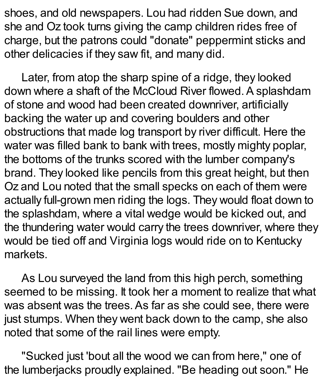shoes, and old newspapers. Lou had ridden Sue down, and she and Oz took turns giving the camp children rides free of charge, but the patrons could "donate" peppermint sticks and other delicacies if they saw fit, and many did.

Later, from atop the sharp spine of a ridge, they looked down where a shaft of the McCloud River flowed.A splashdam of stone and wood had been created downriver, artificially backing the water up and covering boulders and other obstructions that made log transport by river difficult. Here the water was filled bank to bank with trees, mostly mighty poplar, the bottoms of the trunks scored with the lumber company's brand. They looked like pencils from this great height, but then Oz and Lou noted that the small specks on each of them were actually full-grown men riding the logs. They would float down to the splashdam, where a vital wedge would be kicked out, and the thundering water would carry the trees downriver, where they would be tied off and Virginia logs would ride on to Kentucky markets.

As Lou surveyed the land from this high perch, something seemed to be missing. It took her a moment to realize that what was absent was the trees.As far as she could see, there were just stumps. When they went back down to the camp, she also noted that some of the rail lines were empty.

"Sucked just 'bout all the wood we can from here," one of the lumberjacks proudly explained. "Be heading out soon." He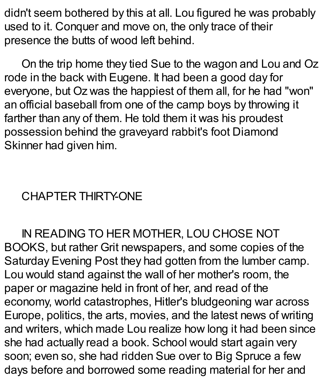didn't seem bothered by this at all. Lou figured he was probably used to it. Conquer and move on, the only trace of their presence the butts of wood left behind.

On the trip home they tied Sue to the wagon and Lou and Oz rode in the back with Eugene. It had been a good day for everyone, but Oz was the happiest of them all, for he had "won" an official baseball from one of the camp boys by throwing it farther than any of them. He told them it was his proudest possession behind the graveyard rabbit's foot Diamond Skinner had given him.

## CHAPTER THIRTY-ONE

IN READING TO HER MOTHER, LOU CHOSE NOT BOOKS, but rather Grit newspapers, and some copies of the Saturday Evening Post they had gotten from the lumber camp. Lou would stand against the wall of her mother's room, the paper or magazine held in front of her, and read of the economy, world catastrophes, Hitler's bludgeoning war across Europe, politics, the arts, movies, and the latest news of writing and writers, which made Lou realize how long it had been since she had actually read a book. School would start again very soon; even so, she had ridden Sue over to Big Spruce a few days before and borrowed some reading material for her and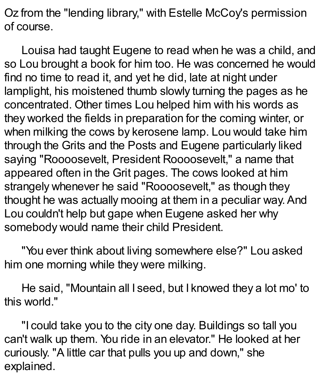Oz from the "lending library," with Estelle McCoy's permission of course.

Louisa had taught Eugene to read when he was a child, and so Lou brought a book for him too. He was concerned he would find no time to read it, and yet he did, late at night under lamplight, his moistened thumb slowly turning the pages as he concentrated. Other times Lou helped him with his words as they worked the fields in preparation for the coming winter, or when milking the cows by kerosene lamp. Lou would take him through the Grits and the Posts and Eugene particularly liked saying "Roooosevelt, President Roooosevelt," a name that appeared often in the Grit pages. The cows looked at him strangely whenever he said "Roooosevelt," as though they thought he was actually mooing at them in a peculiar way.And Lou couldn't help but gape when Eugene asked her why somebody would name their child President.

"You ever think about living somewhere else?" Lou asked him one morning while they were milking.

He said, "Mountain all I seed, but I knowed they a lot mo' to this world."

"I could take you to the city one day. Buildings so tall you can't walk up them. You ride in an elevator." He looked at her curiously. "A little car that pulls you up and down," she explained.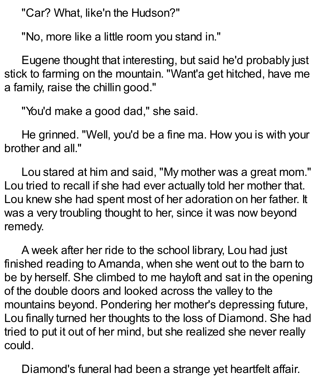"Car? What, like'n the Hudson?"

"No, more like a little room you stand in."

Eugene thought that interesting, but said he'd probably just stick to farming on the mountain. "Want'a get hitched, have me a family, raise the chillin good."

"You'd make a good dad," she said.

He grinned. "Well, you'd be a fine ma. How you is with your brother and all."

Lou stared at him and said, "My mother was a great mom." Lou tried to recall if she had ever actually told her mother that. Lou knew she had spent most of her adoration on her father. It was a very troubling thought to her, since it was now beyond remedy.

A week after her ride to the school library, Lou had just finished reading to Amanda, when she went out to the barn to be by herself. She climbed to me hayloft and sat in the opening of the double doors and looked across the valley to the mountains beyond. Pondering her mother's depressing future, Lou finally turned her thoughts to the loss of Diamond. She had tried to put it out of her mind, but she realized she never really could.

Diamond's funeral had been a strange yet heartfelt affair.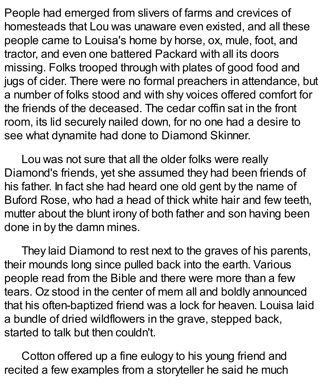People had emerged from slivers of farms and crevices of homesteads that Lou was unaware even existed, and all these people came to Louisa's home by horse, ox, mule, foot, and tractor, and even one battered Packard with all its doors missing. Folks trooped through with plates of good food and jugs of cider. There were no formal preachers in attendance, but a number of folks stood and with shy voices offered comfort for the friends of the deceased. The cedar coffin sat in the front room, its lid securely nailed down, for no one had a desire to see what dynamite had done to Diamond Skinner.

Lou was not sure that all the older folks were really Diamond's friends, yet she assumed they had been friends of his father. In fact she had heard one old gent by the name of Buford Rose, who had a head of thick white hair and few teeth, mutter about the blunt irony of both father and son having been done in by the damn mines.

They laid Diamond to rest next to the graves of his parents, their mounds long since pulled back into the earth. Various people read from the Bible and there were more than a few tears. Oz stood in the center of mem all and boldly announced that his often-baptized friend was a lock for heaven. Louisa laid a bundle of dried wildflowers in the grave, stepped back, started to talk but then couldn't.

Cotton offered up a fine eulogy to his young friend and recited a few examples from a storyteller he said he much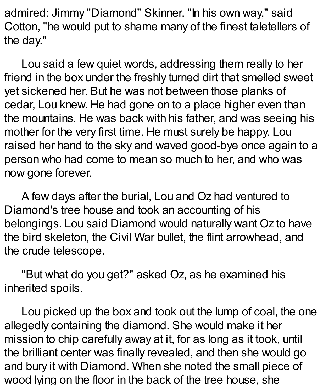admired: Jimmy "Diamond" Skinner. "In his own way," said Cotton, "he would put to shame many of the finest taletellers of the day."

Lou said a few quiet words, addressing them really to her friend in the box under the freshly turned dirt that smelled sweet yet sickened her. But he was not between those planks of cedar, Lou knew. He had gone on to a place higher even than the mountains. He was back with his father, and was seeing his mother for the very first time. He must surely be happy. Lou raised her hand to the sky and waved good-bye once again to a person who had come to mean so much to her, and who was now gone forever.

A few days after the burial, Lou and Oz had ventured to Diamond's tree house and took an accounting of his belongings. Lou said Diamond would naturally want Oz to have the bird skeleton, the Civil War bullet, the flint arrowhead, and the crude telescope.

"But what do you get?" asked Oz, as he examined his inherited spoils.

Lou picked up the box and took out the lump of coal, the one allegedly containing the diamond. She would make it her mission to chip carefully away at it, for as long as it took, until the brilliant center was finally revealed, and then she would go and bury it with Diamond. When she noted the small piece of wood lying on the floor in the back of the tree house, she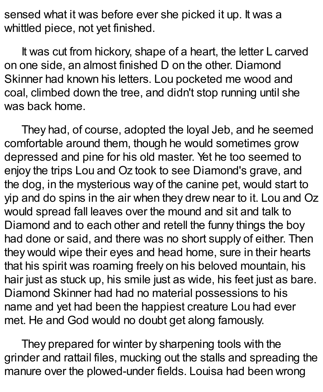sensed what it was before ever she picked it up. It was a whittled piece, not yet finished.

It was cut from hickory, shape of a heart, the letter L carved on one side, an almost finished D on the other. Diamond Skinner had known his letters. Lou pocketed me wood and coal, climbed down the tree, and didn't stop running until she was back home.

They had, of course, adopted the loyal Jeb, and he seemed comfortable around them, though he would sometimes grow depressed and pine for his old master. Yet he too seemed to enjoy the trips Lou and Oz took to see Diamond's grave, and the dog, in the mysterious way of the canine pet, would start to yip and do spins in the air when they drew near to it. Lou and Oz would spread fall leaves over the mound and sit and talk to Diamond and to each other and retell the funny things the boy had done or said, and there was no short supply of either. Then they would wipe their eyes and head home, sure in their hearts that his spirit was roaming freely on his beloved mountain, his hair just as stuck up, his smile just as wide, his feet just as bare. Diamond Skinner had had no material possessions to his name and yet had been the happiest creature Lou had ever met. He and God would no doubt get along famously.

They prepared for winter by sharpening tools with the grinder and rattail files, mucking out the stalls and spreading the manure over the plowed-under fields. Louisa had been wrong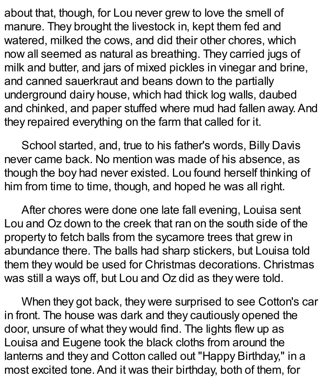about that, though, for Lou never grew to love the smell of manure. They brought the livestock in, kept them fed and watered, milked the cows, and did their other chores, which now all seemed as natural as breathing. They carried jugs of milk and butter, and jars of mixed pickles in vinegar and brine, and canned sauerkraut and beans down to the partially underground dairy house, which had thick log walls, daubed and chinked, and paper stuffed where mud had fallen away.And they repaired everything on the farm that called for it.

School started, and, true to his father's words, Billy Davis never came back. No mention was made of his absence, as though the boy had never existed. Lou found herself thinking of him from time to time, though, and hoped he was all right.

After chores were done one late fall evening, Louisa sent Lou and Oz down to the creek that ran on the south side of the property to fetch balls from the sycamore trees that grew in abundance there. The balls had sharp stickers, but Louisa told them they would be used for Christmas decorations. Christmas was still a ways off, but Lou and Oz did as they were told.

When they got back, they were surprised to see Cotton's car in front. The house was dark and they cautiously opened the door, unsure of what they would find. The lights flew up as Louisa and Eugene took the black cloths from around the lanterns and they and Cotton called out "Happy Birthday," in a most excited tone.And it was their birthday, both of them, for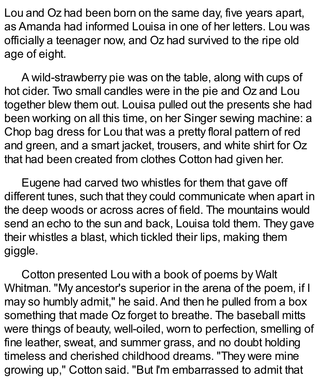Lou and Oz had been born on the same day, five years apart, as Amanda had informed Louisa in one of her letters. Lou was officially a teenager now, and Oz had survived to the ripe old age of eight.

A wild-strawberry pie was on the table, along with cups of hot cider. Two small candles were in the pie and Oz and Lou together blew them out. Louisa pulled out the presents she had been working on all this time, on her Singer sewing machine: a Chop bag dress for Lou that was a pretty floral pattern of red and green, and a smart jacket, trousers, and white shirt for Oz that had been created from clothes Cotton had given her.

Eugene had carved two whistles for them that gave off different tunes, such that they could communicate when apart in the deep woods or across acres of field. The mountains would send an echo to the sun and back, Louisa told them. They gave their whistles a blast, which tickled their lips, making them giggle.

Cotton presented Lou with a book of poems by Walt Whitman. "My ancestor's superior in the arena of the poem, if I may so humbly admit," he said. And then he pulled from a box something that made Oz forget to breathe. The baseball mitts were things of beauty, well-oiled, worn to perfection, smelling of fine leather, sweat, and summer grass, and no doubt holding timeless and cherished childhood dreams. "They were mine growing up," Cotton said. "But I'm embarrassed to admit that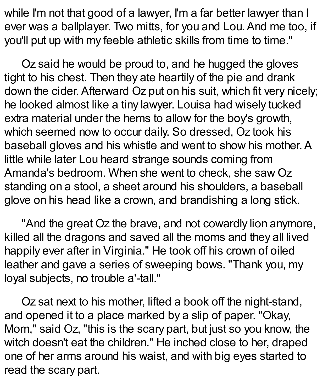while I'm not that good of a lawyer, I'm a far better lawyer than I ever was a ballplayer. Two mitts, for you and Lou.And me too, if you'll put up with my feeble athletic skills from time to time."

Oz said he would be proud to, and he hugged the gloves tight to his chest. Then they ate heartily of the pie and drank down the cider. Afterward Oz put on his suit, which fit very nicely; he looked almost like a tiny lawyer. Louisa had wisely tucked extra material under the hems to allow for the boy's growth, which seemed now to occur daily. So dressed, Oz took his baseball gloves and his whistle and went to show his mother.A little while later Lou heard strange sounds coming from Amanda's bedroom. When she went to check, she saw Oz standing on a stool, a sheet around his shoulders, a baseball glove on his head like a crown, and brandishing a long stick.

"And the great Oz the brave, and not cowardly lion anymore, killed all the dragons and saved all the moms and they all lived happily ever after in Virginia." He took off his crown of oiled leather and gave a series of sweeping bows. "Thank you, my loyal subjects, no trouble a'-tall."

Oz sat next to his mother, lifted a book off the night-stand, and opened it to a place marked by a slip of paper. "Okay, Mom," said Oz, "this is the scary part, but just so you know, the witch doesn't eat the children." He inched close to her, draped one of her arms around his waist, and with big eyes started to read the scary part.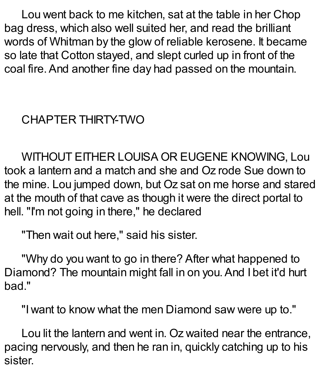Lou went back to me kitchen, sat at the table in her Chop bag dress, which also well suited her, and read the brilliant words of Whitman by the glow of reliable kerosene. It became so late that Cotton stayed, and slept curled up in front of the coal fire.And another fine day had passed on the mountain.

## CHAPTER THIRTY-TWO

WITHOUT EITHER LOUISA OR EUGENE KNOWING, Lou took a lantern and a match and she and Oz rode Sue down to the mine. Lou jumped down, but Oz sat on me horse and stared at the mouth of that cave as though it were the direct portal to hell. "I'm not going in there," he declared

"Then wait out here," said his sister.

"Why do you want to go in there? After what happened to Diamond? The mountain might fall in on you.And I bet it'd hurt bad."

"Iwant to know what the men Diamond saw were up to."

Lou lit the lantern and went in. Oz waited near the entrance, pacing nervously, and then he ran in, quickly catching up to his sister.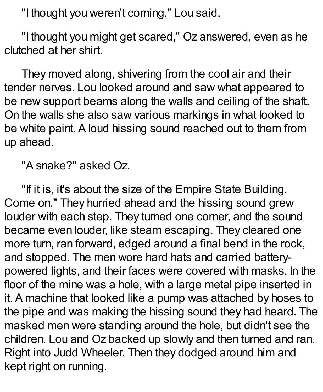"I thought you weren't coming," Lou said.

"I thought you might get scared," Oz answered, even as he clutched at her shirt.

They moved along, shivering from the cool air and their tender nerves. Lou looked around and saw what appeared to be new support beams along the walls and ceiling of the shaft. On the walls she also saw various markings in what looked to be white paint. A loud hissing sound reached out to them from up ahead.

"A snake?" asked Oz.

"If it is, it's about the size of the Empire State Building. Come on." They hurried ahead and the hissing sound grew louder with each step. They turned one corner, and the sound became even louder, like steam escaping. They cleared one more turn, ran forward, edged around a final bend in the rock, and stopped. The men wore hard hats and carried batterypowered lights, and their faces were covered with masks. In the floor of the mine was a hole, with a large metal pipe inserted in it.A machine that looked like a pump was attached by hoses to the pipe and was making the hissing sound they had heard. The masked men were standing around the hole, but didn't see the children. Lou and Oz backed up slowly and then turned and ran. Right into Judd Wheeler. Then they dodged around him and kept right on running.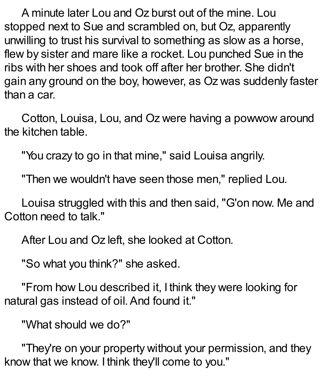A minute later Lou and Oz burst out of the mine. Lou stopped next to Sue and scrambled on, but Oz, apparently unwilling to trust his survival to something as slow as a horse, flew by sister and mare like a rocket. Lou punched Sue in the ribs with her shoes and took off after her brother. She didn't gain any ground on the boy, however, as Oz was suddenly faster than a car.

Cotton, Louisa, Lou, and Oz were having a powwow around the kitchen table.

"You crazy to go in that mine," said Louisa angrily.

"Then we wouldn't have seen those men," replied Lou.

Louisa struggled with this and then said, "G'on now. Me and Cotton need to talk."

After Lou and Oz left, she looked at Cotton.

"So what you think?" she asked.

"From how Lou described it, I think they were looking for natural gas instead of oil.And found it."

"What should we do?"

"They're on your property without your permission, and they know that we know. I think they'll come to you."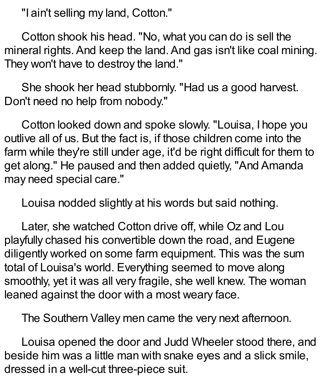"I ain't selling my land, Cotton."

Cotton shook his head. "No, what you can do is sell the mineral rights.And keep the land.And gas isn't like coal mining. They won't have to destroy the land."

She shook her head stubbornly. "Had us a good harvest. Don't need no help from nobody."

Cotton looked down and spoke slowly. "Louisa, I hope you outlive all of us. But the fact is, if those children come into the farm while they're still under age, it'd be right difficult for them to get along." He paused and then added quietly, "And Amanda may need special care."

Louisa nodded slightly at his words but said nothing.

Later, she watched Cotton drive off, while Oz and Lou playfully chased his convertible down the road, and Eugene diligently worked on some farm equipment. This was the sum total of Louisa's world. Everything seemed to move along smoothly, yet it was all very fragile, she well knew. The woman leaned against the door with a most weary face.

The Southern Valley men came the very next afternoon.

Louisa opened the door and Judd Wheeler stood there, and beside him was a little man with snake eyes and a slick smile, dressed in a well-cut three-piece suit.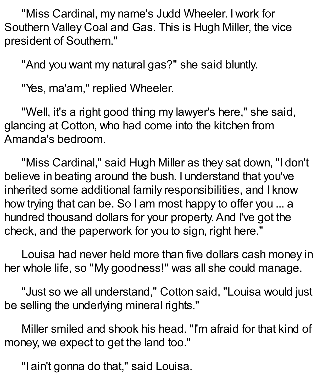"Miss Cardinal, my name's Judd Wheeler. Iwork for Southern Valley Coal and Gas. This is Hugh Miller, the vice president of Southern."

"And you want my natural gas?" she said bluntly.

"Yes, ma'am," replied Wheeler.

"Well, it's a right good thing my lawyer's here," she said, glancing at Cotton, who had come into the kitchen from Amanda's bedroom.

"Miss Cardinal," said Hugh Miller as they sat down, "I don't believe in beating around the bush. I understand that you've inherited some additional family responsibilities, and I know how trying that can be. So I am most happy to offer you ... a hundred thousand dollars for your property.And I've got the check, and the paperwork for you to sign, right here."

Louisa had never held more than five dollars cash money in her whole life, so "My goodness!" was all she could manage.

"Just so we all understand," Cotton said, "Louisa would just be selling the underlying mineral rights."

Miller smiled and shook his head. "I'm afraid for that kind of money, we expect to get the land too."

"I ain't gonna do that," said Louisa.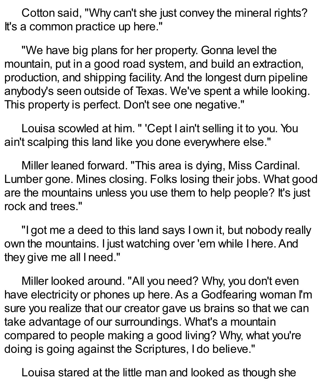Cotton said, "Why can't she just convey the mineral rights? It's a common practice up here."

"We have big plans for her property. Gonna level the mountain, put in a good road system, and build an extraction, production, and shipping facility.And the longest durn pipeline anybody's seen outside of Texas. We've spent a while looking. This property is perfect. Don't see one negative."

Louisa scowled at him. " 'Cept I ain't selling it to you. You ain't scalping this land like you done everywhere else."

Miller leaned forward. "This area is dying, Miss Cardinal. Lumber gone. Mines closing. Folks losing their jobs. What good are the mountains unless you use them to help people? It's just rock and trees."

"I got me a deed to this land says I own it, but nobody really own the mountains. I just watching over 'em while I here.And they give me all I need."

Miller looked around. "All you need? Why, you don't even have electricity or phones up here. As a Godfearing woman I'm sure you realize that our creator gave us brains so that we can take advantage of our surroundings. What's a mountain compared to people making a good living? Why, what you're doing is going against the Scriptures, I do believe."

Louisa stared at the little man and looked as though she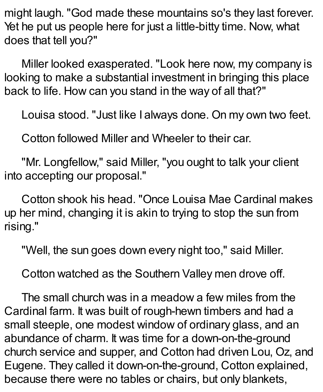might laugh. "God made these mountains so's they last forever. Yet he put us people here for just a little-bitty time. Now, what does that tell you?"

Miller looked exasperated. "Look here now, my company is looking to make a substantial investment in bringing this place back to life. How can you stand in the way of all that?"

Louisa stood. "Just like I always done. On my own two feet.

Cotton followed Miller and Wheeler to their car.

"Mr. Longfellow," said Miller, "you ought to talk your client into accepting our proposal."

Cotton shook his head. "Once Louisa Mae Cardinal makes up her mind, changing it is akin to trying to stop the sun from rising."

"Well, the sun goes down every night too," said Miller.

Cotton watched as the Southern Valley men drove off.

The small church was in a meadow a few miles from the Cardinal farm. It was built of rough-hewn timbers and had a small steeple, one modest window of ordinary glass, and an abundance of charm. It was time for a down-on-the-ground church service and supper, and Cotton had driven Lou, Oz, and Eugene. They called it down-on-the-ground, Cotton explained, because there were no tables or chairs, but only blankets,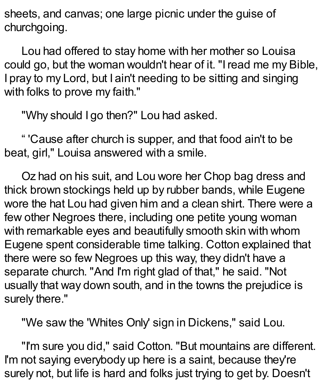sheets, and canvas; one large picnic under the guise of churchgoing.

Lou had offered to stay home with her mother so Louisa could go, but the woman wouldn't hear of it. "Iread me my Bible, I pray to my Lord, but I ain't needing to be sitting and singing with folks to prove my faith."

"Why should I go then?" Lou had asked.

" 'Cause after church is supper, and that food ain't to be beat, girl," Louisa answered with a smile.

Oz had on his suit, and Lou wore her Chop bag dress and thick brown stockings held up by rubber bands, while Eugene wore the hat Lou had given him and a clean shirt. There were a few other Negroes there, including one petite young woman with remarkable eyes and beautifully smooth skin with whom Eugene spent considerable time talking. Cotton explained that there were so few Negroes up this way, they didn't have a separate church. "And I'm right glad of that," he said. "Not usually that way down south, and in the towns the prejudice is surely there."

"We saw the 'Whites Only' sign in Dickens," said Lou.

"I'm sure you did," said Cotton. "But mountains are different. I'm not saying everybody up here is a saint, because they're surely not, but life is hard and folks just trying to get by. Doesn't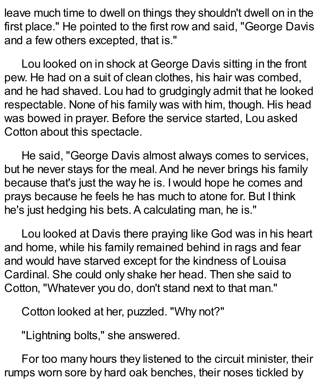leave much time to dwell on things they shouldn't dwell on in the first place." He pointed to the first row and said, "George Davis and a few others excepted, that is."

Lou looked on in shock at George Davis sitting in the front pew. He had on a suit of clean clothes, his hair was combed, and he had shaved. Lou had to grudgingly admit that he looked respectable. None of his family was with him, though. His head was bowed in prayer. Before the service started, Lou asked Cotton about this spectacle.

He said, "George Davis almost always comes to services, but he never stays for the meal.And he never brings his family because that's just the way he is. Iwould hope he comes and prays because he feels he has much to atone for. But I think he's just hedging his bets. A calculating man, he is."

Lou looked at Davis there praying like God was in his heart and home, while his family remained behind in rags and fear and would have starved except for the kindness of Louisa Cardinal. She could only shake her head. Then she said to Cotton, "Whatever you do, don't stand next to that man."

Cotton looked at her, puzzled. "Why not?"

"Lightning bolts," she answered.

For too many hours they listened to the circuit minister, their rumps worn sore by hard oak benches, their noses tickled by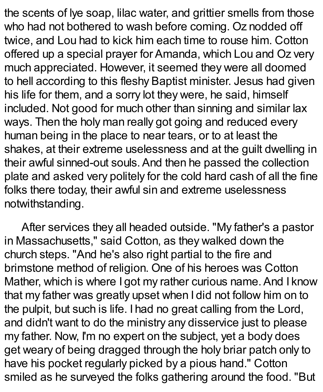the scents of lye soap, lilac water, and grittier smells from those who had not bothered to wash before coming. Oz nodded off twice, and Lou had to kick him each time to rouse him. Cotton offered up a special prayer for Amanda, which Lou and Oz very much appreciated. However, it seemed they were all doomed to hell according to this fleshy Baptist minister. Jesus had given his life for them, and a sorry lot they were, he said, himself included. Not good for much other than sinning and similar lax ways. Then the holy man really got going and reduced every human being in the place to near tears, or to at least the shakes, at their extreme uselessness and at the guilt dwelling in their awful sinned-out souls.And then he passed the collection plate and asked very politely for the cold hard cash of all the fine folks there today, their awful sin and extreme uselessness notwithstanding.

After services they all headed outside. "My father's a pastor in Massachusetts," said Cotton, as they walked down the church steps. "And he's also right partial to the fire and brimstone method of religion. One of his heroes was Cotton Mather, which is where I got my rather curious name. And I know that my father was greatly upset when I did not follow him on to the pulpit, but such is life. I had no great calling from the Lord, and didn't want to do the ministry any disservice just to please my father. Now, I'm no expert on the subject, yet a body does get weary of being dragged through the holy briar patch only to have his pocket regularly picked by a pious hand." Cotton smiled as he surveyed the folks gathering around the food. "But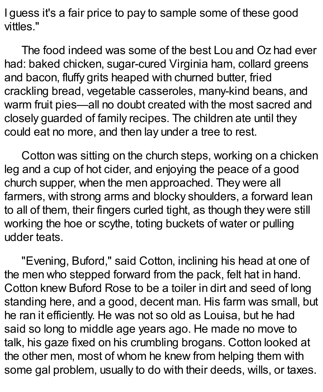I guess it's a fair price to pay to sample some of these good vittles."

The food indeed was some of the best Lou and Oz had ever had: baked chicken, sugar-cured Virginia ham, collard greens and bacon, fluffy grits heaped with churned butter, fried crackling bread, vegetable casseroles, many-kind beans, and warm fruit pies—all no doubt created with the most sacred and closely guarded of family recipes. The children ate until they could eat no more, and then lay under a tree to rest.

Cotton was sitting on the church steps, working on a chicken leg and a cup of hot cider, and enjoying the peace of a good church supper, when the men approached. They were all farmers, with strong arms and blocky shoulders, a forward lean to all of them, their fingers curled tight, as though they were still working the hoe or scythe, toting buckets of water or pulling udder teats.

"Evening, Buford," said Cotton, inclining his head at one of the men who stepped forward from the pack, felt hat in hand. Cotton knew Buford Rose to be a toiler in dirt and seed of long standing here, and a good, decent man. His farm was small, but he ran it efficiently. He was not so old as Louisa, but he had said so long to middle age years ago. He made no move to talk, his gaze fixed on his crumbling brogans. Cotton looked at the other men, most of whom he knew from helping them with some gal problem, usually to do with their deeds, wills, or taxes.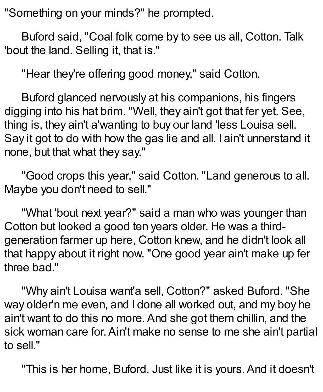"Something on your minds?" he prompted.

Buford said, "Coal folk come by to see us all, Cotton. Talk 'bout the land. Selling it, that is."

"Hear they're offering good money," said Cotton.

Buford glanced nervously at his companions, his fingers digging into his hat brim. "Well, they ain't got that fer yet. See, thing is, they ain't a'wanting to buy our land 'less Louisa sell. Say it got to do with how the gas lie and all. I ain't unnerstand it none, but that what they say."

"Good crops this year," said Cotton. "Land generous to all. Maybe you don't need to sell."

"What 'bout next year?" said a man who was younger than Cotton but looked a good ten years older. He was a thirdgeneration farmer up here, Cotton knew, and he didn't look all that happy about it right now. "One good year ain't make up fer three bad."

"Why ain't Louisa want'a sell, Cotton?" asked Buford. "She way older'n me even, and I done all worked out, and my boy he ain't want to do this no more.And she got them chillin, and the sick woman care for.Ain't make no sense to me she ain't partial to sell."

"This is her home, Buford. Just like it is yours.And it doesn't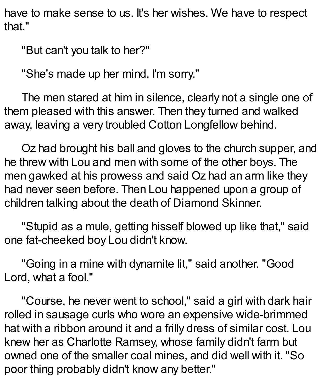have to make sense to us. It's her wishes. We have to respect that."

"But can't you talk to her?"

"She's made up her mind. I'm sorry."

The men stared at him in silence, clearly not a single one of them pleased with this answer. Then they turned and walked away, leaving a very troubled Cotton Longfellow behind.

Oz had brought his ball and gloves to the church supper, and he threw with Lou and men with some of the other boys. The men gawked at his prowess and said Oz had an arm like they had never seen before. Then Lou happened upon a group of children talking about the death of Diamond Skinner.

"Stupid as a mule, getting hisself blowed up like that," said one fat-cheeked boy Lou didn't know.

"Going in a mine with dynamite lit," said another. "Good Lord, what a fool."

"Course, he never went to school," said a girl with dark hair rolled in sausage curls who wore an expensive wide-brimmed hat with a ribbon around it and a frilly dress of similar cost. Lou knew her as Charlotte Ramsey, whose family didn't farm but owned one of the smaller coal mines, and did well with it. "So poor thing probably didn't know any better."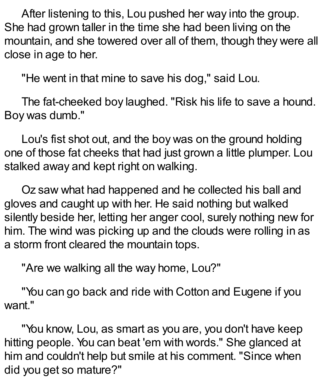After listening to this, Lou pushed her way into the group. She had grown taller in the time she had been living on the mountain, and she towered over all of them, though they were all close in age to her.

"He went in that mine to save his dog," said Lou.

The fat-cheeked boy laughed. "Risk his life to save a hound. Boy was dumb."

Lou's fist shot out, and the boy was on the ground holding one of those fat cheeks that had just grown a little plumper. Lou stalked away and kept right on walking.

Oz saw what had happened and he collected his ball and gloves and caught up with her. He said nothing but walked silently beside her, letting her anger cool, surely nothing new for him. The wind was picking up and the clouds were rolling in as a storm front cleared the mountain tops.

"Are we walking all the way home, Lou?"

"You can go back and ride with Cotton and Eugene if you want"

"You know, Lou, as smart as you are, you don't have keep hitting people. You can beat 'em with words." She glanced at him and couldn't help but smile at his comment. "Since when did you get so mature?"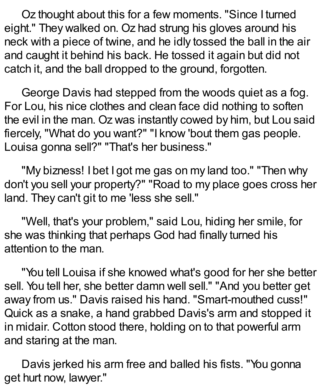Oz thought about this for a few moments. "Since I turned eight." They walked on. Oz had strung his gloves around his neck with a piece of twine, and he idly tossed the ball in the air and caught it behind his back. He tossed it again but did not catch it, and the ball dropped to the ground, forgotten.

George Davis had stepped from the woods quiet as a fog. For Lou, his nice clothes and clean face did nothing to soften the evil in the man. Oz was instantly cowed by him, but Lou said fiercely, "What do you want?" "I know 'bout them gas people. Louisa gonna sell?" "That's her business."

"My bizness! I bet I got me gas on my land too." "Then why don't you sell your property?" "Road to my place goes cross her land. They can't git to me 'less she sell."

"Well, that's your problem," said Lou, hiding her smile, for she was thinking that perhaps God had finally turned his attention to the man.

"You tell Louisa if she knowed what's good for her she better sell. You tell her, she better damn well sell." "And you better get away from us." Davis raised his hand. "Smart-mouthed cuss!" Quick as a snake, a hand grabbed Davis's arm and stopped it in midair. Cotton stood there, holding on to that powerful arm and staring at the man.

Davis jerked his arm free and balled his fists. "You gonna get hurt now, lawyer."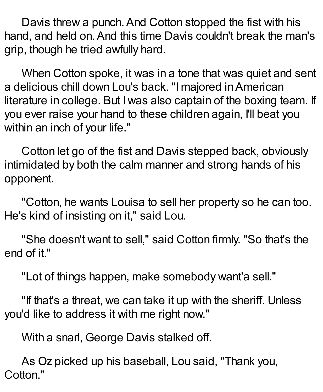Davis threw a punch.And Cotton stopped the fist with his hand, and held on. And this time Davis couldn't break the man's grip, though he tried awfully hard.

When Cotton spoke, it was in a tone that was quiet and sent a delicious chill down Lou's back. "Imajored inAmerican literature in college. But Iwas also captain of the boxing team. If you ever raise your hand to these children again, I'll beat you within an inch of your life."

Cotton let go of the fist and Davis stepped back, obviously intimidated by both the calm manner and strong hands of his opponent.

"Cotton, he wants Louisa to sell her property so he can too. He's kind of insisting on it," said Lou.

"She doesn't want to sell," said Cotton firmly. "So that's the end of it."

"Lot of things happen, make somebody want'a sell."

"If that's a threat, we can take it up with the sheriff. Unless you'd like to address it with me right now."

With a snarl, George Davis stalked off.

As Oz picked up his baseball, Lou said, "Thank you, Cotton."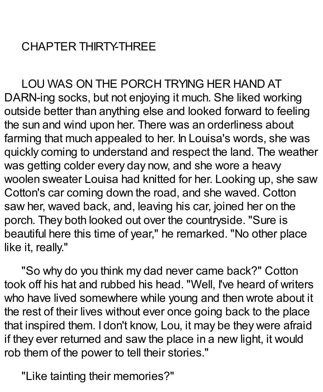## CHAPTER THIRTY-THREE

LOU WAS ON THE PORCH TRYING HER HAND AT DARN-ing socks, but not enjoying it much. She liked working outside better than anything else and looked forward to feeling the sun and wind upon her. There was an orderliness about farming that much appealed to her. In Louisa's words, she was quickly coming to understand and respect the land. The weather was getting colder every day now, and she wore a heavy woolen sweater Louisa had knitted for her. Looking up, she saw Cotton's car coming down the road, and she waved. Cotton saw her, waved back, and, leaving his car, joined her on the porch. They both looked out over the countryside. "Sure is beautiful here this time of year," he remarked. "No other place like it, really."

"So why do you think my dad never came back?" Cotton took off his hat and rubbed his head. "Well, I've heard of writers who have lived somewhere while young and then wrote about it the rest of their lives without ever once going back to the place that inspired them. I don't know, Lou, it may be they were afraid if they ever returned and saw the place in a new light, it would rob them of the power to tell their stories."

"Like tainting their memories?"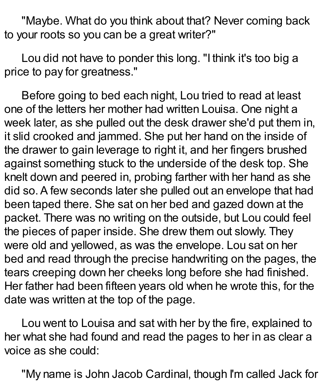"Maybe. What do you think about that? Never coming back to your roots so you can be a great writer?"

Lou did not have to ponder this long. "I think it's too big a price to pay for greatness."

Before going to bed each night, Lou tried to read at least one of the letters her mother had written Louisa. One night a week later, as she pulled out the desk drawer she'd put them in, it slid crooked and jammed. She put her hand on the inside of the drawer to gain leverage to right it, and her fingers brushed against something stuck to the underside of the desk top. She knelt down and peered in, probing farther with her hand as she did so.A few seconds later she pulled out an envelope that had been taped there. She sat on her bed and gazed down at the packet. There was no writing on the outside, but Lou could feel the pieces of paper inside. She drew them out slowly. They were old and yellowed, as was the envelope. Lou sat on her bed and read through the precise handwriting on the pages, the tears creeping down her cheeks long before she had finished. Her father had been fifteen years old when he wrote this, for the date was written at the top of the page.

Lou went to Louisa and sat with her by the fire, explained to her what she had found and read the pages to her in as clear a voice as she could:

"My name is John Jacob Cardinal, though I'm called Jack for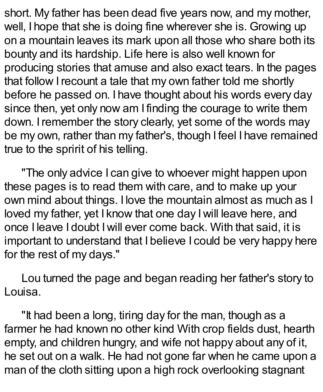short. My father has been dead five years now, and my mother, well, I hope that she is doing fine wherever she is. Growing up on a mountain leaves its mark upon all those who share both its bounty and its hardship. Life here is also well known for producing stories that amuse and also exact tears. In the pages that follow Irecount a tale that my own father told me shortly before he passed on. I have thought about his words every day since then, yet only now am I finding the courage to write them down. Iremember the story clearly, yet some of the words may be my own, rather than my father's, though I feel I have remained true to the spririt of his telling.

"The only advice I can give to whoever might happen upon these pages is to read them with care, and to make up your own mind about things. I love the mountain almost as much as I loved my father, yet I know that one day Iwill leave here, and once I leave I doubt Iwill ever come back. With that said, it is important to understand that I believe I could be very happy here for the rest of my days."

Lou turned the page and began reading her father's story to Louisa.

"It had been a long, tiring day for the man, though as a farmer he had known no other kind With crop fields dust, hearth empty, and children hungry, and wife not happy about any of it, he set out on a walk. He had not gone far when he came upon a man of the cloth sitting upon a high rock overlooking stagnant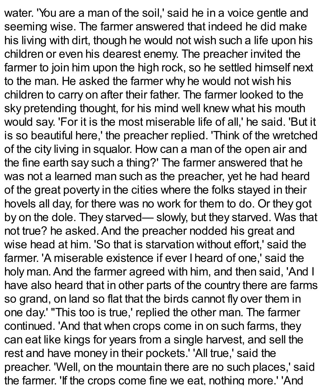water. 'You are a man of the soil,' said he in a voice gentle and seeming wise. The farmer answered that indeed he did make his living with dirt, though he would not wish such a life upon his children or even his dearest enemy. The preacher invited the farmer to join him upon the high rock, so he settled himself next to the man. He asked the farmer why he would not wish his children to carry on after their father. The farmer looked to the sky pretending thought, for his mind well knew what his mouth would say. 'For it is the most miserable life of all,' he said. 'But it is so beautiful here,' the preacher replied. 'Think of the wretched of the city living in squalor. How can a man of the open air and the fine earth say such a thing?' The farmer answered that he was not a learned man such as the preacher, yet he had heard of the great poverty in the cities where the folks stayed in their hovels all day, for there was no work for them to do. Or they got by on the dole. They starved— slowly, but they starved. Was that not true? he asked.And the preacher nodded his great and wise head at him. 'So that is starvation without effort,' said the farmer. 'A miserable existence if ever I heard of one,' said the holy man. And the farmer agreed with him, and then said, 'And I have also heard that in other parts of the country there are farms so grand, on land so flat that the birds cannot fly over them in one day.' "This too is true,' replied the other man. The farmer continued. 'And that when crops come in on such farms, they can eat like kings for years from a single harvest, and sell the rest and have money in their pockets.' 'All true,' said the preacher. 'Well, on the mountain there are no such places,' said the farmer. 'If the crops come fine we eat, nothing more.' 'And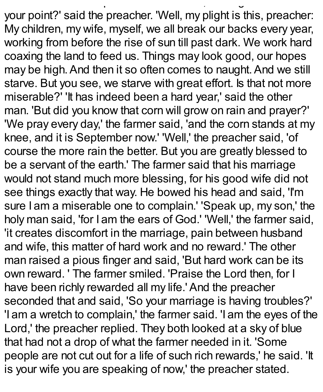your point?' said the preacher. 'Well, my plight is this, preacher: My children, my wife, myself, we all break our backs every year, working from before the rise of sun till past dark. We work hard coaxing the land to feed us. Things may look good, our hopes may be high. And then it so often comes to naught. And we still starve. But you see, we starve with great effort. Is that not more miserable?' 'It has indeed been a hard year,' said the other man. 'But did you know that corn will grow on rain and prayer?' 'We pray every day,' the farmer said, 'and the corn stands at my knee, and it is September now.' 'Well,' the preacher said, 'of course the more rain the better. But you are greatly blessed to be a servant of the earth.' The farmer said that his marriage would not stand much more blessing, for his good wife did not see things exactly that way. He bowed his head and said, 'I'm sure I am a miserable one to complain.' 'Speak up, my son,' the holy man said, 'for I am the ears of God.' 'Well,' the farmer said, 'it creates discomfort in the marriage, pain between husband and wife, this matter of hard work and no reward.' The other man raised a pious finger and said, 'But hard work can be its own reward. ' The farmer smiled. 'Praise the Lord then, for I have been richly rewarded all my life.' And the preacher seconded that and said, 'So your marriage is having troubles?' 'I am a wretch to complain,' the farmer said. 'I am the eyes of the Lord,' the preacher replied. They both looked at a sky of blue that had not a drop of what the farmer needed in it. 'Some people are not cut out for a life of such rich rewards,' he said. 'It is your wife you are speaking of now,' the preacher stated.

the farmer. 'If the crops come fine we eat, nothing more.' 'And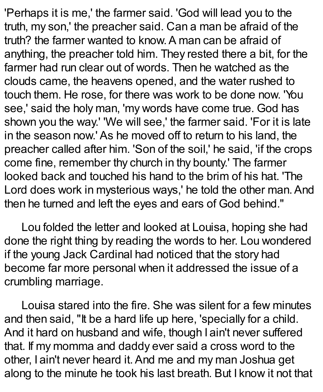'Perhaps it is me,' the farmer said. 'God will lead you to the truth, my son,' the preacher said. Can a man be afraid of the truth? the farmer wanted to know.A man can be afraid of anything, the preacher told him. They rested there a bit, for the farmer had run clear out of words. Then he watched as the clouds came, the heavens opened, and the water rushed to touch them. He rose, for there was work to be done now. 'You see,' said the holy man, 'my words have come true. God has shown you the way.' 'We will see,' the farmer said. 'For it is late in the season now.' As he moved off to return to his land, the preacher called after him. 'Son of the soil,' he said, 'if the crops come fine, remember thy church in thy bounty.' The farmer looked back and touched his hand to the brim of his hat. 'The Lord does work in mysterious ways,' he told the other man.And then he turned and left the eyes and ears of God behind."

Lou folded the letter and looked at Louisa, hoping she had done the right thing by reading the words to her. Lou wondered if the young Jack Cardinal had noticed that the story had become far more personal when it addressed the issue of a crumbling marriage.

Louisa stared into the fire. She was silent for a few minutes and then said, "It be a hard life up here, 'specially for a child. And it hard on husband and wife, though I ain't never suffered that. If my momma and daddy ever said a cross word to the other, I ain't never heard it.And me and my man Joshua get along to the minute he took his last breath. But I know it not that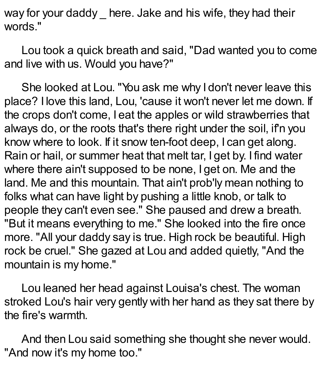way for your daddy here. Jake and his wife, they had their words."

Lou took a quick breath and said, "Dad wanted you to come and live with us. Would you have?"

She looked at Lou. "You ask me why I don't never leave this place? I love this land, Lou, 'cause it won't never let me down. If the crops don't come, I eat the apples or wild strawberries that always do, or the roots that's there right under the soil, if'n you know where to look. If it snow ten-foot deep, I can get along. Rain or hail, or summer heat that melt tar, I get by. I find water where there ain't supposed to be none, I get on. Me and the land. Me and this mountain. That ain't prob'ly mean nothing to folks what can have light by pushing a little knob, or talk to people they can't even see." She paused and drew a breath. "But it means everything to me." She looked into the fire once more. "All your daddy say is true. High rock be beautiful. High rock be cruel." She gazed at Lou and added quietly, "And the mountain is my home."

Lou leaned her head against Louisa's chest. The woman stroked Lou's hair very gently with her hand as they sat there by the fire's warmth.

And then Lou said something she thought she never would. "And now it's my home too."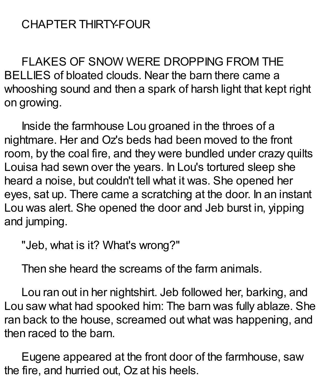## CHAPTER THIRTY-FOUR

FLAKES OF SNOW WERE DROPPING FROM THE BELLIES of bloated clouds. Near the barn there came a whooshing sound and then a spark of harsh light that kept right on growing.

Inside the farmhouse Lou groaned in the throes of a nightmare. Her and Oz's beds had been moved to the front room, by the coal fire, and they were bundled under crazy quilts Louisa had sewn over the years. In Lou's tortured sleep she heard a noise, but couldn't tell what it was. She opened her eyes, sat up. There came a scratching at the door. In an instant Lou was alert. She opened the door and Jeb burst in, yipping and jumping.

"Jeb, what is it? What's wrong?"

Then she heard the screams of the farm animals.

Lou ran out in her nightshirt. Jeb followed her, barking, and Lou saw what had spooked him: The barn was fully ablaze. She ran back to the house, screamed out what was happening, and then raced to the barn.

Eugene appeared at the front door of the farmhouse, saw the fire, and hurried out, Oz at his heels.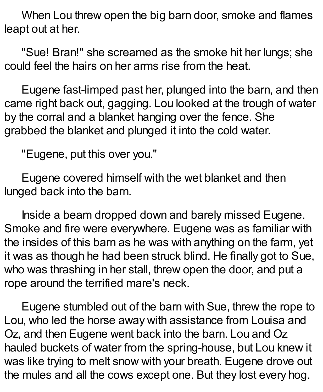When Lou threw open the big barn door, smoke and flames leapt out at her.

"Sue! Bran!" she screamed as the smoke hit her lungs; she could feel the hairs on her arms rise from the heat.

Eugene fast-limped past her, plunged into the barn, and then came right back out, gagging. Lou looked at the trough of water by the corral and a blanket hanging over the fence. She grabbed the blanket and plunged it into the cold water.

"Eugene, put this over you."

Eugene covered himself with the wet blanket and then lunged back into the barn.

Inside a beam dropped down and barely missed Eugene. Smoke and fire were everywhere. Eugene was as familiar with the insides of this barn as he was with anything on the farm, yet it was as though he had been struck blind. He finally got to Sue, who was thrashing in her stall, threw open the door, and put a rope around the terrified mare's neck.

Eugene stumbled out of the barn with Sue, threw the rope to Lou, who led the horse away with assistance from Louisa and Oz, and then Eugene went back into the barn. Lou and Oz hauled buckets of water from the spring-house, but Lou knew it was like trying to melt snow with your breath. Eugene drove out the mules and all the cows except one. But they lost every hog.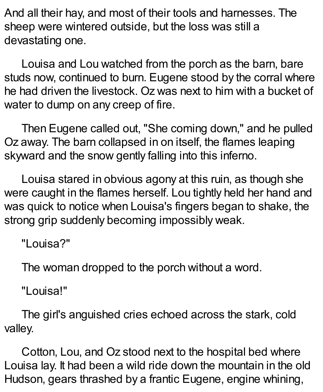And all their hay, and most of their tools and harnesses. The sheep were wintered outside, but the loss was still a devastating one.

Louisa and Lou watched from the porch as the barn, bare studs now, continued to burn. Eugene stood by the corral where he had driven the livestock. Oz was next to him with a bucket of water to dump on any creep of fire.

Then Eugene called out, "She coming down," and he pulled Oz away. The barn collapsed in on itself, the flames leaping skyward and the snow gently falling into this inferno.

Louisa stared in obvious agony at this ruin, as though she were caught in the flames herself. Lou tightly held her hand and was quick to notice when Louisa's fingers began to shake, the strong grip suddenly becoming impossibly weak.

"Louisa?"

The woman dropped to the porch without a word.

"Louisa!"

The girl's anguished cries echoed across the stark, cold valley.

Cotton, Lou, and Oz stood next to the hospital bed where Louisa lay. It had been a wild ride down the mountain in the old Hudson, gears thrashed by a frantic Eugene, engine whining,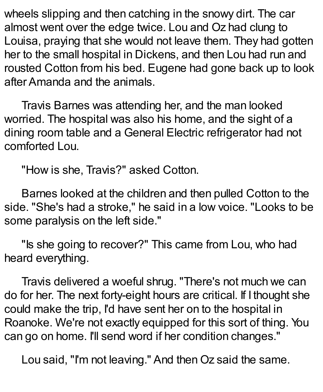wheels slipping and then catching in the snowy dirt. The car almost went over the edge twice. Lou and Oz had clung to Louisa, praying that she would not leave them. They had gotten her to the small hospital in Dickens, and then Lou had run and rousted Cotton from his bed. Eugene had gone back up to look after Amanda and the animals.

Travis Barnes was attending her, and the man looked worried. The hospital was also his home, and the sight of a dining room table and a General Electric refrigerator had not comforted Lou.

"How is she, Travis?" asked Cotton.

Barnes looked at the children and then pulled Cotton to the side. "She's had a stroke," he said in a low voice. "Looks to be some paralysis on the left side."

"Is she going to recover?" This came from Lou, who had heard everything.

Travis delivered a woeful shrug. "There's not much we can do for her. The next forty-eight hours are critical. If I thought she could make the trip, I'd have sent her on to the hospital in Roanoke. We're not exactly equipped for this sort of thing. You can go on home. I'll send word if her condition changes."

Lou said, "I'm not leaving." And then Oz said the same.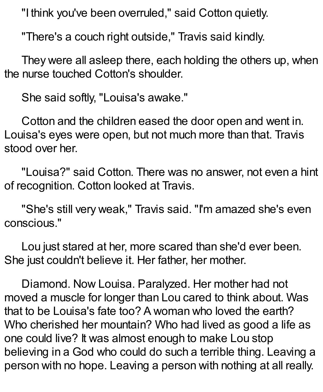"I think you've been overruled," said Cotton quietly.

"There's a couch right outside," Travis said kindly.

They were all asleep there, each holding the others up, when the nurse touched Cotton's shoulder.

She said softly, "Louisa's awake."

Cotton and the children eased the door open and went in. Louisa's eyes were open, but not much more than that. Travis stood over her.

"Louisa?" said Cotton. There was no answer, not even a hint of recognition. Cotton looked at Travis.

"She's still very weak," Travis said. "I'm amazed she's even conscious."

Lou just stared at her, more scared than she'd ever been. She just couldn't believe it. Her father, her mother.

Diamond. Now Louisa. Paralyzed. Her mother had not moved a muscle for longer than Lou cared to think about. Was that to be Louisa's fate too? A woman who loved the earth? Who cherished her mountain? Who had lived as good a life as one could live? It was almost enough to make Lou stop believing in a God who could do such a terrible thing. Leaving a person with no hope. Leaving a person with nothing at all really.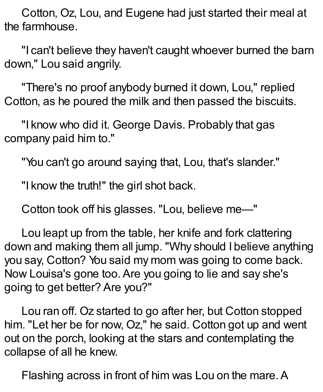Cotton, Oz, Lou, and Eugene had just started their meal at the farmhouse.

"I can't believe they haven't caught whoever burned the barn down," Lou said angrily.

"There's no proof anybody burned it down, Lou," replied Cotton, as he poured the milk and then passed the biscuits.

"I know who did it. George Davis. Probably that gas company paid him to."

"You can't go around saying that, Lou, that's slander."

"I know the truth!" the girl shot back.

Cotton took off his glasses. "Lou, believe me—"

Lou leapt up from the table, her knife and fork clattering down and making them all jump. "Why should I believe anything you say, Cotton? You said my mom was going to come back. Now Louisa's gone too.Are you going to lie and say she's going to get better? Are you?"

Lou ran off. Oz started to go after her, but Cotton stopped him. "Let her be for now, Oz," he said. Cotton got up and went out on the porch, looking at the stars and contemplating the collapse of all he knew.

Flashing across in front of him was Lou on the mare.A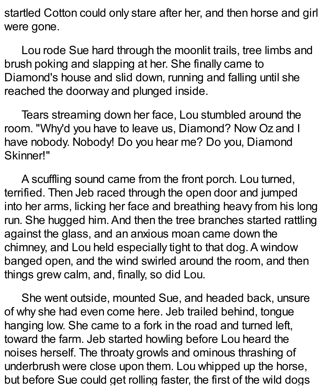startled Cotton could only stare after her, and then horse and girl were gone.

Lou rode Sue hard through the moonlit trails, tree limbs and brush poking and slapping at her. She finally came to Diamond's house and slid down, running and falling until she reached the doorway and plunged inside.

Tears streaming down her face, Lou stumbled around the room. "Why'd you have to leave us, Diamond? Now Oz and I have nobody. Nobody! Do you hear me? Do you, Diamond Skinner!"

A scuffling sound came from the front porch. Lou turned, terrified. Then Jeb raced through the open door and jumped into her arms, licking her face and breathing heavy from his long run. She hugged him. And then the tree branches started rattling against the glass, and an anxious moan came down the chimney, and Lou held especially tight to that dog.A window banged open, and the wind swirled around the room, and then things grew calm, and, finally, so did Lou.

She went outside, mounted Sue, and headed back, unsure of why she had even come here. Jeb trailed behind, tongue hanging low. She came to a fork in the road and turned left, toward the farm. Jeb started howling before Lou heard the noises herself. The throaty growls and ominous thrashing of underbrush were close upon them. Lou whipped up the horse, but before Sue could get rolling faster, the first of the wild dogs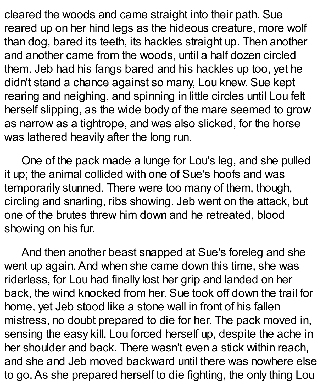cleared the woods and came straight into their path. Sue reared up on her hind legs as the hideous creature, more wolf than dog, bared its teeth, its hackles straight up. Then another and another came from the woods, until a half dozen circled them. Jeb had his fangs bared and his hackles up too, yet he didn't stand a chance against so many, Lou knew. Sue kept rearing and neighing, and spinning in little circles until Lou felt herself slipping, as the wide body of the mare seemed to grow as narrow as a tightrope, and was also slicked, for the horse was lathered heavily after the long run.

One of the pack made a lunge for Lou's leg, and she pulled it up; the animal collided with one of Sue's hoofs and was temporarily stunned. There were too many of them, though, circling and snarling, ribs showing. Jeb went on the attack, but one of the brutes threw him down and he retreated, blood showing on his fur.

And then another beast snapped at Sue's foreleg and she went up again.And when she came down this time, she was riderless, for Lou had finally lost her grip and landed on her back, the wind knocked from her. Sue took off down the trail for home, yet Jeb stood like a stone wall in front of his fallen mistress, no doubt prepared to die for her. The pack moved in, sensing the easy kill. Lou forced herself up, despite the ache in her shoulder and back. There wasn't even a stick within reach, and she and Jeb moved backward until there was nowhere else to go.As she prepared herself to die fighting, the only thing Lou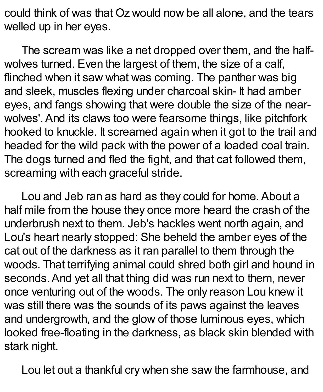could think of was that Oz would now be all alone, and the tears welled up in her eyes.

The scream was like a net dropped over them, and the halfwolves turned. Even the largest of them, the size of a calf, flinched when it saw what was coming. The panther was big and sleek, muscles flexing under charcoal skin- It had amber eyes, and fangs showing that were double the size of the nearwolves'.And its claws too were fearsome things, like pitchfork hooked to knuckle. It screamed again when it got to the trail and headed for the wild pack with the power of a loaded coal train. The dogs turned and fled the fight, and that cat followed them, screaming with each graceful stride.

Lou and Jeb ran as hard as they could for home.About a half mile from the house they once more heard the crash of the underbrush next to them. Jeb's hackles went north again, and Lou's heart nearly stopped: She beheld the amber eyes of the cat out of the darkness as it ran parallel to them through the woods. That terrifying animal could shred both girl and hound in seconds.And yet all that thing did was run next to them, never once venturing out of the woods. The only reason Lou knew it was still there was the sounds of its paws against the leaves and undergrowth, and the glow of those luminous eyes, which looked free-floating in the darkness, as black skin blended with stark night.

Lou let out a thankful cry when she saw the farmhouse, and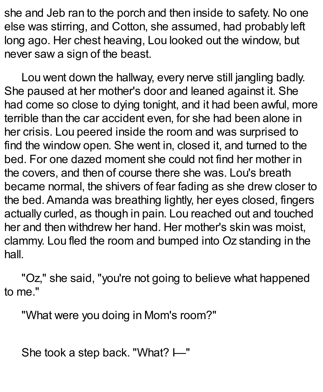she and Jeb ran to the porch and then inside to safety. No one else was stirring, and Cotton, she assumed, had probably left long ago. Her chest heaving, Lou looked out the window, but never saw a sign of the beast.

Lou went down the hallway, every nerve still jangling badly. She paused at her mother's door and leaned against it. She had come so close to dying tonight, and it had been awful, more terrible than the car accident even, for she had been alone in her crisis. Lou peered inside the room and was surprised to find the window open. She went in, closed it, and turned to the bed. For one dazed moment she could not find her mother in the covers, and then of course there she was. Lou's breath became normal, the shivers of fear fading as she drew closer to the bed.Amanda was breathing lightly, her eyes closed, fingers actually curled, as though in pain. Lou reached out and touched her and then withdrew her hand. Her mother's skin was moist, clammy. Lou fled the room and bumped into Oz standing in the hall.

"Oz," she said, "you're not going to believe what happened to me."

"What were you doing in Mom's room?"

She took a step back. "What?  $\vdash$ "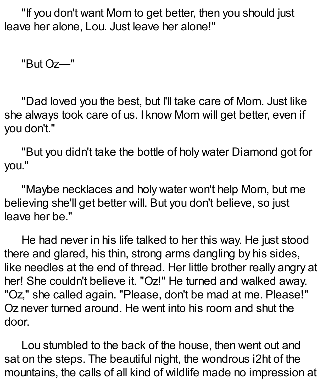"If you don't want Mom to get better, then you should just leave her alone, Lou. Just leave her alone!"

"But Oz—"

"Dad loved you the best, but I'll take care of Mom. Just like she always took care of us. I know Mom will get better, even if you don't."

"But you didn't take the bottle of holy water Diamond got for you."

"Maybe necklaces and holy water won't help Mom, but me believing she'll get better will. But you don't believe, so just leave her be."

He had never in his life talked to her this way. He just stood there and glared, his thin, strong arms dangling by his sides, like needles at the end of thread. Her little brother really angry at her! She couldn't believe it. "Oz!" He turned and walked away. "Oz," she called again. "Please, don't be mad at me. Please!" Oz never turned around. He went into his room and shut the door.

Lou stumbled to the back of the house, then went out and sat on the steps. The beautiful night, the wondrous i2ht of the mountains, the calls of all kind of wildlife made no impression at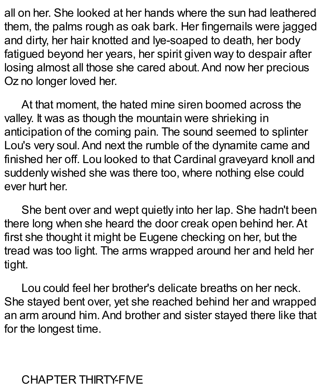all on her. She looked at her hands where the sun had leathered them, the palms rough as oak bark. Her fingernails were jagged and dirty, her hair knotted and lye-soaped to death, her body fatigued beyond her years, her spirit given way to despair after losing almost all those she cared about.And now her precious Oz no longer loved her.

At that moment, the hated mine siren boomed across the valley. It was as though the mountain were shrieking in anticipation of the coming pain. The sound seemed to splinter Lou's very soul.And next the rumble of the dynamite came and finished her off. Lou looked to that Cardinal graveyard knoll and suddenly wished she was there too, where nothing else could ever hurt her.

She bent over and wept quietly into her lap. She hadn't been there long when she heard the door creak open behind her.At first she thought it might be Eugene checking on her, but the tread was too light. The arms wrapped around her and held her tight.

Lou could feel her brother's delicate breaths on her neck. She stayed bent over, yet she reached behind her and wrapped an arm around him.And brother and sister stayed there like that for the longest time.

## CHAPTER THIRTY-FIVE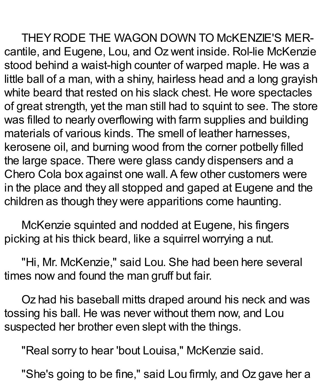THEYRODE THE WAGON DOWN TO McKENZIE'S MERcantile, and Eugene, Lou, and Oz went inside. Rol-lie McKenzie stood behind a waist-high counter of warped maple. He was a little ball of a man, with a shiny, hairless head and a long grayish white beard that rested on his slack chest. He wore spectacles of great strength, yet the man still had to squint to see. The store was filled to nearly overflowing with farm supplies and building materials of various kinds. The smell of leather harnesses, kerosene oil, and burning wood from the corner potbelly filled the large space. There were glass candy dispensers and a Chero Cola box against one wall.A few other customers were in the place and they all stopped and gaped at Eugene and the children as though they were apparitions come haunting.

McKenzie squinted and nodded at Eugene, his fingers picking at his thick beard, like a squirrel worrying a nut.

"Hi, Mr. McKenzie," said Lou. She had been here several times now and found the man gruff but fair.

Oz had his baseball mitts draped around his neck and was tossing his ball. He was never without them now, and Lou suspected her brother even slept with the things.

"Real sorry to hear 'bout Louisa," McKenzie said.

"She's going to be fine," said Lou firmly, and Oz gave her a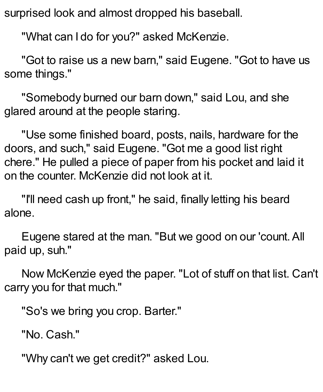surprised look and almost dropped his baseball.

"What can I do for you?" asked McKenzie.

"Got to raise us a new barn," said Eugene. "Got to have us some things."

"Somebody burned our barn down," said Lou, and she glared around at the people staring.

"Use some finished board, posts, nails, hardware for the doors, and such," said Eugene. "Got me a good list right chere." He pulled a piece of paper from his pocket and laid it on the counter. McKenzie did not look at it.

"I'll need cash up front," he said, finally letting his beard alone.

Eugene stared at the man. "But we good on our 'count.All paid up, suh."

Now McKenzie eyed the paper. "Lot of stuff on that list. Can't carry you for that much."

"So's we bring you crop. Barter."

"No. Cash."

"Why can't we get credit?" asked Lou.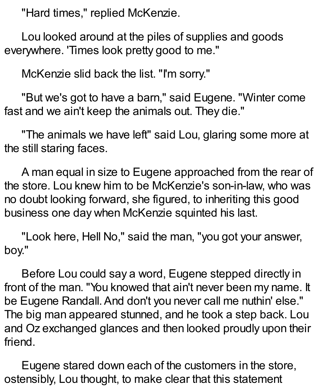"Hard times," replied McKenzie.

Lou looked around at the piles of supplies and goods everywhere. 'Times look pretty good to me."

McKenzie slid back the list. "I'm sorry."

"But we's got to have a barn," said Eugene. "Winter come fast and we ain't keep the animals out. They die."

"The animals we have left" said Lou, glaring some more at the still staring faces.

A man equal in size to Eugene approached from the rear of the store. Lou knew him to be McKenzie's son-in-law, who was no doubt looking forward, she figured, to inheriting this good business one day when McKenzie squinted his last.

"Look here, Hell No," said the man, "you got your answer, boy."

Before Lou could say a word, Eugene stepped directly in front of the man. "You knowed that ain't never been my name. It be Eugene Randall.And don't you never call me nuthin' else." The big man appeared stunned, and he took a step back. Lou and Oz exchanged glances and then looked proudly upon their friend.

Eugene stared down each of the customers in the store, ostensibly, Lou thought, to make clear that this statement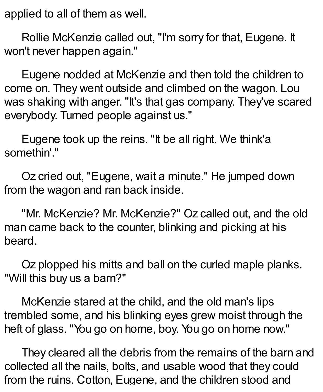applied to all of them as well.

Rollie McKenzie called out, "I'm sorry for that, Eugene. It won't never happen again."

Eugene nodded at McKenzie and then told the children to come on. They went outside and climbed on the wagon. Lou was shaking with anger. "It's that gas company. They've scared everybody. Turned people against us."

Eugene took up the reins. "It be all right. We think'a somethin'."

Oz cried out, "Eugene, wait a minute." He jumped down from the wagon and ran back inside.

"Mr. McKenzie? Mr. McKenzie?" Oz called out, and the old man came back to the counter, blinking and picking at his beard.

Oz plopped his mitts and ball on the curled maple planks. "Will this buy us a barn?"

McKenzie stared at the child, and the old man's lips trembled some, and his blinking eyes grew moist through the heft of glass. "You go on home, boy. You go on home now."

They cleared all the debris from the remains of the barn and collected all the nails, bolts, and usable wood that they could from the ruins. Cotton, Eugene, and the children stood and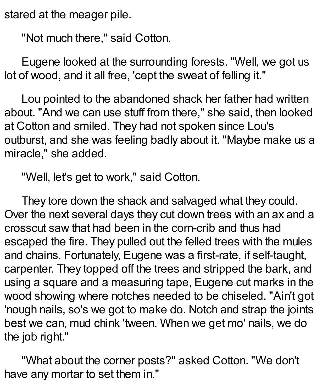stared at the meager pile.

"Not much there," said Cotton.

Eugene looked at the surrounding forests. "Well, we got us lot of wood, and it all free, 'cept the sweat of felling it."

Lou pointed to the abandoned shack her father had written about. "And we can use stuff from there," she said, then looked at Cotton and smiled. They had not spoken since Lou's outburst, and she was feeling badly about it. "Maybe make us a miracle," she added.

"Well, let's get to work," said Cotton.

They tore down the shack and salvaged what they could. Over the next several days they cut down trees with an ax and a crosscut saw that had been in the corn-crib and thus had escaped the fire. They pulled out the felled trees with the mules and chains. Fortunately, Eugene was a first-rate, if self-taught, carpenter. They topped off the trees and stripped the bark, and using a square and a measuring tape, Eugene cut marks in the wood showing where notches needed to be chiseled. "Ain't got 'nough nails, so's we got to make do. Notch and strap the joints best we can, mud chink 'tween. When we get mo' nails, we do the job right."

"What about the corner posts?" asked Cotton. "We don't have any mortar to set them in."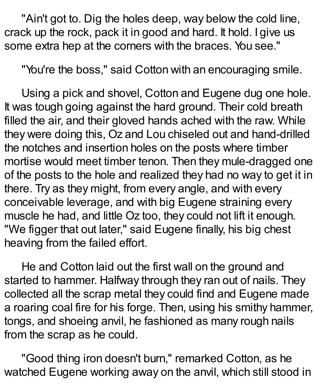"Ain't got to. Dig the holes deep, way below the cold line, crack up the rock, pack it in good and hard. It hold. I give us some extra hep at the corners with the braces. You see."

"You're the boss," said Cotton with an encouraging smile.

Using a pick and shovel, Cotton and Eugene dug one hole. It was tough going against the hard ground. Their cold breath filled the air, and their gloved hands ached with the raw. While they were doing this, Oz and Lou chiseled out and hand-drilled the notches and insertion holes on the posts where timber mortise would meet timber tenon. Then they mule-dragged one of the posts to the hole and realized they had no way to get it in there. Try as they might, from every angle, and with every conceivable leverage, and with big Eugene straining every muscle he had, and little Oz too, they could not lift it enough. "We figger that out later," said Eugene finally, his big chest heaving from the failed effort.

He and Cotton laid out the first wall on the ground and started to hammer. Halfway through they ran out of nails. They collected all the scrap metal they could find and Eugene made a roaring coal fire for his forge. Then, using his smithy hammer, tongs, and shoeing anvil, he fashioned as many rough nails from the scrap as he could.

"Good thing iron doesn't burn," remarked Cotton, as he watched Eugene working away on the anvil, which still stood in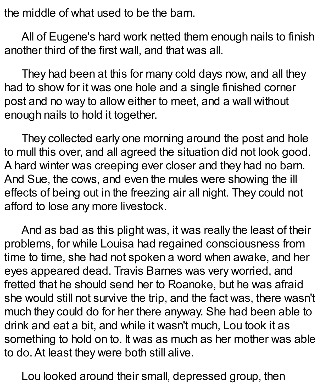the middle of what used to be the barn.

All of Eugene's hard work netted them enough nails to finish another third of the first wall, and that was all.

They had been at this for many cold days now, and all they had to show for it was one hole and a single finished corner post and no way to allow either to meet, and a wall without enough nails to hold it together.

They collected early one morning around the post and hole to mull this over, and all agreed the situation did not look good. A hard winter was creeping ever closer and they had no barn. And Sue, the cows, and even the mules were showing the ill effects of being out in the freezing air all night. They could not afford to lose any more livestock.

And as bad as this plight was, it was really the least of their problems, for while Louisa had regained consciousness from time to time, she had not spoken a word when awake, and her eyes appeared dead. Travis Barnes was very worried, and fretted that he should send her to Roanoke, but he was afraid she would still not survive the trip, and the fact was, there wasn't much they could do for her there anyway. She had been able to drink and eat a bit, and while it wasn't much, Lou took it as something to hold on to. It was as much as her mother was able to do.At least they were both still alive.

Lou looked around their small, depressed group, then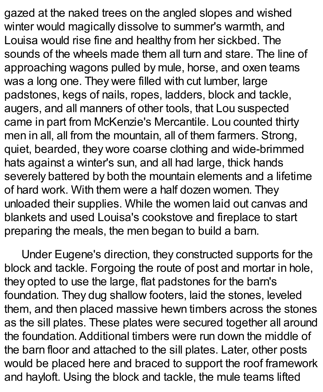gazed at the naked trees on the angled slopes and wished winter would magically dissolve to summer's warmth, and Louisa would rise fine and healthy from her sickbed. The sounds of the wheels made them all turn and stare. The line of approaching wagons pulled by mule, horse, and oxen teams was a long one. They were filled with cut lumber, large padstones, kegs of nails, ropes, ladders, block and tackle, augers, and all manners of other tools, that Lou suspected came in part from McKenzie's Mercantile. Lou counted thirty men in all, all from the mountain, all of them farmers. Strong, quiet, bearded, they wore coarse clothing and wide-brimmed hats against a winter's sun, and all had large, thick hands severely battered by both the mountain elements and a lifetime of hard work. With them were a half dozen women. They unloaded their supplies. While the women laid out canvas and blankets and used Louisa's cookstove and fireplace to start preparing the meals, the men began to build a barn.

Under Eugene's direction, they constructed supports for the block and tackle. Forgoing the route of post and mortar in hole, they opted to use the large, flat padstones for the barn's foundation. They dug shallow footers, laid the stones, leveled them, and then placed massive hewn timbers across the stones as the sill plates. These plates were secured together all around the foundation.Additional timbers were run down the middle of the barn floor and attached to the sill plates. Later, other posts would be placed here and braced to support the roof framework and hayloft. Using the block and tackle, the mule teams lifted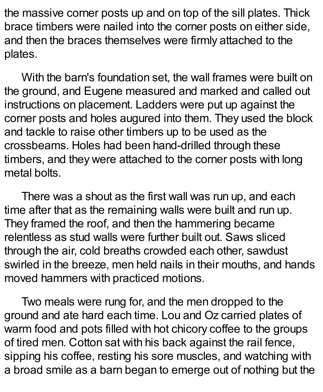the massive corner posts up and on top of the sill plates. Thick brace timbers were nailed into the corner posts on either side, and then the braces themselves were firmly attached to the plates.

With the barn's foundation set, the wall frames were built on the ground, and Eugene measured and marked and called out instructions on placement. Ladders were put up against the corner posts and holes augured into them. They used the block and tackle to raise other timbers up to be used as the crossbeams. Holes had been hand-drilled through these timbers, and they were attached to the corner posts with long metal bolts.

There was a shout as the first wall was run up, and each time after that as the remaining walls were built and run up. They framed the roof, and then the hammering became relentless as stud walls were further built out. Saws sliced through the air, cold breaths crowded each other, sawdust swirled in the breeze, men held nails in their mouths, and hands moved hammers with practiced motions.

Two meals were rung for, and the men dropped to the ground and ate hard each time. Lou and Oz carried plates of warm food and pots filled with hot chicory coffee to the groups of tired men. Cotton sat with his back against the rail fence, sipping his coffee, resting his sore muscles, and watching with a broad smile as a barn began to emerge out of nothing but the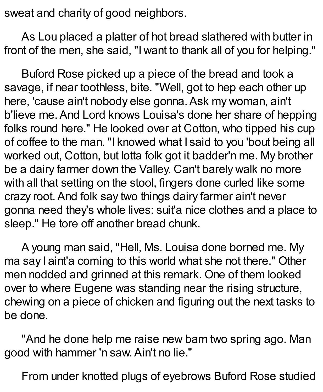sweat and charity of good neighbors.

As Lou placed a platter of hot bread slathered with butter in front of the men, she said, "Iwant to thank all of you for helping."

Buford Rose picked up a piece of the bread and took a savage, if near toothless, bite. "Well, got to hep each other up here, 'cause ain't nobody else gonna. Ask my woman, ain't b'lieve me.And Lord knows Louisa's done her share of hepping folks round here." He looked over at Cotton, who tipped his cup of coffee to the man. "I knowed what I said to you 'bout being all worked out, Cotton, but lotta folk got it badder'n me. My brother be a dairy farmer down the Valley. Can't barely walk no more with all that setting on the stool, fingers done curled like some crazy root.And folk say two things dairy farmer ain't never gonna need they's whole lives: suit'a nice clothes and a place to sleep." He tore off another bread chunk.

A young man said, "Hell, Ms. Louisa done borned me. My ma say I aint'a coming to this world what she not there." Other men nodded and grinned at this remark. One of them looked over to where Eugene was standing near the rising structure, chewing on a piece of chicken and figuring out the next tasks to be done.

"And he done help me raise new barn two spring ago. Man good with hammer 'n saw.Ain't no lie."

From under knotted plugs of eyebrows Buford Rose studied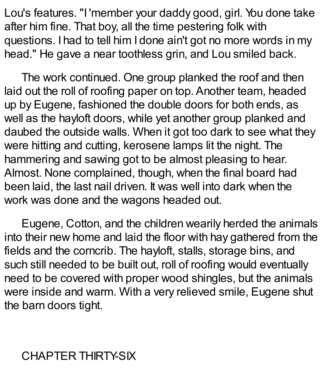Lou's features. "I 'member your daddy good, girl. You done take after him fine. That boy, all the time pestering folk with questions. I had to tell him I done ain't got no more words in my head." He gave a near toothless grin, and Lou smiled back.

The work continued. One group planked the roof and then laid out the roll of roofing paper on top.Another team, headed up by Eugene, fashioned the double doors for both ends, as well as the hayloft doors, while yet another group planked and daubed the outside walls. When it got too dark to see what they were hitting and cutting, kerosene lamps lit the night. The hammering and sawing got to be almost pleasing to hear. Almost. None complained, though, when the final board had been laid, the last nail driven. It was well into dark when the work was done and the wagons headed out.

Eugene, Cotton, and the children wearily herded the animals into their new home and laid the floor with hay gathered from the fields and the corncrib. The hayloft, stalls, storage bins, and such still needed to be built out, roll of roofing would eventually need to be covered with proper wood shingles, but the animals were inside and warm. With a very relieved smile, Eugene shut the barn doors tight.

CHAPTER THIRTY-SIX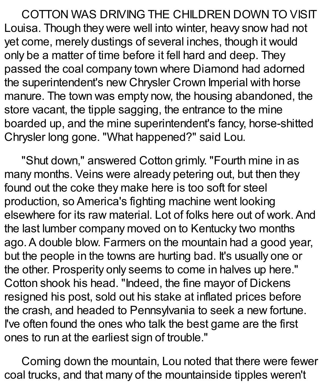COTTON WAS DRIVING THE CHILDREN DOWN TO VISIT Louisa. Though they were well into winter, heavy snow had not yet come, merely dustings of several inches, though it would only be a matter of time before it fell hard and deep. They passed the coal company town where Diamond had adorned the superintendent's new Chrysler Crown Imperial with horse manure. The town was empty now, the housing abandoned, the store vacant, the tipple sagging, the entrance to the mine boarded up, and the mine superintendent's fancy, horse-shitted Chrysler long gone. "What happened?" said Lou.

"Shut down," answered Cotton grimly. "Fourth mine in as many months. Veins were already petering out, but then they found out the coke they make here is too soft for steel production, so America's fighting machine went looking elsewhere for its raw material. Lot of folks here out of work.And the last lumber company moved on to Kentucky two months ago.A double blow. Farmers on the mountain had a good year, but the people in the towns are hurting bad. It's usually one or the other. Prosperity only seems to come in halves up here." Cotton shook his head. "Indeed, the fine mayor of Dickens resigned his post, sold out his stake at inflated prices before the crash, and headed to Pennsylvania to seek a new fortune. I've often found the ones who talk the best game are the first ones to run at the earliest sign of trouble."

Coming down the mountain, Lou noted that there were fewer coal trucks, and that many of the mountainside tipples weren't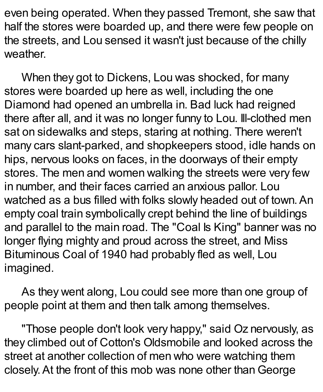even being operated. When they passed Tremont, she saw that half the stores were boarded up, and there were few people on the streets, and Lou sensed it wasn't just because of the chilly weather.

When they got to Dickens, Lou was shocked, for many stores were boarded up here as well, including the one Diamond had opened an umbrella in. Bad luck had reigned there after all, and it was no longer funny to Lou. Ill-clothed men sat on sidewalks and steps, staring at nothing. There weren't many cars slant-parked, and shopkeepers stood, idle hands on hips, nervous looks on faces, in the doorways of their empty stores. The men and women walking the streets were very few in number, and their faces carried an anxious pallor. Lou watched as a bus filled with folks slowly headed out of town.An empty coal train symbolically crept behind the line of buildings and parallel to the main road. The "Coal Is King" banner was no longer flying mighty and proud across the street, and Miss Bituminous Coal of 1940 had probably fled as well, Lou imagined.

As they went along, Lou could see more than one group of people point at them and then talk among themselves.

"Those people don't look very happy," said Oz nervously, as they climbed out of Cotton's Oldsmobile and looked across the street at another collection of men who were watching them closely.At the front of this mob was none other thanGeorge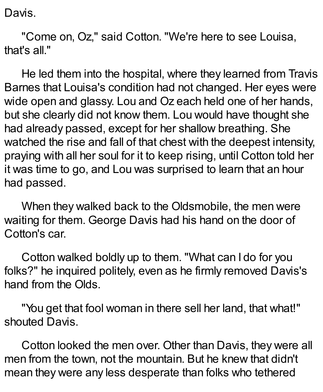Davis.

"Come on, Oz," said Cotton. "We're here to see Louisa, that's all."

He led them into the hospital, where they learned from Travis Barnes that Louisa's condition had not changed. Her eyes were wide open and glassy. Lou and Oz each held one of her hands, but she clearly did not know them. Lou would have thought she had already passed, except for her shallow breathing. She watched the rise and fall of that chest with the deepest intensity, praying with all her soul for it to keep rising, until Cotton told her it was time to go, and Lou was surprised to learn that an hour had passed.

When they walked back to the Oldsmobile, the men were waiting for them. George Davis had his hand on the door of Cotton's car.

Cotton walked boldly up to them. "What can I do for you folks?" he inquired politely, even as he firmly removed Davis's hand from the Olds.

"You get that fool woman in there sell her land, that what!" shouted Davis.

Cotton looked the men over. Other than Davis, they were all men from the town, not the mountain. But he knew that didn't mean they were any less desperate than folks who tethered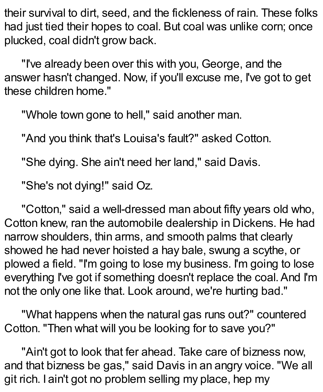their survival to dirt, seed, and the fickleness of rain. These folks had just tied their hopes to coal. But coal was unlike corn; once plucked, coal didn't grow back.

"I've already been over this with you, George, and the answer hasn't changed. Now, if you'll excuse me, I've got to get these children home."

"Whole town gone to hell," said another man.

"And you think that's Louisa's fault?" asked Cotton.

"She dying. She ain't need her land," said Davis.

"She's not dying!" said Oz.

"Cotton," said a well-dressed man about fifty years old who, Cotton knew, ran the automobile dealership in Dickens. He had narrow shoulders, thin arms, and smooth palms that clearly showed he had never hoisted a hay bale, swung a scythe, or plowed a field. "I'm going to lose my business. I'm going to lose everything I've got if something doesn't replace the coal.And I'm not the only one like that. Look around, we're hurting bad."

"What happens when the natural gas runs out?" countered Cotton. "Then what will you be looking for to save you?"

"Ain't got to look that fer ahead. Take care of bizness now, and that bizness be gas," said Davis in an angry voice. "We all git rich. I ain't got no problem selling my place, hep my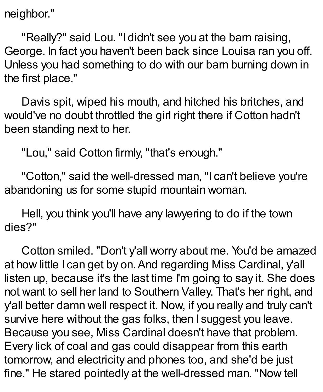neighbor."

"Really?" said Lou. "I didn't see you at the barn raising, George. In fact you haven't been back since Louisa ran you off. Unless you had something to do with our barn burning down in the first place."

Davis spit, wiped his mouth, and hitched his britches, and would've no doubt throttled the girl right there if Cotton hadn't been standing next to her.

"Lou," said Cotton firmly, "that's enough."

"Cotton," said the well-dressed man, "I can't believe you're abandoning us for some stupid mountain woman.

Hell, you think you'll have any lawyering to do if the town dies?"

Cotton smiled. "Don't y'all worry about me. You'd be amazed at how little I can get by on.And regarding Miss Cardinal, y'all listen up, because it's the last time I'm going to say it. She does not want to sell her land to Southern Valley. That's her right, and y'all better damn well respect it. Now, if you really and truly can't survive here without the gas folks, then I suggest you leave. Because you see, Miss Cardinal doesn't have that problem. Every lick of coal and gas could disappear from this earth tomorrow, and electricity and phones too, and she'd be just fine." He stared pointedly at the well-dressed man. "Now tell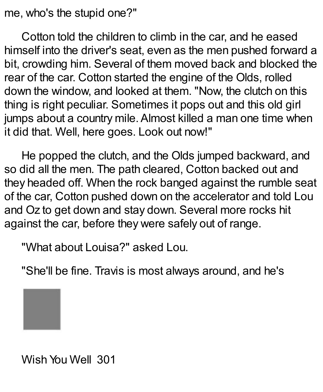me, who's the stupid one?"

Cotton told the children to climb in the car, and he eased himself into the driver's seat, even as the men pushed forward a bit, crowding him. Several of them moved back and blocked the rear of the car. Cotton started the engine of the Olds, rolled down the window, and looked at them. "Now, the clutch on this thing is right peculiar. Sometimes it pops out and this old girl jumps about a country mile. Almost killed a man one time when it did that. Well, here goes. Look out now!"

He popped the clutch, and the Olds jumped backward, and so did all the men. The path cleared, Cotton backed out and they headed off. When the rock banged against the rumble seat of the car, Cotton pushed down on the accelerator and told Lou and Oz to get down and stay down. Several more rocks hit against the car, before they were safely out of range.

"What about Louisa?" asked Lou.

"She'll be fine. Travis is most always around, and he's

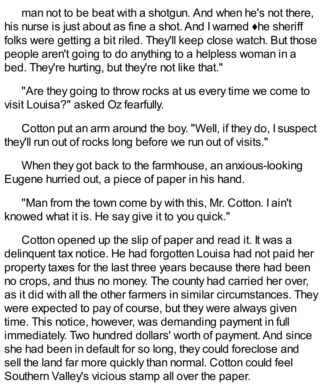man not to be beat with a shotgun. And when he's not there, his nurse is just about as fine a shot. And I warned  $\triangleleft$ he sheriff folks were getting a bit riled. They'll keep close watch. But those people aren't going to do anything to a helpless woman in a bed. They're hurting, but they're not like that."

"Are they going to throw rocks at us every time we come to visit Louisa?" asked Oz fearfully.

Cotton put an arm around the boy. "Well, if they do, I suspect they'll run out of rocks long before we run out of visits."

When they got back to the farmhouse, an anxious-looking Eugene hurried out, a piece of paper in his hand.

"Man from the town come by with this, Mr. Cotton. I ain't knowed what it is. He say give it to you quick."

Cotton opened up the slip of paper and read it. It was a delinquent tax notice. He had forgotten Louisa had not paid her property taxes for the last three years because there had been no crops, and thus no money. The county had carried her over, as it did with all the other farmers in similar circumstances. They were expected to pay of course, but they were always given time. This notice, however, was demanding payment in full immediately. Two hundred dollars' worth of payment. And since she had been in default for so long, they could foreclose and sell the land far more quickly than normal. Cotton could feel Southern Valley's vicious stamp all over the paper.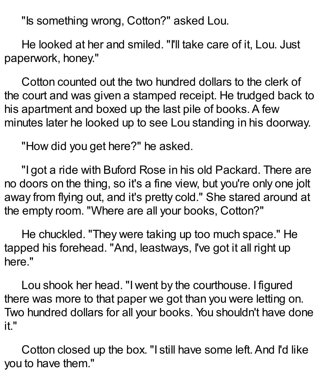"Is something wrong, Cotton?" asked Lou.

He looked at her and smiled. "I'll take care of it, Lou. Just paperwork, honey."

Cotton counted out the two hundred dollars to the clerk of the court and was given a stamped receipt. He trudged back to his apartment and boxed up the last pile of books. A few minutes later he looked up to see Lou standing in his doorway.

"How did you get here?" he asked.

"I got a ride with Buford Rose in his old Packard. There are no doors on the thing, so it's a fine view, but you're only one jolt away from flying out, and it's pretty cold." She stared around at the empty room. "Where are all your books, Cotton?"

He chuckled. "They were taking up too much space." He tapped his forehead. "And, leastways, I've got it all right up here."

Lou shook her head. "Iwent by the courthouse. I figured there was more to that paper we got than you were letting on. Two hundred dollars for all your books. You shouldn't have done it."

Cotton closed up the box. "I still have some left.And I'd like you to have them."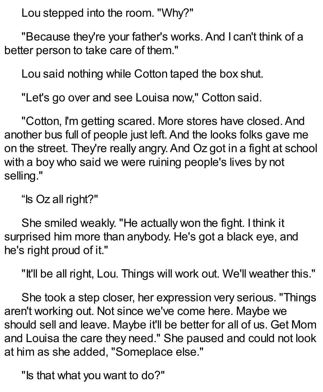Lou stepped into the room. "Why?"

"Because they're your father's works.And I can't think of a better person to take care of them."

Lou said nothing while Cotton taped the box shut.

"Let's go over and see Louisa now," Cotton said.

"Cotton, I'm getting scared. More stores have closed.And another bus full of people just left.And the looks folks gave me on the street. They're really angry.And Oz got in a fight at school with a boy who said we were ruining people's lives by not selling."

"Is Oz all right?"

She smiled weakly. "He actually won the fight. I think it surprised him more than anybody. He's got a black eye, and he's right proud of it."

"It'll be all right, Lou. Things will work out. We'll weather this."

She took a step closer, her expression very serious. "Things aren't working out. Not since we've come here. Maybe we should sell and leave. Maybe it'll be better for all of us. Get Mom and Louisa the care they need." She paused and could not look at him as she added, "Someplace else."

"Is that what you want to do?"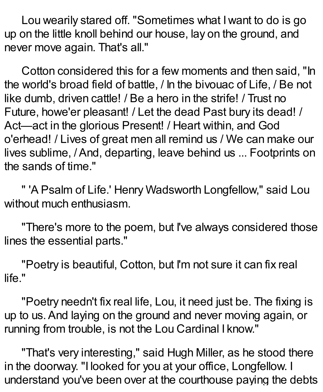Lou wearily stared off. "Sometimes what Iwant to do is go up on the little knoll behind our house, lay on the ground, and never move again. That's all."

Cotton considered this for a few moments and then said, "In the world's broad field of battle, / In the bivouac of Life, / Be not like dumb, driven cattle! / Be a hero in the strife! / Trust no Future, howe'er pleasant! / Let the dead Past bury its dead! / Act—act in the glorious Present! / Heart within, and God o'erhead! / Lives of great men all remind us / We can make our lives sublime, /And, departing, leave behind us ... Footprints on the sands of time."

" 'A Psalm of Life.' Henry Wadsworth Longfellow," said Lou without much enthusiasm.

"There's more to the poem, but I've always considered those lines the essential parts."

"Poetry is beautiful, Cotton, but I'm not sure it can fix real life."

"Poetry needn't fix real life, Lou, it need just be. The fixing is up to us.And laying on the ground and never moving again, or running from trouble, is not the Lou Cardinal I know."

"That's very interesting," said Hugh Miller, as he stood there in the doorway. "I looked for you at your office, Longfellow. I understand you've been over at the courthouse paying the debts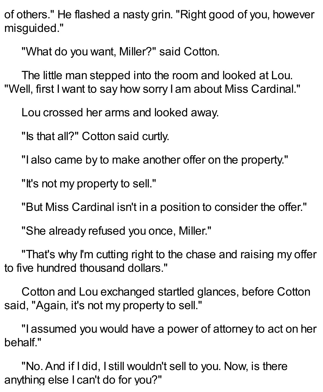of others." He flashed a nasty grin. "Right good of you, however misguided."

"What do you want, Miller?" said Cotton.

The little man stepped into the room and looked at Lou. "Well, first Iwant to say how sorry I am about Miss Cardinal."

Lou crossed her arms and looked away.

"Is that all?" Cotton said curtly.

"I also came by to make another offer on the property."

"It's not my property to sell."

"But Miss Cardinal isn't in a position to consider the offer."

"She already refused you once, Miller."

"That's why I'm cutting right to the chase and raising my offer to five hundred thousand dollars."

Cotton and Lou exchanged startled glances, before Cotton said, "Again, it's not my property to sell."

"I assumed you would have a power of attorney to act on her behalf."

"No.And if I did, I still wouldn't sell to you. Now, is there anything else I can't do for you?"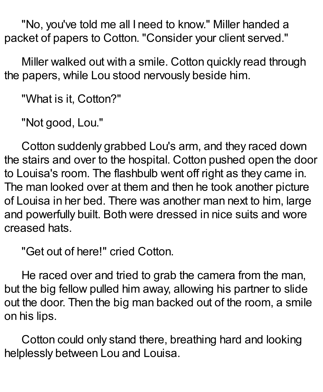"No, you've told me all I need to know." Miller handed a packet of papers to Cotton. "Consider your client served."

Miller walked out with a smile. Cotton quickly read through the papers, while Lou stood nervously beside him.

"What is it, Cotton?"

"Not good, Lou."

Cotton suddenly grabbed Lou's arm, and they raced down the stairs and over to the hospital. Cotton pushed open the door to Louisa's room. The flashbulb went off right as they came in. The man looked over at them and then he took another picture of Louisa in her bed. There was another man next to him, large and powerfully built. Both were dressed in nice suits and wore creased hats.

"Get out of here!" cried Cotton.

He raced over and tried to grab the camera from the man, but the big fellow pulled him away, allowing his partner to slide out the door. Then the big man backed out of the room, a smile on his lips.

Cotton could only stand there, breathing hard and looking helplessly between Lou and Louisa.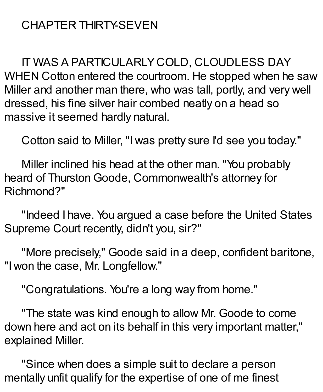## CHAPTER THIRTY-SEVEN

IT WAS A PARTICULARLYCOLD, CLOUDLESS DAY WHEN Cotton entered the courtroom. He stopped when he saw Miller and another man there, who was tall, portly, and very well dressed, his fine silver hair combed neatly on a head so massive it seemed hardly natural.

Cotton said to Miller, "Iwas pretty sure I'd see you today."

Miller inclined his head at the other man. "You probably heard of Thurston Goode, Commonwealth's attorney for Richmond?"

"Indeed I have. You argued a case before the United States Supreme Court recently, didn't you, sir?"

"More precisely," Goode said in a deep, confident baritone, "Iwon the case, Mr. Longfellow."

"Congratulations. You're a long way from home."

"The state was kind enough to allow Mr. Goode to come down here and act on its behalf in this very important matter," explained Miller.

"Since when does a simple suit to declare a person mentally unfit qualify for the expertise of one of me finest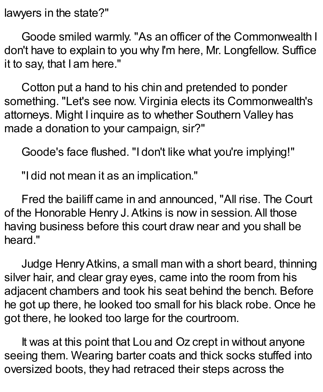lawyers in the state?"

Goode smiled warmly. "As an officer of the Commonwealth I don't have to explain to you why I'm here, Mr. Longfellow. Suffice it to say, that I am here."

Cotton put a hand to his chin and pretended to ponder something. "Let's see now. Virginia elects its Commonwealth's attorneys. Might I inquire as to whether Southern Valley has made a donation to your campaign, sir?"

Goode's face flushed. "I don't like what you're implying!"

"I did not mean it as an implication."

Fred the bailiff came in and announced, "All rise. The Court of the Honorable Henry J. Atkins is now in session. All those having business before this court draw near and you shall be heard."

Judge HenryAtkins, a small man with a short beard, thinning silver hair, and clear gray eyes, came into the room from his adjacent chambers and took his seat behind the bench. Before he got up there, he looked too small for his black robe. Once he got there, he looked too large for the courtroom.

It was at this point that Lou and Oz crept in without anyone seeing them. Wearing barter coats and thick socks stuffed into oversized boots, they had retraced their steps across the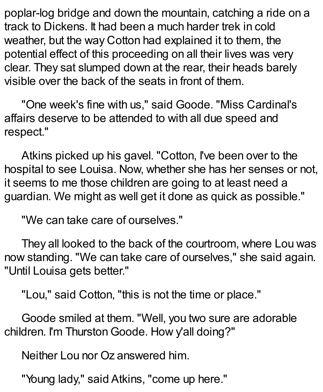poplar-log bridge and down the mountain, catching a ride on a track to Dickens. It had been a much harder trek in cold weather, but the way Cotton had explained it to them, the potential effect of this proceeding on all their lives was very clear. They sat slumped down at the rear, their heads barely visible over the back of the seats in front of them.

"One week's fine with us," said Goode. "Miss Cardinal's affairs deserve to be attended to with all due speed and respect."

Atkins picked up his gavel. "Cotton, I've been over to the hospital to see Louisa. Now, whether she has her senses or not, it seems to me those children are going to at least need a guardian. We might as well get it done as quick as possible."

"We can take care of ourselves."

They all looked to the back of the courtroom, where Lou was now standing. "We can take care of ourselves," she said again. "Until Louisa gets better."

"Lou," said Cotton, "this is not the time or place."

Goode smiled at them. "Well, you two sure are adorable children. I'm Thurston Goode. How y'all doing?"

Neither Lou nor Oz answered him.

"Young lady," said Atkins, "come up here."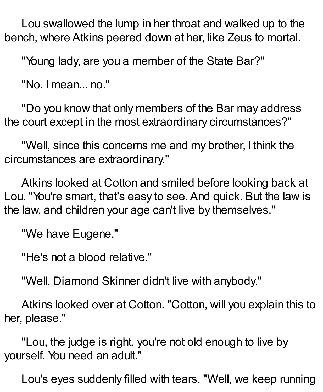Lou swallowed the lump in her throat and walked up to the bench, where Atkins peered down at her, like Zeus to mortal.

"Young lady, are you a member of the State Bar?"

"No. Imean... no."

"Do you know that only members of the Bar may address the court except in the most extraordinary circumstances?"

"Well, since this concerns me and my brother, I think the circumstances are extraordinary."

Atkins looked at Cotton and smiled before looking back at Lou. "You're smart, that's easy to see.And quick. But the law is the law, and children your age can't live by themselves."

"We have Eugene."

"He's not a blood relative."

"Well, Diamond Skinner didn't live with anybody."

Atkins looked over at Cotton. "Cotton, will you explain this to her, please."

"Lou, the judge is right, you're not old enough to live by yourself. You need an adult."

Lou's eyes suddenly filled with tears. "Well, we keep running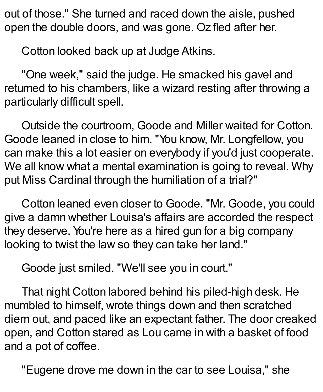out of those." She turned and raced down the aisle, pushed open the double doors, and was gone. Oz fled after her.

Cotton looked back up at Judge Atkins.

"One week," said the judge. He smacked his gavel and returned to his chambers, like a wizard resting after throwing a particularly difficult spell.

Outside the courtroom, Goode and Miller waited for Cotton. Goode leaned in close to him. "You know, Mr. Longfellow, you can make this a lot easier on everybody if you'd just cooperate. We all know what a mental examination is going to reveal. Why put Miss Cardinal through the humiliation of a trial?"

Cotton leaned even closer to Goode. "Mr. Goode, you could give a damn whether Louisa's affairs are accorded the respect they deserve. You're here as a hired gun for a big company looking to twist the law so they can take her land."

Goode just smiled. "We'll see you in court."

That night Cotton labored behind his piled-high desk. He mumbled to himself, wrote things down and then scratched diem out, and paced like an expectant father. The door creaked open, and Cotton stared as Lou came in with a basket of food and a pot of coffee.

"Eugene drove me down in the car to see Louisa," she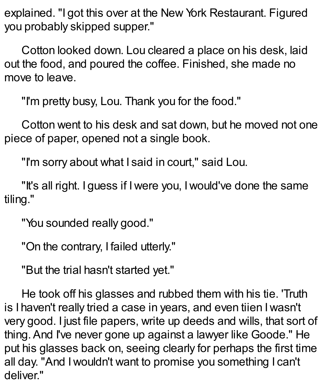explained. "I got this over at the New York Restaurant. Figured you probably skipped supper."

Cotton looked down. Lou cleared a place on his desk, laid out the food, and poured the coffee. Finished, she made no move to leave.

"I'm pretty busy, Lou. Thank you for the food."

Cotton went to his desk and sat down, but he moved not one piece of paper, opened not a single book.

"I'm sorry about what I said in court," said Lou.

"It's all right. I guess if Iwere you, Iwould've done the same tiling."

"You sounded really good."

"On the contrary, I failed utterly."

"But the trial hasn't started yet."

He took off his glasses and rubbed them with his tie. 'Truth is I haven't really tried a case in years, and even tiien Iwasn't very good. I just file papers, write up deeds and wills, that sort of thing.And I've never gone up against a lawyer like Goode." He put his glasses back on, seeing clearly for perhaps the first time all day. "And Iwouldn't want to promise you something I can't deliver."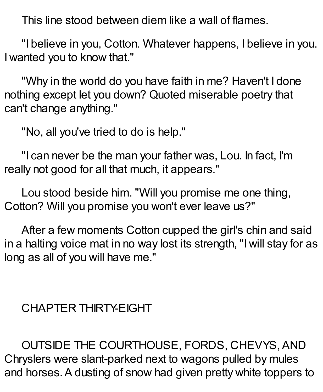This line stood between diem like a wall of flames.

"I believe in you, Cotton. Whatever happens, I believe in you. Iwanted you to know that."

"Why in the world do you have faith in me? Haven't I done nothing except let you down? Quoted miserable poetry that can't change anything."

"No, all you've tried to do is help."

"I can never be the man your father was, Lou. In fact, I'm really not good for all that much, it appears."

Lou stood beside him. "Will you promise me one thing, Cotton? Will you promise you won't ever leave us?"

After a few moments Cotton cupped the girl's chin and said in a halting voice mat in no way lost its strength, "I will stay for as long as all of you will have me."

## CHAPTER THIRTY-EIGHT

OUTSIDE THE COURTHOUSE, FORDS, CHEVYS,AND Chryslers were slant-parked next to wagons pulled by mules and horses.A dusting of snow had given pretty white toppers to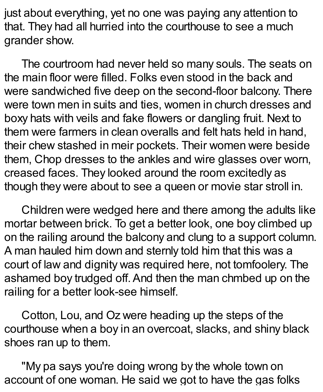just about everything, yet no one was paying any attention to that. They had all hurried into the courthouse to see a much grander show.

The courtroom had never held so many souls. The seats on the main floor were filled. Folks even stood in the back and were sandwiched five deep on the second-floor balcony. There were town men in suits and ties, women in church dresses and boxy hats with veils and fake flowers or dangling fruit. Next to them were farmers in clean overalls and felt hats held in hand, their chew stashed in meir pockets. Their women were beside them, Chop dresses to the ankles and wire glasses over worn, creased faces. They looked around the room excitedly as though they were about to see a queen or movie star stroll in.

Children were wedged here and there among the adults like mortar between brick. To get a better look, one boy climbed up on the railing around the balcony and clung to a support column. A man hauled him down and sternly told him that this was a court of law and dignity was required here, not tomfoolery. The ashamed boy trudged off.And then the man chmbed up on the railing for a better look-see himself.

Cotton, Lou, and Oz were heading up the steps of the courthouse when a boy in an overcoat, slacks, and shiny black shoes ran up to them.

"My pa says you're doing wrong by the whole town on account of one woman. He said we got to have the gas folks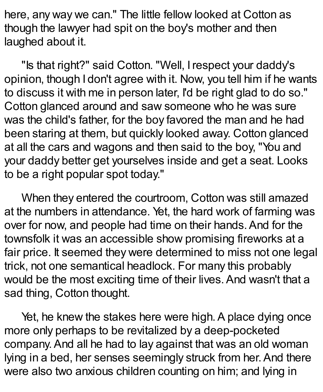here, any way we can." The little fellow looked at Cotton as though the lawyer had spit on the boy's mother and then laughed about it.

"Is that right?" said Cotton. "Well, Irespect your daddy's opinion, though I don't agree with it. Now, you tell him if he wants to discuss it with me in person later, I'd be right glad to do so." Cotton glanced around and saw someone who he was sure was the child's father, for the boy favored the man and he had been staring at them, but quickly looked away. Cotton glanced at all the cars and wagons and then said to the boy, "You and your daddy better get yourselves inside and get a seat. Looks to be a right popular spot today."

When they entered the courtroom, Cotton was still amazed at the numbers in attendance. Yet, the hard work of farming was over for now, and people had time on their hands.And for the townsfolk it was an accessible show promising fireworks at a fair price. It seemed they were determined to miss not one legal trick, not one semantical headlock. For many this probably would be the most exciting time of their lives.And wasn't that a sad thing, Cotton thought.

Yet, he knew the stakes here were high. A place dying once more only perhaps to be revitalized by a deep-pocketed company.And all he had to lay against that was an old woman lying in a bed, her senses seemingly struck from her. And there were also two anxious children counting on him; and lying in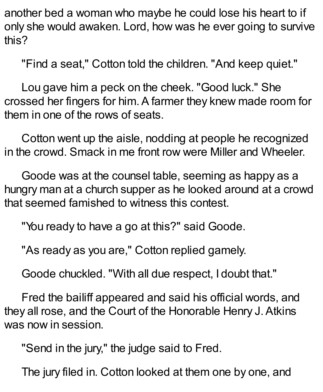another bed a woman who maybe he could lose his heart to if only she would awaken. Lord, how was he ever going to survive this?

"Find a seat," Cotton told the children. "And keep quiet."

Lou gave him a peck on the cheek. "Good luck." She crossed her fingers for him.A farmer they knew made room for them in one of the rows of seats.

Cotton went up the aisle, nodding at people he recognized in the crowd. Smack in me front row were Miller and Wheeler.

Goode was at the counsel table, seeming as happy as a hungry man at a church supper as he looked around at a crowd that seemed famished to witness this contest.

"You ready to have a go at this?" said Goode.

"As ready as you are," Cotton replied gamely.

Goode chuckled. "With all due respect, I doubt that."

Fred the bailiff appeared and said his official words, and they all rose, and the Court of the Honorable Henry J.Atkins was now in session.

"Send in the jury," the judge said to Fred.

The jury filed in. Cotton looked at them one by one, and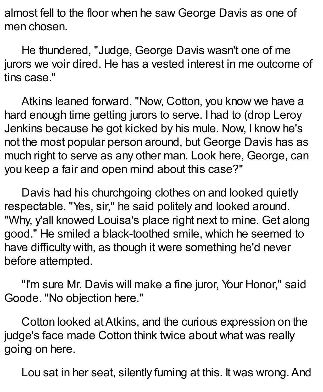almost fell to the floor when he saw George Davis as one of men chosen.

He thundered, "Judge, George Davis wasn't one of me jurors we voir dired. He has a vested interest in me outcome of tins case."

Atkins leaned forward. "Now, Cotton, you know we have a hard enough time getting jurors to serve. I had to (drop Leroy Jenkins because he got kicked by his mule. Now, I know he's not the most popular person around, but George Davis has as much right to serve as any other man. Look here, George, can you keep a fair and open mind about this case?"

Davis had his churchgoing clothes on and looked quietly respectable. "Yes, sir," he said politely and looked around. "Why, y'all knowed Louisa's place right next to mine. Get along good." He smiled a black-toothed smile, which he seemed to have difficulty with, as though it were something he'd never before attempted.

"I'm sure Mr. Davis will make a fine juror, Your Honor," said Goode. "No objection here."

Cotton looked atAtkins, and the curious expression on the judge's face made Cotton think twice about what was really going on here.

Lou sat in her seat, silently fuming at this. It was wrong.And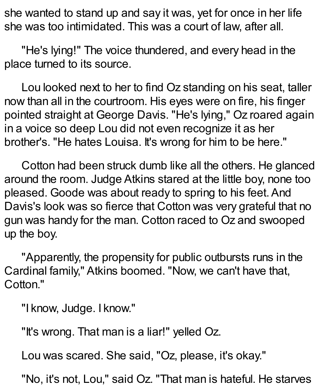she wanted to stand up and say it was, yet for once in her life she was too intimidated. This was a court of law, after all.

"He's lying!" The voice thundered, and every head in the place turned to its source.

Lou looked next to her to find Oz standing on his seat, taller now than all in the courtroom. His eyes were on fire, his finger pointed straight at George Davis. "He's lying," Oz roared again in a voice so deep Lou did not even recognize it as her brother's. "He hates Louisa. It's wrong for him to be here."

Cotton had been struck dumb like all the others. He glanced around the room. Judge Atkins stared at the little boy, none too pleased. Goode was about ready to spring to his feet.And Davis's look was so fierce that Cotton was very grateful that no gun was handy for the man. Cotton raced to Oz and swooped up the boy.

"Apparently, the propensity for public outbursts runs in the Cardinal family," Atkins boomed. "Now, we can't have that, Cotton."

"I know, Judge. I know."

"It's wrong. That man is a liar!" yelled Oz.

Lou was scared. She said, "Oz, please, it's okay."

"No, it's not, Lou," said Oz. "That man is hateful. He starves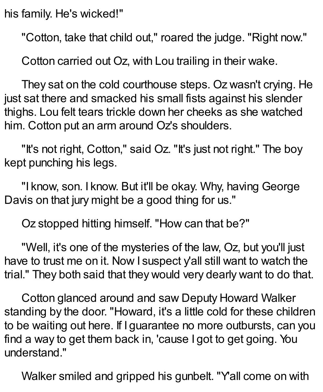his family. He's wicked!"

"Cotton, take that child out," roared the judge. "Right now."

Cotton carried out Oz, with Lou trailing in their wake.

They sat on the cold courthouse steps. Oz wasn't crying. He just sat there and smacked his small fists against his slender thighs. Lou felt tears trickle down her cheeks as she watched him. Cotton put an arm around Oz's shoulders.

"It's not right, Cotton," said Oz. "It's just not right." The boy kept punching his legs.

"I know, son. I know. But it'll be okay. Why, having George Davis on that jury might be a good thing for us."

Oz stopped hitting himself. "How can that be?"

"Well, it's one of the mysteries of the law, Oz, but you'll just have to trust me on it. Now I suspect y'all still want to watch the trial." They both said that they would very dearly want to do that.

Cotton glanced around and saw Deputy Howard Walker standing by the door. "Howard, it's a little cold for these children to be waiting out here. If I guarantee no more outbursts, can you find a way to get them back in, 'cause I got to get going. You understand."

Walker smiled and gripped his gunbelt. "Yall come on with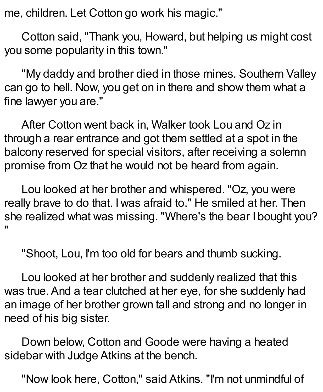me, children. Let Cotton go work his magic."

Cotton said, "Thank you, Howard, but helping us might cost you some popularity in this town."

"My daddy and brother died in those mines. Southern Valley can go to hell. Now, you get on in there and show them what a fine lawyer you are."

After Cotton went back in, Walker took Lou and Oz in through a rear entrance and got them settled at a spot in the balcony reserved for special visitors, after receiving a solemn promise from Oz that he would not be heard from again.

Lou looked at her brother and whispered. "Oz, you were really brave to do that. Iwas afraid to." He smiled at her. Then she realized what was missing. "Where's the bear I bought you? "

"Shoot, Lou, I'm too old for bears and thumb sucking.

Lou looked at her brother and suddenly realized that this was true.And a tear clutched at her eye, for she suddenly had an image of her brother grown tall and strong and no longer in need of his big sister.

Down below, Cotton and Goode were having a heated sidebar with Judge Atkins at the bench.

"Now look here, Cotton," said Atkins. "I'm not unmindful of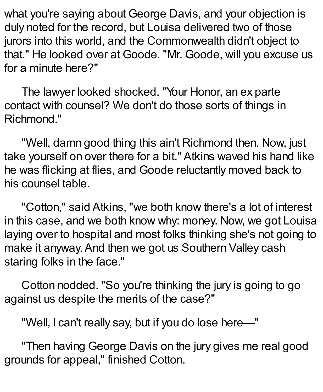what you're saying about George Davis, and your objection is duly noted for the record, but Louisa delivered two of those jurors into this world, and the Commonwealth didn't object to that." He looked over at Goode. "Mr. Goode, will you excuse us for a minute here?"

The lawyer looked shocked. "Your Honor, an ex parte contact with counsel? We don't do those sorts of things in Richmond."

"Well, damn good thing this ain't Richmond then. Now, just take yourself on over there for a bit." Atkins waved his hand like he was flicking at flies, and Goode reluctantly moved back to his counsel table.

"Cotton," said Atkins, "we both know there's a lot of interest in this case, and we both know why: money. Now, we got Louisa laying over to hospital and most folks thinking she's not going to make it anyway.And then we got us Southern Valley cash staring folks in the face."

Cotton nodded. "So you're thinking the jury is going to go against us despite the merits of the case?"

"Well, I can't really say, but if you do lose here—"

"Then having George Davis on the jury gives me real good grounds for appeal," finished Cotton.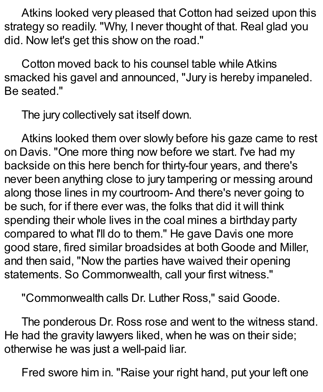Atkins looked very pleased that Cotton had seized upon this strategy so readily. "Why, I never thought of that. Real glad you did. Now let's get this show on the road."

Cotton moved back to his counsel table while Atkins smacked his gavel and announced, "Jury is hereby impaneled. Be seated."

The jury collectively sat itself down.

Atkins looked them over slowly before his gaze came to rest on Davis. "One more thing now before we start. I've had my backside on this here bench for thirty-four years, and there's never been anything close to jury tampering or messing around along those lines in my courtroom- And there's never going to be such, for if there ever was, the folks that did it will think spending their whole lives in the coal mines a birthday party compared to what I'll do to them." He gave Davis one more good stare, fired similar broadsides at both Goode and Miller, and then said, "Now the parties have waived their opening statements. So Commonwealth, call your first witness."

"Commonwealth calls Dr. Luther Ross," said Goode.

The ponderous Dr. Ross rose and went to the witness stand. He had the gravity lawyers liked, when he was on their side; otherwise he was just a well-paid liar.

Fred swore him in. "Raise your right hand, put your left one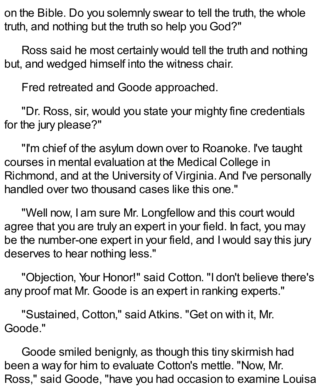on the Bible. Do you solemnly swear to tell the truth, the whole truth, and nothing but the truth so help you God?"

Ross said he most certainly would tell the truth and nothing but, and wedged himself into the witness chair.

Fred retreated and Goode approached.

"Dr. Ross, sir, would you state your mighty fine credentials for the jury please?"

"I'm chief of the asylum down over to Roanoke. I've taught courses in mental evaluation at the Medical College in Richmond, and at the University of Virginia.And I've personally handled over two thousand cases like this one."

"Well now, I am sure Mr. Longfellow and this court would agree that you are truly an expert in your field. In fact, you may be the number-one expert in your field, and Iwould say this jury deserves to hear nothing less."

"Objection, Your Honor!" said Cotton. "I don't believe there's any proof mat Mr. Goode is an expert in ranking experts."

"Sustained, Cotton," said Atkins. "Get on with it, Mr. Goode."

Goode smiled benignly, as though this tiny skirmish had been a way for him to evaluate Cotton's mettle. "Now, Mr. Ross," said Goode, "have you had occasion to examine Louisa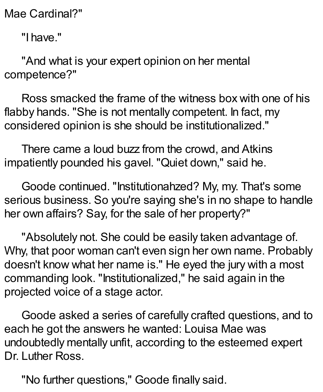Mae Cardinal?"

"I have."

"And what is your expert opinion on her mental competence?"

Ross smacked the frame of the witness box with one of his flabby hands. "She is not mentally competent. In fact, my considered opinion is she should be institutionalized."

There came a loud buzz from the crowd, and Atkins impatiently pounded his gavel. "Quiet down," said he.

Goode continued. "Institutionahzed? My, my. That's some serious business. So you're saying she's in no shape to handle her own affairs? Say, for the sale of her property?"

"Absolutely not. She could be easily taken advantage of. Why, that poor woman can't even sign her own name. Probably doesn't know what her name is." He eyed the jury with a most commanding look. "Institutionalized," he said again in the projected voice of a stage actor.

Goode asked a series of carefully crafted questions, and to each he got the answers he wanted: Louisa Mae was undoubtedly mentally unfit, according to the esteemed expert Dr. Luther Ross.

"No further questions," Goode finally said.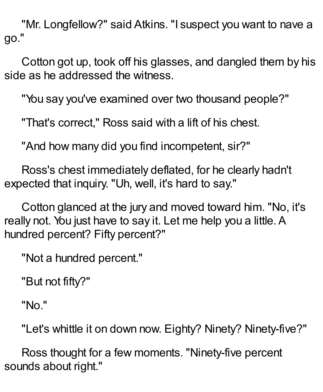"Mr. Longfellow?" said Atkins. "I suspect you want to nave a go."

Cotton got up, took off his glasses, and dangled them by his side as he addressed the witness.

"You say you've examined over two thousand people?"

"That's correct," Ross said with a lift of his chest.

"And how many did you find incompetent, sir?"

Ross's chest immediately deflated, for he clearly hadn't expected that inquiry. "Uh, well, it's hard to say."

Cotton glanced at the jury and moved toward him. "No, it's really not. You just have to say it. Let me help you a little.A hundred percent? Fifty percent?"

"Not a hundred percent."

"But not fifty?"

"No."

"Let's whittle it on down now. Eighty? Ninety? Ninety-five?"

Ross thought for a few moments. "Ninety-five percent sounds about right."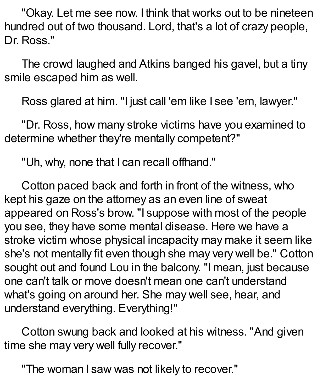"Okay. Let me see now. I think that works out to be nineteen hundred out of two thousand. Lord, that's a lot of crazy people, Dr. Ross."

The crowd laughed and Atkins banged his gavel, but a tiny smile escaped him as well.

Ross glared at him. "I just call 'em like I see 'em, lawyer."

"Dr. Ross, how many stroke victims have you examined to determine whether they're mentally competent?"

"Uh, why, none that I can recall offhand."

Cotton paced back and forth in front of the witness, who kept his gaze on the attorney as an even line of sweat appeared on Ross's brow. "I suppose with most of the people you see, they have some mental disease. Here we have a stroke victim whose physical incapacity may make it seem like she's not mentally fit even though she may very well be." Cotton sought out and found Lou in the balcony. "I mean, just because one can't talk or move doesn't mean one can't understand what's going on around her. She may well see, hear, and understand everything. Everything!"

Cotton swung back and looked at his witness. "And given time she may very well fully recover."

"The woman I saw was not likely to recover."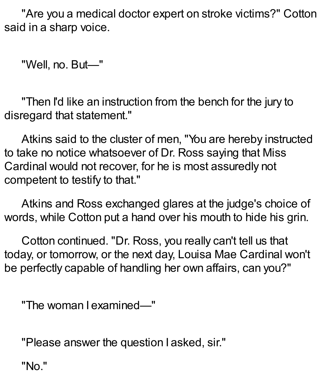"Are you a medical doctor expert on stroke victims?" Cotton said in a sharp voice.

"Well, no. But—"

"Then I'd like an instruction from the bench for the jury to disregard that statement."

Atkins said to the cluster of men, "You are hereby instructed to take no notice whatsoever of Dr. Ross saying that Miss Cardinal would not recover, for he is most assuredly not competent to testify to that."

Atkins and Ross exchanged glares at the judge's choice of words, while Cotton put a hand over his mouth to hide his grin.

Cotton continued. "Dr. Ross, you really can't tell us that today, or tomorrow, or the next day, Louisa Mae Cardinal won't be perfectly capable of handling her own affairs, can you?"

"The woman I examined—"

"Please answer the question I asked, sir."

"No."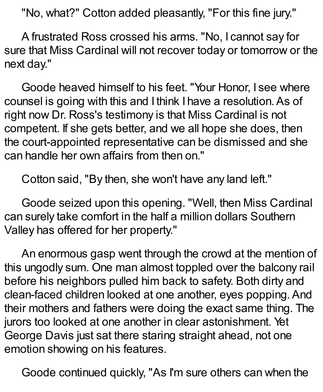"No, what?" Cotton added pleasantly, "For this fine jury."

A frustrated Ross crossed his arms. "No, I cannot say for sure that Miss Cardinal will not recover today or tomorrow or the next day."

Goode heaved himself to his feet. "Your Honor, I see where counsel is going with this and I think I have a resolution.As of right now Dr. Ross's testimony is that Miss Cardinal is not competent. If she gets better, and we all hope she does, then the court-appointed representative can be dismissed and she can handle her own affairs from then on."

Cotton said, "By then, she won't have any land left."

Goode seized upon this opening. "Well, then Miss Cardinal can surely take comfort in the half a million dollars Southern Valley has offered for her property."

An enormous gasp went through the crowd at the mention of this ungodly sum. One man almost toppled over the balcony rail before his neighbors pulled him back to safety. Both dirty and clean-faced children looked at one another, eyes popping.And their mothers and fathers were doing the exact same thing. The jurors too looked at one another in clear astonishment. Yet George Davis just sat there staring straight ahead, not one emotion showing on his features.

Goode continued quickly, "As I'm sure others can when the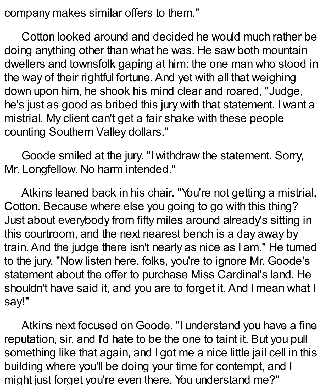company makes similar offers to them."

Cotton looked around and decided he would much rather be doing anything other than what he was. He saw both mountain dwellers and townsfolk gaping at him: the one man who stood in the way of their rightful fortune.And yet with all that weighing down upon him, he shook his mind clear and roared, "Judge, he's just as good as bribed this jury with that statement. Iwant a mistrial. My client can't get a fair shake with these people counting Southern Valley dollars."

Goode smiled at the jury. "Iwithdraw the statement. Sorry, Mr. Longfellow. No harm intended."

Atkins leaned back in his chair. "You're not getting a mistrial, Cotton. Because where else you going to go with this thing? Just about everybody from fifty miles around already's sitting in this courtroom, and the next nearest bench is a day away by train.And the judge there isn't nearly as nice as I am." He turned to the jury. "Now listen here, folks, you're to ignore Mr. Goode's statement about the offer to purchase Miss Cardinal's land. He shouldn't have said it, and you are to forget it. And I mean what I say!"

Atkins next focused on Goode. "I understand you have a fine reputation, sir, and I'd hate to be the one to taint it. But you pull something like that again, and I got me a nice little jail cell in this building where you'll be doing your time for contempt, and I might just forget you're even there. You understand me?"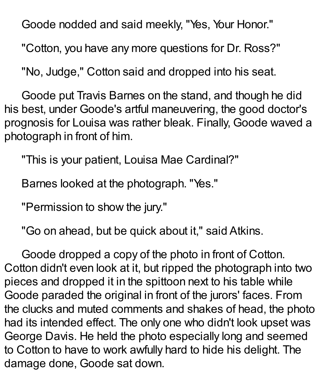Goode nodded and said meekly, "Yes, Your Honor."

"Cotton, you have any more questions for Dr. Ross?"

"No, Judge," Cotton said and dropped into his seat.

Goode put Travis Barnes on the stand, and though he did his best, under Goode's artful maneuvering, the good doctor's prognosis for Louisa was rather bleak. Finally, Goode waved a photograph in front of him.

"This is your patient, Louisa Mae Cardinal?"

Barnes looked at the photograph. "Yes."

"Permission to show the jury."

"Go on ahead, but be quick about it," said Atkins.

Goode dropped a copy of the photo in front of Cotton. Cotton didn't even look at it, but ripped the photograph into two pieces and dropped it in the spittoon next to his table while Goode paraded the original in front of the jurors' faces. From the clucks and muted comments and shakes of head, the photo had its intended effect. The only one who didn't look upset was George Davis. He held the photo especially long and seemed to Cotton to have to work awfully hard to hide his delight. The damage done, Goode sat down.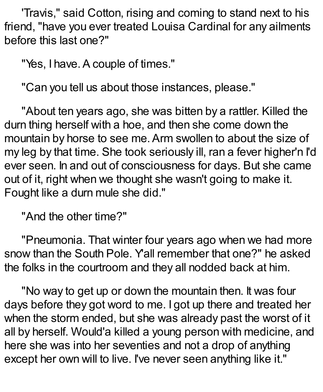'Travis," said Cotton, rising and coming to stand next to his friend, "have you ever treated Louisa Cardinal for any ailments before this last one?"

"Yes, I have. A couple of times."

"Can you tell us about those instances, please."

"About ten years ago, she was bitten by a rattler. Killed the durn thing herself with a hoe, and then she come down the mountain by horse to see me.Arm swollen to about the size of my leg by that time. She took seriously ill, ran a fever higher'n I'd ever seen. In and out of consciousness for days. But she came out of it, right when we thought she wasn't going to make it. Fought like a durn mule she did."

"And the other time?"

"Pneumonia. That winter four years ago when we had more snow than the South Pole. Yall remember that one?" he asked the folks in the courtroom and they all nodded back at him.

"No way to get up or down the mountain then. It was four days before they got word to me. I got up there and treated her when the storm ended, but she was already past the worst of it all by herself. Would'a killed a young person with medicine, and here she was into her seventies and not a drop of anything except her own will to live. I've never seen anything like it."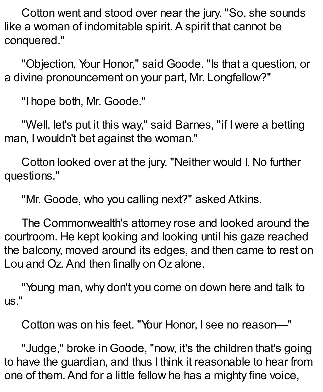Cotton went and stood over near the jury. "So, she sounds like a woman of indomitable spirit. A spirit that cannot be conquered."

"Objection, Your Honor," said Goode. "Is that a question, or a divine pronouncement on your part, Mr. Longfellow?"

"I hope both, Mr. Goode."

"Well, let's put it this way," said Barnes, "if Iwere a betting man, Iwouldn't bet against the woman."

Cotton looked over at the jury. "Neither would I. No further questions."

"Mr. Goode, who you calling next?" asked Atkins.

The Commonwealth's attorney rose and looked around the courtroom. He kept looking and looking until his gaze reached the balcony, moved around its edges, and then came to rest on Lou and Oz. And then finally on Oz alone.

"Young man, why don't you come on down here and talk to us."

Cotton was on his feet. "Your Honor, I see no reason—"

"Judge," broke in Goode, "now, it's the children that's going to have the guardian, and thus I think it reasonable to hear from one of them.And for a little fellow he has a mighty fine voice,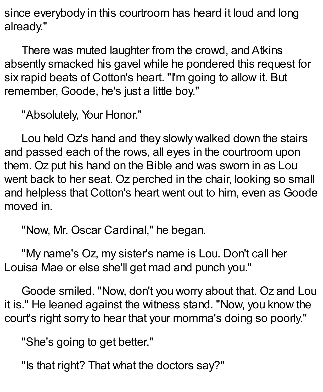since everybody in this courtroom has heard it loud and long already."

There was muted laughter from the crowd, and Atkins absently smacked his gavel while he pondered this request for six rapid beats of Cotton's heart. "I'm going to allow it. But remember, Goode, he's just a little boy."

"Absolutely, Your Honor."

Lou held Oz's hand and they slowly walked down the stairs and passed each of the rows, all eyes in the courtroom upon them. Oz put his hand on the Bible and was sworn in as Lou went back to her seat. Oz perched in the chair, looking so small and helpless that Cotton's heart went out to him, even as Goode moved in.

"Now, Mr. Oscar Cardinal," he began.

"My name's Oz, my sister's name is Lou. Don't call her Louisa Mae or else she'll get mad and punch you."

Goode smiled. "Now, don't you worry about that. Oz and Lou it is." He leaned against the witness stand. "Now, you know the court's right sorry to hear that your momma's doing so poorly."

"She's going to get better."

"Is that right? That what the doctors say?"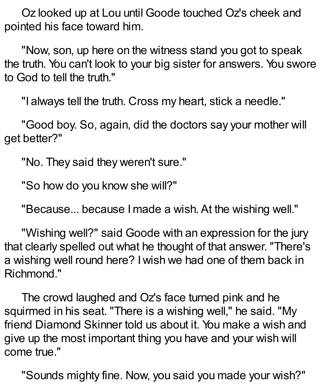Oz looked up at Lou until Goode touched Oz's cheek and pointed his face toward him.

"Now, son, up here on the witness stand you got to speak the truth. You can't look to your big sister for answers. You swore to God to tell the truth."

"I always tell the truth. Cross my heart, stick a needle."

"Good boy. So, again, did the doctors say your mother will get better?"

"No. They said they weren't sure."

"So how do you know she will?"

"Because... because Imade a wish.At the wishing well."

"Wishing well?" said Goode with an expression for the jury that clearly spelled out what he thought of that answer. "There's a wishing well round here? Iwish we had one of them back in Richmond."

The crowd laughed and Oz's face turned pink and he squirmed in his seat. "There is a wishing well," he said. "My friend Diamond Skinner told us about it. You make a wish and give up the most important thing you have and your wish will come true."

"Sounds mighty fine. Now, you said you made your wish?"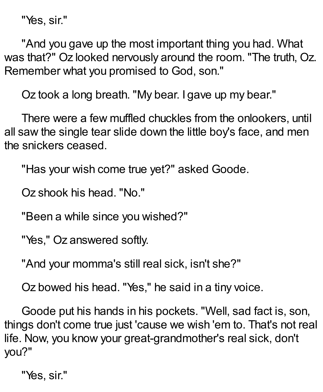"Yes, sir."

"And you gave up the most important thing you had. What was that?" Oz looked nervously around the room. "The truth, Oz. Remember what you promised to God, son."

Oz took a long breath. "My bear. I gave up my bear."

There were a few muffled chuckles from the onlookers, until all saw the single tear slide down the little boy's face, and men the snickers ceased.

"Has your wish come true yet?" asked Goode.

Oz shook his head. "No."

"Been a while since you wished?"

"Yes," Oz answered softly.

"And your momma's still real sick, isn't she?"

Oz bowed his head. "Yes," he said in a tiny voice.

Goode put his hands in his pockets. "Well, sad fact is, son, things don't come true just 'cause we wish 'em to. That's not real life. Now, you know your great-grandmother's real sick, don't you?"

"Yes, sir."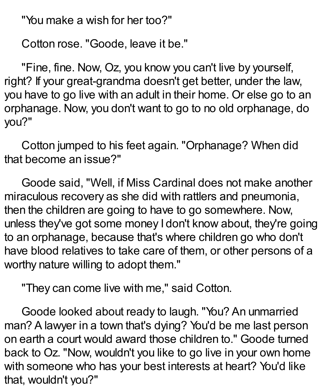"You make a wish for her too?"

Cotton rose. "Goode, leave it be."

"Fine, fine. Now, Oz, you know you can't live by yourself, right? If your great-grandma doesn't get better, under the law, you have to go live with an adult in their home. Or else go to an orphanage. Now, you don't want to go to no old orphanage, do you?"

Cotton jumped to his feet again. "Orphanage? When did that become an issue?"

Goode said, "Well, if Miss Cardinal does not make another miraculous recovery as she did with rattlers and pneumonia, then the children are going to have to go somewhere. Now, unless they've got some money I don't know about, they're going to an orphanage, because that's where children go who don't have blood relatives to take care of them, or other persons of a worthy nature willing to adopt them."

"They can come live with me," said Cotton.

Goode looked about ready to laugh. "You? An unmarried man? A lawyer in a town that's dying? You'd be me last person on earth a court would award those children to." Goode turned back to Oz. "Now, wouldn't you like to go live in your own home with someone who has your best interests at heart? You'd like that, wouldn't you?"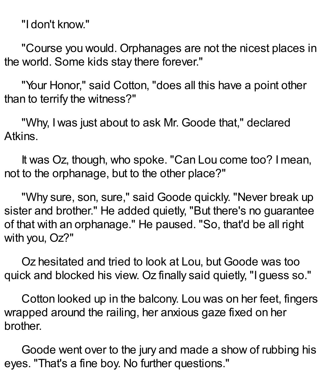"I don't know."

"Course you would. Orphanages are not the nicest places in the world. Some kids stay there forever."

"Your Honor," said Cotton, "does all this have a point other than to terrify the witness?"

"Why, Iwas just about to ask Mr. Goode that," declared Atkins.

It was Oz, though, who spoke. "Can Lou come too? Imean, not to the orphanage, but to the other place?"

"Why sure, son, sure," said Goode quickly. "Never break up sister and brother." He added quietly, "But there's no guarantee of that with an orphanage." He paused. "So, that'd be all right with you, Oz?"

Oz hesitated and tried to look at Lou, but Goode was too quick and blocked his view. Oz finally said quietly, "I guess so."

Cotton looked up in the balcony. Lou was on her feet, fingers wrapped around the railing, her anxious gaze fixed on her brother.

Goode went over to the jury and made a show of rubbing his eyes. "That's a fine boy. No further questions."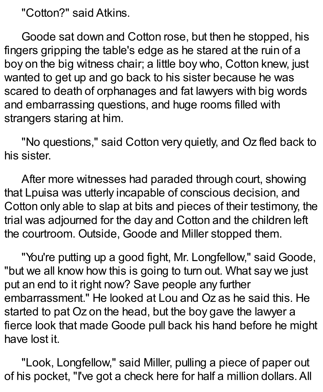"Cotton?" said Atkins.

Goode sat down and Cotton rose, but then he stopped, his fingers gripping the table's edge as he stared at the ruin of a boy on the big witness chair; a little boy who, Cotton knew, just wanted to get up and go back to his sister because he was scared to death of orphanages and fat lawyers with big words and embarrassing questions, and huge rooms filled with strangers staring at him.

"No questions," said Cotton very quietly, and Oz fled back to his sister.

After more witnesses had paraded through court, showing that Lpuisa was utterly incapable of conscious decision, and Cotton only able to slap at bits and pieces of their testimony, the trial was adjourned for the day and Cotton and the children left the courtroom. Outside, Goode and Miller stopped them.

"You're putting up a good fight, Mr. Longfellow," said Goode, "but we all know how this is going to turn out. What say we just put an end to it right now? Save people any further embarrassment." He looked at Lou and Oz as he said this. He started to pat Oz on the head, but the boy gave the lawyer a fierce look that made Goode pull back his hand before he might have lost it.

"Look, Longfellow," said Miller, pulling a piece of paper out of his pocket, "I've got a check here for half a million dollars.All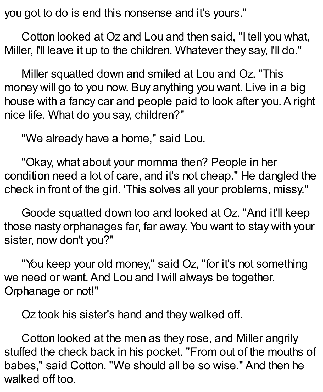you got to do is end this nonsense and it's yours."

Cotton looked at Oz and Lou and then said, "I tell you what, Miller, I'll leave it up to the children. Whatever they say, I'll do."

Miller squatted down and smiled at Lou and Oz. "This money will go to you now. Buy anything you want. Live in a big house with a fancy car and people paid to look after you. A right nice life. What do you say, children?"

"We already have a home," said Lou.

"Okay, what about your momma then? People in her condition need a lot of care, and it's not cheap." He dangled the check in front of the girl. 'This solves all your problems, missy."

Goode squatted down too and looked at Oz. "And it'll keep those nasty orphanages far, far away. You want to stay with your sister, now don't you?"

"You keep your old money," said Oz, "for it's not something we need or want.And Lou and Iwill always be together. Orphanage or not!"

Oz took his sister's hand and they walked off.

Cotton looked at the men as they rose, and Miller angrily stuffed the check back in his pocket. "From out of the mouths of babes," said Cotton. "We should all be so wise." And then he walked off too.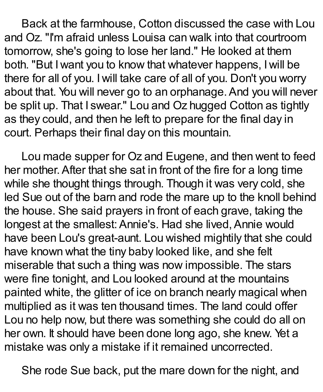Back at the farmhouse, Cotton discussed the case with Lou and Oz. "I'm afraid unless Louisa can walk into that courtroom tomorrow, she's going to lose her land." He looked at them both. "But Iwant you to know that whatever happens, Iwill be there for all of you. Iwill take care of all of you. Don't you worry about that. You will never go to an orphanage.And you will never be split up. That I swear." Lou and Oz hugged Cotton as tightly as they could, and then he left to prepare for the final day in court. Perhaps their final day on this mountain.

Lou made supper for Oz and Eugene, and then went to feed her mother.After that she sat in front of the fire for a long time while she thought things through. Though it was very cold, she led Sue out of the barn and rode the mare up to the knoll behind the house. She said prayers in front of each grave, taking the longest at the smallest: Annie's. Had she lived, Annie would have been Lou's great-aunt. Lou wished mightily that she could have known what the tiny baby looked like, and she felt miserable that such a thing was now impossible. The stars were fine tonight, and Lou looked around at the mountains painted white, the glitter of ice on branch nearly magical when multiplied as it was ten thousand times. The land could offer Lou no help now, but there was something she could do all on her own. It should have been done long ago, she knew. Yet a mistake was only a mistake if it remained uncorrected.

She rode Sue back, put the mare down for the night, and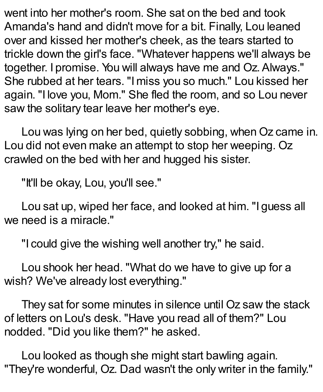went into her mother's room. She sat on the bed and took Amanda's hand and didn't move for a bit. Finally, Lou leaned over and kissed her mother's cheek, as the tears started to trickle down the girl's face. "Whatever happens we'll always be together. I promise. You will always have me and Oz.Always." She rubbed at her tears. "Imiss you so much." Lou kissed her again. "I love you, Mom." She fled the room, and so Lou never saw the solitary tear leave her mother's eye.

Lou was lying on her bed, quietly sobbing, when Oz came in. Lou did not even make an attempt to stop her weeping. Oz crawled on the bed with her and hugged his sister.

"It'll be okay, Lou, you'll see."

Lou sat up, wiped her face, and looked at him. "I guess all we need is a miracle."

"I could give the wishing well another try," he said.

Lou shook her head. "What do we have to give up for a wish? We've already lost everything."

They sat for some minutes in silence until Oz saw the stack of letters on Lou's desk. "Have you read all of them?" Lou nodded. "Did you like them?" he asked.

Lou looked as though she might start bawling again. "They're wonderful, Oz. Dad wasn't the only writer in the family."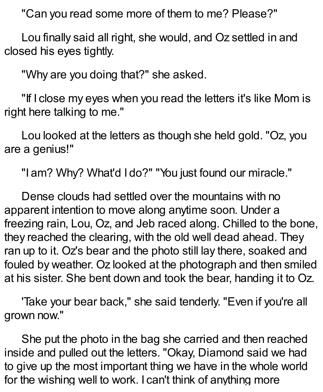"Can you read some more of them to me? Please?"

Lou finally said all right, she would, and Oz settled in and closed his eyes tightly.

"Why are you doing that?" she asked.

"If I close my eyes when you read the letters it's like Mom is right here talking to me."

Lou looked at the letters as though she held gold. "Oz, you are a genius!"

"I am? Why? What'd I do?" "You just found our miracle."

Dense clouds had settled over the mountains with no apparent intention to move along anytime soon. Under a freezing rain, Lou, Oz, and Jeb raced along. Chilled to the bone, they reached the clearing, with the old well dead ahead. They ran up to it. Oz's bear and the photo still lay there, soaked and fouled by weather. Oz looked at the photograph and then smiled at his sister. She bent down and took the bear, handing it to Oz.

'Take your bear back," she said tenderly. "Even if you're all grown now."

She put the photo in the bag she carried and then reached inside and pulled out the letters. "Okay, Diamond said we had to give up the most important thing we have in the whole world for the wishing well to work. I can't think of anything more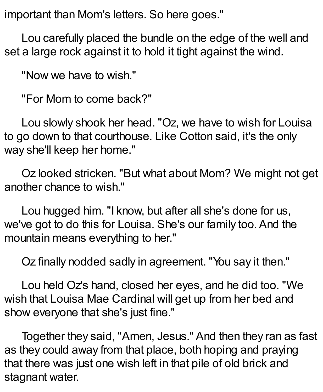important than Mom's letters. So here goes."

Lou carefully placed the bundle on the edge of the well and set a large rock against it to hold it tight against the wind.

"Now we have to wish."

"For Mom to come back?"

Lou slowly shook her head. "Oz, we have to wish for Louisa to go down to that courthouse. Like Cotton said, it's the only way she'll keep her home."

Oz looked stricken. "But what about Mom? We might not get another chance to wish."

Lou hugged him. "I know, but after all she's done for us, we've got to do this for Louisa. She's our family too.And the mountain means everything to her."

Oz finally nodded sadly in agreement. "You say it then."

Lou held Oz's hand, closed her eyes, and he did too. "We wish that Louisa Mae Cardinal will get up from her bed and show everyone that she's just fine."

Together they said, "Amen, Jesus." And then they ran as fast as they could away from that place, both hoping and praying that there was just one wish left in that pile of old brick and stagnant water.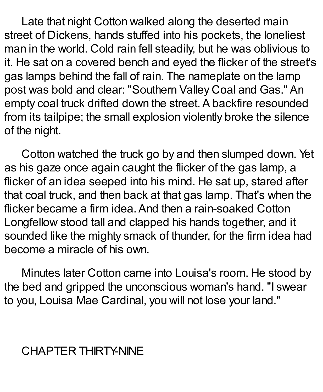Late that night Cotton walked along the deserted main street of Dickens, hands stuffed into his pockets, the loneliest man in the world. Cold rain fell steadily, but he was oblivious to it. He sat on a covered bench and eyed the flicker of the street's gas lamps behind the fall of rain. The nameplate on the lamp post was bold and clear: "Southern Valley Coal and Gas." An empty coal truck drifted down the street. A backfire resounded from its tailpipe; the small explosion violently broke the silence of the night.

Cotton watched the truck go by and then slumped down. Yet as his gaze once again caught the flicker of the gas lamp, a flicker of an idea seeped into his mind. He sat up, stared after that coal truck, and then back at that gas lamp. That's when the flicker became a firm idea.And then a rain-soaked Cotton Longfellow stood tall and clapped his hands together, and it sounded like the mighty smack of thunder, for the firm idea had become a miracle of his own.

Minutes later Cotton came into Louisa's room. He stood by the bed and gripped the unconscious woman's hand. "I swear to you, Louisa Mae Cardinal, you will not lose your land."

## CHAPTER THIRTY-NINE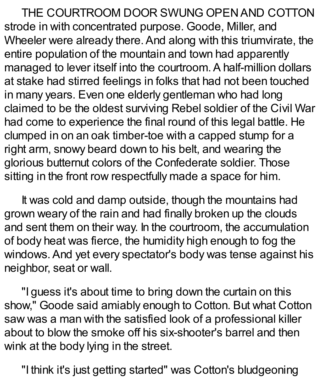THE COURTROOM DOOR SWUNG OPENAND COTTON strode in with concentrated purpose. Goode, Miller, and Wheeler were already there.And along with this triumvirate, the entire population of the mountain and town had apparently managed to lever itself into the courtroom.A half-million dollars at stake had stirred feelings in folks that had not been touched in many years. Even one elderly gentleman who had long claimed to be the oldest surviving Rebel soldier of the Civil War had come to experience the final round of this legal battle. He clumped in on an oak timber-toe with a capped stump for a right arm, snowy beard down to his belt, and wearing the glorious butternut colors of the Confederate soldier. Those sitting in the front row respectfully made a space for him.

It was cold and damp outside, though the mountains had grown weary of the rain and had finally broken up the clouds and sent them on their way. In the courtroom, the accumulation of body heat was fierce, the humidity high enough to fog the windows.And yet every spectator's body was tense against his neighbor, seat or wall.

"I guess it's about time to bring down the curtain on this show," Goode said amiably enough to Cotton. But what Cotton saw was a man with the satisfied look of a professional killer about to blow the smoke off his six-shooter's barrel and then wink at the body lying in the street.

"I think it's just getting started" was Cotton's bludgeoning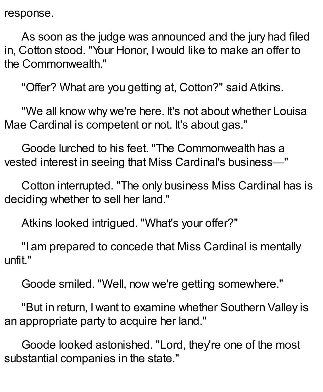response.

As soon as the judge was announced and the jury had filed in, Cotton stood. "Your Honor, Iwould like to make an offer to the Commonwealth."

"Offer? What are you getting at, Cotton?" said Atkins.

"We all know why we're here. It's not about whether Louisa Mae Cardinal is competent or not. It's about gas."

Goode lurched to his feet. "The Commonwealth has a vested interest in seeing that Miss Cardinal's business—"

Cotton interrupted. "The only business Miss Cardinal has is deciding whether to sell her land."

Atkins looked intrigued. "What's your offer?"

"I am prepared to concede that Miss Cardinal is mentally unfit."

Goode smiled. "Well, now we're getting somewhere."

"But in return, Iwant to examine whether Southern Valley is an appropriate party to acquire her land."

Goode looked astonished. "Lord, they're one of the most substantial companies in the state."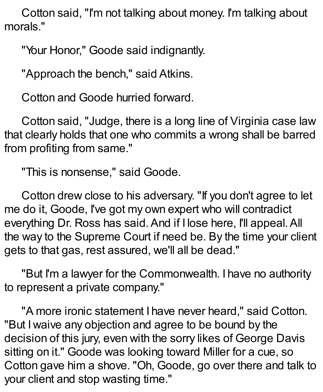Cotton said, "I'm not talking about money. I'm talking about morals."

"Your Honor," Goode said indignantly.

"Approach the bench," said Atkins.

Cotton and Goode hurried forward.

Cotton said, "Judge, there is a long line of Virginia case law that clearly holds that one who commits a wrong shall be barred from profiting from same."

"This is nonsense," said Goode.

Cotton drew close to his adversary. "If you don't agree to let me do it, Goode, I've got my own expert who will contradict everything Dr. Ross has said. And if I lose here, I'll appeal. All the way to the Supreme Court if need be. By the time your client gets to that gas, rest assured, we'll all be dead."

"But I'm a lawyer for the Commonwealth. I have no authority to represent a private company."

"A more ironic statement I have never heard," said Cotton. "But Iwaive any objection and agree to be bound by the decision of this jury, even with the sorry likes of George Davis sitting on it." Goode was looking toward Miller for a cue, so Cotton gave him a shove. "Oh, Goode, go over there and talk to your client and stop wasting time."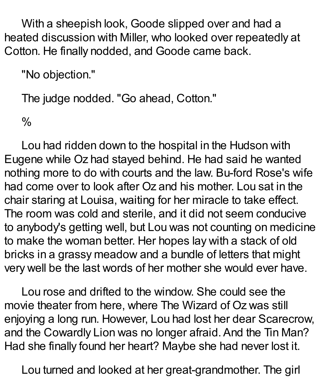With a sheepish look, Goode slipped over and had a heated discussion with Miller, who looked over repeatedly at Cotton. He finally nodded, and Goode came back.

"No objection."

The judge nodded. "Go ahead, Cotton."

 $\frac{0}{0}$ 

Lou had ridden down to the hospital in the Hudson with Eugene while Oz had stayed behind. He had said he wanted nothing more to do with courts and the law. Bu-ford Rose's wife had come over to look after Oz and his mother. Lou sat in the chair staring at Louisa, waiting for her miracle to take effect. The room was cold and sterile, and it did not seem conducive to anybody's getting well, but Lou was not counting on medicine to make the woman better. Her hopes lay with a stack of old bricks in a grassy meadow and a bundle of letters that might very well be the last words of her mother she would ever have.

Lou rose and drifted to the window. She could see the movie theater from here, where The Wizard of Oz was still enjoying a long run. However, Lou had lost her dear Scarecrow, and the Cowardly Lion was no longer afraid.And the Tin Man? Had she finally found her heart? Maybe she had never lost it.

Lou turned and looked at her great-grandmother. The girl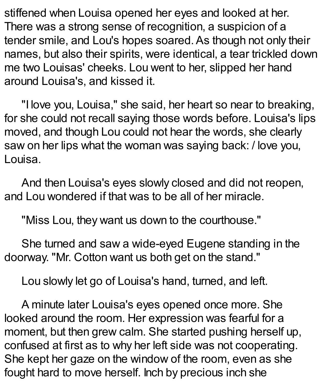stiffened when Louisa opened her eyes and looked at her. There was a strong sense of recognition, a suspicion of a tender smile, and Lou's hopes soared.As though not only their names, but also their spirits, were identical, a tear trickled down me two Louisas' cheeks. Lou went to her, slipped her hand around Louisa's, and kissed it.

"I love you, Louisa," she said, her heart so near to breaking, for she could not recall saying those words before. Louisa's lips moved, and though Lou could not hear the words, she clearly saw on her lips what the woman was saying back: / love you, Louisa.

And then Louisa's eyes slowly closed and did not reopen, and Lou wondered if that was to be all of her miracle.

"Miss Lou, they want us down to the courthouse."

She turned and saw a wide-eyed Eugene standing in the doorway. "Mr. Cotton want us both get on the stand."

Lou slowly let go of Louisa's hand, turned, and left.

A minute later Louisa's eyes opened once more. She looked around the room. Her expression was fearful for a moment, but then grew calm. She started pushing herself up, confused at first as to why her left side was not cooperating. She kept her gaze on the window of the room, even as she fought hard to move herself. Inch by precious inch she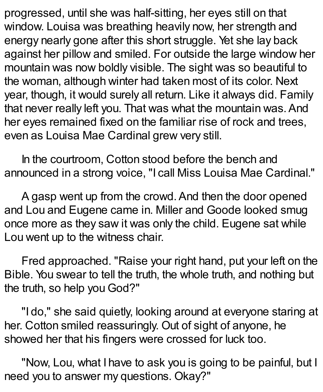progressed, until she was half-sitting, her eyes still on that window. Louisa was breathing heavily now, her strength and energy nearly gone after this short struggle. Yet she lay back against her pillow and smiled. For outside the large window her mountain was now boldly visible. The sight was so beautiful to the woman, although winter had taken most of its color. Next year, though, it would surely all return. Like it always did. Family that never really left you. That was what the mountain was.And her eyes remained fixed on the familiar rise of rock and trees, even as Louisa Mae Cardinal grew very still.

In the courtroom, Cotton stood before the bench and announced in a strong voice, "I call Miss Louisa Mae Cardinal."

A gasp went up from the crowd.And then the door opened and Lou and Eugene came in. Miller and Goode looked smug once more as they saw it was only the child. Eugene sat while Lou went up to the witness chair.

Fred approached. "Raise your right hand, put your left on the Bible. You swear to tell the truth, the whole truth, and nothing but the truth, so help you God?"

"I do," she said quietly, looking around at everyone staring at her. Cotton smiled reassuringly. Out of sight of anyone, he showed her that his fingers were crossed for luck too.

"Now, Lou, what I have to ask you is going to be painful, but I need you to answer my questions. Okay?"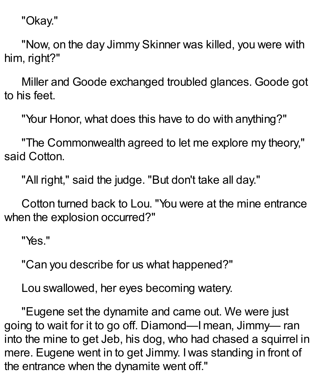"Okay."

"Now, on the day Jimmy Skinner was killed, you were with him, right?"

Miller and Goode exchanged troubled glances. Goode got to his feet.

"Your Honor, what does this have to do with anything?"

"The Commonwealth agreed to let me explore my theory," said Cotton.

"All right," said the judge. "But don't take all day."

Cotton turned back to Lou. "You were at the mine entrance when the explosion occurred?"

"Yes."

"Can you describe for us what happened?"

Lou swallowed, her eyes becoming watery.

"Eugene set the dynamite and came out. We were just going to wait for it to go off. Diamond—Imean, Jimmy— ran into the mine to get Jeb, his dog, who had chased a squirrel in mere. Eugene went in to get Jimmy. Iwas standing in front of the entrance when the dynamite went off."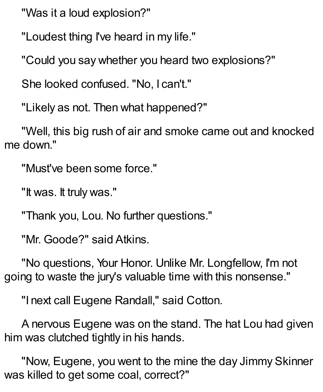"Was it a loud explosion?"

"Loudest thing I've heard in my life."

"Could you say whether you heard two explosions?"

She looked confused. "No, I can't."

"Likely as not. Then what happened?"

"Well, this big rush of air and smoke came out and knocked me down."

"Must've been some force."

"It was. It truly was."

"Thank you, Lou. No further questions."

"Mr. Goode?" said Atkins.

"No questions, Your Honor. Unlike Mr. Longfellow, I'm not going to waste the jury's valuable time with this nonsense."

"I next call Eugene Randall," said Cotton.

A nervous Eugene was on the stand. The hat Lou had given him was clutched tightly in his hands.

"Now, Eugene, you went to the mine the day Jimmy Skinner was killed to get some coal, correct?"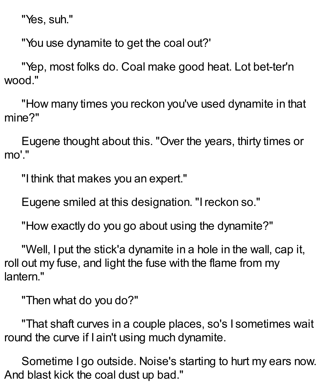"Yes, suh."

"You use dynamite to get the coal out?'

"Yep, most folks do. Coal make good heat. Lot bet-ter'n wood."

"How many times you reckon you've used dynamite in that mine?"

Eugene thought about this. "Over the years, thirty times or mo'."

"I think that makes you an expert."

Eugene smiled at this designation. "Ireckon so."

"How exactly do you go about using the dynamite?"

"Well, I put the stick'a dynamite in a hole in the wall, cap it, roll out my fuse, and light the fuse with the flame from my lantern."

"Then what do you do?"

"That shaft curves in a couple places, so's I sometimes wait round the curve if I ain't using much dynamite.

Sometime I go outside. Noise's starting to hurt my ears now. And blast kick the coal dust up bad."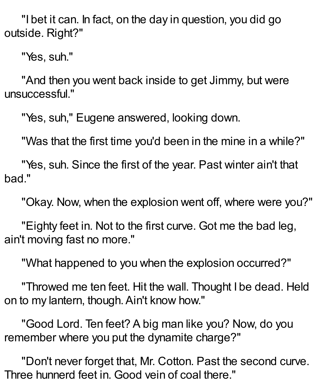"I bet it can. In fact, on the day in question, you did go outside. Right?"

"Yes, suh."

"And then you went back inside to get Jimmy, but were unsuccessful."

"Yes, suh," Eugene answered, looking down.

"Was that the first time you'd been in the mine in a while?"

"Yes, suh. Since the first of the year. Past winter ain't that bad."

"Okay. Now, when the explosion went off, where were you?"

"Eighty feet in. Not to the first curve. Got me the bad leg, ain't moving fast no more."

"What happened to you when the explosion occurred?"

"Throwed me ten feet. Hit the wall. Thought I be dead. Held on to my lantern, though.Ain't know how."

"Good Lord. Ten feet? A big man like you? Now, do you remember where you put the dynamite charge?"

"Don't never forget that, Mr. Cotton. Past the second curve. Three hunnerd feet in. Good vein of coal there."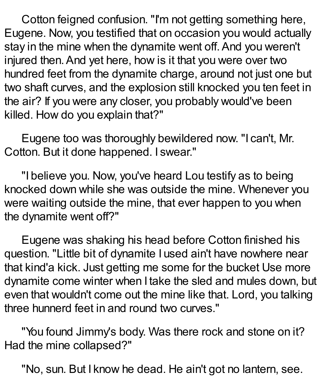Cotton feigned confusion. "I'm not getting something here, Eugene. Now, you testified that on occasion you would actually stay in the mine when the dynamite went off.And you weren't injured then.And yet here, how is it that you were over two hundred feet from the dynamite charge, around not just one but two shaft curves, and the explosion still knocked you ten feet in the air? If you were any closer, you probably would've been killed. How do you explain that?"

Eugene too was thoroughly bewildered now. "I can't, Mr. Cotton. But it done happened. I swear."

"I believe you. Now, you've heard Lou testify as to being knocked down while she was outside the mine. Whenever you were waiting outside the mine, that ever happen to you when the dynamite went off?"

Eugene was shaking his head before Cotton finished his question. "Little bit of dynamite I used ain't have nowhere near that kind'a kick. Just getting me some for the bucket Use more dynamite come winter when I take the sled and mules down, but even that wouldn't come out the mine like that. Lord, you talking three hunnerd feet in and round two curves."

"You found Jimmy's body. Was there rock and stone on it? Had the mine collapsed?"

"No, sun. But I know he dead. He ain't got no lantern, see.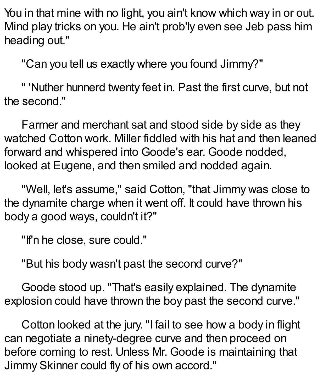You in that mine with no light, you ain't know which way in or out. Mind play tricks on you. He ain't prob'ly even see Jeb pass him heading out."

"Can you tell us exactly where you found Jimmy?"

" 'Nuther hunnerd twenty feet in. Past the first curve, but not the second."

Farmer and merchant sat and stood side by side as they watched Cotton work. Miller fiddled with his hat and then leaned forward and whispered into Goode's ear. Goode nodded, looked at Eugene, and then smiled and nodded again.

"Well, let's assume," said Cotton, "that Jimmy was close to the dynamite charge when it went off. It could have thrown his body a good ways, couldn't it?"

"If'n he close, sure could."

"But his body wasn't past the second curve?"

Goode stood up. "That's easily explained. The dynamite explosion could have thrown the boy past the second curve."

Cotton looked at the jury. "I fail to see how a body in flight can negotiate a ninety-degree curve and then proceed on before coming to rest. Unless Mr. Goode is maintaining that Jimmy Skinner could fly of his own accord."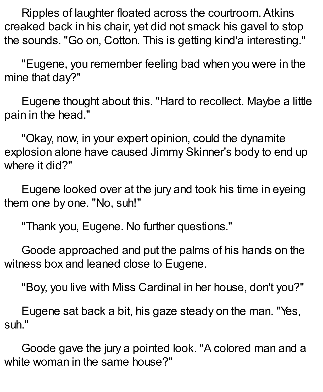Ripples of laughter floated across the courtroom.Atkins creaked back in his chair, yet did not smack his gavel to stop the sounds. "Go on, Cotton. This is getting kind'a interesting."

"Eugene, you remember feeling bad when you were in the mine that day?"

Eugene thought about this. "Hard to recollect. Maybe a little pain in the head."

"Okay, now, in your expert opinion, could the dynamite explosion alone have caused Jimmy Skinner's body to end up where it did?"

Eugene looked over at the jury and took his time in eyeing them one by one. "No, suh!"

"Thank you, Eugene. No further questions."

Goode approached and put the palms of his hands on the witness box and leaned close to Eugene.

"Boy, you live with Miss Cardinal in her house, don't you?"

Eugene sat back a bit, his gaze steady on the man. "Yes, suh."

Goode gave the jury a pointed look. "A colored man and a white woman in the same house?"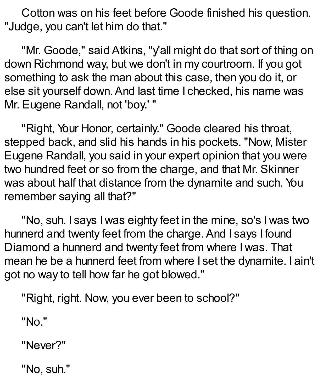Cotton was on his feet before Goode finished his question. "Judge, you can't let him do that."

"Mr. Goode," said Atkins, "y'all might do that sort of thing on down Richmond way, but we don't in my courtroom. If you got something to ask the man about this case, then you do it, or else sit yourself down.And last time I checked, his name was Mr. Eugene Randall, not 'boy.' "

"Right, Your Honor, certainly." Goode cleared his throat, stepped back, and slid his hands in his pockets. "Now, Mister Eugene Randall, you said in your expert opinion that you were two hundred feet or so from the charge, and that Mr. Skinner was about half that distance from the dynamite and such. You remember saying all that?"

"No, suh. I says Iwas eighty feet in the mine, so's Iwas two hunnerd and twenty feet from the charge.And I says I found Diamond a hunnerd and twenty feet from where Iwas. That mean he be a hunnerd feet from where I set the dynamite. I ain't got no way to tell how far he got blowed."

"Right, right. Now, you ever been to school?"

"No."

"Never?"

"No, suh."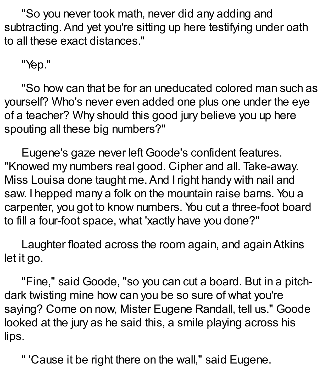"So you never took math, never did any adding and subtracting. And yet you're sitting up here testifying under oath to all these exact distances."

"Yep."

"So how can that be for an uneducated colored man such as yourself? Who's never even added one plus one under the eye of a teacher? Why should this good jury believe you up here spouting all these big numbers?"

Eugene's gaze never left Goode's confident features. "Knowed my numbers real good. Cipher and all. Take-away. Miss Louisa done taught me.And Iright handy with nail and saw. I hepped many a folk on the mountain raise barns. You a carpenter, you got to know numbers. You cut a three-foot board to fill a four-foot space, what 'xactly have you done?"

Laughter floated across the room again, and againAtkins let it go.

"Fine," said Goode, "so you can cut a board. But in a pitchdark twisting mine how can you be so sure of what you're saying? Come on now, Mister Eugene Randall, tell us." Goode looked at the jury as he said this, a smile playing across his lips.

" 'Cause it be right there on the wall," said Eugene.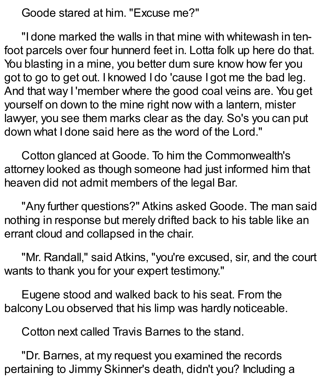Goode stared at him. "Excuse me?"

"I done marked the walls in that mine with whitewash in tenfoot parcels over four hunnerd feet in. Lotta folk up here do that. You blasting in a mine, you better dum sure know how fer you got to go to get out. I knowed I do 'cause I got me the bad leg. And that way I 'member where the good coal veins are. You get yourself on down to the mine right now with a lantern, mister lawyer, you see them marks clear as the day. So's you can put down what I done said here as the word of the Lord."

Cotton glanced at Goode. To him the Commonwealth's attorney looked as though someone had just informed him that heaven did not admit members of the legal Bar.

"Any further questions?" Atkins asked Goode. The man said nothing in response but merely drifted back to his table like an errant cloud and collapsed in the chair.

"Mr. Randall," said Atkins, "you're excused, sir, and the court wants to thank you for your expert testimony."

Eugene stood and walked back to his seat. From the balcony Lou observed that his limp was hardly noticeable.

Cotton next called Travis Barnes to the stand.

"Dr. Barnes, at my request you examined the records pertaining to Jimmy Skinner's death, didn't you? Including a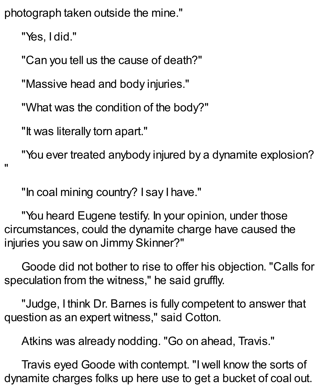photograph taken outside the mine."

"Yes, I did."

"Can you tell us the cause of death?"

"Massive head and body injuries."

"What was the condition of the body?"

"It was literally torn apart."

"You ever treated anybody injured by a dynamite explosion?

"

"In coal mining country? I say I have."

"You heard Eugene testify. In your opinion, under those circumstances, could the dynamite charge have caused the injuries you saw on Jimmy Skinner?"

Goode did not bother to rise to offer his objection. "Calls for speculation from the witness," he said gruffly.

"Judge, I think Dr. Barnes is fully competent to answer that question as an expert witness," said Cotton.

Atkins was already nodding. "Go on ahead, Travis."

Travis eyed Goode with contempt. "Iwell know the sorts of dynamite charges folks up here use to get a bucket of coal out.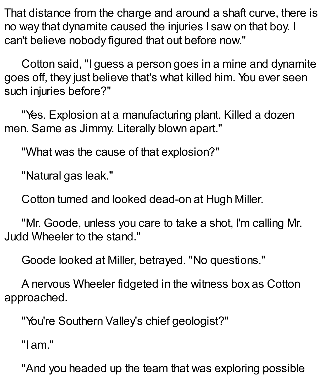That distance from the charge and around a shaft curve, there is no way that dynamite caused the injuries I saw on that boy. I can't believe nobody figured that out before now."

Cotton said, "I guess a person goes in a mine and dynamite goes off, they just believe that's what killed him. You ever seen such injuries before?"

"Yes. Explosion at a manufacturing plant. Killed a dozen men. Same as Jimmy. Literally blown apart."

"What was the cause of that explosion?"

"Natural gas leak."

Cotton turned and looked dead-on at Hugh Miller.

"Mr. Goode, unless you care to take a shot, I'm calling Mr. Judd Wheeler to the stand."

Goode looked at Miller, betrayed. "No questions."

A nervous Wheeler fidgeted in the witness box as Cotton approached.

"You're Southern Valley's chief geologist?"

"I am."

"And you headed up the team that was exploring possible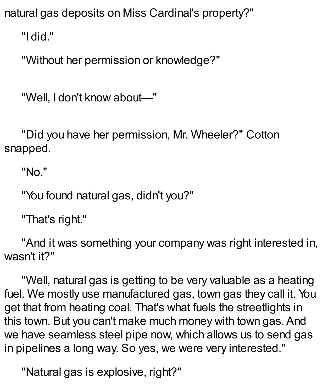natural gas deposits on Miss Cardinal's property?"

"I did."

"Without her permission or knowledge?"

"Well, I don't know about—"

"Did you have her permission, Mr. Wheeler?" Cotton snapped.

"No."

"You found natural gas, didn't you?"

"That's right."

"And it was something your company was right interested in, wasn't it?"

"Well, natural gas is getting to be very valuable as a heating fuel. We mostly use manufactured gas, town gas they call it. You get that from heating coal. That's what fuels the streetlights in this town. But you can't make much money with town gas.And we have seamless steel pipe now, which allows us to send gas in pipelines a long way. So yes, we were very interested."

"Natural gas is explosive, right?"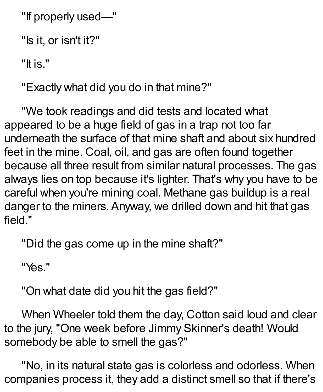"If properly used—"

"Is it, or isn't it?"

"It is."

"Exactly what did you do in that mine?"

"We took readings and did tests and located what appeared to be a huge field of gas in a trap not too far underneath the surface of that mine shaft and about six hundred feet in the mine. Coal, oil, and gas are often found together because all three result from similar natural processes. The gas always lies on top because it's lighter. That's why you have to be careful when you're mining coal. Methane gas buildup is a real danger to the miners.Anyway, we drilled down and hit that gas field."

"Did the gas come up in the mine shaft?"

"Yes."

"On what date did you hit the gas field?"

When Wheeler told them the day, Cotton said loud and clear to the jury, "One week before Jimmy Skinner's death! Would somebody be able to smell the gas?"

"No, in its natural state gas is colorless and odorless. When companies process it, they add a distinct smell so that if there's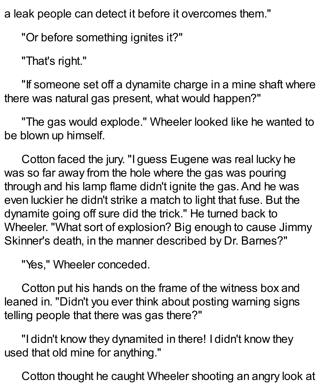a leak people can detect it before it overcomes them."

"Or before something ignites it?"

"That's right."

"If someone set off a dynamite charge in a mine shaft where there was natural gas present, what would happen?"

"The gas would explode." Wheeler looked like he wanted to be blown up himself.

Cotton faced the jury. "I guess Eugene was real lucky he was so far away from the hole where the gas was pouring through and his lamp flame didn't ignite the gas.And he was even luckier he didn't strike a match to light that fuse. But the dynamite going off sure did the trick." He turned back to Wheeler. "What sort of explosion? Big enough to cause Jimmy Skinner's death, in the manner described by Dr. Barnes?"

"Yes," Wheeler conceded.

Cotton put his hands on the frame of the witness box and leaned in. "Didn't you ever think about posting warning signs telling people that there was gas there?"

"I didn't know they dynamited in there! I didn't know they used that old mine for anything."

Cotton thought he caught Wheeler shooting an angry look at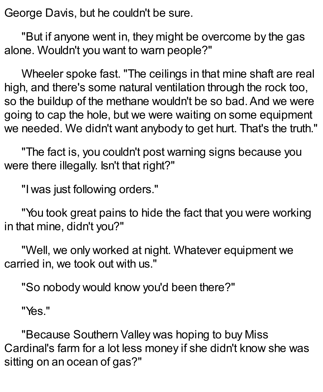George Davis, but he couldn't be sure.

"But if anyone went in, they might be overcome by the gas alone. Wouldn't you want to warn people?"

Wheeler spoke fast. "The ceilings in that mine shaft are real high, and there's some natural ventilation through the rock too, so the buildup of the methane wouldn't be so bad.And we were going to cap the hole, but we were waiting on some equipment we needed. We didn't want anybody to get hurt. That's the truth."

"The fact is, you couldn't post warning signs because you were there illegally. Isn't that right?"

"Iwas just following orders."

"You took great pains to hide the fact that you were working in that mine, didn't you?"

"Well, we only worked at night. Whatever equipment we carried in, we took out with us."

"So nobody would know you'd been there?"

"Yes."

"Because Southern Valley was hoping to buy Miss Cardinal's farm for a lot less money if she didn't know she was sitting on an ocean of gas?"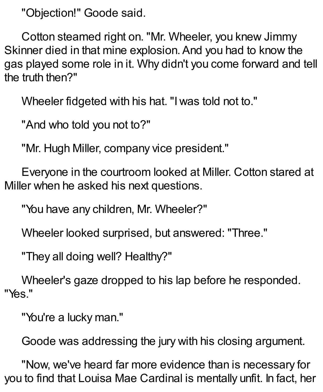"Objection!" Goode said.

Cotton steamed right on. "Mr. Wheeler, you knew Jimmy Skinner died in that mine explosion.And you had to know the gas played some role in it. Why didn't you come forward and tell the truth then?"

Wheeler fidgeted with his hat. "Iwas told not to."

"And who told you not to?"

"Mr. Hugh Miller, company vice president."

Everyone in the courtroom looked at Miller. Cotton stared at Miller when he asked his next questions.

"You have any children, Mr. Wheeler?"

Wheeler looked surprised, but answered: "Three."

"They all doing well? Healthy?"

Wheeler's gaze dropped to his lap before he responded. "Yes."

"You're a lucky man."

Goode was addressing the jury with his closing argument.

"Now, we've heard far more evidence than is necessary for you to find that Louisa Mae Cardinal is mentally unfit. In fact, her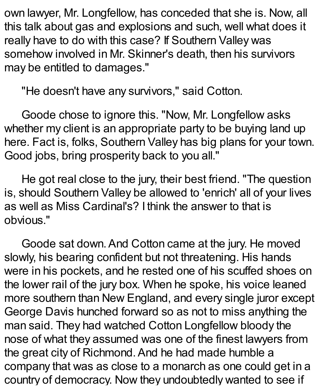own lawyer, Mr. Longfellow, has conceded that she is. Now, all this talk about gas and explosions and such, well what does it really have to do with this case? If Southern Valley was somehow involved in Mr. Skinner's death, then his survivors may be entitled to damages."

"He doesn't have any survivors," said Cotton.

Goode chose to ignore this. "Now, Mr. Longfellow asks whether my client is an appropriate party to be buying land up here. Fact is, folks, Southern Valley has big plans for your town. Good jobs, bring prosperity back to you all."

He got real close to the jury, their best friend. "The question is, should Southern Valley be allowed to 'enrich' all of your lives as well as Miss Cardinal's? I think the answer to that is obvious."

Goode sat down.And Cotton came at the jury. He moved slowly, his bearing confident but not threatening. His hands were in his pockets, and he rested one of his scuffed shoes on the lower rail of the jury box. When he spoke, his voice leaned more southern than New England, and every single juror except George Davis hunched forward so as not to miss anything the man said. They had watched Cotton Longfellow bloody the nose of what they assumed was one of the finest lawyers from the great city of Richmond.And he had made humble a company that was as close to a monarch as one could get in a country of democracy. Now they undoubtedly wanted to see if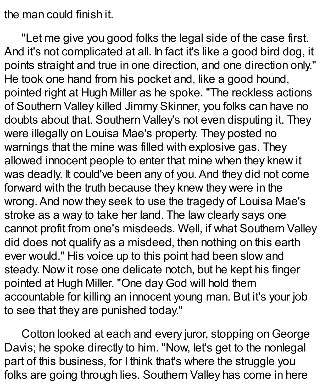the man could finish it.

"Let me give you good folks the legal side of the case first. And it's not complicated at all. In fact it's like a good bird dog, it points straight and true in one direction, and one direction only." He took one hand from his pocket and, like a good hound, pointed right at Hugh Miller as he spoke. "The reckless actions of Southern Valley killed Jimmy Skinner, you folks can have no doubts about that. Southern Valley's not even disputing it. They were illegally on Louisa Mae's property. They posted no warnings that the mine was filled with explosive gas. They allowed innocent people to enter that mine when they knew it was deadly. It could've been any of you.And they did not come forward with the truth because they knew they were in the wrong.And now they seek to use the tragedy of Louisa Mae's stroke as a way to take her land. The law clearly says one cannot profit from one's misdeeds. Well, if what Southern Valley did does not qualify as a misdeed, then nothing on this earth ever would." His voice up to this point had been slow and steady. Now it rose one delicate notch, but he kept his finger pointed at Hugh Miller. "One dayGod will hold them accountable for killing an innocent young man. But it's your job to see that they are punished today."

Cotton looked at each and every juror, stopping on George Davis; he spoke directly to him. "Now, let's get to the nonlegal part of this business, for I think that's where the struggle you folks are going through lies. Southern Valley has come in here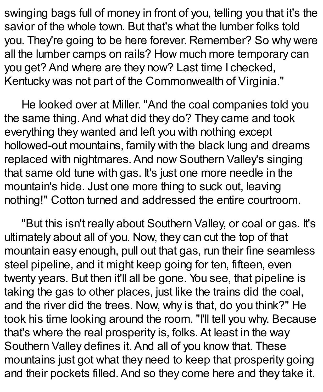swinging bags full of money in front of you, telling you that it's the savior of the whole town. But that's what the lumber folks told you. They're going to be here forever. Remember? So why were all the lumber camps on rails? How much more temporary can you get? And where are they now? Last time I checked, Kentucky was not part of the Commonwealth of Virginia."

He looked over at Miller. "And the coal companies told you the same thing.And what did they do? They came and took everything they wanted and left you with nothing except hollowed-out mountains, family with the black lung and dreams replaced with nightmares.And now Southern Valley's singing that same old tune with gas. It's just one more needle in the mountain's hide. Just one more thing to suck out, leaving nothing!" Cotton turned and addressed the entire courtroom.

"But this isn't really about Southern Valley, or coal or gas. It's ultimately about all of you. Now, they can cut the top of that mountain easy enough, pull out that gas, run their fine seamless steel pipeline, and it might keep going for ten, fifteen, even twenty years. But then it'll all be gone. You see, that pipeline is taking the gas to other places, just like the trains did the coal, and the river did the trees. Now, why is that, do you think?" He took his time looking around the room. "I'll tell you why. Because that's where the real prosperity is, folks.At least in the way Southern Valley defines it. And all of you know that. These mountains just got what they need to keep that prosperity going and their pockets filled.And so they come here and they take it.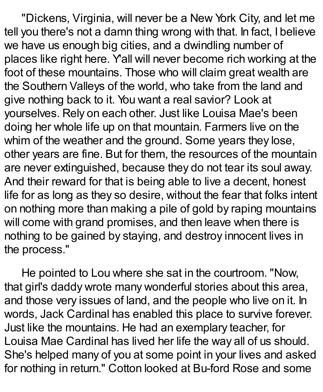"Dickens, Virginia, will never be a New York City, and let me tell you there's not a damn thing wrong with that. In fact, I believe we have us enough big cities, and a dwindling number of places like right here. Y'all will never become rich working at the foot of these mountains. Those who will claim great wealth are the Southern Valleys of the world, who take from the land and give nothing back to it. You want a real savior? Look at yourselves. Rely on each other. Just like Louisa Mae's been doing her whole life up on that mountain. Farmers live on the whim of the weather and the ground. Some years they lose, other years are fine. But for them, the resources of the mountain are never extinguished, because they do not tear its soul away. And their reward for that is being able to live a decent, honest life for as long as they so desire, without the fear that folks intent on nothing more than making a pile of gold by raping mountains will come with grand promises, and then leave when there is nothing to be gained by staying, and destroy innocent lives in the process."

He pointed to Lou where she sat in the courtroom. "Now, that girl's daddy wrote many wonderful stories about this area, and those very issues of land, and the people who live on it. In words, Jack Cardinal has enabled this place to survive forever. Just like the mountains. He had an exemplary teacher, for Louisa Mae Cardinal has lived her life the way all of us should. She's helped many of you at some point in your lives and asked for nothing in return." Cotton looked at Bu-ford Rose and some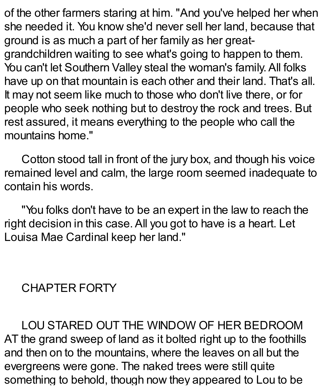of the other farmers staring at him. "And you've helped her when she needed it. You know she'd never sell her land, because that ground is as much a part of her family as her greatgrandchildren waiting to see what's going to happen to them. You can't let Southern Valley steal the woman's family.All folks have up on that mountain is each other and their land. That's all. It may not seem like much to those who don't live there, or for people who seek nothing but to destroy the rock and trees. But rest assured, it means everything to the people who call the mountains home."

Cotton stood tall in front of the jury box, and though his voice remained level and calm, the large room seemed inadequate to contain his words.

"You folks don't have to be an expert in the law to reach the right decision in this case.All you got to have is a heart. Let Louisa Mae Cardinal keep her land."

## CHAPTER FORTY

LOU STARED OUT THE WINDOW OF HER BEDROOM AT the grand sweep of land as it bolted right up to the foothills and then on to the mountains, where the leaves on all but the evergreens were gone. The naked trees were still quite something to behold, though now they appeared to Lou to be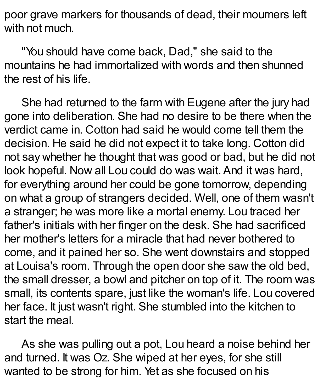poor grave markers for thousands of dead, their mourners left with not much.

"You should have come back, Dad," she said to the mountains he had immortalized with words and then shunned the rest of his life.

She had returned to the farm with Eugene after the jury had gone into deliberation. She had no desire to be there when the verdict came in. Cotton had said he would come tell them the decision. He said he did not expect it to take long. Cotton did not say whether he thought that was good or bad, but he did not look hopeful. Now all Lou could do was wait. And it was hard, for everything around her could be gone tomorrow, depending on what a group of strangers decided. Well, one of them wasn't a stranger; he was more like a mortal enemy. Lou traced her father's initials with her finger on the desk. She had sacrificed her mother's letters for a miracle that had never bothered to come, and it pained her so. She went downstairs and stopped at Louisa's room. Through the open door she saw the old bed, the small dresser, a bowl and pitcher on top of it. The room was small, its contents spare, just like the woman's life. Lou covered her face. It just wasn't right. She stumbled into the kitchen to start the meal.

As she was pulling out a pot, Lou heard a noise behind her and turned. It was Oz. She wiped at her eyes, for she still wanted to be strong for him. Yet as she focused on his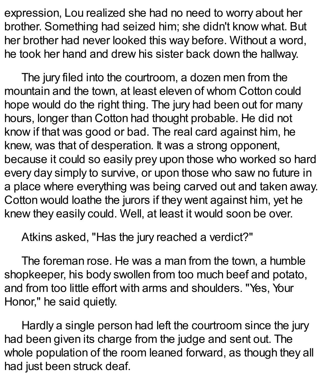expression, Lou realized she had no need to worry about her brother. Something had seized him; she didn't know what. But her brother had never looked this way before. Without a word, he took her hand and drew his sister back down the hallway.

The jury filed into the courtroom, a dozen men from the mountain and the town, at least eleven of whom Cotton could hope would do the right thing. The jury had been out for many hours, longer than Cotton had thought probable. He did not know if that was good or bad. The real card against him, he knew, was that of desperation. It was a strong opponent, because it could so easily prey upon those who worked so hard every day simply to survive, or upon those who saw no future in a place where everything was being carved out and taken away. Cotton would loathe the jurors if they went against him, yet he knew they easily could. Well, at least it would soon be over.

Atkins asked, "Has the jury reached a verdict?"

The foreman rose. He was a man from the town, a humble shopkeeper, his body swollen from too much beef and potato, and from too little effort with arms and shoulders. "Yes, Your Honor," he said quietly.

Hardly a single person had left the courtroom since the jury had been given its charge from the judge and sent out. The whole population of the room leaned forward, as though they all had just been struck deaf.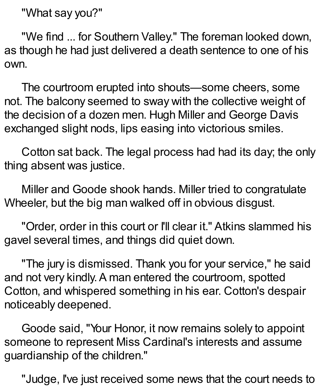"What say you?"

"We find ... for Southern Valley." The foreman looked down, as though he had just delivered a death sentence to one of his own.

The courtroom erupted into shouts—some cheers, some not. The balcony seemed to sway with the collective weight of the decision of a dozen men. Hugh Miller and George Davis exchanged slight nods, lips easing into victorious smiles.

Cotton sat back. The legal process had had its day; the only thing absent was justice.

Miller and Goode shook hands. Miller tried to congratulate Wheeler, but the big man walked off in obvious disgust.

"Order, order in this court or I'll clear it." Atkins slammed his gavel several times, and things did quiet down.

"The jury is dismissed. Thank you for your service," he said and not very kindly.A man entered the courtroom, spotted Cotton, and whispered something in his ear. Cotton's despair noticeably deepened.

Goode said, "Your Honor, it now remains solely to appoint someone to represent Miss Cardinal's interests and assume guardianship of the children."

"Judge, I've just received some news that the court needs to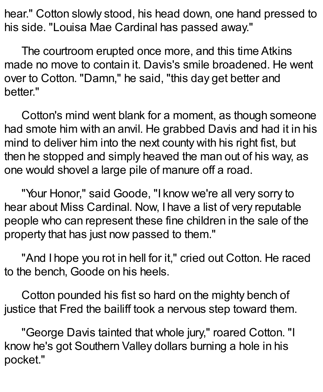hear." Cotton slowly stood, his head down, one hand pressed to his side. "Louisa Mae Cardinal has passed away."

The courtroom erupted once more, and this time Atkins made no move to contain it. Davis's smile broadened. He went over to Cotton. "Damn," he said, "this day get better and better."

Cotton's mind went blank for a moment, as though someone had smote him with an anvil. He grabbed Davis and had it in his mind to deliver him into the next county with his right fist, but then he stopped and simply heaved the man out of his way, as one would shovel a large pile of manure off a road.

"Your Honor," said Goode, "I know we're all very sorry to hear about Miss Cardinal. Now, I have a list of very reputable people who can represent these fine children in the sale of the property that has just now passed to them."

"And I hope you rot in hell for it," cried out Cotton. He raced to the bench, Goode on his heels.

Cotton pounded his fist so hard on the mighty bench of justice that Fred the bailiff took a nervous step toward them.

"George Davis tainted that whole jury," roared Cotton. "I know he's got Southern Valley dollars burning a hole in his pocket."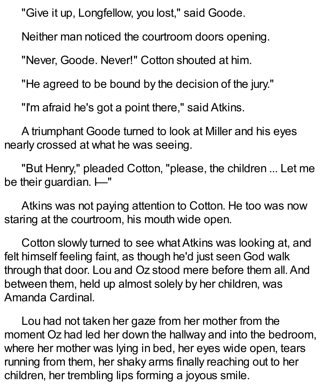"Give it up, Longfellow, you lost," said Goode.

Neither man noticed the courtroom doors opening.

"Never, Goode. Never!" Cotton shouted at him.

"He agreed to be bound by the decision of the jury."

"I'm afraid he's got a point there," said Atkins.

A triumphant Goode turned to look at Miller and his eyes nearly crossed at what he was seeing.

"But Henry," pleaded Cotton, "please, the children ... Let me be their quardian.  $\vdash$ "

Atkins was not paying attention to Cotton. He too was now staring at the courtroom, his mouth wide open.

Cotton slowly turned to see what Atkins was looking at, and felt himself feeling faint, as though he'd just seenGod walk through that door. Lou and Oz stood mere before them all.And between them, held up almost solely by her children, was Amanda Cardinal.

Lou had not taken her gaze from her mother from the moment Oz had led her down the hallway and into the bedroom, where her mother was lying in bed, her eyes wide open, tears running from them, her shaky arms finally reaching out to her children, her trembling lips forming a joyous smile.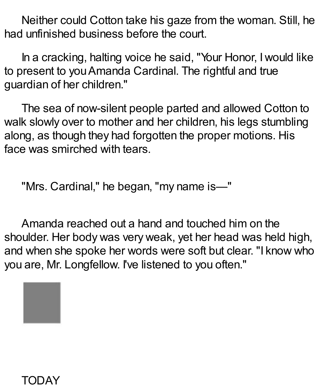Neither could Cotton take his gaze from the woman. Still, he had unfinished business before the court.

In a cracking, halting voice he said, "Your Honor, Iwould like to present to youAmanda Cardinal. The rightful and true guardian of her children."

The sea of now-silent people parted and allowed Cotton to walk slowly over to mother and her children, his legs stumbling along, as though they had forgotten the proper motions. His face was smirched with tears.

"Mrs. Cardinal," he began, "my name is—"

Amanda reached out a hand and touched him on the shoulder. Her body was very weak, yet her head was held high, and when she spoke her words were soft but clear. "I know who you are, Mr. Longfellow. I've listened to you often."

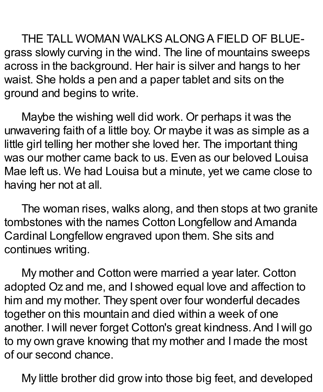THE TALL WOMAN WALKS ALONGA FIELD OF BLUEgrass slowly curving in the wind. The line of mountains sweeps across in the background. Her hair is silver and hangs to her waist. She holds a pen and a paper tablet and sits on the ground and begins to write.

Maybe the wishing well did work. Or perhaps it was the unwavering faith of a little boy. Or maybe it was as simple as a little girl telling her mother she loved her. The important thing was our mother came back to us. Even as our beloved Louisa Mae left us. We had Louisa but a minute, yet we came close to having her not at all.

The woman rises, walks along, and then stops at two granite tombstones with the names Cotton Longfellow and Amanda Cardinal Longfellow engraved upon them. She sits and continues writing.

My mother and Cotton were married a year later. Cotton adopted Oz and me, and I showed equal love and affection to him and my mother. They spent over four wonderful decades together on this mountain and died within a week of one another. Iwill never forget Cotton's great kindness.And Iwill go to my own grave knowing that my mother and Imade the most of our second chance.

My little brother did grow into those big feet, and developed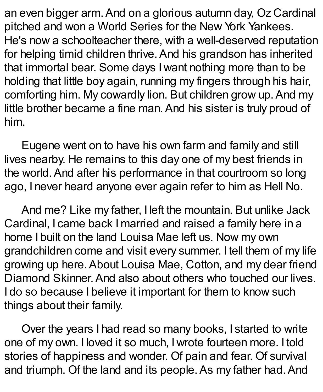an even bigger arm.And on a glorious autumn day, Oz Cardinal pitched and won a World Series for the New York Yankees. He's now a schoolteacher there, with a well-deserved reputation for helping timid children thrive.And his grandson has inherited that immortal bear. Some days Iwant nothing more than to be holding that little boy again, running my fingers through his hair, comforting him. My cowardly lion. But children grow up.And my little brother became a fine man. And his sister is truly proud of him.

Eugene went on to have his own farm and family and still lives nearby. He remains to this day one of my best friends in the world.And after his performance in that courtroom so long ago, I never heard anyone ever again refer to him as Hell No.

And me? Like my father, I left the mountain. But unlike Jack Cardinal, I came back Imarried and raised a family here in a home I built on the land Louisa Mae left us. Now my own grandchildren come and visit every summer. I tell them of my life growing up here.About Louisa Mae, Cotton, and my dear friend Diamond Skinner.And also about others who touched our lives. I do so because I believe it important for them to know such things about their family.

Over the years I had read so many books, I started to write one of my own. I loved it so much, Iwrote fourteen more. I told stories of happiness and wonder. Of pain and fear. Of survival and triumph. Of the land and its people.As my father had.And